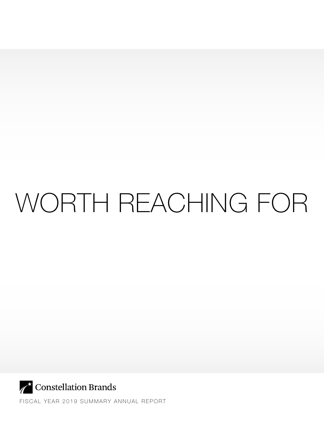# WORTH REACHING FOR



FISCAL YEAR 2019 SUMMARY ANNUAL REPORT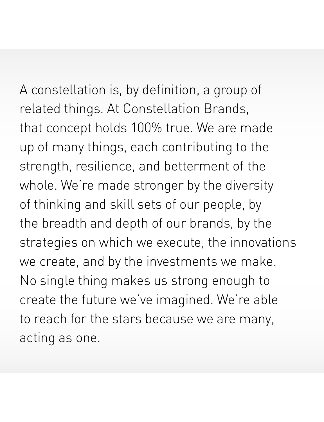A constellation is, by definition, a group of related things. At Constellation Brands, that concept holds 100% true. We are made up of many things, each contributing to the strength, resilience, and betterment of the whole. We're made stronger by the diversity of thinking and skill sets of our people, by the breadth and depth of our brands, by the strategies on which we execute, the innovations we create, and by the investments we make. No single thing makes us strong enough to create the future we've imagined. We're able to reach for the stars because we are many, acting as one.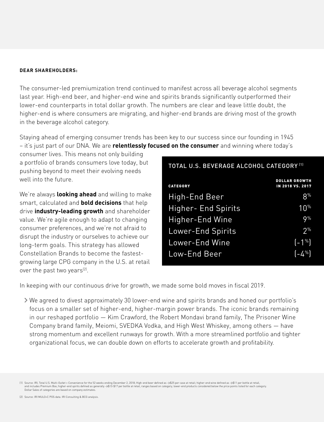# **DEAR SHAREHOLDERS:**

The consumer-led premiumization trend continued to manifest across all beverage alcohol segments last year. High-end beer, and higher-end wine and spirits brands significantly outperformed their lower-end counterparts in total dollar growth. The numbers are clear and leave little doubt, the higher-end is where consumers are migrating, and higher-end brands are driving most of the growth in the beverage alcohol category.

Staying ahead of emerging consumer trends has been key to our success since our founding in 1945 – it's just part of our DNA. We are **relentlessly focused on the consumer** and winning where today's

consumer lives. This means not only building a portfolio of brands consumers love today, but pushing beyond to meet their evolving needs well into the future.

We're always **looking ahead** and willing to make smart, calculated and **bold decisions** that help drive **industry-leading growth** and shareholder value. We're agile enough to adapt to changing consumer preferences, and we're not afraid to disrupt the industry or ourselves to achieve our long-term goals. This strategy has allowed Constellation Brands to become the fastestgrowing large CPG company in the U.S. at retail over the past two years<sup>(2)</sup>.

| <b>CATEGORY</b>      | <b>DOLLAR GROWTH</b><br>IN 2018 VS. 2017 |
|----------------------|------------------------------------------|
| <b>High-End Beer</b> | 8%                                       |
| Higher- End Spirits  | $10%$                                    |
| Higher-End Wine      | 9%                                       |
| Lower-End Spirits    | 2%                                       |
| Lower-End Wine       | $[-1^{\%}]$                              |
| Low-End Beer         | $[-4^{\%}]$                              |

In keeping with our continuous drive for growth, we made some bold moves in fiscal 2019.

 We agreed to divest approximately 30 lower-end wine and spirits brands and honed our portfolio's focus on a smaller set of higher-end, higher-margin power brands. The iconic brands remaining in our reshaped portfolio — Kim Crawford, the Robert Mondavi brand family, The Prisoner Wine Company brand family, Meiomi, SVEDKA Vodka, and High West Whiskey, among others — have strong momentum and excellent runways for growth. With a more streamlined portfolio and tighter organizational focus, we can double down on efforts to accelerate growth and profitability.

(2) Source: IRI MULO+C POS data. IRI Consulting & BCG analysis.

# TOTAL U.S. BEVERAGE ALCOHOL CATEGORY (1)

<sup>(1)</sup> Source: IRI, Total U.S. Multi-Outlet + Convenience for the 52 weeks ending December 2, 2018; High-end beer defined as >\$25 per case at retail; higher-end wine defined as >\$11 per bottle at retail, and includes Premium Box; higher-end spirits defined as generally →\$13-\$17 per bottle at retail, ranges based on category; lower-end products considered below the price points listed for each category.<br>Dollar Sales of cat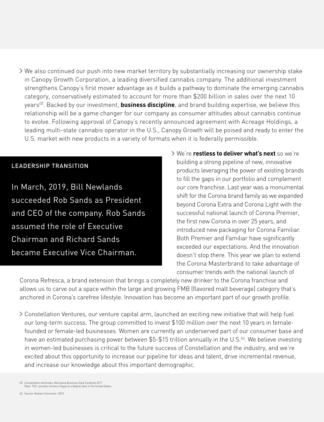We also continued our push into new market territory by substantially increasing our ownership stake in Canopy Growth Corporation, a leading diversified cannabis company. The additional investment strengthens Canopy's first mover advantage as it builds a pathway to dominate the emerging cannabis category, conservatively estimated to account for more than \$200 billion in sales over the next 10 years(3). Backed by our investment, **business discipline**, and brand building expertise, we believe this relationship will be a game changer for our company as consumer attitudes about cannabis continue to evolve. Following approval of Canopy's recently announced agreement with Acreage Holdings, a leading multi-state cannabis operator in the U.S., Canopy Growth will be poised and ready to enter the U.S. market with new products in a variety of formats when it is federally permissible.

# LEADERSHIP TRANSITION

In March, 2019, Bill Newlands succeeded Rob Sands as President and CEO of the company. Rob Sands assumed the role of Executive Chairman and Richard Sands became Executive Vice Chairman.

 We're **restless to deliver what's next** so we're building a strong pipeline of new, innovative products leveraging the power of existing brands to fill the gaps in our portfolio and complement our core franchise. Last year was a monumental shift for the Corona brand family as we expanded beyond Corona Extra and Corona Light with the successful national launch of Corona Premier, the first new Corona in over 25 years, and introduced new packaging for Corona Familiar. Both Premier and Familiar have significantly exceeded our expectations. And the innovation doesn't stop there. This year we plan to extend the Corona Masterbrand to take advantage of consumer trends with the national launch of

Corona Refresca, a brand extension that brings a completely new drinker to the Corona franchise and allows us to carve out a space within the large and growing FMB (flavored malt beverage) category that's anchored in Corona's carefree lifestyle. Innovation has become an important part of our growth profile.

 Constellation Ventures, our venture capital arm, launched an exciting new initiative that will help fuel our long-term success. The group committed to invest \$100 million over the next 10 years in femalefounded or female-led businesses. Women are currently an underserved part of our consumer base and have an estimated purchasing power between \$5-\$15 trillion annually in the U.S.<sup>(4)</sup>. We believe investing in women-led businesses is critical to the future success of Constellation and the industry, and we're excited about this opportunity to increase our pipeline for ideas and talent, drive incremental revenue, and increase our knowledge about this important demographic.

<sup>(3)</sup> Constellation estimates, Marijuana Business Daily Factbook 2017 Note: THC cannabis remains illegal at a federal level in the United States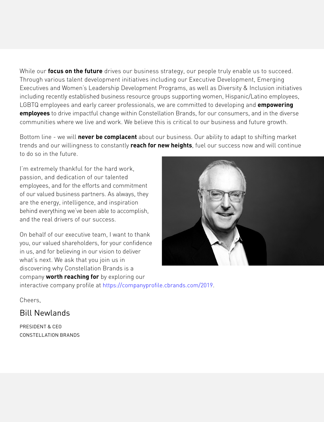While our **focus on the future** drives our business strategy, our people truly enable us to succeed. Through various talent development initiatives including our Executive Development, Emerging Executives and Women's Leadership Development Programs, as well as Diversity & Inclusion initiatives including recently established business resource groups supporting women, Hispanic/Latino employees, LGBTQ employees and early career professionals, we are committed to developing and **empowering employees** to drive impactful change within Constellation Brands, for our consumers, and in the diverse communities where we live and work. We believe this is critical to our business and future growth.

Bottom line - we will **never be complacent** about our business. Our ability to adapt to shifting market trends and our willingness to constantly **reach for new heights**, fuel our success now and will continue to do so in the future.

I'm extremely thankful for the hard work, passion, and dedication of our talented employees, and for the efforts and commitment of our valued business partners. As always, they are the energy, intelligence, and inspiration behind everything we've been able to accomplish, and the real drivers of our success.

On behalf of our executive team, I want to thank you, our valued shareholders, for your confidence in us, and for believing in our vision to deliver what's next. We ask that you join us in discovering why Constellation Brands is a company **worth reaching for** by exploring our interactive company profile at https://companyprofile.cbrands.com/2019.



Cheers,

# Bill Newlands

PRESIDENT & CEO CONSTELLATION BRANDS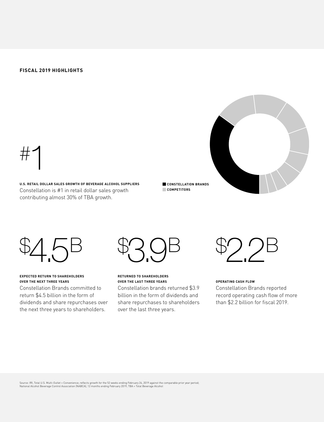# **FISCAL 2019 HIGHLIGHTS**



**U.S. RETAIL DOLLAR SALES GROWTH OF BEVERAGE ALCOHOL SUPPLIERS** Constellation is #1 in retail dollar sales growth contributing almost 30% of TBA growth.



 $\overline{\varphi}$ 4.5B

**EXPECTED RETURN TO SHAREHOLDERS OVER THE NEXT THREE YEARS**

Constellation Brands committed to return \$4.5 billion in the form of dividends and share repurchases over the next three years to shareholders.



**COMPETITORS**

**RETURNED TO SHAREHOLDERS OVER THE LAST THREE YEARS**

Constellation brands returned \$3.9 billion in the form of dividends and share repurchases to shareholders over the last three years.

 $\bigoplus$ 2.2B

**OPERATING CASH FLOW**

Constellation Brands reported record operating cash flow of more than \$2.2 billion for fiscal 2019.

Source: IRI, Total U.S. Multi-Outlet + Convenience; reflects growth for the 52 weeks ending February 24, 2019 against the comparable prior year period;<br>National Alcohol Beverage Control Association (NABCA), 12 months endin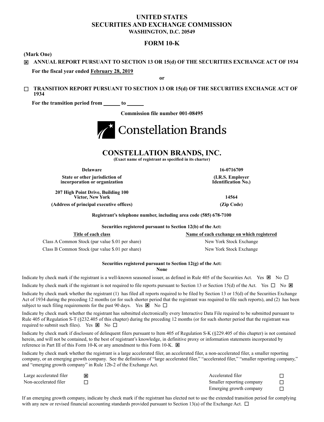# **UNITED STATES SECURITIES AND EXCHANGE COMMISSION WASHINGTON, D.C. 20549**

# **FORM 10-K**

**(Mark One)**

# **ANNUAL REPORT PURSUANT TO SECTION 13 OR 15(d) OF THE SECURITIES EXCHANGE ACT OF 1934**

**or**

**For the fiscal year ended February 28, 2019**

#### **TRANSITION REPORT PURSUANT TO SECTION 13 OR 15(d) OF THE SECURITIES EXCHANGE ACT OF**  $\Box$ **1934**

For the transition period from <u>to</u> to

**Commission file number 001-08495**



# **CONSTELLATION BRANDS, INC.**

**(Exact name of registrant as specified in its charter)**

**Delaware 16-0716709 State or other jurisdiction of incorporation or organization**

**207 High Point Drive, Building 100 Victor, New York 14564**

**(Address of principal executive offices) (Zip Code)**

**Registrant's telephone number, including area code (585) 678-7100**

**Securities registered pursuant to Section 12(b) of the Act:**

Class A Common Stock (par value \$.01 per share) New York Stock Exchange Class B Common Stock (par value \$.01 per share) New York Stock Exchange

**Title of each class Name of each exchange on which registered**

**(I.R.S. Employer Identification No.)**

#### **Securities registered pursuant to Section 12(g) of the Act: None**

Indicate by check mark if the registrant is a well-known seasoned issuer, as defined in Rule 405 of the Securities Act. Yes  $\boxtimes$  No  $\Box$ 

Indicate by check mark if the registrant is not required to file reports pursuant to Section 13 or Section 15(d) of the Act. Yes  $\Box$  No  $\boxtimes$ 

Indicate by check mark whether the registrant (1) has filed all reports required to be filed by Section 13 or 15(d) of the Securities Exchange Act of 1934 during the preceding 12 months (or for such shorter period that the registrant was required to file such reports), and (2) has been subject to such filing requirements for the past 90 days. Yes  $\boxtimes$  No  $\square$ 

Indicate by check mark whether the registrant has submitted electronically every Interactive Data File required to be submitted pursuant to Rule 405 of Regulation S-T (§232.405 of this chapter) during the preceding 12 months (or for such shorter period that the registrant was required to submit such files). Yes  $\boxtimes$  No  $\square$ 

Indicate by check mark if disclosure of delinquent filers pursuant to Item 405 of Regulation S-K (§229.405 of this chapter) is not contained herein, and will not be contained, to the best of registrant's knowledge, in definitive proxy or information statements incorporated by reference in Part III of this Form 10-K or any amendment to this Form 10-K.

Indicate by check mark whether the registrant is a large accelerated filer, an accelerated filer, a non-accelerated filer, a smaller reporting company, or an emerging growth company. See the definitions of "large accelerated filer," "accelerated filer," "smaller reporting company," and "emerging growth company" in Rule 12b-2 of the Exchange Act.

| Large accelerated filer | x | Accelerated filer         |  |
|-------------------------|---|---------------------------|--|
| Non-accelerated filer   |   | Smaller reporting company |  |
|                         |   | Emerging growth company   |  |

If an emerging growth company, indicate by check mark if the registrant has elected not to use the extended transition period for complying with any new or revised financial accounting standards provided pursuant to Section 13(a) of the Exchange Act.  $\Box$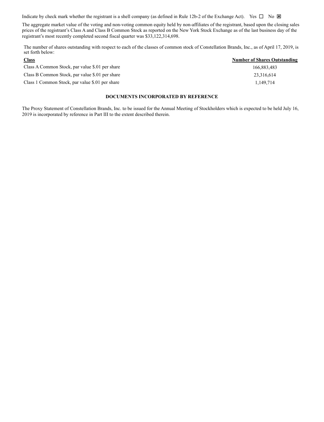Indicate by check mark whether the registrant is a shell company (as defined in Rule 12b-2 of the Exchange Act). Yes  $\Box$  No  $\boxtimes$ 

The aggregate market value of the voting and non-voting common equity held by non-affiliates of the registrant, based upon the closing sales prices of the registrant's Class A and Class B Common Stock as reported on the New York Stock Exchange as of the last business day of the registrant's most recently completed second fiscal quarter was \$33,122,314,698.

The number of shares outstanding with respect to each of the classes of common stock of Constellation Brands, Inc., as of April 17, 2019, is set forth below:

| <b>Class</b>                                    | <b>Number of Shares Outstanding</b> |
|-------------------------------------------------|-------------------------------------|
| Class A Common Stock, par value \$.01 per share | 166,883,483                         |
| Class B Common Stock, par value \$.01 per share | 23.316.614                          |
| Class 1 Common Stock, par value \$.01 per share | 1.149.714                           |

#### **DOCUMENTS INCORPORATED BY REFERENCE**

The Proxy Statement of Constellation Brands, Inc. to be issued for the Annual Meeting of Stockholders which is expected to be held July 16, 2019 is incorporated by reference in Part III to the extent described therein.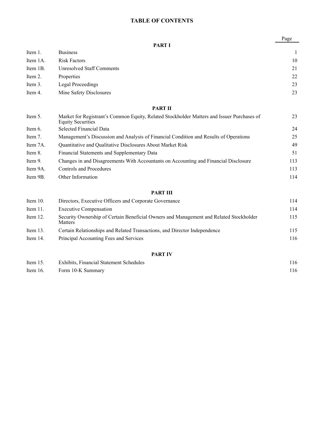# **TABLE OF CONTENTS**

|             |                                                                                                                        | Page |
|-------------|------------------------------------------------------------------------------------------------------------------------|------|
|             | <b>PART I</b>                                                                                                          |      |
| Item 1.     | <b>Business</b>                                                                                                        | 1    |
| Item 1A.    | <b>Risk Factors</b>                                                                                                    | 10   |
| Item 1B.    | <b>Unresolved Staff Comments</b>                                                                                       | 21   |
| Item 2.     | Properties                                                                                                             | 22   |
| Item 3.     | <b>Legal Proceedings</b>                                                                                               | 23   |
| Item 4.     | Mine Safety Disclosures                                                                                                | 23   |
|             | <b>PART II</b>                                                                                                         |      |
| Item 5.     | Market for Registrant's Common Equity, Related Stockholder Matters and Issuer Purchases of<br><b>Equity Securities</b> | 23   |
| Item 6.     | <b>Selected Financial Data</b>                                                                                         | 24   |
| Item 7.     | Management's Discussion and Analysis of Financial Condition and Results of Operations                                  | 25   |
| Item 7A.    | Quantitative and Qualitative Disclosures About Market Risk                                                             | 49   |
| Item 8.     | Financial Statements and Supplementary Data                                                                            | 51   |
| Item 9.     | Changes in and Disagreements With Accountants on Accounting and Financial Disclosure                                   | 113  |
| Item 9A.    | <b>Controls and Procedures</b>                                                                                         | 113  |
| Item 9B.    | Other Information                                                                                                      | 114  |
|             | <b>PART III</b>                                                                                                        |      |
| Item $10$ . | Directors, Executive Officers and Corporate Governance                                                                 | 114  |
| Item $11$ . | <b>Executive Compensation</b>                                                                                          | 114  |
| Item 12.    | Security Ownership of Certain Beneficial Owners and Management and Related Stockholder<br>Matters                      | 115  |
| Item 13.    | Certain Relationships and Related Transactions, and Director Independence                                              | 115  |

# **PART IV**

116

Item 14. Principal Accounting Fees and Services

| Item $15$ . | <b>Exhibits, Financial Statement Schedules</b> | 116 |
|-------------|------------------------------------------------|-----|
| Item $16$ . | Form 10-K Summary                              | 116 |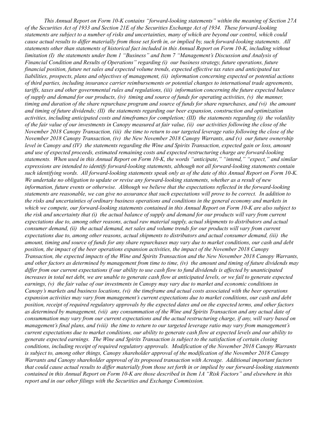*This Annual Report on Form 10-K contains "forward-looking statements" within the meaning of Section 27A of the Securities Act of 1933 and Section 21E of the Securities Exchange Act of 1934. These forward-looking statements are subject to a number of risks and uncertainties, many of which are beyond our control, which could cause actual results to differ materially from those set forth in, or implied by, such forward-looking statements. All statements other than statements of historical fact included in this Annual Report on Form 10-K, including without limitation (I) the statements under Item 1 "Business" and Item 7 "Management's Discussion and Analysis of Financial Condition and Results of Operations" regarding (i) our business strategy, future operations, future financial position, future net sales and expected volume trends, expected effective tax rates and anticipated tax liabilities, prospects, plans and objectives of management, (ii) information concerning expected or potential actions of third parties, including insurance carrier reimbursements or potential changes to international trade agreements, tariffs, taxes and other governmental rules and regulations, (iii) information concerning the future expected balance of supply and demand for our products, (iv) timing and source of funds for operating activities, (v) the manner, timing and duration of the share repurchase program and source of funds for share repurchases, and (vi) the amount and timing of future dividends; (II) the statements regarding our beer expansion, construction and optimization activities, including anticipated costs and timeframes for completion; (III) the statements regarding (i) the volatility of the fair value of our investments in Canopy measured at fair value, (ii) our activities following the close of the November 2018 Canopy Transaction, (iii) the time to return to our targeted leverage ratio following the close of the November 2018 Canopy Transaction, (iv) the New November 2018 Canopy Warrants, and (v) our future ownership level in Canopy and (IV) the statements regarding the Wine and Spirits Transaction, expected gain or loss, amount and use of expected proceeds, estimated remaining costs and expected restructuring charge are forward-looking statements. When used in this Annual Report on Form 10-K, the words "anticipate," "intend," "expect," and similar expressions are intended to identify forward-looking statements, although not all forward-looking statements contain such identifying words. All forward-looking statements speak only as of the date of this Annual Report on Form 10-K. We undertake no obligation to update or revise any forward-looking statements, whether as a result of new information, future events or otherwise. Although we believe that the expectations reflected in the forward-looking statements are reasonable, we can give no assurance that such expectations will prove to be correct. In addition to the risks and uncertainties of ordinary business operations and conditions in the general economy and markets in which we compete, our forward-looking statements contained in this Annual Report on Form 10-K are also subject to the risk and uncertainty that (i) the actual balance of supply and demand for our products will vary from current expectations due to, among other reasons, actual raw material supply, actual shipments to distributors and actual consumer demand, (ii) the actual demand, net sales and volume trends for our products will vary from current expectations due to, among other reasons, actual shipments to distributors and actual consumer demand, (iii) the amount, timing and source of funds for any share repurchases may vary due to market conditions, our cash and debt position, the impact of the beer operations expansion activities, the impact of the November 2018 Canopy Transaction, the expected impacts of the Wine and Spirits Transaction and the New November 2018 Canopy Warrants, and other factors as determined by management from time to time, (iv) the amount and timing of future dividends may differ from our current expectations if our ability to use cash flow to fund dividends is affected by unanticipated increases in total net debt, we are unable to generate cash flow at anticipated levels, or we fail to generate expected earnings, (v) the fair value of our investments in Canopy may vary due to market and economic conditions in Canopy's markets and business locations, (vi) the timeframe and actual costs associated with the beer operations expansion activities may vary from management's current expectations due to market conditions, our cash and debt position, receipt of required regulatory approvals by the expected dates and on the expected terms, and other factors as determined by management, (vii) any consummation of the Wine and Spirits Transaction and any actual date of consummation may vary from our current expectations and the actual restructuring charge, if any, will vary based on management's final plans, and (viii) the time to return to our targeted leverage ratio may vary from management's current expectations due to market conditions, our ability to generate cash flow at expected levels and our ability to generate expected earnings. The Wine and Spirits Transaction is subject to the satisfaction of certain closing conditions, including receipt of required regulatory approvals. Modification of the November 2018 Canopy Warrants is subject to, among other things, Canopy shareholder approval of the modification of the November 2018 Canopy Warrants and Canopy shareholder approval of its proposed transaction with Acreage. Additional important factors that could cause actual results to differ materially from those set forth in or implied by our forward-looking statements contained in this Annual Report on Form 10-K are those described in Item 1A "Risk Factors" and elsewhere in this report and in our other filings with the Securities and Exchange Commission.*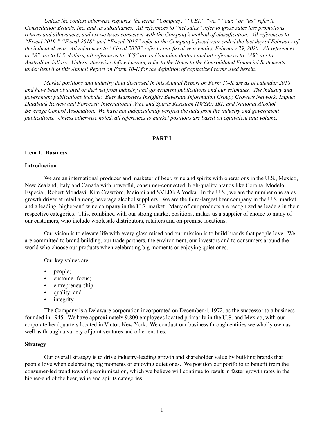*Unless the context otherwise requires, the terms "Company," "CBI," "we," "our," or "us" refer to Constellation Brands, Inc. and its subsidiaries. All references to "net sales" refer to gross sales less promotions, returns and allowances, and excise taxes consistent with the Company's method of classification. All references to "Fiscal 2019," "Fiscal 2018" and "Fiscal 2017" refer to the Company's fiscal year ended the last day of February of the indicated year. All references to "Fiscal 2020" refer to our fiscal year ending February 29, 2020. All references to "\$" are to U.S. dollars, all references to "C\$" are to Canadian dollars and all references to "A\$" are to Australian dollars. Unless otherwise defined herein, refer to the Notes to the Consolidated Financial Statements under Item 8 of this Annual Report on Form 10-K for the definition of capitalized terms used herein.*

*Market positions and industry data discussed in this Annual Report on Form 10-K are as of calendar 2018 and have been obtained or derived from industry and government publications and our estimates. The industry and government publications include: Beer Marketers Insights; Beverage Information Group; Growers Network; Impact Databank Review and Forecast; International Wine and Spirits Research (IWSR); IRI; and National Alcohol Beverage Control Association. We have not independently verified the data from the industry and government publications. Unless otherwise noted, all references to market positions are based on equivalent unit volume.*

# **PART I**

### **Item 1. Business.**

#### **Introduction**

We are an international producer and marketer of beer, wine and spirits with operations in the U.S., Mexico, New Zealand, Italy and Canada with powerful, consumer-connected, high-quality brands like Corona, Modelo Especial, Robert Mondavi, Kim Crawford, Meiomi and SVEDKA Vodka. In the U.S., we are the number one sales growth driver at retail among beverage alcohol suppliers. We are the third-largest beer company in the U.S. market and a leading, higher-end wine company in the U.S. market. Many of our products are recognized as leaders in their respective categories. This, combined with our strong market positions, makes us a supplier of choice to many of our customers, who include wholesale distributors, retailers and on-premise locations.

Our vision is to elevate life with every glass raised and our mission is to build brands that people love. We are committed to brand building, our trade partners, the environment, our investors and to consumers around the world who choose our products when celebrating big moments or enjoying quiet ones.

Our key values are:

- people;
- customer focus;
- entrepreneurship;
- quality; and
- integrity.

The Company is a Delaware corporation incorporated on December 4, 1972, as the successor to a business founded in 1945. We have approximately 9,800 employees located primarily in the U.S. and Mexico, with our corporate headquarters located in Victor, New York. We conduct our business through entities we wholly own as well as through a variety of joint ventures and other entities.

## **Strategy**

Our overall strategy is to drive industry-leading growth and shareholder value by building brands that people love when celebrating big moments or enjoying quiet ones. We position our portfolio to benefit from the consumer-led trend toward premiumization, which we believe will continue to result in faster growth rates in the higher-end of the beer, wine and spirits categories.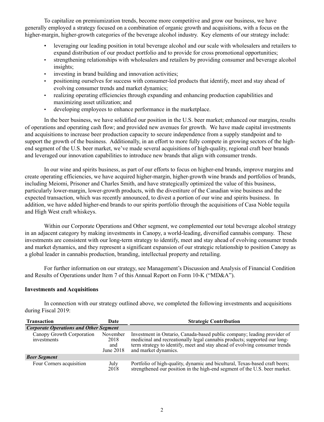To capitalize on premiumization trends, become more competitive and grow our business, we have generally employed a strategy focused on a combination of organic growth and acquisitions, with a focus on the higher-margin, higher-growth categories of the beverage alcohol industry. Key elements of our strategy include:

- leveraging our leading position in total beverage alcohol and our scale with wholesalers and retailers to expand distribution of our product portfolio and to provide for cross promotional opportunities;
- strengthening relationships with wholesalers and retailers by providing consumer and beverage alcohol insights;
- investing in brand building and innovation activities;
- positioning ourselves for success with consumer-led products that identify, meet and stay ahead of evolving consumer trends and market dynamics;
- realizing operating efficiencies through expanding and enhancing production capabilities and maximizing asset utilization; and
- developing employees to enhance performance in the marketplace.

In the beer business, we have solidified our position in the U.S. beer market; enhanced our margins, results of operations and operating cash flow; and provided new avenues for growth. We have made capital investments and acquisitions to increase beer production capacity to secure independence from a supply standpoint and to support the growth of the business. Additionally, in an effort to more fully compete in growing sectors of the highend segment of the U.S. beer market, we've made several acquisitions of high-quality, regional craft beer brands and leveraged our innovation capabilities to introduce new brands that align with consumer trends.

In our wine and spirits business, as part of our efforts to focus on higher-end brands, improve margins and create operating efficiencies, we have acquired higher-margin, higher-growth wine brands and portfolios of brands, including Meiomi, Prisoner and Charles Smith, and have strategically optimized the value of this business, particularly lower-margin, lower-growth products, with the divestiture of the Canadian wine business and the expected transaction, which was recently announced, to divest a portion of our wine and spirits business. In addition, we have added higher-end brands to our spirits portfolio through the acquisitions of Casa Noble tequila and High West craft whiskeys.

Within our Corporate Operations and Other segment, we complemented our total beverage alcohol strategy in an adjacent category by making investments in Canopy, a world-leading, diversified cannabis company. These investments are consistent with our long-term strategy to identify, meet and stay ahead of evolving consumer trends and market dynamics, and they represent a significant expansion of our strategic relationship to position Canopy as a global leader in cannabis production, branding, intellectual property and retailing.

For further information on our strategy, see Management's Discussion and Analysis of Financial Condition and Results of Operations under Item 7 of this Annual Report on Form 10-K ("MD&A").

# **Investments and Acquisitions**

In connection with our strategy outlined above, we completed the following investments and acquisitions during Fiscal 2019:

| <b>Transaction</b>                            | Date                                 | <b>Strategic Contribution</b>                                                                                                                                                                                                                              |  |  |  |
|-----------------------------------------------|--------------------------------------|------------------------------------------------------------------------------------------------------------------------------------------------------------------------------------------------------------------------------------------------------------|--|--|--|
| <b>Corporate Operations and Other Segment</b> |                                      |                                                                                                                                                                                                                                                            |  |  |  |
| Canopy Growth Corporation<br>investments      | November<br>2018<br>and<br>June 2018 | Investment in Ontario, Canada-based public company; leading provider of<br>medicinal and recreationally legal cannabis products; supported our long-<br>term strategy to identify, meet and stay ahead of evolving consumer trends<br>and market dynamics. |  |  |  |
| <b>Beer Segment</b>                           |                                      |                                                                                                                                                                                                                                                            |  |  |  |
| Four Corners acquisition                      | July<br>2018                         | Portfolio of high-quality, dynamic and bicultural, Texas-based craft beers;<br>strengthened our position in the high-end segment of the U.S. beer market.                                                                                                  |  |  |  |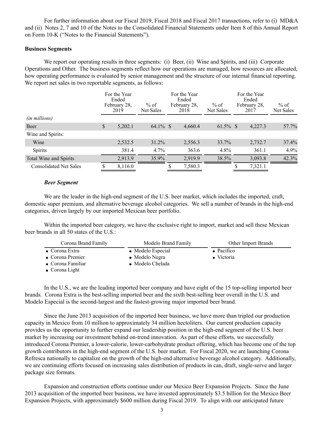For further information about our Fiscal 2019, Fiscal 2018 and Fiscal 2017 transactions, refer to (i) MD&A and (ii) Notes 2, 7 and 10 of the Notes to the Consolidated Financial Statements under Item 8 of this Annual Report on Form 10-K ("Notes to the Financial Statements").

# **Business Segments**

We report our operating results in three segments: (i) Beer, (ii) Wine and Spirits, and (iii) Corporate Operations and Other. The business segments reflect how our operations are managed, how resources are allocated, how operating performance is evaluated by senior management and the structure of our internal financial reporting. We report net sales in two reportable segments, as follows:

|                               |   | For the Year<br>Ended<br>February 28,<br>2019 | % of<br>Net Sales | For the Year<br>Ended<br>February 28,<br>2018 | % of<br>Net Sales | For the Year<br>Ended<br>February 28,<br>2017 | $%$ of<br>Net Sales |
|-------------------------------|---|-----------------------------------------------|-------------------|-----------------------------------------------|-------------------|-----------------------------------------------|---------------------|
| (in millions)                 |   |                                               |                   |                                               |                   |                                               |                     |
| Beer                          | S | 5,202.1                                       |                   | 4,660.4                                       | $61.5\%$ \$       | 4,227.3                                       | 57.7%               |
| Wine and Spirits:             |   |                                               |                   |                                               |                   |                                               |                     |
| Wine                          |   | 2,532.5                                       | $31.2\%$          | 2,556.3                                       | 33.7%             | 2,732.7                                       | 37.4%               |
| <b>Spirits</b>                |   | 381.4                                         | 4.7%              | 363.6                                         | $4.8\%$           | 361.1                                         | 4.9%                |
| Total Wine and Spirits        |   | 2,913.9                                       | 35.9%             | 2,919.9                                       | 38.5%             | 3,093.8                                       | 42.3%               |
| <b>Consolidated Net Sales</b> |   | 8,116.0                                       |                   | 7,580.3                                       |                   | 7,321.1                                       |                     |

# *Beer Segment*

We are the leader in the high-end segment of the U.S. beer market, which includes the imported, craft, domestic super premium, and alternative beverage alcohol categories. We sell a number of brands in the high-end categories, driven largely by our imported Mexican beer portfolio.

Within the imported beer category, we have the exclusive right to import, market and sell these Mexican beer brands in all 50 states of the U.S.:

| Corona Brand Family       | Modelo Brand Family    | Other Import Brands |
|---------------------------|------------------------|---------------------|
| $\bullet$ Corona Extra    | • Modelo Especial      | $\bullet$ Pacifico  |
| • Corona Premier          | $\bullet$ Modelo Negra | $\bullet$ Victoria  |
| $\bullet$ Corona Familiar | • Modelo Chelada       |                     |
| • Corona Light            |                        |                     |

In the U.S., we are the leading imported beer company and have eight of the 15 top-selling imported beer brands. Corona Extra is the best-selling imported beer and the sixth best-selling beer overall in the U.S. and Modelo Especial is the second-largest and the fastest-growing major imported beer brand.

Since the June 2013 acquisition of the imported beer business, we have more than tripled our production capacity in Mexico from 10 million to approximately 34 million hectoliters. Our current production capacity provides us the opportunity to further expand our leadership position in the high-end segment of the U.S. beer market by increasing our investment behind on-trend innovation. As part of these efforts, we successfully introduced Corona Premier, a lower-calorie, lower-carbohydrate product offering, which has become one of the top growth contributors in the high-end segment of the U.S. beer market. For Fiscal 2020, we are launching Corona Refresca nationally to capitalize on the growth of the high-end alternative beverage alcohol category. Additionally, we are continuing efforts focused on increasing sales distribution of products in can, draft, single-serve and larger package size formats.

Expansion and construction efforts continue under our Mexico Beer Expansion Projects. Since the June 2013 acquisition of the imported beer business, we have invested approximately \$3.5 billion for the Mexico Beer Expansion Projects, with approximately \$600 million during Fiscal 2019. To align with our anticipated future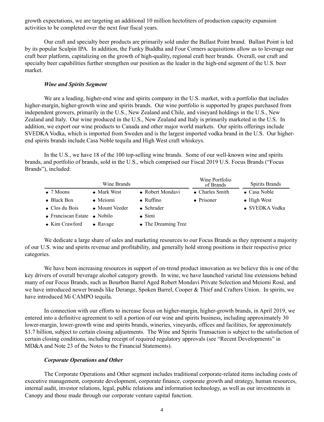growth expectations, we are targeting an additional 10 million hectoliters of production capacity expansion activities to be completed over the next four fiscal years.

Our craft and specialty beer products are primarily sold under the Ballast Point brand. Ballast Point is led by its popular Sculpin IPA. In addition, the Funky Buddha and Four Corners acquisitions allow us to leverage our craft beer platform, capitalizing on the growth of high-quality, regional craft beer brands. Overall, our craft and specialty beer capabilities further strengthen our position as the leader in the high-end segment of the U.S. beer market.

## *Wine and Spirits Segment*

We are a leading, higher-end wine and spirits company in the U.S. market, with a portfolio that includes higher-margin, higher-growth wine and spirits brands. Our wine portfolio is supported by grapes purchased from independent growers, primarily in the U.S., New Zealand and Chile, and vineyard holdings in the U.S., New Zealand and Italy. Our wine produced in the U.S., New Zealand and Italy is primarily marketed in the U.S. In addition, we export our wine products to Canada and other major world markets. Our spirits offerings include SVEDKA Vodka, which is imported from Sweden and is the largest imported vodka brand in the U.S. Our higherend spirits brands include Casa Noble tequila and High West craft whiskeys.

In the U.S., we have 18 of the 100 top-selling wine brands. Some of our well-known wine and spirits brands, and portfolio of brands, sold in the U.S., which comprised our Fiscal 2019 U.S. Focus Brands ("Focus Brands"), included:

|                        | Wine Brands      |                     | Wine Portfolio<br>of Brands | Spirits Brands       |
|------------------------|------------------|---------------------|-----------------------------|----------------------|
| $\bullet$ 7 Moons      | • Mark West      | • Robert Mondavi    | • Charles Smith             | $\bullet$ Casa Noble |
| $\bullet$ Black Box    | $\bullet$ Meiomi | $\bullet$ Ruffino   | $\bullet$ Prisoner          | $\bullet$ High West  |
| $\bullet$ Clos du Bois | • Mount Veeder   | $\bullet$ Schrader  |                             | • SVEDKA Vodka       |
| • Franciscan Estate    | $\bullet$ Nobilo | $\bullet$ Simi      |                             |                      |
| $\bullet$ Kim Crawford | $\bullet$ Ravage | • The Dreaming Tree |                             |                      |

We dedicate a large share of sales and marketing resources to our Focus Brands as they represent a majority of our U.S. wine and spirits revenue and profitability, and generally hold strong positions in their respective price categories.

We have been increasing resources in support of on-trend product innovation as we believe this is one of the key drivers of overall beverage alcohol category growth. In wine, we have launched varietal line extensions behind many of our Focus Brands, such as Bourbon Barrel Aged Robert Mondavi Private Selection and Meiomi Rosé, and we have introduced newer brands like Derange, Spoken Barrel, Cooper & Thief and Crafters Union. In spirits, we have introduced Mi CAMPO tequila.

In connection with our efforts to increase focus on higher-margin, higher-growth brands, in April 2019, we entered into a definitive agreement to sell a portion of our wine and spirits business, including approximately 30 lower-margin, lower-growth wine and spirits brands, wineries, vineyards, offices and facilities, for approximately \$1.7 billion, subject to certain closing adjustments. The Wine and Spirits Transaction is subject to the satisfaction of certain closing conditions, including receipt of required regulatory approvals (see "Recent Developments" in MD&A and Note 23 of the Notes to the Financial Statements).

# *Corporate Operations and Other*

The Corporate Operations and Other segment includes traditional corporate-related items including costs of executive management, corporate development, corporate finance, corporate growth and strategy, human resources, internal audit, investor relations, legal, public relations and information technology, as well as our investments in Canopy and those made through our corporate venture capital function.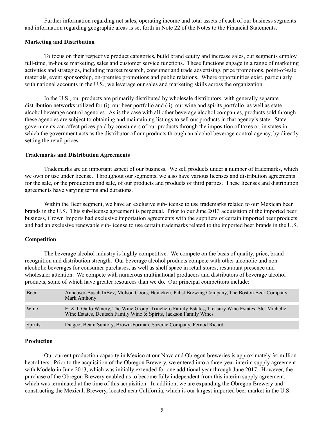Further information regarding net sales, operating income and total assets of each of our business segments and information regarding geographic areas is set forth in Note 22 of the Notes to the Financial Statements.

#### **Marketing and Distribution**

To focus on their respective product categories, build brand equity and increase sales, our segments employ full-time, in-house marketing, sales and customer service functions. These functions engage in a range of marketing activities and strategies, including market research, consumer and trade advertising, price promotions, point-of-sale materials, event sponsorship, on-premise promotions and public relations. Where opportunities exist, particularly with national accounts in the U.S., we leverage our sales and marketing skills across the organization.

In the U.S., our products are primarily distributed by wholesale distributors, with generally separate distribution networks utilized for (i) our beer portfolio and (ii) our wine and spirits portfolio, as well as state alcohol beverage control agencies. As is the case with all other beverage alcohol companies, products sold through these agencies are subject to obtaining and maintaining listings to sell our products in that agency's state. State governments can affect prices paid by consumers of our products through the imposition of taxes or, in states in which the government acts as the distributor of our products through an alcohol beverage control agency, by directly setting the retail prices.

#### **Trademarks and Distribution Agreements**

Trademarks are an important aspect of our business. We sell products under a number of trademarks, which we own or use under license. Throughout our segments, we also have various licenses and distribution agreements for the sale, or the production and sale, of our products and products of third parties. These licenses and distribution agreements have varying terms and durations.

Within the Beer segment, we have an exclusive sub-license to use trademarks related to our Mexican beer brands in the U.S. This sub-license agreement is perpetual. Prior to our June 2013 acquisition of the imported beer business, Crown Imports had exclusive importation agreements with the suppliers of certain imported beer products and had an exclusive renewable sub-license to use certain trademarks related to the imported beer brands in the U.S.

#### **Competition**

The beverage alcohol industry is highly competitive. We compete on the basis of quality, price, brand recognition and distribution strength. Our beverage alcohol products compete with other alcoholic and nonalcoholic beverages for consumer purchases, as well as shelf space in retail stores, restaurant presence and wholesaler attention. We compete with numerous multinational producers and distributors of beverage alcohol products, some of which have greater resources than we do. Our principal competitors include:

| Beer           | Anheuser-Busch InBev, Molson Coors, Heineken, Pabst Brewing Company, The Boston Beer Company,<br>Mark Anthony |
|----------------|---------------------------------------------------------------------------------------------------------------|
| Wine           | E. & J. Gallo Winery, The Wine Group, Trinchero Family Estates, Treasury Wine Estates, Ste. Michelle          |
|                | Wine Estates, Deutsch Family Wine $\&$ Spirits, Jackson Family Wines                                          |
| <b>Spirits</b> | Diageo, Beam Suntory, Brown-Forman, Sazerac Company, Pernod Ricard                                            |

# **Production**

Our current production capacity in Mexico at our Nava and Obregon breweries is approximately 34 million hectoliters. Prior to the acquisition of the Obregon Brewery, we entered into a three-year interim supply agreement with Modelo in June 2013, which was initially extended for one additional year through June 2017. However, the purchase of the Obregon Brewery enabled us to become fully independent from this interim supply agreement, which was terminated at the time of this acquisition. In addition, we are expanding the Obregon Brewery and constructing the Mexicali Brewery, located near California, which is our largest imported beer market in the U.S.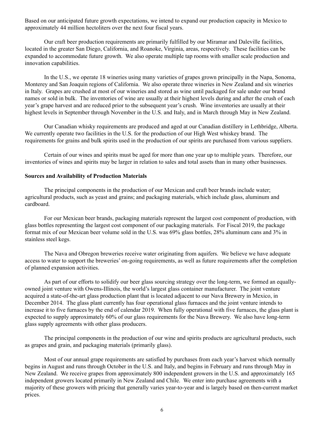Based on our anticipated future growth expectations, we intend to expand our production capacity in Mexico to approximately 44 million hectoliters over the next four fiscal years.

Our craft beer production requirements are primarily fulfilled by our Miramar and Daleville facilities, located in the greater San Diego, California, and Roanoke, Virginia, areas, respectively. These facilities can be expanded to accommodate future growth. We also operate multiple tap rooms with smaller scale production and innovation capabilities.

In the U.S., we operate 18 wineries using many varieties of grapes grown principally in the Napa, Sonoma, Monterey and San Joaquin regions of California. We also operate three wineries in New Zealand and six wineries in Italy. Grapes are crushed at most of our wineries and stored as wine until packaged for sale under our brand names or sold in bulk. The inventories of wine are usually at their highest levels during and after the crush of each year's grape harvest and are reduced prior to the subsequent year's crush. Wine inventories are usually at their highest levels in September through November in the U.S. and Italy, and in March through May in New Zealand.

Our Canadian whisky requirements are produced and aged at our Canadian distillery in Lethbridge, Alberta. We currently operate two facilities in the U.S. for the production of our High West whiskey brand. The requirements for grains and bulk spirits used in the production of our spirits are purchased from various suppliers.

Certain of our wines and spirits must be aged for more than one year up to multiple years. Therefore, our inventories of wines and spirits may be larger in relation to sales and total assets than in many other businesses.

# **Sources and Availability of Production Materials**

The principal components in the production of our Mexican and craft beer brands include water; agricultural products, such as yeast and grains; and packaging materials, which include glass, aluminum and cardboard.

For our Mexican beer brands, packaging materials represent the largest cost component of production, with glass bottles representing the largest cost component of our packaging materials. For Fiscal 2019, the package format mix of our Mexican beer volume sold in the U.S. was 69% glass bottles, 28% aluminum cans and 3% in stainless steel kegs.

The Nava and Obregon breweries receive water originating from aquifers. We believe we have adequate access to water to support the breweries' on-going requirements, as well as future requirements after the completion of planned expansion activities.

As part of our efforts to solidify our beer glass sourcing strategy over the long-term, we formed an equallyowned joint venture with Owens-Illinois, the world's largest glass container manufacturer. The joint venture acquired a state-of-the-art glass production plant that is located adjacent to our Nava Brewery in Mexico, in December 2014. The glass plant currently has four operational glass furnaces and the joint venture intends to increase it to five furnaces by the end of calendar 2019. When fully operational with five furnaces, the glass plant is expected to supply approximately 60% of our glass requirements for the Nava Brewery. We also have long-term glass supply agreements with other glass producers.

The principal components in the production of our wine and spirits products are agricultural products, such as grapes and grain, and packaging materials (primarily glass).

Most of our annual grape requirements are satisfied by purchases from each year's harvest which normally begins in August and runs through October in the U.S. and Italy, and begins in February and runs through May in New Zealand. We receive grapes from approximately 800 independent growers in the U.S. and approximately 165 independent growers located primarily in New Zealand and Chile. We enter into purchase agreements with a majority of these growers with pricing that generally varies year-to-year and is largely based on then-current market prices.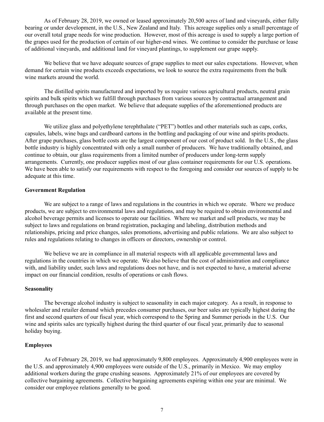As of February 28, 2019, we owned or leased approximately 20,500 acres of land and vineyards, either fully bearing or under development, in the U.S., New Zealand and Italy. This acreage supplies only a small percentage of our overall total grape needs for wine production. However, most of this acreage is used to supply a large portion of the grapes used for the production of certain of our higher-end wines. We continue to consider the purchase or lease of additional vineyards, and additional land for vineyard plantings, to supplement our grape supply.

We believe that we have adequate sources of grape supplies to meet our sales expectations. However, when demand for certain wine products exceeds expectations, we look to source the extra requirements from the bulk wine markets around the world.

The distilled spirits manufactured and imported by us require various agricultural products, neutral grain spirits and bulk spirits which we fulfill through purchases from various sources by contractual arrangement and through purchases on the open market. We believe that adequate supplies of the aforementioned products are available at the present time.

We utilize glass and polyethylene terephthalate ("PET") bottles and other materials such as caps, corks, capsules, labels, wine bags and cardboard cartons in the bottling and packaging of our wine and spirits products. After grape purchases, glass bottle costs are the largest component of our cost of product sold. In the U.S., the glass bottle industry is highly concentrated with only a small number of producers. We have traditionally obtained, and continue to obtain, our glass requirements from a limited number of producers under long-term supply arrangements. Currently, one producer supplies most of our glass container requirements for our U.S. operations. We have been able to satisfy our requirements with respect to the foregoing and consider our sources of supply to be adequate at this time.

#### **Government Regulation**

We are subject to a range of laws and regulations in the countries in which we operate. Where we produce products, we are subject to environmental laws and regulations, and may be required to obtain environmental and alcohol beverage permits and licenses to operate our facilities. Where we market and sell products, we may be subject to laws and regulations on brand registration, packaging and labeling, distribution methods and relationships, pricing and price changes, sales promotions, advertising and public relations. We are also subject to rules and regulations relating to changes in officers or directors, ownership or control.

We believe we are in compliance in all material respects with all applicable governmental laws and regulations in the countries in which we operate. We also believe that the cost of administration and compliance with, and liability under, such laws and regulations does not have, and is not expected to have, a material adverse impact on our financial condition, results of operations or cash flows.

## **Seasonality**

The beverage alcohol industry is subject to seasonality in each major category. As a result, in response to wholesaler and retailer demand which precedes consumer purchases, our beer sales are typically highest during the first and second quarters of our fiscal year, which correspond to the Spring and Summer periods in the U.S. Our wine and spirits sales are typically highest during the third quarter of our fiscal year, primarily due to seasonal holiday buying.

# **Employees**

As of February 28, 2019, we had approximately 9,800 employees. Approximately 4,900 employees were in the U.S. and approximately 4,900 employees were outside of the U.S., primarily in Mexico. We may employ additional workers during the grape crushing seasons. Approximately 21% of our employees are covered by collective bargaining agreements. Collective bargaining agreements expiring within one year are minimal. We consider our employee relations generally to be good.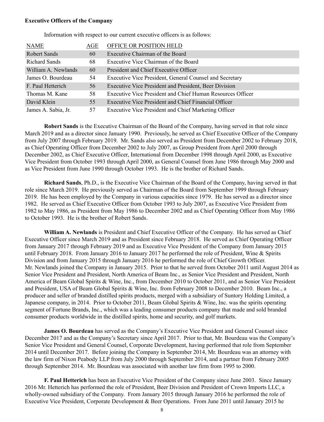# **Executive Officers of the Company**

| <b>NAME</b>          | AGE | OFFICE OR POSITION HELD                                     |
|----------------------|-----|-------------------------------------------------------------|
| Robert Sands         | 60  | Executive Chairman of the Board                             |
| <b>Richard Sands</b> | 68  | Executive Vice Chairman of the Board                        |
| William A. Newlands  | 60  | President and Chief Executive Officer                       |
| James O. Bourdeau    | 54  | Executive Vice President, General Counsel and Secretary     |
| F. Paul Hetterich    | 56  | Executive Vice President and President, Beer Division       |
| Thomas M. Kane       | 58  | Executive Vice President and Chief Human Resources Officer  |
| David Klein          | 55  | <b>Executive Vice President and Chief Financial Officer</b> |
| James A. Sabia, Jr.  | 57  | Executive Vice President and Chief Marketing Officer        |

Information with respect to our current executive officers is as follows:

**Robert Sands** is the Executive Chairman of the Board of the Company, having served in that role since March 2019 and as a director since January 1990. Previously, he served as Chief Executive Officer of the Company from July 2007 through February 2019. Mr. Sands also served as President from December 2002 to February 2018, as Chief Operating Officer from December 2002 to July 2007, as Group President from April 2000 through December 2002, as Chief Executive Officer, International from December 1998 through April 2000, as Executive Vice President from October 1993 through April 2000, as General Counsel from June 1986 through May 2000 and as Vice President from June 1990 through October 1993. He is the brother of Richard Sands.

**Richard Sands**, Ph.D., is the Executive Vice Chairman of the Board of the Company, having served in that role since March 2019. He previously served as Chairman of the Board from September 1999 through February 2019. He has been employed by the Company in various capacities since 1979. He has served as a director since 1982. He served as Chief Executive Officer from October 1993 to July 2007, as Executive Vice President from 1982 to May 1986, as President from May 1986 to December 2002 and as Chief Operating Officer from May 1986 to October 1993. He is the brother of Robert Sands.

**William A. Newlands** is President and Chief Executive Officer of the Company. He has served as Chief Executive Officer since March 2019 and as President since February 2018. He served as Chief Operating Officer from January 2017 through February 2019 and as Executive Vice President of the Company from January 2015 until February 2018. From January 2016 to January 2017 he performed the role of President, Wine & Spirits Division and from January 2015 through January 2016 he performed the role of Chief Growth Officer. Mr. Newlands joined the Company in January 2015. Prior to that he served from October 2011 until August 2014 as Senior Vice President and President, North America of Beam Inc., as Senior Vice President and President, North America of Beam Global Spirits & Wine, Inc., from December 2010 to October 2011, and as Senior Vice President and President, USA of Beam Global Spirits & Wine, Inc. from February 2008 to December 2010. Beam Inc., a producer and seller of branded distilled spirits products, merged with a subsidiary of Suntory Holding Limited, a Japanese company, in 2014. Prior to October 2011, Beam Global Spirits & Wine, Inc. was the spirits operating segment of Fortune Brands, Inc., which was a leading consumer products company that made and sold branded consumer products worldwide in the distilled spirits, home and security, and golf markets.

**James O. Bourdeau** has served as the Company's Executive Vice President and General Counsel since December 2017 and as the Company's Secretary since April 2017. Prior to that, Mr. Bourdeau was the Company's Senior Vice President and General Counsel, Corporate Development, having performed that role from September 2014 until December 2017. Before joining the Company in September 2014, Mr. Bourdeau was an attorney with the law firm of Nixon Peabody LLP from July 2000 through September 2014, and a partner from February 2005 through September 2014. Mr. Bourdeau was associated with another law firm from 1995 to 2000.

**F. Paul Hetterich** has been an Executive Vice President of the Company since June 2003. Since January 2016 Mr. Hetterich has performed the role of President, Beer Division and President of Crown Imports LLC, a wholly-owned subsidiary of the Company. From January 2015 through January 2016 he performed the role of Executive Vice President, Corporate Development & Beer Operations. From June 2011 until January 2015 he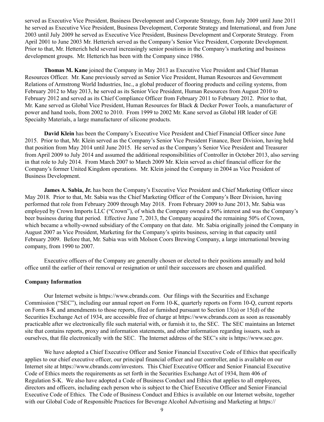served as Executive Vice President, Business Development and Corporate Strategy, from July 2009 until June 2011 he served as Executive Vice President, Business Development, Corporate Strategy and International, and from June 2003 until July 2009 he served as Executive Vice President, Business Development and Corporate Strategy. From April 2001 to June 2003 Mr. Hetterich served as the Company's Senior Vice President, Corporate Development. Prior to that, Mr. Hetterich held several increasingly senior positions in the Company's marketing and business development groups. Mr. Hetterich has been with the Company since 1986.

**Thomas M. Kane** joined the Company in May 2013 as Executive Vice President and Chief Human Resources Officer. Mr. Kane previously served as Senior Vice President, Human Resources and Government Relations of Armstrong World Industries, Inc., a global producer of flooring products and ceiling systems, from February 2012 to May 2013, he served as its Senior Vice President, Human Resources from August 2010 to February 2012 and served as its Chief Compliance Officer from February 2011 to February 2012. Prior to that, Mr. Kane served as Global Vice President, Human Resources for Black & Decker Power Tools, a manufacturer of power and hand tools, from 2002 to 2010. From 1999 to 2002 Mr. Kane served as Global HR leader of GE Specialty Materials, a large manufacturer of silicone products.

**David Klein** has been the Company's Executive Vice President and Chief Financial Officer since June 2015. Prior to that, Mr. Klein served as the Company's Senior Vice President Finance, Beer Division, having held that position from May 2014 until June 2015. He served as the Company's Senior Vice President and Treasurer from April 2009 to July 2014 and assumed the additional responsibilities of Controller in October 2013, also serving in that role to July 2014. From March 2007 to March 2009 Mr. Klein served as chief financial officer for the Company's former United Kingdom operations. Mr. Klein joined the Company in 2004 as Vice President of Business Development.

**James A. Sabia, Jr.** has been the Company's Executive Vice President and Chief Marketing Officer since May 2018. Prior to that, Mr. Sabia was the Chief Marketing Officer of the Company's Beer Division, having performed that role from February 2009 through May 2018. From February 2009 to June 2013, Mr. Sabia was employed by Crown Imports LLC ("Crown"), of which the Company owned a 50% interest and was the Company's beer business during that period. Effective June 7, 2013, the Company acquired the remaining 50% of Crown, which became a wholly-owned subsidiary of the Company on that date. Mr. Sabia originally joined the Company in August 2007 as Vice President, Marketing for the Company's spirits business, serving in that capacity until February 2009. Before that, Mr. Sabia was with Molson Coors Brewing Company, a large international brewing company, from 1990 to 2007.

Executive officers of the Company are generally chosen or elected to their positions annually and hold office until the earlier of their removal or resignation or until their successors are chosen and qualified.

# **Company Information**

Our Internet website is https://www.cbrands.com. Our filings with the Securities and Exchange Commission ("SEC"), including our annual report on Form 10-K, quarterly reports on Form 10-Q, current reports on Form 8-K and amendments to those reports, filed or furnished pursuant to Section 13(a) or 15(d) of the Securities Exchange Act of 1934, are accessible free of charge at https://www.cbrands.com as soon as reasonably practicable after we electronically file such material with, or furnish it to, the SEC. The SEC maintains an Internet site that contains reports, proxy and information statements, and other information regarding issuers, such as ourselves, that file electronically with the SEC. The Internet address of the SEC's site is https://www.sec.gov.

We have adopted a Chief Executive Officer and Senior Financial Executive Code of Ethics that specifically applies to our chief executive officer, our principal financial officer and our controller, and is available on our Internet site at https://www.cbrands.com/investors. This Chief Executive Officer and Senior Financial Executive Code of Ethics meets the requirements as set forth in the Securities Exchange Act of 1934, Item 406 of Regulation S-K. We also have adopted a Code of Business Conduct and Ethics that applies to all employees, directors and officers, including each person who is subject to the Chief Executive Officer and Senior Financial Executive Code of Ethics. The Code of Business Conduct and Ethics is available on our Internet website, together with our Global Code of Responsible Practices for Beverage Alcohol Advertising and Marketing at https://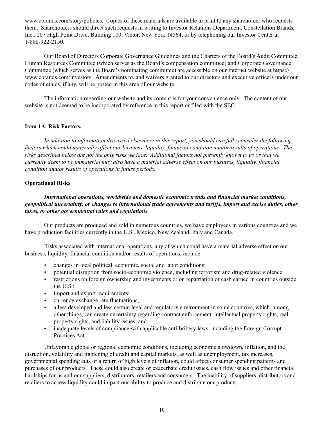www.cbrands.com/story/policies. Copies of these materials are available in print to any shareholder who requests them. Shareholders should direct such requests in writing to Investor Relations Department, Constellation Brands, Inc., 207 High Point Drive, Building 100, Victor, New York 14564, or by telephoning our Investor Center at 1-888-922-2150.

Our Board of Directors Corporate Governance Guidelines and the Charters of the Board's Audit Committee, Human Resources Committee (which serves as the Board's compensation committee) and Corporate Governance Committee (which serves as the Board's nominating committee) are accessible on our Internet website at https:// www.cbrands.com/investors. Amendments to, and waivers granted to our directors and executive officers under our codes of ethics, if any, will be posted in this area of our website.

The information regarding our website and its content is for your convenience only. The content of our website is not deemed to be incorporated by reference in this report or filed with the SEC.

# **Item 1A. Risk Factors.**

*In addition to information discussed elsewhere in this report, you should carefully consider the following factors which could materially affect our business, liquidity, financial condition and/or results of operations. The risks described below are not the only risks we face. Additional factors not presently known to us or that we currently deem to be immaterial may also have a material adverse effect on our business, liquidity, financial condition and/or results of operations in future periods.*

# **Operational Risks**

# *International operations, worldwide and domestic economic trends and financial market conditions, geopolitical uncertainty, or changes to international trade agreements and tariffs, import and excise duties, other taxes, or other governmental rules and regulations*

Our products are produced and sold in numerous countries, we have employees in various countries and we have production facilities currently in the U.S., Mexico, New Zealand, Italy and Canada.

Risks associated with international operations, any of which could have a material adverse effect on our business, liquidity, financial condition and/or results of operations, include:

- changes in local political, economic, social and labor conditions;
- potential disruption from socio-economic violence, including terrorism and drug-related violence;
- restrictions on foreign ownership and investments or on repatriation of cash earned in countries outside the U.S.;
- import and export requirements;
- currency exchange rate fluctuations;
- a less developed and less certain legal and regulatory environment in some countries, which, among other things, can create uncertainty regarding contract enforcement, intellectual property rights, real property rights, and liability issues; and
- inadequate levels of compliance with applicable anti-bribery laws, including the Foreign Corrupt Practices Act.

Unfavorable global or regional economic conditions, including economic slowdown, inflation, and the disruption, volatility and tightening of credit and capital markets, as well as unemployment, tax increases, governmental spending cuts or a return of high levels of inflation, could affect consumer spending patterns and purchases of our products. These could also create or exacerbate credit issues, cash flow issues and other financial hardships for us and our suppliers, distributors, retailers and consumers. The inability of suppliers, distributors and retailers to access liquidity could impact our ability to produce and distribute our products.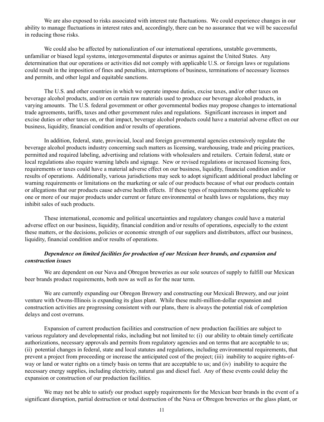We are also exposed to risks associated with interest rate fluctuations. We could experience changes in our ability to manage fluctuations in interest rates and, accordingly, there can be no assurance that we will be successful in reducing those risks.

We could also be affected by nationalization of our international operations, unstable governments, unfamiliar or biased legal systems, intergovernmental disputes or animus against the United States. Any determination that our operations or activities did not comply with applicable U.S. or foreign laws or regulations could result in the imposition of fines and penalties, interruptions of business, terminations of necessary licenses and permits, and other legal and equitable sanctions.

The U.S. and other countries in which we operate impose duties, excise taxes, and/or other taxes on beverage alcohol products, and/or on certain raw materials used to produce our beverage alcohol products, in varying amounts. The U.S. federal government or other governmental bodies may propose changes to international trade agreements, tariffs, taxes and other government rules and regulations. Significant increases in import and excise duties or other taxes on, or that impact, beverage alcohol products could have a material adverse effect on our business, liquidity, financial condition and/or results of operations.

In addition, federal, state, provincial, local and foreign governmental agencies extensively regulate the beverage alcohol products industry concerning such matters as licensing, warehousing, trade and pricing practices, permitted and required labeling, advertising and relations with wholesalers and retailers. Certain federal, state or local regulations also require warning labels and signage. New or revised regulations or increased licensing fees, requirements or taxes could have a material adverse effect on our business, liquidity, financial condition and/or results of operations. Additionally, various jurisdictions may seek to adopt significant additional product labeling or warning requirements or limitations on the marketing or sale of our products because of what our products contain or allegations that our products cause adverse health effects. If these types of requirements become applicable to one or more of our major products under current or future environmental or health laws or regulations, they may inhibit sales of such products.

These international, economic and political uncertainties and regulatory changes could have a material adverse effect on our business, liquidity, financial condition and/or results of operations, especially to the extent these matters, or the decisions, policies or economic strength of our suppliers and distributors, affect our business, liquidity, financial condition and/or results of operations.

# *Dependence on limited facilities for production of our Mexican beer brands, and expansion and construction issues*

We are dependent on our Nava and Obregon breweries as our sole sources of supply to fulfill our Mexican beer brands product requirements, both now as well as for the near term.

We are currently expanding our Obregon Brewery and constructing our Mexicali Brewery, and our joint venture with Owens-Illinois is expanding its glass plant. While these multi-million-dollar expansion and construction activities are progressing consistent with our plans, there is always the potential risk of completion delays and cost overruns.

Expansion of current production facilities and construction of new production facilities are subject to various regulatory and developmental risks, including but not limited to: (i) our ability to obtain timely certificate authorizations, necessary approvals and permits from regulatory agencies and on terms that are acceptable to us; (ii) potential changes in federal, state and local statutes and regulations, including environmental requirements, that prevent a project from proceeding or increase the anticipated cost of the project; (iii) inability to acquire rights-ofway or land or water rights on a timely basis on terms that are acceptable to us; and (iv) inability to acquire the necessary energy supplies, including electricity, natural gas and diesel fuel. Any of these events could delay the expansion or construction of our production facilities.

We may not be able to satisfy our product supply requirements for the Mexican beer brands in the event of a significant disruption, partial destruction or total destruction of the Nava or Obregon breweries or the glass plant, or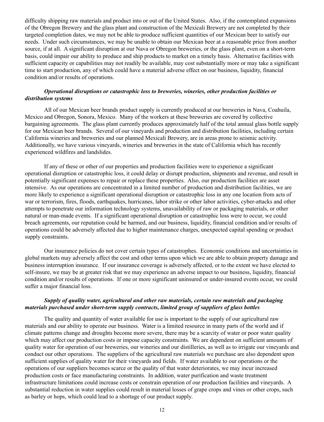difficulty shipping raw materials and product into or out of the United States. Also, if the contemplated expansions of the Obregon Brewery and the glass plant and construction of the Mexicali Brewery are not completed by their targeted completion dates, we may not be able to produce sufficient quantities of our Mexican beer to satisfy our needs. Under such circumstances, we may be unable to obtain our Mexican beer at a reasonable price from another source, if at all. A significant disruption at our Nava or Obregon breweries, or the glass plant, even on a short-term basis, could impair our ability to produce and ship products to market on a timely basis. Alternative facilities with sufficient capacity or capabilities may not readily be available, may cost substantially more or may take a significant time to start production, any of which could have a material adverse effect on our business, liquidity, financial condition and/or results of operations.

# *Operational disruptions or catastrophic loss to breweries, wineries, other production facilities or distribution systems*

All of our Mexican beer brands product supply is currently produced at our breweries in Nava, Coahuila, Mexico and Obregon, Sonora, Mexico. Many of the workers at these breweries are covered by collective bargaining agreements. The glass plant currently produces approximately half of the total annual glass bottle supply for our Mexican beer brands. Several of our vineyards and production and distribution facilities, including certain California wineries and breweries and our planned Mexicali Brewery, are in areas prone to seismic activity. Additionally, we have various vineyards, wineries and breweries in the state of California which has recently experienced wildfires and landslides.

If any of these or other of our properties and production facilities were to experience a significant operational disruption or catastrophic loss, it could delay or disrupt production, shipments and revenue, and result in potentially significant expenses to repair or replace these properties. Also, our production facilities are asset intensive. As our operations are concentrated in a limited number of production and distribution facilities, we are more likely to experience a significant operational disruption or catastrophic loss in any one location from acts of war or terrorism, fires, floods, earthquakes, hurricanes, labor strike or other labor activities, cyber-attacks and other attempts to penetrate our information technology systems, unavailability of raw or packaging materials, or other natural or man-made events. If a significant operational disruption or catastrophic loss were to occur, we could breach agreements, our reputation could be harmed, and our business, liquidity, financial condition and/or results of operations could be adversely affected due to higher maintenance charges, unexpected capital spending or product supply constraints.

Our insurance policies do not cover certain types of catastrophes. Economic conditions and uncertainties in global markets may adversely affect the cost and other terms upon which we are able to obtain property damage and business interruption insurance. If our insurance coverage is adversely affected, or to the extent we have elected to self-insure, we may be at greater risk that we may experience an adverse impact to our business, liquidity, financial condition and/or results of operations. If one or more significant uninsured or under-insured events occur, we could suffer a major financial loss.

# *Supply of quality water, agricultural and other raw materials, certain raw materials and packaging materials purchased under short-term supply contracts, limited group of suppliers of glass bottles*

The quality and quantity of water available for use is important to the supply of our agricultural raw materials and our ability to operate our business. Water is a limited resource in many parts of the world and if climate patterns change and droughts become more severe, there may be a scarcity of water or poor water quality which may affect our production costs or impose capacity constraints. We are dependent on sufficient amounts of quality water for operation of our breweries, our wineries and our distilleries, as well as to irrigate our vineyards and conduct our other operations. The suppliers of the agricultural raw materials we purchase are also dependent upon sufficient supplies of quality water for their vineyards and fields. If water available to our operations or the operations of our suppliers becomes scarce or the quality of that water deteriorates, we may incur increased production costs or face manufacturing constraints. In addition, water purification and waste treatment infrastructure limitations could increase costs or constrain operation of our production facilities and vineyards. A substantial reduction in water supplies could result in material losses of grape crops and vines or other crops, such as barley or hops, which could lead to a shortage of our product supply.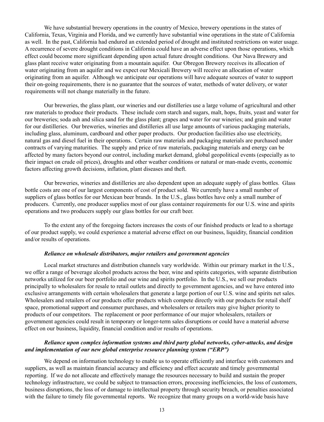We have substantial brewery operations in the country of Mexico, brewery operations in the states of California, Texas, Virginia and Florida, and we currently have substantial wine operations in the state of California as well. In the past, California had endured an extended period of drought and instituted restrictions on water usage. A recurrence of severe drought conditions in California could have an adverse effect upon those operations, which effect could become more significant depending upon actual future drought conditions. Our Nava Brewery and glass plant receive water originating from a mountain aquifer. Our Obregon Brewery receives its allocation of water originating from an aquifer and we expect our Mexicali Brewery will receive an allocation of water originating from an aquifer. Although we anticipate our operations will have adequate sources of water to support their on-going requirements, there is no guarantee that the sources of water, methods of water delivery, or water requirements will not change materially in the future.

Our breweries, the glass plant, our wineries and our distilleries use a large volume of agricultural and other raw materials to produce their products. These include corn starch and sugars, malt, hops, fruits, yeast and water for our breweries; soda ash and silica sand for the glass plant; grapes and water for our wineries; and grain and water for our distilleries. Our breweries, wineries and distilleries all use large amounts of various packaging materials, including glass, aluminum, cardboard and other paper products. Our production facilities also use electricity, natural gas and diesel fuel in their operations. Certain raw materials and packaging materials are purchased under contracts of varying maturities. The supply and price of raw materials, packaging materials and energy can be affected by many factors beyond our control, including market demand, global geopolitical events (especially as to their impact on crude oil prices), droughts and other weather conditions or natural or man-made events, economic factors affecting growth decisions, inflation, plant diseases and theft.

Our breweries, wineries and distilleries are also dependent upon an adequate supply of glass bottles. Glass bottle costs are one of our largest components of cost of product sold. We currently have a small number of suppliers of glass bottles for our Mexican beer brands. In the U.S., glass bottles have only a small number of producers. Currently, one producer supplies most of our glass container requirements for our U.S. wine and spirits operations and two producers supply our glass bottles for our craft beer.

To the extent any of the foregoing factors increases the costs of our finished products or lead to a shortage of our product supply, we could experience a material adverse effect on our business, liquidity, financial condition and/or results of operations.

#### *Reliance on wholesale distributors, major retailers and government agencies*

Local market structures and distribution channels vary worldwide. Within our primary market in the U.S., we offer a range of beverage alcohol products across the beer, wine and spirits categories, with separate distribution networks utilized for our beer portfolio and our wine and spirits portfolio. In the U.S., we sell our products principally to wholesalers for resale to retail outlets and directly to government agencies, and we have entered into exclusive arrangements with certain wholesalers that generate a large portion of our U.S. wine and spirits net sales. Wholesalers and retailers of our products offer products which compete directly with our products for retail shelf space, promotional support and consumer purchases, and wholesalers or retailers may give higher priority to products of our competitors. The replacement or poor performance of our major wholesalers, retailers or government agencies could result in temporary or longer-term sales disruptions or could have a material adverse effect on our business, liquidity, financial condition and/or results of operations.

# *Reliance upon complex information systems and third party global networks, cyber-attacks, and design and implementation of our new global enterprise resource planning system ("ERP")*

We depend on information technology to enable us to operate efficiently and interface with customers and suppliers, as well as maintain financial accuracy and efficiency and effect accurate and timely governmental reporting. If we do not allocate and effectively manage the resources necessary to build and sustain the proper technology infrastructure, we could be subject to transaction errors, processing inefficiencies, the loss of customers, business disruptions, the loss of or damage to intellectual property through security breach, or penalties associated with the failure to timely file governmental reports. We recognize that many groups on a world-wide basis have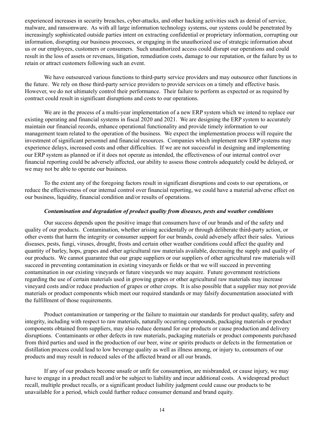experienced increases in security breaches, cyber-attacks, and other hacking activities such as denial of service, malware, and ransomware. As with all large information technology systems, our systems could be penetrated by increasingly sophisticated outside parties intent on extracting confidential or proprietary information, corrupting our information, disrupting our business processes, or engaging in the unauthorized use of strategic information about us or our employees, customers or consumers. Such unauthorized access could disrupt our operations and could result in the loss of assets or revenues, litigation, remediation costs, damage to our reputation, or the failure by us to retain or attract customers following such an event.

We have outsourced various functions to third-party service providers and may outsource other functions in the future. We rely on those third-party service providers to provide services on a timely and effective basis. However, we do not ultimately control their performance. Their failure to perform as expected or as required by contract could result in significant disruptions and costs to our operations.

We are in the process of a multi-year implementation of a new ERP system which we intend to replace our existing operating and financial systems in fiscal 2020 and 2021. We are designing the ERP system to accurately maintain our financial records, enhance operational functionality and provide timely information to our management team related to the operation of the business. We expect the implementation process will require the investment of significant personnel and financial resources. Companies which implement new ERP systems may experience delays, increased costs and other difficulties. If we are not successful in designing and implementing our ERP system as planned or if it does not operate as intended, the effectiveness of our internal control over financial reporting could be adversely affected, our ability to assess those controls adequately could be delayed, or we may not be able to operate our business.

To the extent any of the foregoing factors result in significant disruptions and costs to our operations, or reduce the effectiveness of our internal control over financial reporting, we could have a material adverse effect on our business, liquidity, financial condition and/or results of operations.

# *Contamination and degradation of product quality from diseases, pests and weather conditions*

Our success depends upon the positive image that consumers have of our brands and of the safety and quality of our products. Contamination, whether arising accidentally or through deliberate third-party action, or other events that harm the integrity or consumer support for our brands, could adversely affect their sales. Various diseases, pests, fungi, viruses, drought, frosts and certain other weather conditions could affect the quality and quantity of barley, hops, grapes and other agricultural raw materials available, decreasing the supply and quality of our products. We cannot guarantee that our grape suppliers or our suppliers of other agricultural raw materials will succeed in preventing contamination in existing vineyards or fields or that we will succeed in preventing contamination in our existing vineyards or future vineyards we may acquire. Future government restrictions regarding the use of certain materials used in growing grapes or other agricultural raw materials may increase vineyard costs and/or reduce production of grapes or other crops. It is also possible that a supplier may not provide materials or product components which meet our required standards or may falsify documentation associated with the fulfillment of those requirements.

Product contamination or tampering or the failure to maintain our standards for product quality, safety and integrity, including with respect to raw materials, naturally occurring compounds, packaging materials or product components obtained from suppliers, may also reduce demand for our products or cause production and delivery disruptions. Contaminants or other defects in raw materials, packaging materials or product components purchased from third parties and used in the production of our beer, wine or spirits products or defects in the fermentation or distillation process could lead to low beverage quality as well as illness among, or injury to, consumers of our products and may result in reduced sales of the affected brand or all our brands.

If any of our products become unsafe or unfit for consumption, are misbranded, or cause injury, we may have to engage in a product recall and/or be subject to liability and incur additional costs. A widespread product recall, multiple product recalls, or a significant product liability judgment could cause our products to be unavailable for a period, which could further reduce consumer demand and brand equity.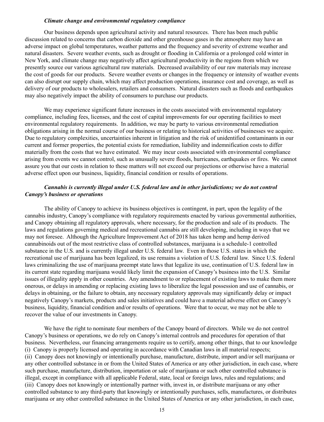# *Climate change and environmental regulatory compliance*

Our business depends upon agricultural activity and natural resources. There has been much public discussion related to concerns that carbon dioxide and other greenhouse gases in the atmosphere may have an adverse impact on global temperatures, weather patterns and the frequency and severity of extreme weather and natural disasters. Severe weather events, such as drought or flooding in California or a prolonged cold winter in New York, and climate change may negatively affect agricultural productivity in the regions from which we presently source our various agricultural raw materials. Decreased availability of our raw materials may increase the cost of goods for our products. Severe weather events or changes in the frequency or intensity of weather events can also disrupt our supply chain, which may affect production operations, insurance cost and coverage, as well as delivery of our products to wholesalers, retailers and consumers. Natural disasters such as floods and earthquakes may also negatively impact the ability of consumers to purchase our products.

We may experience significant future increases in the costs associated with environmental regulatory compliance, including fees, licenses, and the cost of capital improvements for our operating facilities to meet environmental regulatory requirements. In addition, we may be party to various environmental remediation obligations arising in the normal course of our business or relating to historical activities of businesses we acquire. Due to regulatory complexities, uncertainties inherent in litigation and the risk of unidentified contaminants in our current and former properties, the potential exists for remediation, liability and indemnification costs to differ materially from the costs that we have estimated. We may incur costs associated with environmental compliance arising from events we cannot control, such as unusually severe floods, hurricanes, earthquakes or fires. We cannot assure you that our costs in relation to these matters will not exceed our projections or otherwise have a material adverse effect upon our business, liquidity, financial condition or results of operations.

# *Cannabis is currently illegal under U.S. federal law and in other jurisdictions; we do not control Canopy's business or operations*

The ability of Canopy to achieve its business objectives is contingent, in part, upon the legality of the cannabis industry, Canopy's compliance with regulatory requirements enacted by various governmental authorities, and Canopy obtaining all regulatory approvals, where necessary, for the production and sale of its products. The laws and regulations governing medical and recreational cannabis are still developing, including in ways that we may not foresee. Although the Agriculture Improvement Act of 2018 has taken hemp and hemp derived cannabinoids out of the most restrictive class of controlled substances, marijuana is a schedule-1 controlled substance in the U.S. and is currently illegal under U.S. federal law. Even in those U.S. states in which the recreational use of marijuana has been legalized, its use remains a violation of U.S. federal law. Since U.S. federal laws criminalizing the use of marijuana preempt state laws that legalize its use, continuation of U.S. federal law in its current state regarding marijuana would likely limit the expansion of Canopy's business into the U.S. Similar issues of illegality apply in other countries. Any amendment to or replacement of existing laws to make them more onerous, or delays in amending or replacing existing laws to liberalize the legal possession and use of cannabis, or delays in obtaining, or the failure to obtain, any necessary regulatory approvals may significantly delay or impact negatively Canopy's markets, products and sales initiatives and could have a material adverse effect on Canopy's business, liquidity, financial condition and/or results of operations. Were that to occur, we may not be able to recover the value of our investments in Canopy.

We have the right to nominate four members of the Canopy board of directors. While we do not control Canopy's business or operations, we do rely on Canopy's internal controls and procedures for operation of that business. Nevertheless, our financing arrangements require us to certify, among other things, that to our knowledge (i) Canopy is properly licensed and operating in accordance with Canadian laws in all material respects; (ii) Canopy does not knowingly or intentionally purchase, manufacture, distribute, import and/or sell marijuana or any other controlled substance in or from the United States of America or any other jurisdiction, in each case, where such purchase, manufacture, distribution, importation or sale of marijuana or such other controlled substance is illegal, except in compliance with all applicable Federal, state, local or foreign laws, rules and regulations; and (iii) Canopy does not knowingly or intentionally partner with, invest in, or distribute marijuana or any other controlled substance to any third-party that knowingly or intentionally purchases, sells, manufactures, or distributes marijuana or any other controlled substance in the United States of America or any other jurisdiction, in each case,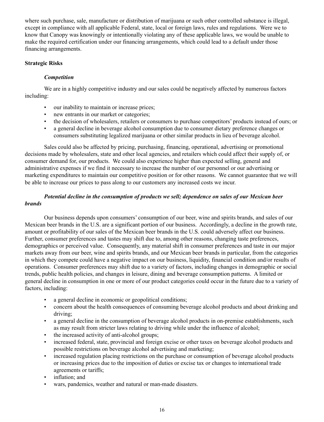where such purchase, sale, manufacture or distribution of marijuana or such other controlled substance is illegal, except in compliance with all applicable Federal, state, local or foreign laws, rules and regulations. Were we to know that Canopy was knowingly or intentionally violating any of these applicable laws, we would be unable to make the required certification under our financing arrangements, which could lead to a default under those financing arrangements.

# **Strategic Risks**

# *Competition*

We are in a highly competitive industry and our sales could be negatively affected by numerous factors including:

- our inability to maintain or increase prices;
- new entrants in our market or categories;
- the decision of wholesalers, retailers or consumers to purchase competitors' products instead of ours; or
- a general decline in beverage alcohol consumption due to consumer dietary preference changes or consumers substituting legalized marijuana or other similar products in lieu of beverage alcohol.

Sales could also be affected by pricing, purchasing, financing, operational, advertising or promotional decisions made by wholesalers, state and other local agencies, and retailers which could affect their supply of, or consumer demand for, our products. We could also experience higher than expected selling, general and administrative expenses if we find it necessary to increase the number of our personnel or our advertising or marketing expenditures to maintain our competitive position or for other reasons. We cannot guarantee that we will be able to increase our prices to pass along to our customers any increased costs we incur.

# *Potential decline in the consumption of products we sell; dependence on sales of our Mexican beer brands*

Our business depends upon consumers' consumption of our beer, wine and spirits brands, and sales of our Mexican beer brands in the U.S. are a significant portion of our business. Accordingly, a decline in the growth rate, amount or profitability of our sales of the Mexican beer brands in the U.S. could adversely affect our business. Further, consumer preferences and tastes may shift due to, among other reasons, changing taste preferences, demographics or perceived value. Consequently, any material shift in consumer preferences and taste in our major markets away from our beer, wine and spirits brands, and our Mexican beer brands in particular, from the categories in which they compete could have a negative impact on our business, liquidity, financial condition and/or results of operations. Consumer preferences may shift due to a variety of factors, including changes in demographic or social trends, public health policies, and changes in leisure, dining and beverage consumption patterns. A limited or general decline in consumption in one or more of our product categories could occur in the future due to a variety of factors, including:

- a general decline in economic or geopolitical conditions;
- concern about the health consequences of consuming beverage alcohol products and about drinking and driving;
- a general decline in the consumption of beverage alcohol products in on-premise establishments, such as may result from stricter laws relating to driving while under the influence of alcohol;
- the increased activity of anti-alcohol groups;
- increased federal, state, provincial and foreign excise or other taxes on beverage alcohol products and possible restrictions on beverage alcohol advertising and marketing;
- increased regulation placing restrictions on the purchase or consumption of beverage alcohol products or increasing prices due to the imposition of duties or excise tax or changes to international trade agreements or tariffs;
- inflation: and
- wars, pandemics, weather and natural or man-made disasters.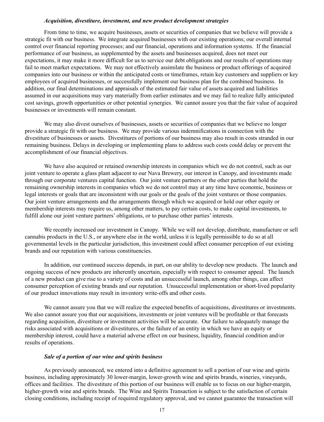# *Acquisition, divestiture, investment, and new product development strategies*

From time to time, we acquire businesses, assets or securities of companies that we believe will provide a strategic fit with our business. We integrate acquired businesses with our existing operations; our overall internal control over financial reporting processes; and our financial, operations and information systems. If the financial performance of our business, as supplemented by the assets and businesses acquired, does not meet our expectations, it may make it more difficult for us to service our debt obligations and our results of operations may fail to meet market expectations. We may not effectively assimilate the business or product offerings of acquired companies into our business or within the anticipated costs or timeframes, retain key customers and suppliers or key employees of acquired businesses, or successfully implement our business plan for the combined business. In addition, our final determinations and appraisals of the estimated fair value of assets acquired and liabilities assumed in our acquisitions may vary materially from earlier estimates and we may fail to realize fully anticipated cost savings, growth opportunities or other potential synergies. We cannot assure you that the fair value of acquired businesses or investments will remain constant.

We may also divest ourselves of businesses, assets or securities of companies that we believe no longer provide a strategic fit with our business. We may provide various indemnifications in connection with the divestiture of businesses or assets. Divestitures of portions of our business may also result in costs stranded in our remaining business. Delays in developing or implementing plans to address such costs could delay or prevent the accomplishment of our financial objectives.

We have also acquired or retained ownership interests in companies which we do not control, such as our joint venture to operate a glass plant adjacent to our Nava Brewery, our interest in Canopy, and investments made through our corporate ventures capital function. Our joint venture partners or the other parties that hold the remaining ownership interests in companies which we do not control may at any time have economic, business or legal interests or goals that are inconsistent with our goals or the goals of the joint ventures or those companies. Our joint venture arrangements and the arrangements through which we acquired or hold our other equity or membership interests may require us, among other matters, to pay certain costs, to make capital investments, to fulfill alone our joint venture partners' obligations, or to purchase other parties' interests.

We recently increased our investment in Canopy. While we will not develop, distribute, manufacture or sell cannabis products in the U.S., or anywhere else in the world, unless it is legally permissible to do so at all governmental levels in the particular jurisdiction, this investment could affect consumer perception of our existing brands and our reputation with various constituencies.

In addition, our continued success depends, in part, on our ability to develop new products. The launch and ongoing success of new products are inherently uncertain, especially with respect to consumer appeal. The launch of a new product can give rise to a variety of costs and an unsuccessful launch, among other things, can affect consumer perception of existing brands and our reputation. Unsuccessful implementation or short-lived popularity of our product innovations may result in inventory write-offs and other costs.

We cannot assure you that we will realize the expected benefits of acquisitions, divestitures or investments. We also cannot assure you that our acquisitions, investments or joint ventures will be profitable or that forecasts regarding acquisition, divestiture or investment activities will be accurate. Our failure to adequately manage the risks associated with acquisitions or divestitures, or the failure of an entity in which we have an equity or membership interest, could have a material adverse effect on our business, liquidity, financial condition and/or results of operations.

#### *Sale of a portion of our wine and spirits business*

As previously announced, we entered into a definitive agreement to sell a portion of our wine and spirits business, including approximately 30 lower-margin, lower-growth wine and spirits brands, wineries, vineyards, offices and facilities. The divestiture of this portion of our business will enable us to focus on our higher-margin, higher-growth wine and spirits brands. The Wine and Spirits Transaction is subject to the satisfaction of certain closing conditions, including receipt of required regulatory approval, and we cannot guarantee the transaction will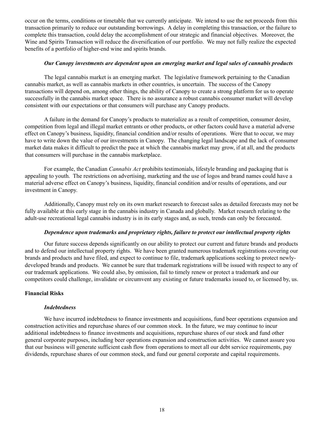occur on the terms, conditions or timetable that we currently anticipate. We intend to use the net proceeds from this transaction primarily to reduce our outstanding borrowings. A delay in completing this transaction, or the failure to complete this transaction, could delay the accomplishment of our strategic and financial objectives. Moreover, the Wine and Spirits Transaction will reduce the diversification of our portfolio. We may not fully realize the expected benefits of a portfolio of higher-end wine and spirits brands.

# *Our Canopy investments are dependent upon an emerging market and legal sales of cannabis products*

The legal cannabis market is an emerging market. The legislative framework pertaining to the Canadian cannabis market, as well as cannabis markets in other countries, is uncertain. The success of the Canopy transactions will depend on, among other things, the ability of Canopy to create a strong platform for us to operate successfully in the cannabis market space. There is no assurance a robust cannabis consumer market will develop consistent with our expectations or that consumers will purchase any Canopy products.

A failure in the demand for Canopy's products to materialize as a result of competition, consumer desire, competition from legal and illegal market entrants or other products, or other factors could have a material adverse effect on Canopy's business, liquidity, financial condition and/or results of operations. Were that to occur, we may have to write down the value of our investments in Canopy. The changing legal landscape and the lack of consumer market data makes it difficult to predict the pace at which the cannabis market may grow, if at all, and the products that consumers will purchase in the cannabis marketplace.

For example, the Canadian *Cannabis Act* prohibits testimonials, lifestyle branding and packaging that is appealing to youth. The restrictions on advertising, marketing and the use of logos and brand names could have a material adverse effect on Canopy's business, liquidity, financial condition and/or results of operations, and our investment in Canopy.

Additionally, Canopy must rely on its own market research to forecast sales as detailed forecasts may not be fully available at this early stage in the cannabis industry in Canada and globally. Market research relating to the adult-use recreational legal cannabis industry is in its early stages and, as such, trends can only be forecasted.

#### *Dependence upon trademarks and proprietary rights, failure to protect our intellectual property rights*

Our future success depends significantly on our ability to protect our current and future brands and products and to defend our intellectual property rights. We have been granted numerous trademark registrations covering our brands and products and have filed, and expect to continue to file, trademark applications seeking to protect newlydeveloped brands and products. We cannot be sure that trademark registrations will be issued with respect to any of our trademark applications. We could also, by omission, fail to timely renew or protect a trademark and our competitors could challenge, invalidate or circumvent any existing or future trademarks issued to, or licensed by, us.

# **Financial Risks**

# *Indebtedness*

We have incurred indebtedness to finance investments and acquisitions, fund beer operations expansion and construction activities and repurchase shares of our common stock. In the future, we may continue to incur additional indebtedness to finance investments and acquisitions, repurchase shares of our stock and fund other general corporate purposes, including beer operations expansion and construction activities. We cannot assure you that our business will generate sufficient cash flow from operations to meet all our debt service requirements, pay dividends, repurchase shares of our common stock, and fund our general corporate and capital requirements.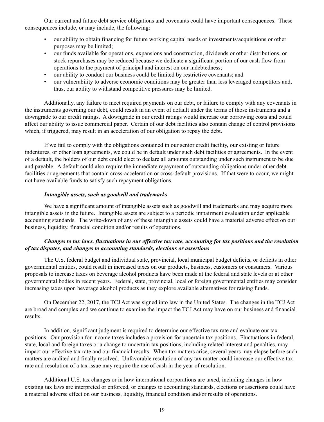Our current and future debt service obligations and covenants could have important consequences. These consequences include, or may include, the following:

- our ability to obtain financing for future working capital needs or investments/acquisitions or other purposes may be limited;
- our funds available for operations, expansions and construction, dividends or other distributions, or stock repurchases may be reduced because we dedicate a significant portion of our cash flow from operations to the payment of principal and interest on our indebtedness;
- our ability to conduct our business could be limited by restrictive covenants; and
- our vulnerability to adverse economic conditions may be greater than less leveraged competitors and, thus, our ability to withstand competitive pressures may be limited.

Additionally, any failure to meet required payments on our debt, or failure to comply with any covenants in the instruments governing our debt, could result in an event of default under the terms of those instruments and a downgrade to our credit ratings. A downgrade in our credit ratings would increase our borrowing costs and could affect our ability to issue commercial paper. Certain of our debt facilities also contain change of control provisions which, if triggered, may result in an acceleration of our obligation to repay the debt.

If we fail to comply with the obligations contained in our senior credit facility, our existing or future indentures, or other loan agreements, we could be in default under such debt facilities or agreements. In the event of a default, the holders of our debt could elect to declare all amounts outstanding under such instrument to be due and payable. A default could also require the immediate repayment of outstanding obligations under other debt facilities or agreements that contain cross-acceleration or cross-default provisions. If that were to occur, we might not have available funds to satisfy such repayment obligations.

#### *Intangible assets, such as goodwill and trademarks*

We have a significant amount of intangible assets such as goodwill and trademarks and may acquire more intangible assets in the future. Intangible assets are subject to a periodic impairment evaluation under applicable accounting standards. The write-down of any of these intangible assets could have a material adverse effect on our business, liquidity, financial condition and/or results of operations.

# *Changes to tax laws, fluctuations in our effective tax rate, accounting for tax positions and the resolution of tax disputes, and changes to accounting standards, elections or assertions*

The U.S. federal budget and individual state, provincial, local municipal budget deficits, or deficits in other governmental entities, could result in increased taxes on our products, business, customers or consumers. Various proposals to increase taxes on beverage alcohol products have been made at the federal and state levels or at other governmental bodies in recent years. Federal, state, provincial, local or foreign governmental entities may consider increasing taxes upon beverage alcohol products as they explore available alternatives for raising funds.

On December 22, 2017, the TCJ Act was signed into law in the United States. The changes in the TCJ Act are broad and complex and we continue to examine the impact the TCJ Act may have on our business and financial results.

In addition, significant judgment is required to determine our effective tax rate and evaluate our tax positions. Our provision for income taxes includes a provision for uncertain tax positions. Fluctuations in federal, state, local and foreign taxes or a change to uncertain tax positions, including related interest and penalties, may impact our effective tax rate and our financial results. When tax matters arise, several years may elapse before such matters are audited and finally resolved. Unfavorable resolution of any tax matter could increase our effective tax rate and resolution of a tax issue may require the use of cash in the year of resolution.

Additional U.S. tax changes or in how international corporations are taxed, including changes in how existing tax laws are interpreted or enforced, or changes to accounting standards, elections or assertions could have a material adverse effect on our business, liquidity, financial condition and/or results of operations.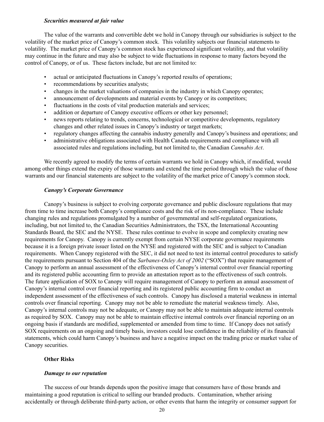# *Securities measured at fair value*

The value of the warrants and convertible debt we hold in Canopy through our subsidiaries is subject to the volatility of the market price of Canopy's common stock. This volatility subjects our financial statements to volatility. The market price of Canopy's common stock has experienced significant volatility, and that volatility may continue in the future and may also be subject to wide fluctuations in response to many factors beyond the control of Canopy, or of us. These factors include, but are not limited to:

- actual or anticipated fluctuations in Canopy's reported results of operations;
- recommendations by securities analysts;
- changes in the market valuations of companies in the industry in which Canopy operates;
- announcement of developments and material events by Canopy or its competitors;
- fluctuations in the costs of vital production materials and services;
- addition or departure of Canopy executive officers or other key personnel;
- news reports relating to trends, concerns, technological or competitive developments, regulatory changes and other related issues in Canopy's industry or target markets;
- regulatory changes affecting the cannabis industry generally and Canopy's business and operations; and
- administrative obligations associated with Health Canada requirements and compliance with all associated rules and regulations including, but not limited to, the Canadian *Cannabis Act*.

We recently agreed to modify the terms of certain warrants we hold in Canopy which, if modified, would among other things extend the expiry of those warrants and extend the time period through which the value of those warrants and our financial statements are subject to the volatility of the market price of Canopy's common stock.

# *Canopy's Corporate Governance*

Canopy's business is subject to evolving corporate governance and public disclosure regulations that may from time to time increase both Canopy's compliance costs and the risk of its non-compliance. These include changing rules and regulations promulgated by a number of governmental and self-regulated organizations, including, but not limited to, the Canadian Securities Administrators, the TSX, the International Accounting Standards Board, the SEC and the NYSE. These rules continue to evolve in scope and complexity creating new requirements for Canopy. Canopy is currently exempt from certain NYSE corporate governance requirements because it is a foreign private issuer listed on the NYSE and registered with the SEC and is subject to Canadian requirements. When Canopy registered with the SEC, it did not need to test its internal control procedures to satisfy the requirements pursuant to Section 404 of the *Sarbanes-Oxley Act of 2002* ("SOX") that require management of Canopy to perform an annual assessment of the effectiveness of Canopy's internal control over financial reporting and its registered public accounting firm to provide an attestation report as to the effectiveness of such controls. The future application of SOX to Canopy will require management of Canopy to perform an annual assessment of Canopy's internal control over financial reporting and its registered public accounting firm to conduct an independent assessment of the effectiveness of such controls. Canopy has disclosed a material weakness in internal controls over financial reporting. Canopy may not be able to remediate the material weakness timely. Also, Canopy's internal controls may not be adequate, or Canopy may not be able to maintain adequate internal controls as required by SOX. Canopy may not be able to maintain effective internal controls over financial reporting on an ongoing basis if standards are modified, supplemented or amended from time to time. If Canopy does not satisfy SOX requirements on an ongoing and timely basis, investors could lose confidence in the reliability of its financial statements, which could harm Canopy's business and have a negative impact on the trading price or market value of Canopy securities.

# **Other Risks**

# *Damage to our reputation*

The success of our brands depends upon the positive image that consumers have of those brands and maintaining a good reputation is critical to selling our branded products. Contamination, whether arising accidentally or through deliberate third-party action, or other events that harm the integrity or consumer support for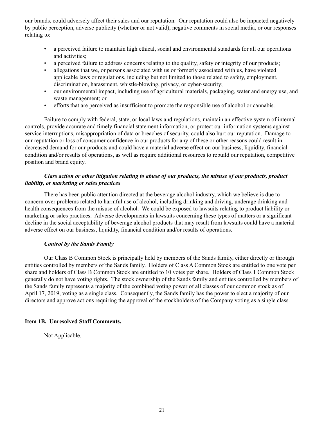our brands, could adversely affect their sales and our reputation. Our reputation could also be impacted negatively by public perception, adverse publicity (whether or not valid), negative comments in social media, or our responses relating to:

- a perceived failure to maintain high ethical, social and environmental standards for all our operations and activities;
- a perceived failure to address concerns relating to the quality, safety or integrity of our products;
- allegations that we, or persons associated with us or formerly associated with us, have violated applicable laws or regulations, including but not limited to those related to safety, employment, discrimination, harassment, whistle-blowing, privacy, or cyber-security;
- our environmental impact, including use of agricultural materials, packaging, water and energy use, and waste management; or
- efforts that are perceived as insufficient to promote the responsible use of alcohol or cannabis.

Failure to comply with federal, state, or local laws and regulations, maintain an effective system of internal controls, provide accurate and timely financial statement information, or protect our information systems against service interruptions, misappropriation of data or breaches of security, could also hurt our reputation. Damage to our reputation or loss of consumer confidence in our products for any of these or other reasons could result in decreased demand for our products and could have a material adverse effect on our business, liquidity, financial condition and/or results of operations, as well as require additional resources to rebuild our reputation, competitive position and brand equity.

# *Class action or other litigation relating to abuse of our products, the misuse of our products, product liability, or marketing or sales practices*

There has been public attention directed at the beverage alcohol industry, which we believe is due to concern over problems related to harmful use of alcohol, including drinking and driving, underage drinking and health consequences from the misuse of alcohol. We could be exposed to lawsuits relating to product liability or marketing or sales practices. Adverse developments in lawsuits concerning these types of matters or a significant decline in the social acceptability of beverage alcohol products that may result from lawsuits could have a material adverse effect on our business, liquidity, financial condition and/or results of operations.

# *Control by the Sands Family*

Our Class B Common Stock is principally held by members of the Sands family, either directly or through entities controlled by members of the Sands family. Holders of Class A Common Stock are entitled to one vote per share and holders of Class B Common Stock are entitled to 10 votes per share. Holders of Class 1 Common Stock generally do not have voting rights. The stock ownership of the Sands family and entities controlled by members of the Sands family represents a majority of the combined voting power of all classes of our common stock as of April 17, 2019, voting as a single class. Consequently, the Sands family has the power to elect a majority of our directors and approve actions requiring the approval of the stockholders of the Company voting as a single class.

# **Item 1B. Unresolved Staff Comments.**

Not Applicable.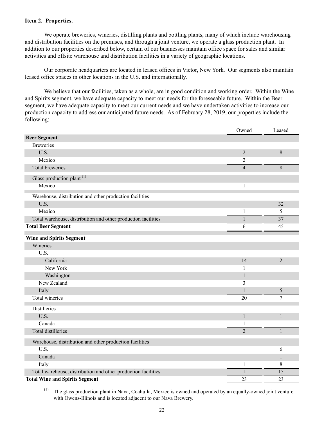# **Item 2. Properties.**

We operate breweries, wineries, distilling plants and bottling plants, many of which include warehousing and distribution facilities on the premises, and through a joint venture, we operate a glass production plant. In addition to our properties described below, certain of our businesses maintain office space for sales and similar activities and offsite warehouse and distribution facilities in a variety of geographic locations.

Our corporate headquarters are located in leased offices in Victor, New York. Our segments also maintain leased office spaces in other locations in the U.S. and internationally.

We believe that our facilities, taken as a whole, are in good condition and working order. Within the Wine and Spirits segment, we have adequate capacity to meet our needs for the foreseeable future. Within the Beer segment, we have adequate capacity to meet our current needs and we have undertaken activities to increase our production capacity to address our anticipated future needs. As of February 28, 2019, our properties include the following:

|                                                               | Owned           | Leased          |
|---------------------------------------------------------------|-----------------|-----------------|
| <b>Beer Segment</b>                                           |                 |                 |
| <b>Breweries</b>                                              |                 |                 |
| U.S.                                                          | $\overline{2}$  | 8               |
| Mexico                                                        | 2               |                 |
| <b>Total breweries</b>                                        | $\overline{4}$  | $\overline{8}$  |
| Glass production plant <sup>(1)</sup>                         |                 |                 |
| Mexico                                                        | 1               |                 |
| Warehouse, distribution and other production facilities       |                 |                 |
| U.S.                                                          |                 | 32              |
| Mexico                                                        | 1               | 5               |
| Total warehouse, distribution and other production facilities | $\mathbf{1}$    | $\overline{37}$ |
| <b>Total Beer Segment</b>                                     | 6               | $\overline{45}$ |
| <b>Wine and Spirits Segment</b>                               |                 |                 |
| Wineries                                                      |                 |                 |
| U.S.                                                          |                 |                 |
| California                                                    | 14              | $\overline{2}$  |
| New York                                                      |                 |                 |
| Washington                                                    | 1               |                 |
| New Zealand                                                   | 3               |                 |
| Italy                                                         | 1               | $\mathfrak s$   |
| Total wineries                                                | $\overline{20}$ | $\overline{7}$  |
| <b>Distilleries</b>                                           |                 |                 |
| U.S.                                                          | $\mathbf{1}$    | $\mathbf{1}$    |
| Canada                                                        | 1               |                 |
| Total distilleries                                            | $\overline{2}$  | $1\,$           |
| Warehouse, distribution and other production facilities       |                 |                 |
| $\overline{U.S.}$                                             |                 | 6               |
| Canada                                                        |                 | $\mathbf{1}$    |
| Italy                                                         | 1               | 8               |
| Total warehouse, distribution and other production facilities | 1               | $\overline{15}$ |
| <b>Total Wine and Spirits Segment</b>                         | $\overline{23}$ | $\overline{23}$ |

 $(1)$  The glass production plant in Nava, Coahuila, Mexico is owned and operated by an equally-owned joint venture with Owens-Illinois and is located adjacent to our Nava Brewery.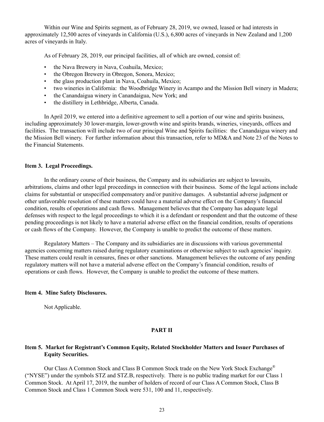Within our Wine and Spirits segment, as of February 28, 2019, we owned, leased or had interests in approximately 12,500 acres of vineyards in California (U.S.), 6,800 acres of vineyards in New Zealand and 1,200 acres of vineyards in Italy.

As of February 28, 2019, our principal facilities, all of which are owned, consist of:

- the Nava Brewery in Nava, Coahuila, Mexico;
- the Obregon Brewery in Obregon, Sonora, Mexico;
- the glass production plant in Nava, Coahuila, Mexico;
- two wineries in California: the Woodbridge Winery in Acampo and the Mission Bell winery in Madera;
- the Canandaigua winery in Canandaigua, New York; and
- the distillery in Lethbridge, Alberta, Canada.

In April 2019, we entered into a definitive agreement to sell a portion of our wine and spirits business, including approximately 30 lower-margin, lower-growth wine and spirits brands, wineries, vineyards, offices and facilities. The transaction will include two of our principal Wine and Spirits facilities: the Canandaigua winery and the Mission Bell winery. For further information about this transaction, refer to MD&A and Note 23 of the Notes to the Financial Statements.

# **Item 3. Legal Proceedings.**

In the ordinary course of their business, the Company and its subsidiaries are subject to lawsuits, arbitrations, claims and other legal proceedings in connection with their business. Some of the legal actions include claims for substantial or unspecified compensatory and/or punitive damages. A substantial adverse judgment or other unfavorable resolution of these matters could have a material adverse effect on the Company's financial condition, results of operations and cash flows. Management believes that the Company has adequate legal defenses with respect to the legal proceedings to which it is a defendant or respondent and that the outcome of these pending proceedings is not likely to have a material adverse effect on the financial condition, results of operations or cash flows of the Company. However, the Company is unable to predict the outcome of these matters.

Regulatory Matters – The Company and its subsidiaries are in discussions with various governmental agencies concerning matters raised during regulatory examinations or otherwise subject to such agencies' inquiry. These matters could result in censures, fines or other sanctions. Management believes the outcome of any pending regulatory matters will not have a material adverse effect on the Company's financial condition, results of operations or cash flows. However, the Company is unable to predict the outcome of these matters.

#### **Item 4. Mine Safety Disclosures.**

Not Applicable.

# **PART II**

# **Item 5. Market for Registrant's Common Equity, Related Stockholder Matters and Issuer Purchases of Equity Securities.**

Our Class A Common Stock and Class B Common Stock trade on the New York Stock Exchange® ("NYSE") under the symbols STZ and STZ.B, respectively. There is no public trading market for our Class 1 Common Stock. At April 17, 2019, the number of holders of record of our Class A Common Stock, Class B Common Stock and Class 1 Common Stock were 531, 100 and 11, respectively.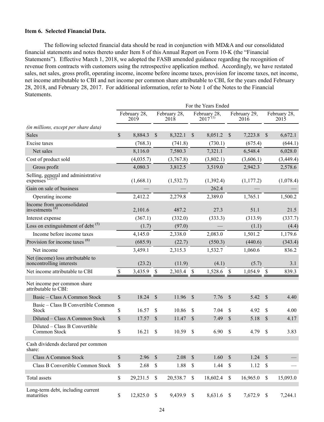# **Item 6. Selected Financial Data.**

The following selected financial data should be read in conjunction with MD&A and our consolidated financial statements and notes thereto under Item 8 of this Annual Report on Form 10-K (the "Financial Statements"). Effective March 1, 2018, we adopted the FASB amended guidance regarding the recognition of revenue from contracts with customers using the retrospective application method. Accordingly, we have restated sales, net sales, gross profit, operating income, income before income taxes, provision for income taxes, net income, net income attributable to CBI and net income per common share attributable to CBI, for the years ended February 28, 2018, and February 28, 2017. For additional information, refer to Note 1 of the Notes to the Financial Statements.

|                                                               | For the Years Ended |                      |               |                      |               |                                     |               |                      |                           |                      |  |
|---------------------------------------------------------------|---------------------|----------------------|---------------|----------------------|---------------|-------------------------------------|---------------|----------------------|---------------------------|----------------------|--|
|                                                               |                     | February 28,<br>2019 |               | February 28,<br>2018 |               | February 28,<br>2017 <sup>(1)</sup> |               | February 29,<br>2016 |                           | February 28,<br>2015 |  |
| (in millions, except per share data)                          |                     |                      |               |                      |               |                                     |               |                      |                           |                      |  |
| Sales                                                         | \$                  | 8,884.3              | $\mathcal{S}$ | 8,322.1              | $\mathbb{S}$  | 8,051.2                             | $\mathcal{S}$ | 7,223.8              | $\boldsymbol{\mathsf{S}}$ | 6,672.1              |  |
| Excise taxes                                                  |                     | (768.3)              |               | (741.8)              |               | (730.1)                             |               | (675.4)              |                           | (644.1)              |  |
| Net sales                                                     |                     | 8,116.0              |               | 7,580.3              |               | 7,321.1                             |               | 6,548.4              |                           | 6,028.0              |  |
| Cost of product sold                                          |                     | (4,035.7)            |               | (3,767.8)            |               | (3,802.1)                           |               | (3,606.1)            |                           | (3,449.4)            |  |
| Gross profit                                                  |                     | 4,080.3              |               | 3,812.5              |               | 3,519.0                             |               | 2,942.3              |                           | 2,578.6              |  |
| Selling, general and administrative<br>expenses $(2)(3)$      |                     | (1,668.1)            |               | (1, 532.7)           |               | (1,392.4)                           |               | (1, 177.2)           |                           | (1,078.4)            |  |
| Gain on sale of business                                      |                     |                      |               |                      |               | 262.4                               |               |                      |                           |                      |  |
| Operating income                                              |                     | 2,412.2              |               | 2,279.8              |               | 2,389.0                             |               | 1,765.1              |                           | 1,500.2              |  |
| Income from unconsolidated<br>investments <sup>(4)</sup>      |                     | 2,101.6              |               | 487.2                |               | 27.3                                |               | 51.1                 |                           | 21.5                 |  |
| Interest expense                                              |                     | (367.1)              |               | (332.0)              |               | (333.3)                             |               | (313.9)              |                           | (337.7)              |  |
| Loss on extinguishment of debt $(5)$                          |                     | (1.7)                |               | (97.0)               |               |                                     |               | (1.1)                |                           | (4.4)                |  |
| Income before income taxes                                    |                     | 4,145.0              |               | 2,338.0              |               | 2,083.0                             |               | 1,501.2              |                           | 1,179.6              |  |
| Provision for income taxes <sup>(6)</sup>                     |                     | (685.9)              |               | (22.7)               |               | (550.3)                             |               | (440.6)              |                           | (343.4)              |  |
| Net income                                                    |                     | 3,459.1              |               | 2,315.3              |               | 1,532.7                             |               | 1,060.6              |                           | 836.2                |  |
| Net (income) loss attributable to<br>noncontrolling interests |                     | (23.2)               |               | (11.9)               |               | (4.1)                               |               | (5.7)                |                           | 3.1                  |  |
| Net income attributable to CBI                                | \$                  | 3,435.9 \$           |               | 2,303.4              | $\mathbb{S}$  | 1,528.6                             | - \$          | 1,054.9              | $\mathbb{S}$              | 839.3                |  |
| Net income per common share<br>attributable to CBI:           |                     |                      |               |                      |               |                                     |               |                      |                           |                      |  |
| Basic – Class A Common Stock                                  | $\mathcal{S}$       | 18.24                | <sup>\$</sup> | 11.96                | $\mathbb{S}$  | 7.76                                | $\mathcal{S}$ | 5.42                 | $\mathcal{S}$             | 4.40                 |  |
| Basic – Class B Convertible Common<br><b>Stock</b>            | \$                  | 16.57                | S             | 10.86                | \$            | 7.04                                | S             | 4.92                 | \$                        | 4.00                 |  |
| Diluted - Class A Common Stock                                | $\mathbb{S}$        | 17.57                | \$            | 11.47                | \$            | 7.49                                | $\mathbb{S}$  | 5.18                 | $\boldsymbol{\mathsf{S}}$ | 4.17                 |  |
| Diluted - Class B Convertible<br>Common Stock                 | \$                  | 16.21                | \$            | 10.59                | \$            | 6.90                                | $\mathsf{\$}$ | 4.79                 | \$                        | 3.83                 |  |
| Cash dividends declared per common<br>share:                  |                     |                      |               |                      |               |                                     |               |                      |                           |                      |  |
| <b>Class A Common Stock</b>                                   | $\mathbb{S}$        | 2.96                 | $\mathbb{S}$  | 2.08                 | $\mathcal{S}$ | 1.60                                | $\mathcal{S}$ | 1.24                 | $\mathbb{S}$              |                      |  |
| Class B Convertible Common Stock                              | \$                  | 2.68                 | \$            | 1.88                 | \$            | 1.44                                | $\mathbb S$   | 1.12                 | $\boldsymbol{\mathsf{S}}$ |                      |  |
| Total assets                                                  | \$                  | 29,231.5             | $\mathbb{S}$  | 20,538.7             | $\mathbb S$   | 18,602.4                            | $\$$          | 16,965.0             | $\mathbb{S}$              | 15,093.0             |  |
| Long-term debt, including current<br>maturities               | \$                  | 12,825.0             | $\mathbb{S}$  | 9,439.9              | $\mathbb S$   | 8,631.6                             | $\mathbb S$   | 7,672.9              | $\mathbb S$               | 7,244.1              |  |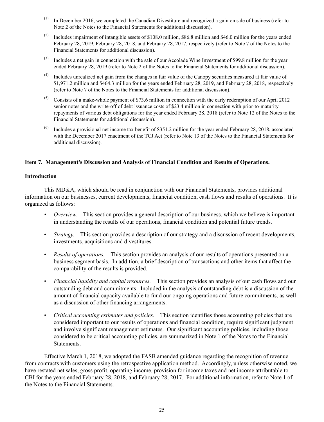- (1) In December 2016, we completed the Canadian Divestiture and recognized a gain on sale of business (refer to Note 2 of the Notes to the Financial Statements for additional discussion).
- (2) Includes impairment of intangible assets of \$108.0 million, \$86.8 million and \$46.0 million for the years ended February 28, 2019, February 28, 2018, and February 28, 2017, respectively (refer to Note 7 of the Notes to the Financial Statements for additional discussion).
- (3) Includes a net gain in connection with the sale of our Accolade Wine Investment of \$99.8 million for the year ended February 28, 2019 (refer to Note 2 of the Notes to the Financial Statements for additional discussion).
- (4) Includes unrealized net gain from the changes in fair value of the Canopy securities measured at fair value of \$1,971.2 million and \$464.3 million for the years ended February 28, 2019, and February 28, 2018, respectively (refer to Note 7 of the Notes to the Financial Statements for additional discussion).
- (5) Consists of a make-whole payment of \$73.6 million in connection with the early redemption of our April 2012 senior notes and the write-off of debt issuance costs of \$23.4 million in connection with prior-to-maturity repayments of various debt obligations for the year ended February 28, 2018 (refer to Note 12 of the Notes to the Financial Statements for additional discussion).
- (6) Includes a provisional net income tax benefit of \$351.2 million for the year ended February 28, 2018, associated with the December 2017 enactment of the TCJ Act (refer to Note 13 of the Notes to the Financial Statements for additional discussion).

# **Item 7. Management's Discussion and Analysis of Financial Condition and Results of Operations.**

## **Introduction**

This MD&A, which should be read in conjunction with our Financial Statements, provides additional information on our businesses, current developments, financial condition, cash flows and results of operations. It is organized as follows:

- *Overview.* This section provides a general description of our business, which we believe is important in understanding the results of our operations, financial condition and potential future trends.
- *Strategy.* This section provides a description of our strategy and a discussion of recent developments, investments, acquisitions and divestitures.
- *Results of operations.* This section provides an analysis of our results of operations presented on a business segment basis. In addition, a brief description of transactions and other items that affect the comparability of the results is provided.
- *Financial liquidity and capital resources.* This section provides an analysis of our cash flows and our outstanding debt and commitments. Included in the analysis of outstanding debt is a discussion of the amount of financial capacity available to fund our ongoing operations and future commitments, as well as a discussion of other financing arrangements.
- *Critical accounting estimates and policies.* This section identifies those accounting policies that are considered important to our results of operations and financial condition, require significant judgment and involve significant management estimates. Our significant accounting policies, including those considered to be critical accounting policies, are summarized in Note 1 of the Notes to the Financial Statements.

Effective March 1, 2018, we adopted the FASB amended guidance regarding the recognition of revenue from contracts with customers using the retrospective application method. Accordingly, unless otherwise noted, we have restated net sales, gross profit, operating income, provision for income taxes and net income attributable to CBI for the years ended February 28, 2018, and February 28, 2017. For additional information, refer to Note 1 of the Notes to the Financial Statements.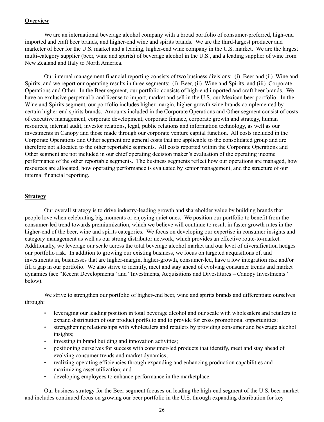# **Overview**

We are an international beverage alcohol company with a broad portfolio of consumer-preferred, high-end imported and craft beer brands, and higher-end wine and spirits brands. We are the third-largest producer and marketer of beer for the U.S. market and a leading, higher-end wine company in the U.S. market. We are the largest multi-category supplier (beer, wine and spirits) of beverage alcohol in the U.S., and a leading supplier of wine from New Zealand and Italy to North America.

Our internal management financial reporting consists of two business divisions: (i) Beer and (ii) Wine and Spirits, and we report our operating results in three segments: (i) Beer, (ii) Wine and Spirits, and (iii) Corporate Operations and Other. In the Beer segment, our portfolio consists of high-end imported and craft beer brands. We have an exclusive perpetual brand license to import, market and sell in the U.S. our Mexican beer portfolio. In the Wine and Spirits segment, our portfolio includes higher-margin, higher-growth wine brands complemented by certain higher-end spirits brands. Amounts included in the Corporate Operations and Other segment consist of costs of executive management, corporate development, corporate finance, corporate growth and strategy, human resources, internal audit, investor relations, legal, public relations and information technology, as well as our investments in Canopy and those made through our corporate venture capital function. All costs included in the Corporate Operations and Other segment are general costs that are applicable to the consolidated group and are therefore not allocated to the other reportable segments. All costs reported within the Corporate Operations and Other segment are not included in our chief operating decision maker's evaluation of the operating income performance of the other reportable segments. The business segments reflect how our operations are managed, how resources are allocated, how operating performance is evaluated by senior management, and the structure of our internal financial reporting.

# **Strategy**

Our overall strategy is to drive industry-leading growth and shareholder value by building brands that people love when celebrating big moments or enjoying quiet ones. We position our portfolio to benefit from the consumer-led trend towards premiumization, which we believe will continue to result in faster growth rates in the higher-end of the beer, wine and spirits categories. We focus on developing our expertise in consumer insights and category management as well as our strong distributor network, which provides an effective route-to-market. Additionally, we leverage our scale across the total beverage alcohol market and our level of diversification hedges our portfolio risk. In addition to growing our existing business, we focus on targeted acquisitions of, and investments in, businesses that are higher-margin, higher-growth, consumer-led, have a low integration risk and/or fill a gap in our portfolio. We also strive to identify, meet and stay ahead of evolving consumer trends and market dynamics (see "Recent Developments" and "Investments, Acquisitions and Divestitures – Canopy Investments" below).

We strive to strengthen our portfolio of higher-end beer, wine and spirits brands and differentiate ourselves through:

- leveraging our leading position in total beverage alcohol and our scale with wholesalers and retailers to expand distribution of our product portfolio and to provide for cross promotional opportunities;
- strengthening relationships with wholesalers and retailers by providing consumer and beverage alcohol insights;
- investing in brand building and innovation activities;
- positioning ourselves for success with consumer-led products that identify, meet and stay ahead of evolving consumer trends and market dynamics;
- realizing operating efficiencies through expanding and enhancing production capabilities and maximizing asset utilization; and
- developing employees to enhance performance in the marketplace.

Our business strategy for the Beer segment focuses on leading the high-end segment of the U.S. beer market and includes continued focus on growing our beer portfolio in the U.S. through expanding distribution for key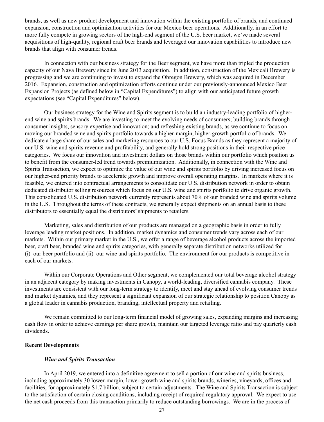brands, as well as new product development and innovation within the existing portfolio of brands, and continued expansion, construction and optimization activities for our Mexico beer operations. Additionally, in an effort to more fully compete in growing sectors of the high-end segment of the U.S. beer market, we've made several acquisitions of high-quality, regional craft beer brands and leveraged our innovation capabilities to introduce new brands that align with consumer trends.

In connection with our business strategy for the Beer segment, we have more than tripled the production capacity of our Nava Brewery since its June 2013 acquisition. In addition, construction of the Mexicali Brewery is progressing and we are continuing to invest to expand the Obregon Brewery, which was acquired in December 2016. Expansion, construction and optimization efforts continue under our previously-announced Mexico Beer Expansion Projects (as defined below in "Capital Expenditures") to align with our anticipated future growth expectations (see "Capital Expenditures" below).

Our business strategy for the Wine and Spirits segment is to build an industry-leading portfolio of higherend wine and spirits brands. We are investing to meet the evolving needs of consumers; building brands through consumer insights, sensory expertise and innovation; and refreshing existing brands, as we continue to focus on moving our branded wine and spirits portfolio towards a higher-margin, higher-growth portfolio of brands. We dedicate a large share of our sales and marketing resources to our U.S. Focus Brands as they represent a majority of our U.S. wine and spirits revenue and profitability, and generally hold strong positions in their respective price categories. We focus our innovation and investment dollars on those brands within our portfolio which position us to benefit from the consumer-led trend towards premiumization. Additionally, in connection with the Wine and Spirits Transaction, we expect to optimize the value of our wine and spirits portfolio by driving increased focus on our higher-end priority brands to accelerate growth and improve overall operating margins. In markets where it is feasible, we entered into contractual arrangements to consolidate our U.S. distribution network in order to obtain dedicated distributor selling resources which focus on our U.S. wine and spirits portfolio to drive organic growth. This consolidated U.S. distribution network currently represents about 70% of our branded wine and spirits volume in the U.S. Throughout the terms of these contracts, we generally expect shipments on an annual basis to these distributors to essentially equal the distributors' shipments to retailers.

Marketing, sales and distribution of our products are managed on a geographic basis in order to fully leverage leading market positions. In addition, market dynamics and consumer trends vary across each of our markets. Within our primary market in the U.S., we offer a range of beverage alcohol products across the imported beer, craft beer, branded wine and spirits categories, with generally separate distribution networks utilized for (i) our beer portfolio and (ii) our wine and spirits portfolio. The environment for our products is competitive in each of our markets.

Within our Corporate Operations and Other segment, we complemented our total beverage alcohol strategy in an adjacent category by making investments in Canopy, a world-leading, diversified cannabis company. These investments are consistent with our long-term strategy to identify, meet and stay ahead of evolving consumer trends and market dynamics, and they represent a significant expansion of our strategic relationship to position Canopy as a global leader in cannabis production, branding, intellectual property and retailing.

We remain committed to our long-term financial model of growing sales, expanding margins and increasing cash flow in order to achieve earnings per share growth, maintain our targeted leverage ratio and pay quarterly cash dividends.

#### **Recent Developments**

## *Wine and Spirits Transaction*

In April 2019, we entered into a definitive agreement to sell a portion of our wine and spirits business, including approximately 30 lower-margin, lower-growth wine and spirits brands, wineries, vineyards, offices and facilities, for approximately \$1.7 billion, subject to certain adjustments. The Wine and Spirits Transaction is subject to the satisfaction of certain closing conditions, including receipt of required regulatory approval. We expect to use the net cash proceeds from this transaction primarily to reduce outstanding borrowings. We are in the process of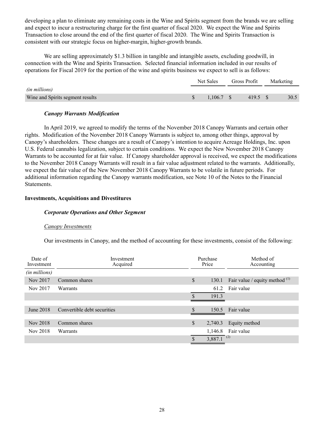developing a plan to eliminate any remaining costs in the Wine and Spirits segment from the brands we are selling and expect to incur a restructuring charge for the first quarter of fiscal 2020. We expect the Wine and Spirits Transaction to close around the end of the first quarter of fiscal 2020. The Wine and Spirits Transaction is consistent with our strategic focus on higher-margin, higher-growth brands.

We are selling approximately \$1.3 billion in tangible and intangible assets, excluding goodwill, in connection with the Wine and Spirits Transaction. Selected financial information included in our results of operations for Fiscal 2019 for the portion of the wine and spirits business we expect to sell is as follows:

|                                  | Net Sales    |  | Gross Profit | Marketing |      |
|----------------------------------|--------------|--|--------------|-----------|------|
| <i>(in millions)</i>             |              |  |              |           |      |
| Wine and Spirits segment results | $1.106.7$ \$ |  | 419.5 \$     |           | 30.5 |

## *Canopy Warrants Modification*

In April 2019, we agreed to modify the terms of the November 2018 Canopy Warrants and certain other rights. Modification of the November 2018 Canopy Warrants is subject to, among other things, approval by Canopy's shareholders. These changes are a result of Canopy's intention to acquire Acreage Holdings, Inc. upon U.S. Federal cannabis legalization, subject to certain conditions. We expect the New November 2018 Canopy Warrants to be accounted for at fair value. If Canopy shareholder approval is received, we expect the modifications to the November 2018 Canopy Warrants will result in a fair value adjustment related to the warrants. Additionally, we expect the fair value of the New November 2018 Canopy Warrants to be volatile in future periods. For additional information regarding the Canopy warrants modification, see Note 10 of the Notes to the Financial Statements.

## **Investments, Acquisitions and Divestitures**

### *Corporate Operations and Other Segment*

## *Canopy Investments*

Our investments in Canopy, and the method of accounting for these investments, consist of the following:

| Date of<br>Investment | Investment<br>Acquired      |    | Purchase<br>Price        | Method of<br>Accounting          |
|-----------------------|-----------------------------|----|--------------------------|----------------------------------|
| (in millions)         |                             |    |                          |                                  |
| Nov 2017              | Common shares               | \$ | 130.1                    | Fair value / equity method $(1)$ |
| Nov 2017              | Warrants                    |    | 61.2                     | Fair value                       |
|                       |                             |    | 191.3                    |                                  |
|                       |                             |    |                          |                                  |
| June $2018$           | Convertible debt securities |    | 150.5                    | Fair value                       |
|                       |                             |    |                          |                                  |
| Nov 2018              | Common shares               | \$ | 2,740.3                  | Equity method                    |
| Nov 2018              | Warrants                    |    | 1,146.8                  | Fair value                       |
|                       |                             |    | $3,887.1$ <sup>(2)</sup> |                                  |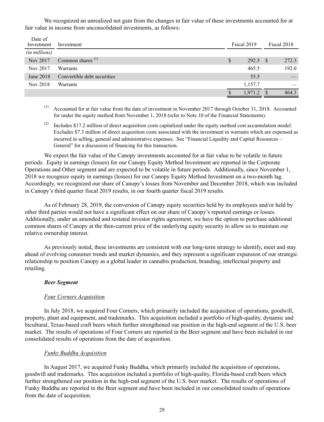We recognized an unrealized net gain from the changes in fair value of these investments accounted for at fair value in income from unconsolidated investments, as follows:

| Date of<br>Investment | Investment                   |              | Fiscal 2019 | Fiscal 2018 |
|-----------------------|------------------------------|--------------|-------------|-------------|
| (in millions)         |                              |              |             |             |
| Nov 2017              | Common shares <sup>(1)</sup> | $\mathbb{S}$ | 292.5 \$    | 272.3       |
| Nov 2017              | <b>Warrants</b>              |              | 465.5       | 192.0       |
| June 2018             | Convertible debt securities  |              | 55.5        |             |
| Nov 2018              | <b>Warrants</b>              |              | 1,157.7     |             |
|                       |                              |              | 1.971.2     | 464.3       |

(1) Accounted for at fair value from the date of investment in November 2017 through October 31, 2018. Accounted for under the equity method from November 1, 2018 (refer to Note 10 of the Financial Statements).

 $(2)$  Includes \$17.2 million of direct acquisition costs capitalized under the equity method cost accumulation model. Excludes \$7.3 million of direct acquisition costs associated with the investment in warrants which are expensed as incurred in selling, general and administrative expenses. See "Financial Liquidity and Capital Resources *–*  General" for a discussion of financing for this transaction.

We expect the fair value of the Canopy investments accounted for at fair value to be volatile in future periods. Equity in earnings (losses) for our Canopy Equity Method Investment are reported in the Corporate Operations and Other segment and are expected to be volatile in future periods. Additionally, since November 1, 2018 we recognize equity in earnings (losses) for our Canopy Equity Method Investment on a two-month lag. Accordingly, we recognized our share of Canopy's losses from November and December 2018, which was included in Canopy's third quarter fiscal 2019 results, in our fourth quarter fiscal 2019 results.

As of February 28, 2019, the conversion of Canopy equity securities held by its employees and/or held by other third parties would not have a significant effect on our share of Canopy's reported earnings or losses. Additionally, under an amended and restated investor rights agreement, we have the option to purchase additional common shares of Canopy at the then-current price of the underlying equity security to allow us to maintain our relative ownership interest.

As previously noted, these investments are consistent with our long-term strategy to identify, meet and stay ahead of evolving consumer trends and market dynamics, and they represent a significant expansion of our strategic relationship to position Canopy as a global leader in cannabis production, branding, intellectual property and retailing.

## *Beer Segment*

## *Four Corners Acquisition*

In July 2018, we acquired Four Corners, which primarily included the acquisition of operations, goodwill, property, plant and equipment, and trademarks. This acquisition included a portfolio of high-quality, dynamic and bicultural, Texas-based craft beers which further strengthened our position in the high-end segment of the U.S. beer market. The results of operations of Four Corners are reported in the Beer segment and have been included in our consolidated results of operations from the date of acquisition.

## *Funky Buddha Acquisition*

In August 2017, we acquired Funky Buddha, which primarily included the acquisition of operations, goodwill and trademarks. This acquisition included a portfolio of high-quality, Florida-based craft beers which further strengthened our position in the high-end segment of the U.S. beer market. The results of operations of Funky Buddha are reported in the Beer segment and have been included in our consolidated results of operations from the date of acquisition.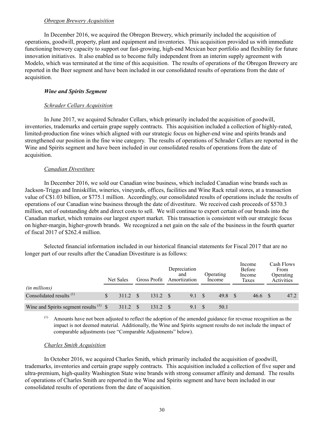## *Obregon Brewery Acquisition*

In December 2016, we acquired the Obregon Brewery, which primarily included the acquisition of operations, goodwill, property, plant and equipment and inventories. This acquisition provided us with immediate functioning brewery capacity to support our fast-growing, high-end Mexican beer portfolio and flexibility for future innovation initiatives. It also enabled us to become fully independent from an interim supply agreement with Modelo, which was terminated at the time of this acquisition. The results of operations of the Obregon Brewery are reported in the Beer segment and have been included in our consolidated results of operations from the date of acquisition.

## *Wine and Spirits Segment*

## *Schrader Cellars Acquisition*

In June 2017, we acquired Schrader Cellars, which primarily included the acquisition of goodwill, inventories, trademarks and certain grape supply contracts. This acquisition included a collection of highly-rated, limited-production fine wines which aligned with our strategic focus on higher-end wine and spirits brands and strengthened our position in the fine wine category. The results of operations of Schrader Cellars are reported in the Wine and Spirits segment and have been included in our consolidated results of operations from the date of acquisition.

## *Canadian Divestiture*

In December 2016, we sold our Canadian wine business, which included Canadian wine brands such as Jackson-Triggs and Inniskillin, wineries, vineyards, offices, facilities and Wine Rack retail stores, at a transaction value of C\$1.03 billion, or \$775.1 million. Accordingly, our consolidated results of operations include the results of operations of our Canadian wine business through the date of divestiture. We received cash proceeds of \$570.3 million, net of outstanding debt and direct costs to sell. We will continue to export certain of our brands into the Canadian market, which remains our largest export market. This transaction is consistent with our strategic focus on higher-margin, higher-growth brands. We recognized a net gain on the sale of the business in the fourth quarter of fiscal 2017 of \$262.4 million.

Selected financial information included in our historical financial statements for Fiscal 2017 that are no longer part of our results after the Canadian Divestiture is as follows:

|                                           | Net Sales | Gross Profit | Depreciation<br>and<br>Amortization | Operating<br>Income | Income<br><b>Before</b><br>Income<br>Taxes | Cash Flows<br>From<br>Operating<br>Activities |
|-------------------------------------------|-----------|--------------|-------------------------------------|---------------------|--------------------------------------------|-----------------------------------------------|
| (in millions)                             |           |              |                                     |                     |                                            |                                               |
| Consolidated results <sup>(1)</sup>       | 311.2 \$  | 131.2        | 9.1                                 | 49.8                | 46.6                                       | 47.2                                          |
| Wine and Spirits segment results $(1)$ \$ | 311.2 \$  | 131.2        |                                     | 50.1                |                                            |                                               |

(1) Amounts have not been adjusted to reflect the adoption of the amended guidance for revenue recognition as the impact is not deemed material. Additionally, the Wine and Spirits segment results do not include the impact of comparable adjustments (see "Comparable Adjustments" below).

## *Charles Smith Acquisition*

In October 2016, we acquired Charles Smith, which primarily included the acquisition of goodwill, trademarks, inventories and certain grape supply contracts. This acquisition included a collection of five super and ultra-premium, high-quality Washington State wine brands with strong consumer affinity and demand. The results of operations of Charles Smith are reported in the Wine and Spirits segment and have been included in our consolidated results of operations from the date of acquisition.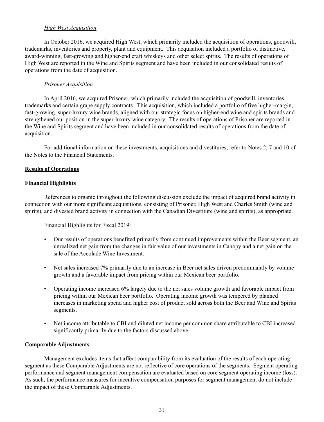## *High West Acquisition*

In October 2016, we acquired High West, which primarily included the acquisition of operations, goodwill, trademarks, inventories and property, plant and equipment. This acquisition included a portfolio of distinctive, award-winning, fast-growing and higher-end craft whiskeys and other select spirits. The results of operations of High West are reported in the Wine and Spirits segment and have been included in our consolidated results of operations from the date of acquisition.

## *Prisoner Acquisition*

In April 2016, we acquired Prisoner, which primarily included the acquisition of goodwill, inventories, trademarks and certain grape supply contracts. This acquisition, which included a portfolio of five higher-margin, fast-growing, super-luxury wine brands, aligned with our strategic focus on higher-end wine and spirits brands and strengthened our position in the super-luxury wine category. The results of operations of Prisoner are reported in the Wine and Spirits segment and have been included in our consolidated results of operations from the date of acquisition.

For additional information on these investments, acquisitions and divestitures, refer to Notes 2, 7 and 10 of the Notes to the Financial Statements.

## **Results of Operations**

#### **Financial Highlights**

References to organic throughout the following discussion exclude the impact of acquired brand activity in connection with our more significant acquisitions, consisting of Prisoner, High West and Charles Smith (wine and spirits), and divested brand activity in connection with the Canadian Divestiture (wine and spirits), as appropriate.

Financial Highlights for Fiscal 2019:

- Our results of operations benefited primarily from continued improvements within the Beer segment, an unrealized net gain from the changes in fair value of our investments in Canopy and a net gain on the sale of the Accolade Wine Investment.
- Net sales increased 7% primarily due to an increase in Beer net sales driven predominantly by volume growth and a favorable impact from pricing within our Mexican beer portfolio.
- Operating income increased 6% largely due to the net sales volume growth and favorable impact from pricing within our Mexican beer portfolio. Operating income growth was tempered by planned increases in marketing spend and higher cost of product sold across both the Beer and Wine and Spirits segments.
- Net income attributable to CBI and diluted net income per common share attributable to CBI increased significantly primarily due to the factors discussed above.

## **Comparable Adjustments**

Management excludes items that affect comparability from its evaluation of the results of each operating segment as these Comparable Adjustments are not reflective of core operations of the segments. Segment operating performance and segment management compensation are evaluated based on core segment operating income (loss). As such, the performance measures for incentive compensation purposes for segment management do not include the impact of these Comparable Adjustments.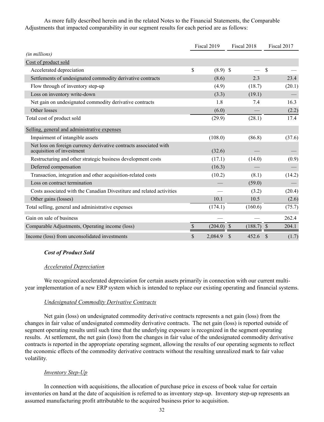As more fully described herein and in the related Notes to the Financial Statements, the Comparable Adjustments that impacted comparability in our segment results for each period are as follows:

|                                                                                                |              | Fiscal 2019 | Fiscal 2018              | Fiscal 2017   |        |
|------------------------------------------------------------------------------------------------|--------------|-------------|--------------------------|---------------|--------|
| (in millions)                                                                                  |              |             |                          |               |        |
| Cost of product sold                                                                           |              |             |                          |               |        |
| Accelerated depreciation                                                                       | \$           | $(8.9)$ \$  |                          | \$            |        |
| Settlements of undesignated commodity derivative contracts                                     |              | (8.6)       | 2.3                      |               | 23.4   |
| Flow through of inventory step-up                                                              |              | (4.9)       | (18.7)                   |               | (20.1) |
| Loss on inventory write-down                                                                   |              | (3.3)       | (19.1)                   |               |        |
| Net gain on undesignated commodity derivative contracts                                        |              | 1.8         | 7.4                      |               | 16.3   |
| Other losses                                                                                   |              | (6.0)       |                          |               | (2.2)  |
| Total cost of product sold                                                                     |              | (29.9)      | (28.1)                   |               | 17.4   |
| Selling, general and administrative expenses                                                   |              |             |                          |               |        |
| Impairment of intangible assets                                                                |              | (108.0)     | (86.8)                   |               | (37.6) |
| Net loss on foreign currency derivative contracts associated with<br>acquisition of investment |              | (32.6)      |                          |               |        |
| Restructuring and other strategic business development costs                                   |              | (17.1)      | (14.0)                   |               | (0.9)  |
| Deferred compensation                                                                          |              | (16.3)      |                          |               |        |
| Transaction, integration and other acquisition-related costs                                   |              | (10.2)      | (8.1)                    |               | (14.2) |
| Loss on contract termination                                                                   |              |             | (59.0)                   |               |        |
| Costs associated with the Canadian Divestiture and related activities                          |              |             | (3.2)                    |               | (20.4) |
| Other gains (losses)                                                                           |              | 10.1        | 10.5                     |               | (2.6)  |
| Total selling, general and administrative expenses                                             |              | (174.1)     | (160.6)                  |               | (75.7) |
| Gain on sale of business                                                                       |              |             |                          |               | 262.4  |
| Comparable Adjustments, Operating income (loss)                                                | \$           | (204.0)     | $\mathcal{S}$<br>(188.7) | $\mathcal{S}$ | 204.1  |
| Income (loss) from unconsolidated investments                                                  | $\mathbb{S}$ | 2,084.9     | $\mathcal{S}$<br>452.6   | <sup>\$</sup> | (1.7)  |

## *Cost of Product Sold*

#### *Accelerated Depreciation*

We recognized accelerated depreciation for certain assets primarily in connection with our current multiyear implementation of a new ERP system which is intended to replace our existing operating and financial systems.

## *Undesignated Commodity Derivative Contracts*

Net gain (loss) on undesignated commodity derivative contracts represents a net gain (loss) from the changes in fair value of undesignated commodity derivative contracts. The net gain (loss) is reported outside of segment operating results until such time that the underlying exposure is recognized in the segment operating results. At settlement, the net gain (loss) from the changes in fair value of the undesignated commodity derivative contracts is reported in the appropriate operating segment, allowing the results of our operating segments to reflect the economic effects of the commodity derivative contracts without the resulting unrealized mark to fair value volatility.

#### *Inventory Step-Up*

In connection with acquisitions, the allocation of purchase price in excess of book value for certain inventories on hand at the date of acquisition is referred to as inventory step-up. Inventory step-up represents an assumed manufacturing profit attributable to the acquired business prior to acquisition.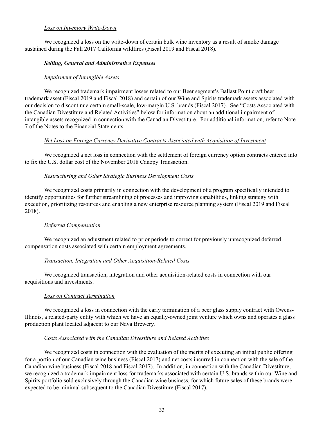#### *Loss on Inventory Write-Down*

We recognized a loss on the write-down of certain bulk wine inventory as a result of smoke damage sustained during the Fall 2017 California wildfires (Fiscal 2019 and Fiscal 2018).

## *Selling, General and Administrative Expenses*

## *Impairment of Intangible Assets*

We recognized trademark impairment losses related to our Beer segment's Ballast Point craft beer trademark asset (Fiscal 2019 and Fiscal 2018) and certain of our Wine and Spirits trademark assets associated with our decision to discontinue certain small-scale, low-margin U.S. brands (Fiscal 2017). See "Costs Associated with the Canadian Divestiture and Related Activities" below for information about an additional impairment of intangible assets recognized in connection with the Canadian Divestiture. For additional information, refer to Note 7 of the Notes to the Financial Statements.

## *Net Loss on Foreign Currency Derivative Contracts Associated with Acquisition of Investment*

We recognized a net loss in connection with the settlement of foreign currency option contracts entered into to fix the U.S. dollar cost of the November 2018 Canopy Transaction.

## *Restructuring and Other Strategic Business Development Costs*

We recognized costs primarily in connection with the development of a program specifically intended to identify opportunities for further streamlining of processes and improving capabilities, linking strategy with execution, prioritizing resources and enabling a new enterprise resource planning system (Fiscal 2019 and Fiscal 2018).

# *Deferred Compensation*

We recognized an adjustment related to prior periods to correct for previously unrecognized deferred compensation costs associated with certain employment agreements.

# *Transaction, Integration and Other Acquisition-Related Costs*

We recognized transaction, integration and other acquisition-related costs in connection with our acquisitions and investments.

# *Loss on Contract Termination*

We recognized a loss in connection with the early termination of a beer glass supply contract with Owens-Illinois, a related-party entity with which we have an equally-owned joint venture which owns and operates a glass production plant located adjacent to our Nava Brewery.

## *Costs Associated with the Canadian Divestiture and Related Activities*

We recognized costs in connection with the evaluation of the merits of executing an initial public offering for a portion of our Canadian wine business (Fiscal 2017) and net costs incurred in connection with the sale of the Canadian wine business (Fiscal 2018 and Fiscal 2017). In addition, in connection with the Canadian Divestiture, we recognized a trademark impairment loss for trademarks associated with certain U.S. brands within our Wine and Spirits portfolio sold exclusively through the Canadian wine business, for which future sales of these brands were expected to be minimal subsequent to the Canadian Divestiture (Fiscal 2017).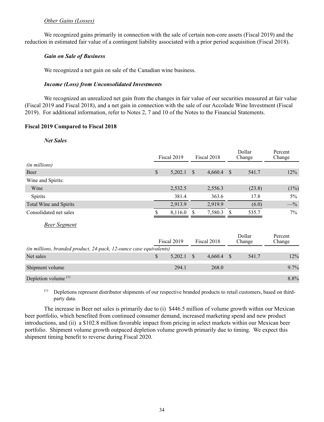#### *Other Gains (Losses)*

We recognized gains primarily in connection with the sale of certain non-core assets (Fiscal 2019) and the reduction in estimated fair value of a contingent liability associated with a prior period acquisition (Fiscal 2018).

#### *Gain on Sale of Business*

We recognized a net gain on sale of the Canadian wine business.

#### *Income (Loss) from Unconsolidated Investments*

We recognized an unrealized net gain from the changes in fair value of our securities measured at fair value (Fiscal 2019 and Fiscal 2018), and a net gain in connection with the sale of our Accolade Wine Investment (Fiscal 2019). For additional information, refer to Notes 2, 7 and 10 of the Notes to the Financial Statements.

## **Fiscal 2019 Compared to Fiscal 2018**

#### *Net Sales*

|                                                                    |              | Fiscal 2019 |               | Fiscal 2018 |              | Dollar<br>Change | Percent<br>Change |
|--------------------------------------------------------------------|--------------|-------------|---------------|-------------|--------------|------------------|-------------------|
| (in millions)                                                      |              |             |               |             |              |                  |                   |
| Beer                                                               | $\mathbb{S}$ | 5,202.1     | $\mathcal{S}$ | 4,660.4     | <sup>S</sup> | 541.7            | 12%               |
| Wine and Spirits:                                                  |              |             |               |             |              |                  |                   |
| Wine                                                               |              | 2,532.5     |               | 2,556.3     |              | (23.8)           | $(1\%)$           |
| Spirits                                                            |              | 381.4       |               | 363.6       |              | 17.8             | $5\%$             |
| Total Wine and Spirits                                             |              | 2,913.9     |               | 2,919.9     |              | (6.0)            | $- \frac{9}{6}$   |
| Consolidated net sales                                             | \$           | 8,116.0     | \$.           | 7,580.3     | \$.          | 535.7            | 7%                |
| <b>Beer Segment</b>                                                |              |             |               |             |              |                  |                   |
|                                                                    |              | Fiscal 2019 |               | Fiscal 2018 |              | Dollar<br>Change | Percent<br>Change |
| (in millions, branded product, 24-pack, 12-ounce case equivalents) |              |             |               |             |              |                  |                   |
| Net sales                                                          | \$           | 5,202.1     | <sup>S</sup>  | 4,660.4     | <b>S</b>     | 541.7            | 12%               |
| Shipment volume                                                    |              | 294.1       |               | 268.0       |              |                  | 9.7%              |
| Depletion volume <sup>(1)</sup>                                    |              |             |               |             |              |                  | 8.8%              |

(1) Depletions represent distributor shipments of our respective branded products to retail customers, based on thirdparty data.

The increase in Beer net sales is primarily due to (i) \$446.5 million of volume growth within our Mexican beer portfolio, which benefited from continued consumer demand, increased marketing spend and new product introductions, and (ii) a \$102.8 million favorable impact from pricing in select markets within our Mexican beer portfolio. Shipment volume growth outpaced depletion volume growth primarily due to timing. We expect this shipment timing benefit to reverse during Fiscal 2020.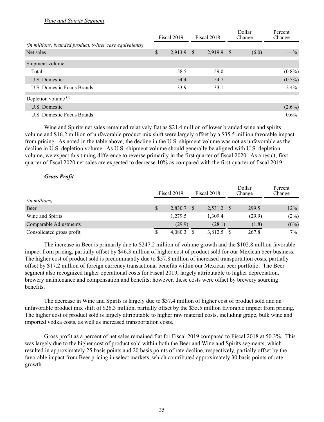#### *Wine and Spirits Segment*

|                                                          |              | Fiscal 2019  | Fiscal 2018  | Dollar<br>Change | Percent<br>Change |
|----------------------------------------------------------|--------------|--------------|--------------|------------------|-------------------|
| (in millions, branded product, 9-liter case equivalents) |              |              |              |                  |                   |
| Net sales                                                | $\mathbb{S}$ | $2,913.9$ \$ | $2,919.9$ \$ | (6.0)            | $- \frac{9}{6}$   |
| Shipment volume                                          |              |              |              |                  |                   |
| Total                                                    |              | 58.5         | 59.0         |                  | $(0.8\%)$         |
| U.S. Domestic                                            |              | 54.4         | 54.7         |                  | $(0.5\%)$         |
| U.S. Domestic Focus Brands                               |              | 33.9         | 33.1         |                  | 2.4%              |
| Depletion volume $(1)$                                   |              |              |              |                  |                   |
| U.S. Domestic                                            |              |              |              |                  | $(2.6\%)$         |
| U.S. Domestic Focus Brands                               |              |              |              |                  | $0.6\%$           |

Wine and Spirits net sales remained relatively flat as \$21.4 million of lower branded wine and spirits volume and \$16.2 million of unfavorable product mix shift were largely offset by a \$35.5 million favorable impact from pricing. As noted in the table above, the decline in the U.S. shipment volume was not as unfavorable as the decline in U.S. depletion volume. As U.S. shipment volume should generally be aligned with U.S. depletion volume, we expect this timing difference to reverse primarily in the first quarter of fiscal 2020. As a result, first quarter of fiscal 2020 net sales are expected to decrease 10% as compared with the first quarter of fiscal 2019.

## *Gross Profit*

|                           | Fiscal 2019  |         | Fiscal 2018  |            | Dollar<br>Change |        | Percent<br>Change |
|---------------------------|--------------|---------|--------------|------------|------------------|--------|-------------------|
| (in millions)             |              |         |              |            |                  |        |                   |
| Beer                      | $\mathbb{S}$ | 2,830.7 | <sup>S</sup> | 2,531.2 \$ |                  | 299.5  | 12%               |
| Wine and Spirits          |              | 1.279.5 |              | 1.309.4    |                  | (29.9) | (2%)              |
| Comparable Adjustments    |              | (29.9)  |              | (28.1)     |                  | (1.8)  | (6%)              |
| Consolidated gross profit |              | 4,080.3 |              | 3,812.5    |                  | 267.8  | $7\%$             |

The increase in Beer is primarily due to \$247.2 million of volume growth and the \$102.8 million favorable impact from pricing, partially offset by \$46.3 million of higher cost of product sold for our Mexican beer business. The higher cost of product sold is predominantly due to \$57.8 million of increased transportation costs, partially offset by \$17.2 million of foreign currency transactional benefits within our Mexican beer portfolio. The Beer segment also recognized higher operational costs for Fiscal 2019, largely attributable to higher depreciation, brewery maintenance and compensation and benefits; however, these costs were offset by brewery sourcing benefits.

The decrease in Wine and Spirits is largely due to \$37.4 million of higher cost of product sold and an unfavorable product mix shift of \$26.3 million, partially offset by the \$35.5 million favorable impact from pricing. The higher cost of product sold is largely attributable to higher raw material costs, including grape, bulk wine and imported vodka costs, as well as increased transportation costs.

Gross profit as a percent of net sales remained flat for Fiscal 2019 compared to Fiscal 2018 at 50.3%. This was largely due to the higher cost of product sold within both the Beer and Wine and Spirits segments, which resulted in approximately 25 basis points and 20 basis points of rate decline, respectively, partially offset by the favorable impact from Beer pricing in select markets, which contributed approximately 30 basis points of rate growth.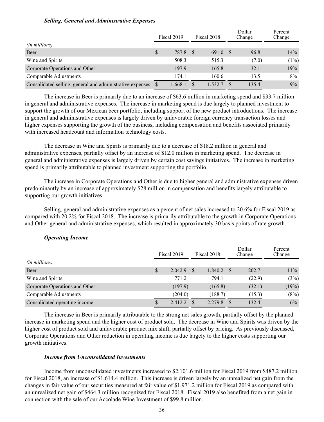### *Selling, General and Administrative Expenses*

|                                                              |               | Fiscal 2019 |     | Fiscal 2018 |      | Dollar<br>Change | Percent<br>Change |
|--------------------------------------------------------------|---------------|-------------|-----|-------------|------|------------------|-------------------|
| ( <i>in millions</i> )                                       |               |             |     |             |      |                  |                   |
| Beer                                                         | <sup>\$</sup> | 787.8       | - S | 691.0       | - \$ | 96.8             | $14\%$            |
| Wine and Spirits                                             |               | 508.3       |     | 515.3       |      | (7.0)            | $(1\%)$           |
| Corporate Operations and Other                               |               | 197.9       |     | 165.8       |      | 32.1             | 19%               |
| Comparable Adjustments                                       |               | 174.1       |     | 160.6       |      | 13.5             | 8%                |
| Consolidated selling, general and administrative expenses \$ |               | 1,668.1     |     | 1.532.7     |      | 135.4            | 9%                |

The increase in Beer is primarily due to an increase of \$63.6 million in marketing spend and \$33.7 million in general and administrative expenses. The increase in marketing spend is due largely to planned investment to support the growth of our Mexican beer portfolio, including support of the new product introductions. The increase in general and administrative expenses is largely driven by unfavorable foreign currency transaction losses and higher expenses supporting the growth of the business, including compensation and benefits associated primarily with increased headcount and information technology costs.

The decrease in Wine and Spirits is primarily due to a decrease of \$18.2 million in general and administrative expenses, partially offset by an increase of \$12.0 million in marketing spend. The decrease in general and administrative expenses is largely driven by certain cost savings initiatives. The increase in marketing spend is primarily attributable to planned investment supporting the portfolio.

The increase in Corporate Operations and Other is due to higher general and administrative expenses driven predominantly by an increase of approximately \$28 million in compensation and benefits largely attributable to supporting our growth initiatives.

Selling, general and administrative expenses as a percent of net sales increased to 20.6% for Fiscal 2019 as compared with 20.2% for Fiscal 2018. The increase is primarily attributable to the growth in Corporate Operations and Other general and administrative expenses, which resulted in approximately 30 basis points of rate growth.

|                                | Fiscal 2019 |         | Fiscal 2018  |              | Dollar<br>Change |        | Percent<br>Change |
|--------------------------------|-------------|---------|--------------|--------------|------------------|--------|-------------------|
| (in millions)                  |             |         |              |              |                  |        |                   |
| Beer                           | \$          | 2,042.9 | <sup>S</sup> | $1,840.2$ \$ |                  | 202.7  | $11\%$            |
| Wine and Spirits               |             | 771.2   |              | 794.1        |                  | (22.9) | (3%)              |
| Corporate Operations and Other |             | (197.9) |              | (165.8)      |                  | (32.1) | (19%)             |
| Comparable Adjustments         |             | (204.0) |              | (188.7)      |                  | (15.3) | (8%)              |
| Consolidated operating income  | S           | 2,412.2 |              | 2,279.8      | <sup>S</sup>     | 132.4  | $6\%$             |

## *Operating Income*

The increase in Beer is primarily attributable to the strong net sales growth, partially offset by the planned increase in marketing spend and the higher cost of product sold. The decrease in Wine and Spirits was driven by the higher cost of product sold and unfavorable product mix shift, partially offset by pricing. As previously discussed, Corporate Operations and Other reduction in operating income is due largely to the higher costs supporting our growth initiatives.

## *Income from Unconsolidated Investments*

Income from unconsolidated investments increased to \$2,101.6 million for Fiscal 2019 from \$487.2 million for Fiscal 2018, an increase of \$1,614.4 million. This increase is driven largely by an unrealized net gain from the changes in fair value of our securities measured at fair value of \$1,971.2 million for Fiscal 2019 as compared with an unrealized net gain of \$464.3 million recognized for Fiscal 2018. Fiscal 2019 also benefited from a net gain in connection with the sale of our Accolade Wine Investment of \$99.8 million.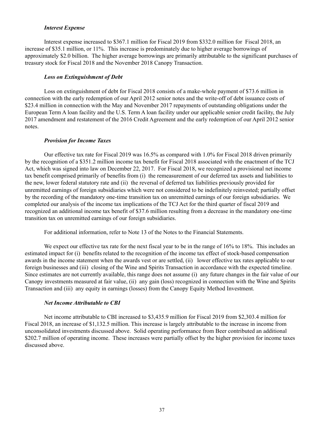#### *Interest Expense*

Interest expense increased to \$367.1 million for Fiscal 2019 from \$332.0 million for Fiscal 2018, an increase of \$35.1 million, or 11%. This increase is predominately due to higher average borrowings of approximately \$2.0 billion. The higher average borrowings are primarily attributable to the significant purchases of treasury stock for Fiscal 2018 and the November 2018 Canopy Transaction.

#### *Loss on Extinguishment of Debt*

Loss on extinguishment of debt for Fiscal 2018 consists of a make-whole payment of \$73.6 million in connection with the early redemption of our April 2012 senior notes and the write-off of debt issuance costs of \$23.4 million in connection with the May and November 2017 repayments of outstanding obligations under the European Term A loan facility and the U.S. Term A loan facility under our applicable senior credit facility, the July 2017 amendment and restatement of the 2016 Credit Agreement and the early redemption of our April 2012 senior notes.

#### *Provision for Income Taxes*

Our effective tax rate for Fiscal 2019 was 16.5% as compared with 1.0% for Fiscal 2018 driven primarily by the recognition of a \$351.2 million income tax benefit for Fiscal 2018 associated with the enactment of the TCJ Act, which was signed into law on December 22, 2017. For Fiscal 2018, we recognized a provisional net income tax benefit comprised primarily of benefits from (i) the remeasurement of our deferred tax assets and liabilities to the new, lower federal statutory rate and (ii) the reversal of deferred tax liabilities previously provided for unremitted earnings of foreign subsidiaries which were not considered to be indefinitely reinvested; partially offset by the recording of the mandatory one-time transition tax on unremitted earnings of our foreign subsidiaries. We completed our analysis of the income tax implications of the TCJ Act for the third quarter of fiscal 2019 and recognized an additional income tax benefit of \$37.6 million resulting from a decrease in the mandatory one-time transition tax on unremitted earnings of our foreign subsidiaries.

For additional information, refer to Note 13 of the Notes to the Financial Statements.

We expect our effective tax rate for the next fiscal year to be in the range of 16% to 18%. This includes an estimated impact for (i) benefits related to the recognition of the income tax effect of stock-based compensation awards in the income statement when the awards vest or are settled, (ii) lower effective tax rates applicable to our foreign businesses and (iii) closing of the Wine and Spirits Transaction in accordance with the expected timeline. Since estimates are not currently available, this range does not assume (i) any future changes in the fair value of our Canopy investments measured at fair value, (ii) any gain (loss) recognized in connection with the Wine and Spirits Transaction and (iii) any equity in earnings (losses) from the Canopy Equity Method Investment.

#### *Net Income Attributable to CBI*

Net income attributable to CBI increased to \$3,435.9 million for Fiscal 2019 from \$2,303.4 million for Fiscal 2018, an increase of \$1,132.5 million. This increase is largely attributable to the increase in income from unconsolidated investments discussed above. Solid operating performance from Beer contributed an additional \$202.7 million of operating income. These increases were partially offset by the higher provision for income taxes discussed above.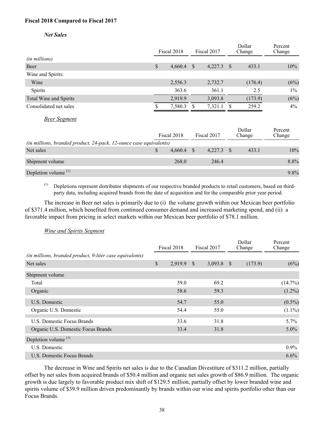## **Fiscal 2018 Compared to Fiscal 2017**

#### *Net Sales*

|                        | Fiscal 2018 |         |     | Fiscal 2017 |      | Dollar<br>Change | Percent<br>Change |
|------------------------|-------------|---------|-----|-------------|------|------------------|-------------------|
| (in millions)          |             |         |     |             |      |                  |                   |
| Beer                   | \$          | 4,660.4 | - S | 4,227.3     | - \$ | 433.1            | 10%               |
| Wine and Spirits:      |             |         |     |             |      |                  |                   |
| Wine                   |             | 2,556.3 |     | 2,732.7     |      | (176.4)          | (6%)              |
| Spirits                |             | 363.6   |     | 361.1       |      | 2.5              | $1\%$             |
| Total Wine and Spirits |             | 2,919.9 |     | 3,093.8     |      | (173.9)          | (6%)              |
| Consolidated net sales |             | 7,580.3 | S   | 7,321.1     | S    | 259.2            | $4\%$             |
|                        |             |         |     |             |      |                  |                   |

*Beer Segment*

|                                                                    | Fiscal 2018  | Fiscal 2017 |              | Dollar<br>Change |       | Percent<br>Change |
|--------------------------------------------------------------------|--------------|-------------|--------------|------------------|-------|-------------------|
| (in millions, branded product, 24-pack, 12-ounce case equivalents) |              |             |              |                  |       |                   |
| Net sales                                                          | $4.660.4$ \$ |             | $4.227.3$ \$ |                  | 433.1 | 10%               |
| Shipment volume                                                    | 268.0        |             | 246.4        |                  |       | 8.8%              |
| Depletion volume <sup>(1)</sup>                                    |              |             |              |                  |       | 9.8%              |

(1) Depletions represent distributor shipments of our respective branded products to retail customers, based on thirdparty data, including acquired brands from the date of acquisition and for the comparable prior year period.

The increase in Beer net sales is primarily due to (i) the volume growth within our Mexican beer portfolio of \$371.4 million, which benefited from continued consumer demand and increased marketing spend, and (ii) a favorable impact from pricing in select markets within our Mexican beer portfolio of \$78.1 million.

#### *Wine and Spirits Segment*

|                                                          |              | Fiscal 2018 |               | Fiscal 2017 |    | Dollar<br>Change | Percent<br>Change |
|----------------------------------------------------------|--------------|-------------|---------------|-------------|----|------------------|-------------------|
| (in millions, branded product, 9-liter case equivalents) |              |             |               |             |    |                  |                   |
| Net sales                                                | $\mathbb{S}$ | 2,919.9     | $\mathcal{S}$ | 3,093.8     | -S | (173.9)          | (6%)              |
| Shipment volume                                          |              |             |               |             |    |                  |                   |
| Total                                                    |              | 59.0        |               | 69.2        |    |                  | $(14.7\%)$        |
| Organic                                                  |              | 58.6        |               | 59.3        |    |                  | $(1.2\%)$         |
| U.S. Domestic                                            |              | 54.7        |               | 55.0        |    |                  | $(0.5\%)$         |
| Organic U.S. Domestic                                    |              | 54.4        |               | 55.0        |    |                  | $(1.1\%)$         |
| U.S. Domestic Focus Brands                               |              | 33.6        |               | 31.8        |    |                  | 5.7%              |
| Organic U.S. Domestic Focus Brands                       |              | 33.4        |               | 31.8        |    |                  | $5.0\%$           |
| Depletion volume <sup>(1)</sup>                          |              |             |               |             |    |                  |                   |
| U.S. Domestic                                            |              |             |               |             |    |                  | $0.9\%$           |
| U.S. Domestic Focus Brands                               |              |             |               |             |    |                  | 6.6%              |

The decrease in Wine and Spirits net sales is due to the Canadian Divestiture of \$311.2 million, partially offset by net sales from acquired brands of \$50.4 million and organic net sales growth of \$86.9 million. The organic growth is due largely to favorable product mix shift of \$129.5 million, partially offset by lower branded wine and spirits volume of \$39.9 million driven predominantly by brands within our wine and spirits portfolio other than our Focus Brands.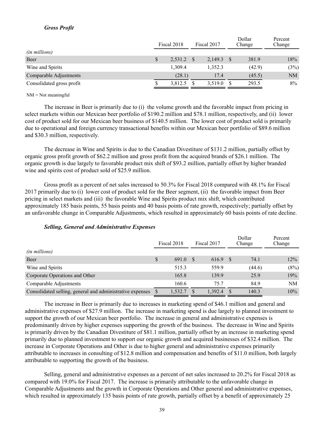## *Gross Profit*

|                           |              | Fiscal 2018 |  | Fiscal 2017 |      | Dollar<br>Change | Percent<br>Change |  |
|---------------------------|--------------|-------------|--|-------------|------|------------------|-------------------|--|
| (in millions)             |              |             |  |             |      |                  |                   |  |
| Beer                      | <sup>S</sup> | 2,531.2 \$  |  | 2,149.3     | - \$ | 381.9            | 18%               |  |
| Wine and Spirits          |              | 1,309.4     |  | 1,352.3     |      | (42.9)           | (3%)              |  |
| Comparable Adjustments    |              | (28.1)      |  | 17.4        |      | (45.5)           | NM                |  |
| Consolidated gross profit |              | 3.812.5     |  | 3,519.0     | -S   | 293.5            | 8%                |  |

#### NM = Not meaningful

The increase in Beer is primarily due to (i) the volume growth and the favorable impact from pricing in select markets within our Mexican beer portfolio of \$190.2 million and \$78.1 million, respectively, and (ii) lower cost of product sold for our Mexican beer business of \$140.5 million. The lower cost of product sold is primarily due to operational and foreign currency transactional benefits within our Mexican beer portfolio of \$89.6 million and \$30.3 million, respectively.

The decrease in Wine and Spirits is due to the Canadian Divestiture of \$131.2 million, partially offset by organic gross profit growth of \$62.2 million and gross profit from the acquired brands of \$26.1 million. The organic growth is due largely to favorable product mix shift of \$93.2 million, partially offset by higher branded wine and spirits cost of product sold of \$25.9 million.

Gross profit as a percent of net sales increased to 50.3% for Fiscal 2018 compared with 48.1% for Fiscal 2017 primarily due to (i) lower cost of product sold for the Beer segment, (ii) the favorable impact from Beer pricing in select markets and (iii) the favorable Wine and Spirits product mix shift, which contributed approximately 185 basis points, 55 basis points and 40 basis points of rate growth, respectively; partially offset by an unfavorable change in Comparable Adjustments, which resulted in approximately 60 basis points of rate decline.

|                                                           |   | Fiscal 2018 | Fiscal 2017 |         |              | Dollar<br>Change | Percent<br>Change |  |
|-----------------------------------------------------------|---|-------------|-------------|---------|--------------|------------------|-------------------|--|
| (in millions)                                             |   |             |             |         |              |                  |                   |  |
| Beer                                                      | S | 691.0       | - \$        | 616.9   | - S          | 74.1             | 12%               |  |
| Wine and Spirits                                          |   | 515.3       |             | 559.9   |              | (44.6)           | (8%)              |  |
| Corporate Operations and Other                            |   | 165.8       |             | 139.9   |              | 25.9             | 19%               |  |
| Comparable Adjustments                                    |   | 160.6       |             | 75.7    |              | 84.9             | NM                |  |
| Consolidated selling, general and administrative expenses |   | 1.532.7     |             | 1.392.4 | <sup>S</sup> | 140.3            | 10%               |  |

## *Selling, General and Administrative Expenses*

The increase in Beer is primarily due to increases in marketing spend of \$46.1 million and general and administrative expenses of \$27.9 million. The increase in marketing spend is due largely to planned investment to support the growth of our Mexican beer portfolio. The increase in general and administrative expenses is predominantly driven by higher expenses supporting the growth of the business. The decrease in Wine and Spirits is primarily driven by the Canadian Divestiture of \$81.1 million, partially offset by an increase in marketing spend primarily due to planned investment to support our organic growth and acquired businesses of \$32.4 million. The increase in Corporate Operations and Other is due to higher general and administrative expenses primarily attributable to increases in consulting of \$12.8 million and compensation and benefits of \$11.0 million, both largely attributable to supporting the growth of the business.

Selling, general and administrative expenses as a percent of net sales increased to 20.2% for Fiscal 2018 as compared with 19.0% for Fiscal 2017. The increase is primarily attributable to the unfavorable change in Comparable Adjustments and the growth in Corporate Operations and Other general and administrative expenses, which resulted in approximately 135 basis points of rate growth, partially offset by a benefit of approximately 25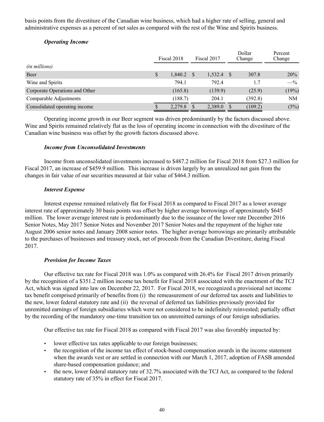basis points from the divestiture of the Canadian wine business, which had a higher rate of selling, general and administrative expenses as a percent of net sales as compared with the rest of the Wine and Spirits business.

# *Operating Income*

|                                |    | Fiscal 2018 | Fiscal 2017 |         |              | Dollar<br>Change | Percent<br>Change |  |
|--------------------------------|----|-------------|-------------|---------|--------------|------------------|-------------------|--|
| (in millions)                  |    |             |             |         |              |                  |                   |  |
| Beer                           | \$ | 1.840.2     | - \$        | 1,532.4 | - S          | 307.8            | 20%               |  |
| Wine and Spirits               |    | 794.1       |             | 792.4   |              |                  | $-$ %             |  |
| Corporate Operations and Other |    | (165.8)     |             | (139.9) |              | (25.9)           | (19%)             |  |
| Comparable Adjustments         |    | (188.7)     |             | 204.1   |              | (392.8)          | NM                |  |
| Consolidated operating income  | D  | 2,279.8     |             | 2,389.0 | <sup>S</sup> | (109.2)          | (5%)              |  |

Operating income growth in our Beer segment was driven predominantly by the factors discussed above. Wine and Spirits remained relatively flat as the loss of operating income in connection with the divestiture of the Canadian wine business was offset by the growth factors discussed above.

# *Income from Unconsolidated Investments*

Income from unconsolidated investments increased to \$487.2 million for Fiscal 2018 from \$27.3 million for Fiscal 2017, an increase of \$459.9 million. This increase is driven largely by an unrealized net gain from the changes in fair value of our securities measured at fair value of \$464.3 million.

## *Interest Expense*

Interest expense remained relatively flat for Fiscal 2018 as compared to Fiscal 2017 as a lower average interest rate of approximately 30 basis points was offset by higher average borrowings of approximately \$645 million. The lower average interest rate is predominantly due to the issuance of the lower rate December 2016 Senior Notes, May 2017 Senior Notes and November 2017 Senior Notes and the repayment of the higher rate August 2006 senior notes and January 2008 senior notes. The higher average borrowings are primarily attributable to the purchases of businesses and treasury stock, net of proceeds from the Canadian Divestiture, during Fiscal 2017.

# *Provision for Income Taxes*

Our effective tax rate for Fiscal 2018 was 1.0% as compared with 26.4% for Fiscal 2017 driven primarily by the recognition of a \$351.2 million income tax benefit for Fiscal 2018 associated with the enactment of the TCJ Act, which was signed into law on December 22, 2017. For Fiscal 2018, we recognized a provisional net income tax benefit comprised primarily of benefits from (i) the remeasurement of our deferred tax assets and liabilities to the new, lower federal statutory rate and (ii) the reversal of deferred tax liabilities previously provided for unremitted earnings of foreign subsidiaries which were not considered to be indefinitely reinvested; partially offset by the recording of the mandatory one-time transition tax on unremitted earnings of our foreign subsidiaries.

Our effective tax rate for Fiscal 2018 as compared with Fiscal 2017 was also favorably impacted by:

- lower effective tax rates applicable to our foreign businesses;
- the recognition of the income tax effect of stock-based compensation awards in the income statement when the awards vest or are settled in connection with our March 1, 2017, adoption of FASB amended share-based compensation guidance; and
- the new, lower federal statutory rate of 32.7% associated with the TCJ Act, as compared to the federal statutory rate of 35% in effect for Fiscal 2017.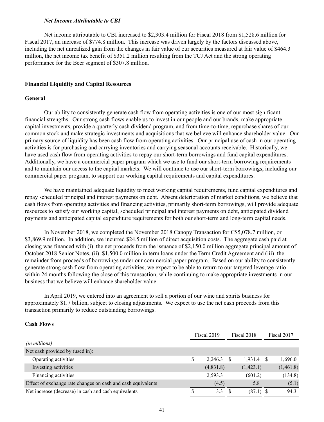## *Net Income Attributable to CBI*

Net income attributable to CBI increased to \$2,303.4 million for Fiscal 2018 from \$1,528.6 million for Fiscal 2017, an increase of \$774.8 million. This increase was driven largely by the factors discussed above, including the net unrealized gain from the changes in fair value of our securities measured at fair value of \$464.3 million, the net income tax benefit of \$351.2 million resulting from the TCJ Act and the strong operating performance for the Beer segment of \$307.8 million.

## **Financial Liquidity and Capital Resources**

### **General**

Our ability to consistently generate cash flow from operating activities is one of our most significant financial strengths. Our strong cash flows enable us to invest in our people and our brands, make appropriate capital investments, provide a quarterly cash dividend program, and from time-to-time, repurchase shares of our common stock and make strategic investments and acquisitions that we believe will enhance shareholder value. Our primary source of liquidity has been cash flow from operating activities. Our principal use of cash in our operating activities is for purchasing and carrying inventories and carrying seasonal accounts receivable. Historically, we have used cash flow from operating activities to repay our short-term borrowings and fund capital expenditures. Additionally, we have a commercial paper program which we use to fund our short-term borrowing requirements and to maintain our access to the capital markets. We will continue to use our short-term borrowings, including our commercial paper program, to support our working capital requirements and capital expenditures.

We have maintained adequate liquidity to meet working capital requirements, fund capital expenditures and repay scheduled principal and interest payments on debt. Absent deterioration of market conditions, we believe that cash flows from operating activities and financing activities, primarily short-term borrowings, will provide adequate resources to satisfy our working capital, scheduled principal and interest payments on debt, anticipated dividend payments and anticipated capital expenditure requirements for both our short-term and long-term capital needs.

In November 2018, we completed the November 2018 Canopy Transaction for C\$5,078.7 million, or \$3,869.9 million. In addition, we incurred \$24.5 million of direct acquisition costs. The aggregate cash paid at closing was financed with (i) the net proceeds from the issuance of \$2,150.0 million aggregate principal amount of October 2018 Senior Notes, (ii) \$1,500.0 million in term loans under the Term Credit Agreement and (iii) the remainder from proceeds of borrowings under our commercial paper program. Based on our ability to consistently generate strong cash flow from operating activities, we expect to be able to return to our targeted leverage ratio within 24 months following the close of this transaction, while continuing to make appropriate investments in our business that we believe will enhance shareholder value.

In April 2019, we entered into an agreement to sell a portion of our wine and spirits business for approximately \$1.7 billion, subject to closing adjustments. We expect to use the net cash proceeds from this transaction primarily to reduce outstanding borrowings.

#### **Cash Flows**

|                                                              | Fiscal 2019 |              |  | Fiscal 2018  | Fiscal 2017 |           |  |
|--------------------------------------------------------------|-------------|--------------|--|--------------|-------------|-----------|--|
| ( <i>in millions</i> )                                       |             |              |  |              |             |           |  |
| Net cash provided by (used in):                              |             |              |  |              |             |           |  |
| Operating activities                                         | \$          | $2,246.3$ \$ |  | $1,931.4$ \$ |             | 1,696.0   |  |
| Investing activities                                         |             | (4,831.8)    |  | (1,423.1)    |             | (1,461.8) |  |
| Financing activities                                         |             | 2,593.3      |  | (601.2)      |             | (134.8)   |  |
| Effect of exchange rate changes on cash and cash equivalents |             | (4.5)        |  | 5.8          |             | (5.1)     |  |
| Net increase (decrease) in cash and cash equivalents         |             | 3.3          |  | $(87.1)$ \$  |             | 94.3      |  |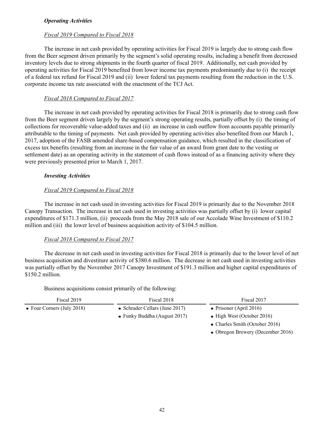### *Operating Activities*

### *Fiscal 2019 Compared to Fiscal 2018*

The increase in net cash provided by operating activities for Fiscal 2019 is largely due to strong cash flow from the Beer segment driven primarily by the segment's solid operating results, including a benefit from decreased inventory levels due to strong shipments in the fourth quarter of fiscal 2019. Additionally, net cash provided by operating activities for Fiscal 2019 benefited from lower income tax payments predominantly due to (i) the receipt of a federal tax refund for Fiscal 2019 and (ii) lower federal tax payments resulting from the reduction in the U.S. corporate income tax rate associated with the enactment of the TCJ Act.

## *Fiscal 2018 Compared to Fiscal 2017*

The increase in net cash provided by operating activities for Fiscal 2018 is primarily due to strong cash flow from the Beer segment driven largely by the segment's strong operating results, partially offset by (i) the timing of collections for recoverable value-added taxes and (ii) an increase in cash outflow from accounts payable primarily attributable to the timing of payments. Net cash provided by operating activities also benefited from our March 1, 2017, adoption of the FASB amended share-based compensation guidance, which resulted in the classification of excess tax benefits (resulting from an increase in the fair value of an award from grant date to the vesting or settlement date) as an operating activity in the statement of cash flows instead of as a financing activity where they were previously presented prior to March 1, 2017.

## *Investing Activities*

## *Fiscal 2019 Compared to Fiscal 2018*

The increase in net cash used in investing activities for Fiscal 2019 is primarily due to the November 2018 Canopy Transaction. The increase in net cash used in investing activities was partially offset by (i) lower capital expenditures of \$171.3 million, (ii) proceeds from the May 2018 sale of our Accolade Wine Investment of \$110.2 million and (iii) the lower level of business acquisition activity of \$104.5 million.

## *Fiscal 2018 Compared to Fiscal 2017*

The decrease in net cash used in investing activities for Fiscal 2018 is primarily due to the lower level of net business acquisition and divestiture activity of \$380.6 million. The decrease in net cash used in investing activities was partially offset by the November 2017 Canopy Investment of \$191.3 million and higher capital expenditures of \$150.2 million.

Business acquisitions consist primarily of the following:

| Fiscal 2019                | Fiscal 2018                    | Fiscal 2017                        |
|----------------------------|--------------------------------|------------------------------------|
| • Four Corners (July 2018) | • Schrader Cellars (June 2017) | • Prisoner (April 2016)            |
|                            | • Funky Buddha (August 2017)   | $\bullet$ High West (October 2016) |
|                            |                                | • Charles Smith (October 2016)     |
|                            |                                | • Obregon Brewery (December 2016)  |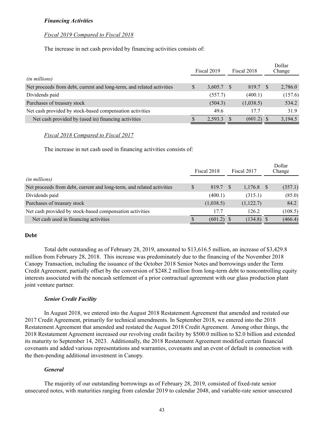#### *Financing Activities*

#### *Fiscal 2019 Compared to Fiscal 2018*

The increase in net cash provided by financing activities consists of:

|                                                                       | Fiscal 2019 |              |  | Fiscal 2018  | Dollar<br>Change |  |
|-----------------------------------------------------------------------|-------------|--------------|--|--------------|------------------|--|
| <i>(in millions)</i>                                                  |             |              |  |              |                  |  |
| Net proceeds from debt, current and long-term, and related activities | S           | $3,605.7$ \$ |  | 819.7 \$     | 2,786.0          |  |
| Dividends paid                                                        |             | (557.7)      |  | (400.1)      | (157.6)          |  |
| Purchases of treasury stock                                           |             | (504.3)      |  | (1,038.5)    | 534.2            |  |
| Net cash provided by stock-based compensation activities              |             | 49.6         |  | 177          | 31.9             |  |
| Net cash provided by (used in) financing activities                   |             | 2,593.3      |  | $(601.2)$ \$ | 3,194.5          |  |

#### *Fiscal 2018 Compared to Fiscal 2017*

The increase in net cash used in financing activities consists of:

|                                                                       | Fiscal 2018   |              |  | Fiscal 2017  | Dollar<br>Change |
|-----------------------------------------------------------------------|---------------|--------------|--|--------------|------------------|
| (in millions)                                                         |               |              |  |              |                  |
| Net proceeds from debt, current and long-term, and related activities | <sup>\$</sup> | 819.7 \$     |  | $1,176.8$ \$ | (357.1)          |
| Dividends paid                                                        |               | (400.1)      |  | (315.1)      | (85.0)           |
| Purchases of treasury stock                                           |               | (1,038.5)    |  | (1, 122.7)   | 84.2             |
| Net cash provided by stock-based compensation activities              |               | 17.7         |  | 126.2        | (108.5)          |
| Net cash used in financing activities                                 | <sup>S</sup>  | $(601.2)$ \$ |  | $(134.8)$ \$ | (466.4)          |

#### **Debt**

Total debt outstanding as of February 28, 2019, amounted to \$13,616.5 million, an increase of \$3,429.8 million from February 28, 2018. This increase was predominately due to the financing of the November 2018 Canopy Transaction, including the issuance of the October 2018 Senior Notes and borrowings under the Term Credit Agreement, partially offset by the conversion of \$248.2 million from long-term debt to noncontrolling equity interests associated with the noncash settlement of a prior contractual agreement with our glass production plant joint venture partner.

#### *Senior Credit Facility*

In August 2018, we entered into the August 2018 Restatement Agreement that amended and restated our 2017 Credit Agreement, primarily for technical amendments. In September 2018, we entered into the 2018 Restatement Agreement that amended and restated the August 2018 Credit Agreement. Among other things, the 2018 Restatement Agreement increased our revolving credit facility by \$500.0 million to \$2.0 billion and extended its maturity to September 14, 2023. Additionally, the 2018 Restatement Agreement modified certain financial covenants and added various representations and warranties, covenants and an event of default in connection with the then-pending additional investment in Canopy.

#### *General*

The majority of our outstanding borrowings as of February 28, 2019, consisted of fixed-rate senior unsecured notes, with maturities ranging from calendar 2019 to calendar 2048, and variable-rate senior unsecured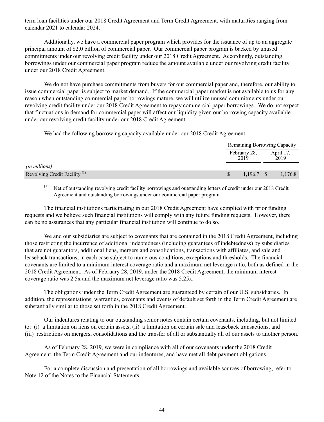term loan facilities under our 2018 Credit Agreement and Term Credit Agreement, with maturities ranging from calendar 2021 to calendar 2024.

Additionally, we have a commercial paper program which provides for the issuance of up to an aggregate principal amount of \$2.0 billion of commercial paper. Our commercial paper program is backed by unused commitments under our revolving credit facility under our 2018 Credit Agreement. Accordingly, outstanding borrowings under our commercial paper program reduce the amount available under our revolving credit facility under our 2018 Credit Agreement.

We do not have purchase commitments from buyers for our commercial paper and, therefore, our ability to issue commercial paper is subject to market demand. If the commercial paper market is not available to us for any reason when outstanding commercial paper borrowings mature, we will utilize unused commitments under our revolving credit facility under our 2018 Credit Agreement to repay commercial paper borrowings. We do not expect that fluctuations in demand for commercial paper will affect our liquidity given our borrowing capacity available under our revolving credit facility under our 2018 Credit Agreement.

We had the following borrowing capacity available under our 2018 Credit Agreement:

|                                          |                      |  | Remaining Borrowing Capacity |                        |  |
|------------------------------------------|----------------------|--|------------------------------|------------------------|--|
|                                          | February 28,<br>2019 |  |                              | April 17,<br>2019      |  |
| <i>(in millions)</i>                     |                      |  |                              |                        |  |
| Revolving Credit Facility <sup>(1)</sup> |                      |  |                              | $1,196.7$ \$ $1,176.8$ |  |
|                                          |                      |  |                              |                        |  |

 $(1)$  Net of outstanding revolving credit facility borrowings and outstanding letters of credit under our 2018 Credit Agreement and outstanding borrowings under our commercial paper program.

The financial institutions participating in our 2018 Credit Agreement have complied with prior funding requests and we believe such financial institutions will comply with any future funding requests. However, there can be no assurances that any particular financial institution will continue to do so.

We and our subsidiaries are subject to covenants that are contained in the 2018 Credit Agreement, including those restricting the incurrence of additional indebtedness (including guarantees of indebtedness) by subsidiaries that are not guarantors, additional liens, mergers and consolidations, transactions with affiliates, and sale and leaseback transactions, in each case subject to numerous conditions, exceptions and thresholds. The financial covenants are limited to a minimum interest coverage ratio and a maximum net leverage ratio, both as defined in the 2018 Credit Agreement. As of February 28, 2019, under the 2018 Credit Agreement, the minimum interest coverage ratio was 2.5x and the maximum net leverage ratio was 5.25x.

The obligations under the Term Credit Agreement are guaranteed by certain of our U.S. subsidiaries. In addition, the representations, warranties, covenants and events of default set forth in the Term Credit Agreement are substantially similar to those set forth in the 2018 Credit Agreement.

Our indentures relating to our outstanding senior notes contain certain covenants, including, but not limited to: (i) a limitation on liens on certain assets, (ii) a limitation on certain sale and leaseback transactions, and (iii) restrictions on mergers, consolidations and the transfer of all or substantially all of our assets to another person.

As of February 28, 2019, we were in compliance with all of our covenants under the 2018 Credit Agreement, the Term Credit Agreement and our indentures, and have met all debt payment obligations.

For a complete discussion and presentation of all borrowings and available sources of borrowing, refer to Note 12 of the Notes to the Financial Statements.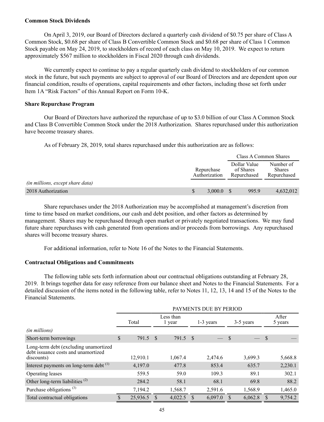## **Common Stock Dividends**

On April 3, 2019, our Board of Directors declared a quarterly cash dividend of \$0.75 per share of Class A Common Stock, \$0.68 per share of Class B Convertible Common Stock and \$0.68 per share of Class 1 Common Stock payable on May 24, 2019, to stockholders of record of each class on May 10, 2019. We expect to return approximately \$567 million to stockholders in Fiscal 2020 through cash dividends.

We currently expect to continue to pay a regular quarterly cash dividend to stockholders of our common stock in the future, but such payments are subject to approval of our Board of Directors and are dependent upon our financial condition, results of operations, capital requirements and other factors, including those set forth under Item 1A "Risk Factors" of this Annual Report on Form 10-K.

#### **Share Repurchase Program**

Our Board of Directors have authorized the repurchase of up to \$3.0 billion of our Class A Common Stock and Class B Convertible Common Stock under the 2018 Authorization. Shares repurchased under this authorization have become treasury shares.

As of February 28, 2019, total shares repurchased under this authorization are as follows:

|                                         |                             |              |                                          |       | Class A Common Shares                     |  |
|-----------------------------------------|-----------------------------|--------------|------------------------------------------|-------|-------------------------------------------|--|
|                                         | Repurchase<br>Authorization |              | Dollar Value<br>of Shares<br>Repurchased |       | Number of<br><b>Shares</b><br>Repurchased |  |
| <i>(in millions, except share data)</i> |                             |              |                                          |       |                                           |  |
| 2018 Authorization                      | <sup>S</sup>                | $3,000.0$ \$ |                                          | 995.9 | 4,632,012                                 |  |

Share repurchases under the 2018 Authorization may be accomplished at management's discretion from time to time based on market conditions, our cash and debt position, and other factors as determined by management. Shares may be repurchased through open market or privately negotiated transactions. We may fund future share repurchases with cash generated from operations and/or proceeds from borrowings. Any repurchased shares will become treasury shares.

For additional information, refer to Note 16 of the Notes to the Financial Statements.

## **Contractual Obligations and Commitments**

The following table sets forth information about our contractual obligations outstanding at February 28, 2019. It brings together data for easy reference from our balance sheet and Notes to the Financial Statements. For a detailed discussion of the items noted in the following table, refer to Notes 11, 12, 13, 14 and 15 of the Notes to the Financial Statements.

|                                                                                            |              |          |               |                     |             | PAYMENTS DUE BY PERIOD |              |           |                  |         |
|--------------------------------------------------------------------------------------------|--------------|----------|---------------|---------------------|-------------|------------------------|--------------|-----------|------------------|---------|
|                                                                                            |              | Total    |               | Less than<br>1 year | 1-3 years   |                        |              | 3-5 years | After<br>5 years |         |
| (in millions)                                                                              |              |          |               |                     |             |                        |              |           |                  |         |
| Short-term borrowings                                                                      | $\mathbb{S}$ | 791.5    | - \$          | 791.5               | $\mathbf S$ |                        | <sup>S</sup> |           | \$               |         |
| Long-term debt (excluding unamortized<br>debt issuance costs and unamortized<br>discounts) |              | 12,910.1 |               | 1,067.4             |             | 2,474.6                |              | 3,699.3   |                  | 5,668.8 |
| Interest payments on long-term debt <sup>(1)</sup>                                         |              | 4,197.0  |               | 477.8               |             | 853.4                  |              | 635.7     |                  | 2,230.1 |
| Operating leases                                                                           |              | 559.5    |               | 59.0                |             | 109.3                  |              | 89.1      |                  | 302.1   |
| Other long-term liabilities $(2)$                                                          |              | 284.2    |               | 58.1                |             | 68.1                   |              | 69.8      |                  | 88.2    |
| Purchase obligations <sup>(3)</sup>                                                        |              | 7,194.2  |               | 1,568.7             |             | 2,591.6                |              | 1,568.9   |                  | 1,465.0 |
| Total contractual obligations                                                              |              | 25,936.5 | <sup>\$</sup> | 4,022.5             |             | 6.097.0                | \$.          | 6,062.8   | <b>S</b>         | 9,754.2 |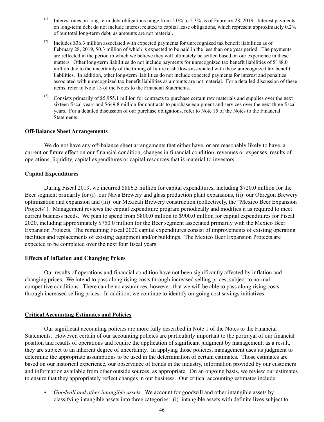- $(1)$  Interest rates on long-term debt obligations range from 2.0% to 5.3% as of February 28, 2019. Interest payments on long-term debt do not include interest related to capital lease obligations, which represent approximately 0.2% of our total long-term debt, as amounts are not material.
- $(2)$  Includes \$36.3 million associated with expected payments for unrecognized tax benefit liabilities as of February 28, 2019, \$0.3 million of which is expected to be paid in the less than one year period. The payments are reflected in the period in which we believe they will ultimately be settled based on our experience in these matters. Other long-term liabilities do not include payments for unrecognized tax benefit liabilities of \$188.0 million due to the uncertainty of the timing of future cash flows associated with these unrecognized tax benefit liabilities. In addition, other long-term liabilities do not include expected payments for interest and penalties associated with unrecognized tax benefit liabilities as amounts are not material. For a detailed discussion of these items, refer to Note 13 of the Notes to the Financial Statements.
- $(3)$  Consists primarily of \$5,955.1 million for contracts to purchase certain raw materials and supplies over the next sixteen fiscal years and \$649.8 million for contracts to purchase equipment and services over the next three fiscal years. For a detailed discussion of our purchase obligations, refer to Note 15 of the Notes to the Financial Statements.

#### **Off-Balance Sheet Arrangements**

We do not have any off-balance sheet arrangements that either have, or are reasonably likely to have, a current or future effect on our financial condition, changes in financial condition, revenues or expenses, results of operations, liquidity, capital expenditures or capital resources that is material to investors.

## **Capital Expenditures**

During Fiscal 2019, we incurred \$886.3 million for capital expenditures, including \$720.0 million for the Beer segment primarily for (i) our Nava Brewery and glass production plant expansions, (ii) our Obregon Brewery optimization and expansion and (iii) our Mexicali Brewery construction (collectively, the "Mexico Beer Expansion Projects"). Management reviews the capital expenditure program periodically and modifies it as required to meet current business needs. We plan to spend from \$800.0 million to \$900.0 million for capital expenditures for Fiscal 2020, including approximately \$750.0 million for the Beer segment associated primarily with the Mexico Beer Expansion Projects. The remaining Fiscal 2020 capital expenditures consist of improvements of existing operating facilities and replacements of existing equipment and/or buildings. The Mexico Beer Expansion Projects are expected to be completed over the next four fiscal years.

#### **Effects of Inflation and Changing Prices**

Our results of operations and financial condition have not been significantly affected by inflation and changing prices. We intend to pass along rising costs through increased selling prices, subject to normal competitive conditions. There can be no assurances, however, that we will be able to pass along rising costs through increased selling prices. In addition, we continue to identify on-going cost savings initiatives.

## **Critical Accounting Estimates and Policies**

Our significant accounting policies are more fully described in Note 1 of the Notes to the Financial Statements. However, certain of our accounting policies are particularly important to the portrayal of our financial position and results of operations and require the application of significant judgment by management; as a result, they are subject to an inherent degree of uncertainty. In applying those policies, management uses its judgment to determine the appropriate assumptions to be used in the determination of certain estimates. Those estimates are based on our historical experience, our observance of trends in the industry, information provided by our customers and information available from other outside sources, as appropriate. On an ongoing basis, we review our estimates to ensure that they appropriately reflect changes in our business. Our critical accounting estimates include:

• *Goodwill and other intangible assets.* We account for goodwill and other intangible assets by classifying intangible assets into three categories: (i) intangible assets with definite lives subject to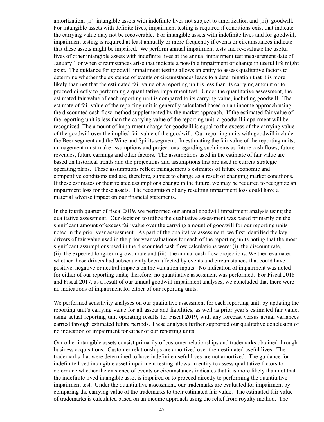amortization, (ii) intangible assets with indefinite lives not subject to amortization and (iii) goodwill. For intangible assets with definite lives, impairment testing is required if conditions exist that indicate the carrying value may not be recoverable. For intangible assets with indefinite lives and for goodwill, impairment testing is required at least annually or more frequently if events or circumstances indicate that these assets might be impaired. We perform annual impairment tests and re-evaluate the useful lives of other intangible assets with indefinite lives at the annual impairment test measurement date of January 1 or when circumstances arise that indicate a possible impairment or change in useful life might exist. The guidance for goodwill impairment testing allows an entity to assess qualitative factors to determine whether the existence of events or circumstances leads to a determination that it is more likely than not that the estimated fair value of a reporting unit is less than its carrying amount or to proceed directly to performing a quantitative impairment test. Under the quantitative assessment, the estimated fair value of each reporting unit is compared to its carrying value, including goodwill. The estimate of fair value of the reporting unit is generally calculated based on an income approach using the discounted cash flow method supplemented by the market approach. If the estimated fair value of the reporting unit is less than the carrying value of the reporting unit, a goodwill impairment will be recognized. The amount of impairment charge for goodwill is equal to the excess of the carrying value of the goodwill over the implied fair value of the goodwill. Our reporting units with goodwill include the Beer segment and the Wine and Spirits segment. In estimating the fair value of the reporting units, management must make assumptions and projections regarding such items as future cash flows, future revenues, future earnings and other factors. The assumptions used in the estimate of fair value are based on historical trends and the projections and assumptions that are used in current strategic operating plans. These assumptions reflect management's estimates of future economic and competitive conditions and are, therefore, subject to change as a result of changing market conditions. If these estimates or their related assumptions change in the future, we may be required to recognize an impairment loss for these assets. The recognition of any resulting impairment loss could have a material adverse impact on our financial statements.

In the fourth quarter of fiscal 2019, we performed our annual goodwill impairment analysis using the qualitative assessment. Our decision to utilize the qualitative assessment was based primarily on the significant amount of excess fair value over the carrying amount of goodwill for our reporting units noted in the prior year assessment. As part of the qualitative assessment, we first identified the key drivers of fair value used in the prior year valuations for each of the reporting units noting that the most significant assumptions used in the discounted cash flow calculations were: (i) the discount rate, (ii) the expected long-term growth rate and (iii) the annual cash flow projections. We then evaluated whether those drivers had subsequently been affected by events and circumstances that could have positive, negative or neutral impacts on the valuation inputs. No indication of impairment was noted for either of our reporting units; therefore, no quantitative assessment was performed. For Fiscal 2018 and Fiscal 2017, as a result of our annual goodwill impairment analyses, we concluded that there were no indications of impairment for either of our reporting units.

We performed sensitivity analyses on our qualitative assessment for each reporting unit, by updating the reporting unit's carrying value for all assets and liabilities, as well as prior year's estimated fair value, using actual reporting unit operating results for Fiscal 2019, with any forecast versus actual variances carried through estimated future periods. These analyses further supported our qualitative conclusion of no indication of impairment for either of our reporting units.

Our other intangible assets consist primarily of customer relationships and trademarks obtained through business acquisitions. Customer relationships are amortized over their estimated useful lives. The trademarks that were determined to have indefinite useful lives are not amortized. The guidance for indefinite lived intangible asset impairment testing allows an entity to assess qualitative factors to determine whether the existence of events or circumstances indicates that it is more likely than not that the indefinite lived intangible asset is impaired or to proceed directly to performing the quantitative impairment test. Under the quantitative assessment, our trademarks are evaluated for impairment by comparing the carrying value of the trademarks to their estimated fair value. The estimated fair value of trademarks is calculated based on an income approach using the relief from royalty method. The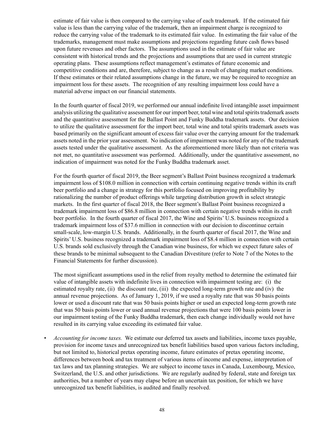estimate of fair value is then compared to the carrying value of each trademark. If the estimated fair value is less than the carrying value of the trademark, then an impairment charge is recognized to reduce the carrying value of the trademark to its estimated fair value. In estimating the fair value of the trademarks, management must make assumptions and projections regarding future cash flows based upon future revenues and other factors. The assumptions used in the estimate of fair value are consistent with historical trends and the projections and assumptions that are used in current strategic operating plans. These assumptions reflect management's estimates of future economic and competitive conditions and are, therefore, subject to change as a result of changing market conditions. If these estimates or their related assumptions change in the future, we may be required to recognize an impairment loss for these assets. The recognition of any resulting impairment loss could have a material adverse impact on our financial statements.

In the fourth quarter of fiscal 2019, we performed our annual indefinite lived intangible asset impairment analysis utilizing the qualitative assessment for our import beer, total wine and total spirits trademark assets and the quantitative assessment for the Ballast Point and Funky Buddha trademark assets. Our decision to utilize the qualitative assessment for the import beer, total wine and total spirits trademark assets was based primarily on the significant amount of excess fair value over the carrying amount for the trademark assets noted in the prior year assessment. No indication of impairment was noted for any of the trademark assets tested under the qualitative assessment. As the aforementioned more likely than not criteria was not met, no quantitative assessment was performed. Additionally, under the quantitative assessment, no indication of impairment was noted for the Funky Buddha trademark asset.

For the fourth quarter of fiscal 2019, the Beer segment's Ballast Point business recognized a trademark impairment loss of \$108.0 million in connection with certain continuing negative trends within its craft beer portfolio and a change in strategy for this portfolio focused on improving profitability by rationalizing the number of product offerings while targeting distribution growth in select strategic markets. In the first quarter of fiscal 2018, the Beer segment's Ballast Point business recognized a trademark impairment loss of \$86.8 million in connection with certain negative trends within its craft beer portfolio. In the fourth quarter of fiscal 2017, the Wine and Spirits' U.S. business recognized a trademark impairment loss of \$37.6 million in connection with our decision to discontinue certain small-scale, low-margin U.S. brands. Additionally, in the fourth quarter of fiscal 2017, the Wine and Spirits' U.S. business recognized a trademark impairment loss of \$8.4 million in connection with certain U.S. brands sold exclusively through the Canadian wine business, for which we expect future sales of these brands to be minimal subsequent to the Canadian Divestiture (refer to Note 7 of the Notes to the Financial Statements for further discussion).

The most significant assumptions used in the relief from royalty method to determine the estimated fair value of intangible assets with indefinite lives in connection with impairment testing are: (i) the estimated royalty rate, (ii) the discount rate, (iii) the expected long-term growth rate and (iv) the annual revenue projections. As of January 1, 2019, if we used a royalty rate that was 50 basis points lower or used a discount rate that was 50 basis points higher or used an expected long-term growth rate that was 50 basis points lower or used annual revenue projections that were 100 basis points lower in our impairment testing of the Funky Buddha trademark, then each change individually would not have resulted in its carrying value exceeding its estimated fair value.

• *Accounting for income taxes.* We estimate our deferred tax assets and liabilities, income taxes payable, provision for income taxes and unrecognized tax benefit liabilities based upon various factors including, but not limited to, historical pretax operating income, future estimates of pretax operating income, differences between book and tax treatment of various items of income and expense, interpretation of tax laws and tax planning strategies. We are subject to income taxes in Canada, Luxembourg, Mexico, Switzerland, the U.S. and other jurisdictions. We are regularly audited by federal, state and foreign tax authorities, but a number of years may elapse before an uncertain tax position, for which we have unrecognized tax benefit liabilities, is audited and finally resolved.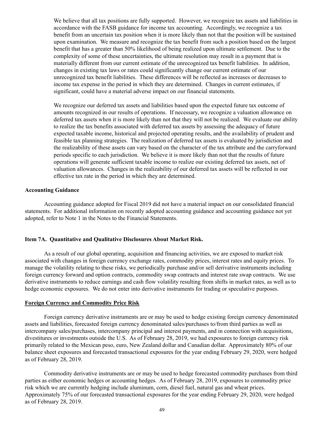We believe that all tax positions are fully supported. However, we recognize tax assets and liabilities in accordance with the FASB guidance for income tax accounting. Accordingly, we recognize a tax benefit from an uncertain tax position when it is more likely than not that the position will be sustained upon examination. We measure and recognize the tax benefit from such a position based on the largest benefit that has a greater than 50% likelihood of being realized upon ultimate settlement. Due to the complexity of some of these uncertainties, the ultimate resolution may result in a payment that is materially different from our current estimate of the unrecognized tax benefit liabilities. In addition, changes in existing tax laws or rates could significantly change our current estimate of our unrecognized tax benefit liabilities. These differences will be reflected as increases or decreases to income tax expense in the period in which they are determined. Changes in current estimates, if significant, could have a material adverse impact on our financial statements.

We recognize our deferred tax assets and liabilities based upon the expected future tax outcome of amounts recognized in our results of operations. If necessary, we recognize a valuation allowance on deferred tax assets when it is more likely than not that they will not be realized. We evaluate our ability to realize the tax benefits associated with deferred tax assets by assessing the adequacy of future expected taxable income, historical and projected operating results, and the availability of prudent and feasible tax planning strategies. The realization of deferred tax assets is evaluated by jurisdiction and the realizability of these assets can vary based on the character of the tax attribute and the carryforward periods specific to each jurisdiction. We believe it is more likely than not that the results of future operations will generate sufficient taxable income to realize our existing deferred tax assets, net of valuation allowances. Changes in the realizability of our deferred tax assets will be reflected in our effective tax rate in the period in which they are determined.

#### **Accounting Guidance**

Accounting guidance adopted for Fiscal 2019 did not have a material impact on our consolidated financial statements. For additional information on recently adopted accounting guidance and accounting guidance not yet adopted, refer to Note 1 in the Notes to the Financial Statements.

## **Item 7A. Quantitative and Qualitative Disclosures About Market Risk.**

As a result of our global operating, acquisition and financing activities, we are exposed to market risk associated with changes in foreign currency exchange rates, commodity prices, interest rates and equity prices. To manage the volatility relating to these risks, we periodically purchase and/or sell derivative instruments including foreign currency forward and option contracts, commodity swap contracts and interest rate swap contracts. We use derivative instruments to reduce earnings and cash flow volatility resulting from shifts in market rates, as well as to hedge economic exposures. We do not enter into derivative instruments for trading or speculative purposes.

#### **Foreign Currency and Commodity Price Risk**

Foreign currency derivative instruments are or may be used to hedge existing foreign currency denominated assets and liabilities, forecasted foreign currency denominated sales/purchases to/from third parties as well as intercompany sales/purchases, intercompany principal and interest payments, and in connection with acquisitions, divestitures or investments outside the U.S. As of February 28, 2019, we had exposures to foreign currency risk primarily related to the Mexican peso, euro, New Zealand dollar and Canadian dollar. Approximately 80% of our balance sheet exposures and forecasted transactional exposures for the year ending February 29, 2020, were hedged as of February 28, 2019.

Commodity derivative instruments are or may be used to hedge forecasted commodity purchases from third parties as either economic hedges or accounting hedges. As of February 28, 2019, exposures to commodity price risk which we are currently hedging include aluminum, corn, diesel fuel, natural gas and wheat prices. Approximately 75% of our forecasted transactional exposures for the year ending February 29, 2020, were hedged as of February 28, 2019.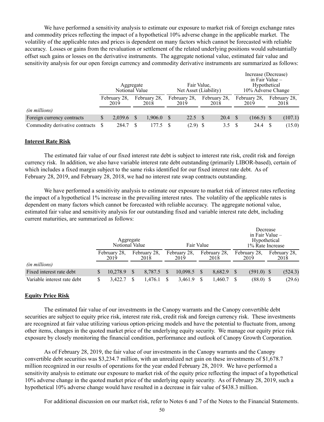We have performed a sensitivity analysis to estimate our exposure to market risk of foreign exchange rates and commodity prices reflecting the impact of a hypothetical 10% adverse change in the applicable market. The volatility of the applicable rates and prices is dependent on many factors which cannot be forecasted with reliable accuracy. Losses or gains from the revaluation or settlement of the related underlying positions would substantially offset such gains or losses on the derivative instruments. The aggregate notional value, estimated fair value and sensitivity analysis for our open foreign currency and commodity derivative instruments are summarized as follows:

|                                | Aggregate<br>Notional Value |                      |     |                      |                      | Fair Value,<br>Net Asset (Liability) |                      |      | Increase (Decrease)<br>in Fair Value –<br>Hypothetical<br>10% Adverse Change |              |                      |         |  |
|--------------------------------|-----------------------------|----------------------|-----|----------------------|----------------------|--------------------------------------|----------------------|------|------------------------------------------------------------------------------|--------------|----------------------|---------|--|
|                                |                             | February 28.<br>2019 |     | February 28.<br>2018 | February 28,<br>2019 |                                      | February 28.<br>2018 |      | February 28,<br>2019                                                         |              | February 28,<br>2018 |         |  |
| (in millions)                  |                             |                      |     |                      |                      |                                      |                      |      |                                                                              |              |                      |         |  |
| Foreign currency contracts     | S.                          | 2,039.6              | - S | 1,906.0              |                      | 22.5                                 |                      | 20.4 | - S                                                                          | $(166.5)$ \$ |                      | (107.1) |  |
| Commodity derivative contracts |                             | 284.7                |     | 177.5                |                      | $(2.9)$ \$                           |                      | 3.5  |                                                                              | 24.4         |                      | (15.0)  |  |

#### **Interest Rate Risk**

The estimated fair value of our fixed interest rate debt is subject to interest rate risk, credit risk and foreign currency risk. In addition, we also have variable interest rate debt outstanding (primarily LIBOR-based), certain of which includes a fixed margin subject to the same risks identified for our fixed interest rate debt. As of February 28, 2019, and February 28, 2018, we had no interest rate swap contracts outstanding.

We have performed a sensitivity analysis to estimate our exposure to market risk of interest rates reflecting the impact of a hypothetical 1% increase in the prevailing interest rates. The volatility of the applicable rates is dependent on many factors which cannot be forecasted with reliable accuracy. The aggregate notional value, estimated fair value and sensitivity analysis for our outstanding fixed and variable interest rate debt, including current maturities, are summarized as follows:

|                             | Aggregate<br>Notional Value |   |                      |  | Fair Value           |  |                      |  | Decrease<br>in Fair Value –<br>Hypothetical<br>1% Rate Increase |  |                      |  |
|-----------------------------|-----------------------------|---|----------------------|--|----------------------|--|----------------------|--|-----------------------------------------------------------------|--|----------------------|--|
|                             | February 28,<br>2019        |   | February 28.<br>2018 |  | February 28,<br>2019 |  | February 28.<br>2018 |  | February 28,<br>2019                                            |  | February 28,<br>2018 |  |
| (in millions)               |                             |   |                      |  |                      |  |                      |  |                                                                 |  |                      |  |
| Fixed interest rate debt    | 10.278.9                    | S | 8,787.5              |  | 10,098.5             |  | 8,682.9              |  | $(591.0)$ \$                                                    |  | (524.3)              |  |
| Variable interest rate debt | 3.422.7                     |   | 1,476.1              |  | 3,461.9              |  | 1,460.7              |  | $(88.0)$ \$                                                     |  | (29.6)               |  |

#### **Equity Price Risk**

The estimated fair value of our investments in the Canopy warrants and the Canopy convertible debt securities are subject to equity price risk, interest rate risk, credit risk and foreign currency risk. These investments are recognized at fair value utilizing various option-pricing models and have the potential to fluctuate from, among other items, changes in the quoted market price of the underlying equity security. We manage our equity price risk exposure by closely monitoring the financial condition, performance and outlook of Canopy Growth Corporation.

As of February 28, 2019, the fair value of our investments in the Canopy warrants and the Canopy convertible debt securities was \$3,234.7 million, with an unrealized net gain on these investments of \$1,678.7 million recognized in our results of operations for the year ended February 28, 2019. We have performed a sensitivity analysis to estimate our exposure to market risk of the equity price reflecting the impact of a hypothetical 10% adverse change in the quoted market price of the underlying equity security. As of February 28, 2019, such a hypothetical 10% adverse change would have resulted in a decrease in fair value of \$438.3 million.

For additional discussion on our market risk, refer to Notes 6 and 7 of the Notes to the Financial Statements.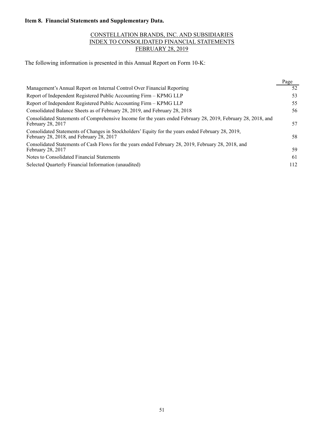# **Item 8. Financial Statements and Supplementary Data.**

# CONSTELLATION BRANDS, INC. AND SUBSIDIARIES INDEX TO CONSOLIDATED FINANCIAL STATEMENTS FEBRUARY 28, 2019

The following information is presented in this Annual Report on Form 10-K:

| Page |
|------|
| 52   |
| 53   |
| 55   |
| 56   |
| 57   |
| 58   |
| 59   |
| 61   |
| 112  |
|      |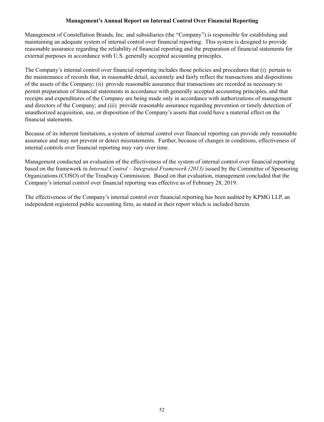## **Management's Annual Report on Internal Control Over Financial Reporting**

Management of Constellation Brands, Inc. and subsidiaries (the "Company") is responsible for establishing and maintaining an adequate system of internal control over financial reporting. This system is designed to provide reasonable assurance regarding the reliability of financial reporting and the preparation of financial statements for external purposes in accordance with U.S. generally accepted accounting principles.

The Company's internal control over financial reporting includes those policies and procedures that (i) pertain to the maintenance of records that, in reasonable detail, accurately and fairly reflect the transactions and dispositions of the assets of the Company; (ii) provide reasonable assurance that transactions are recorded as necessary to permit preparation of financial statements in accordance with generally accepted accounting principles, and that receipts and expenditures of the Company are being made only in accordance with authorizations of management and directors of the Company; and (iii) provide reasonable assurance regarding prevention or timely detection of unauthorized acquisition, use, or disposition of the Company's assets that could have a material effect on the financial statements.

Because of its inherent limitations, a system of internal control over financial reporting can provide only reasonable assurance and may not prevent or detect misstatements. Further, because of changes in conditions, effectiveness of internal controls over financial reporting may vary over time.

Management conducted an evaluation of the effectiveness of the system of internal control over financial reporting based on the framework in *Internal Control – Integrated Framework (2013)* issued by the Committee of Sponsoring Organizations (COSO) of the Treadway Commission. Based on that evaluation, management concluded that the Company's internal control over financial reporting was effective as of February 28, 2019.

The effectiveness of the Company's internal control over financial reporting has been audited by KPMG LLP, an independent registered public accounting firm, as stated in their report which is included herein.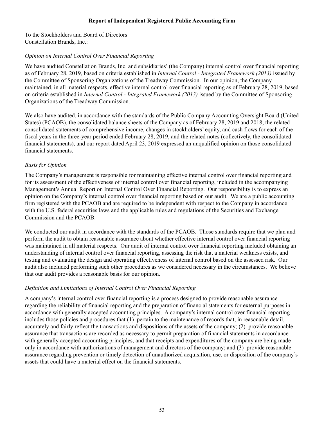# **Report of Independent Registered Public Accounting Firm**

To the Stockholders and Board of Directors Constellation Brands, Inc.:

# *Opinion on Internal Control Over Financial Reporting*

We have audited Constellation Brands, Inc. and subsidiaries' (the Company) internal control over financial reporting as of February 28, 2019, based on criteria established in *Internal Control - Integrated Framework (2013)* issued by the Committee of Sponsoring Organizations of the Treadway Commission. In our opinion, the Company maintained, in all material respects, effective internal control over financial reporting as of February 28, 2019, based on criteria established in *Internal Control - Integrated Framework (2013)* issued by the Committee of Sponsoring Organizations of the Treadway Commission.

We also have audited, in accordance with the standards of the Public Company Accounting Oversight Board (United States) (PCAOB), the consolidated balance sheets of the Company as of February 28, 2019 and 2018, the related consolidated statements of comprehensive income, changes in stockholders' equity, and cash flows for each of the fiscal years in the three-year period ended February 28, 2019, and the related notes (collectively, the consolidated financial statements), and our report dated April 23, 2019 expressed an unqualified opinion on those consolidated financial statements.

# *Basis for Opinion*

The Company's management is responsible for maintaining effective internal control over financial reporting and for its assessment of the effectiveness of internal control over financial reporting, included in the accompanying Management's Annual Report on Internal Control Over Financial Reporting. Our responsibility is to express an opinion on the Company's internal control over financial reporting based on our audit. We are a public accounting firm registered with the PCAOB and are required to be independent with respect to the Company in accordance with the U.S. federal securities laws and the applicable rules and regulations of the Securities and Exchange Commission and the PCAOB.

We conducted our audit in accordance with the standards of the PCAOB. Those standards require that we plan and perform the audit to obtain reasonable assurance about whether effective internal control over financial reporting was maintained in all material respects. Our audit of internal control over financial reporting included obtaining an understanding of internal control over financial reporting, assessing the risk that a material weakness exists, and testing and evaluating the design and operating effectiveness of internal control based on the assessed risk. Our audit also included performing such other procedures as we considered necessary in the circumstances. We believe that our audit provides a reasonable basis for our opinion.

# *Definition and Limitations of Internal Control Over Financial Reporting*

A company's internal control over financial reporting is a process designed to provide reasonable assurance regarding the reliability of financial reporting and the preparation of financial statements for external purposes in accordance with generally accepted accounting principles. A company's internal control over financial reporting includes those policies and procedures that (1) pertain to the maintenance of records that, in reasonable detail, accurately and fairly reflect the transactions and dispositions of the assets of the company; (2) provide reasonable assurance that transactions are recorded as necessary to permit preparation of financial statements in accordance with generally accepted accounting principles, and that receipts and expenditures of the company are being made only in accordance with authorizations of management and directors of the company; and (3) provide reasonable assurance regarding prevention or timely detection of unauthorized acquisition, use, or disposition of the company's assets that could have a material effect on the financial statements.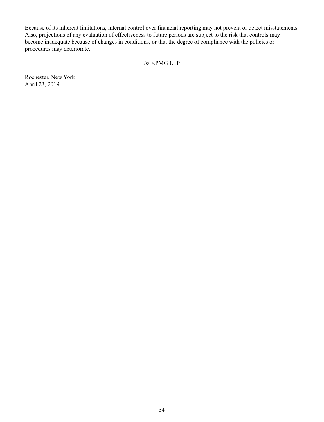Because of its inherent limitations, internal control over financial reporting may not prevent or detect misstatements. Also, projections of any evaluation of effectiveness to future periods are subject to the risk that controls may become inadequate because of changes in conditions, or that the degree of compliance with the policies or procedures may deteriorate.

## /s/ KPMG LLP

Rochester, New York April 23, 2019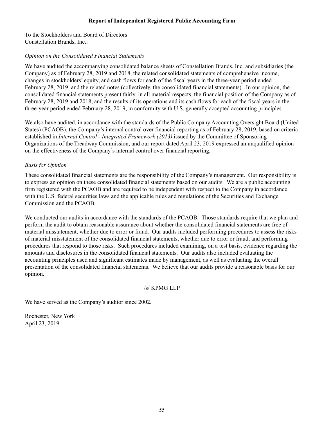# **Report of Independent Registered Public Accounting Firm**

To the Stockholders and Board of Directors Constellation Brands, Inc.:

## *Opinion on the Consolidated Financial Statements*

We have audited the accompanying consolidated balance sheets of Constellation Brands, Inc. and subsidiaries (the Company) as of February 28, 2019 and 2018, the related consolidated statements of comprehensive income, changes in stockholders' equity, and cash flows for each of the fiscal years in the three-year period ended February 28, 2019, and the related notes (collectively, the consolidated financial statements). In our opinion, the consolidated financial statements present fairly, in all material respects, the financial position of the Company as of February 28, 2019 and 2018, and the results of its operations and its cash flows for each of the fiscal years in the three-year period ended February 28, 2019, in conformity with U.S. generally accepted accounting principles.

We also have audited, in accordance with the standards of the Public Company Accounting Oversight Board (United States) (PCAOB), the Company's internal control over financial reporting as of February 28, 2019, based on criteria established in *Internal Control - Integrated Framework (2013)* issued by the Committee of Sponsoring Organizations of the Treadway Commission, and our report dated April 23, 2019 expressed an unqualified opinion on the effectiveness of the Company's internal control over financial reporting*.*

# *Basis for Opinion*

These consolidated financial statements are the responsibility of the Company's management. Our responsibility is to express an opinion on these consolidated financial statements based on our audits. We are a public accounting firm registered with the PCAOB and are required to be independent with respect to the Company in accordance with the U.S. federal securities laws and the applicable rules and regulations of the Securities and Exchange Commission and the PCAOB.

We conducted our audits in accordance with the standards of the PCAOB. Those standards require that we plan and perform the audit to obtain reasonable assurance about whether the consolidated financial statements are free of material misstatement, whether due to error or fraud. Our audits included performing procedures to assess the risks of material misstatement of the consolidated financial statements, whether due to error or fraud, and performing procedures that respond to those risks. Such procedures included examining, on a test basis, evidence regarding the amounts and disclosures in the consolidated financial statements. Our audits also included evaluating the accounting principles used and significant estimates made by management, as well as evaluating the overall presentation of the consolidated financial statements. We believe that our audits provide a reasonable basis for our opinion.

# /s/ KPMG LLP

We have served as the Company's auditor since 2002.

Rochester, New York April 23, 2019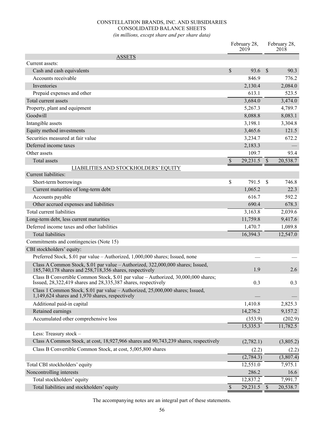#### CONSTELLATION BRANDS, INC. AND SUBSIDIARIES CONSOLIDATED BALANCE SHEETS *(in millions, except share and per share data)*

| <b>ASSETS</b><br>Current assets:<br>$\mathbb{S}$<br>$\mathcal{S}$<br>90.3<br>Cash and cash equivalents<br>93.6<br>Accounts receivable<br>846.9<br>776.2<br>Inventories<br>2,130.4<br>2,084.0<br>Prepaid expenses and other<br>613.1<br>523.5<br>3,474.0<br>3,684.0<br>Total current assets<br>Property, plant and equipment<br>4,789.7<br>5,267.3<br>Goodwill<br>8,088.8<br>8,083.1<br>Intangible assets<br>3,198.1<br>3,304.8<br>121.5<br>Equity method investments<br>3,465.6<br>Securities measured at fair value<br>672.2<br>3,234.7<br>Deferred income taxes<br>2,183.3<br>Other assets<br>109.7<br>93.4 |
|---------------------------------------------------------------------------------------------------------------------------------------------------------------------------------------------------------------------------------------------------------------------------------------------------------------------------------------------------------------------------------------------------------------------------------------------------------------------------------------------------------------------------------------------------------------------------------------------------------------|
|                                                                                                                                                                                                                                                                                                                                                                                                                                                                                                                                                                                                               |
|                                                                                                                                                                                                                                                                                                                                                                                                                                                                                                                                                                                                               |
|                                                                                                                                                                                                                                                                                                                                                                                                                                                                                                                                                                                                               |
|                                                                                                                                                                                                                                                                                                                                                                                                                                                                                                                                                                                                               |
|                                                                                                                                                                                                                                                                                                                                                                                                                                                                                                                                                                                                               |
|                                                                                                                                                                                                                                                                                                                                                                                                                                                                                                                                                                                                               |
|                                                                                                                                                                                                                                                                                                                                                                                                                                                                                                                                                                                                               |
|                                                                                                                                                                                                                                                                                                                                                                                                                                                                                                                                                                                                               |
|                                                                                                                                                                                                                                                                                                                                                                                                                                                                                                                                                                                                               |
|                                                                                                                                                                                                                                                                                                                                                                                                                                                                                                                                                                                                               |
|                                                                                                                                                                                                                                                                                                                                                                                                                                                                                                                                                                                                               |
|                                                                                                                                                                                                                                                                                                                                                                                                                                                                                                                                                                                                               |
|                                                                                                                                                                                                                                                                                                                                                                                                                                                                                                                                                                                                               |
|                                                                                                                                                                                                                                                                                                                                                                                                                                                                                                                                                                                                               |
| \$<br>29,231.5 \$<br>20,538.7<br>Total assets                                                                                                                                                                                                                                                                                                                                                                                                                                                                                                                                                                 |
| LIABILITIES AND STOCKHOLDERS' EQUITY                                                                                                                                                                                                                                                                                                                                                                                                                                                                                                                                                                          |
| Current liabilities:                                                                                                                                                                                                                                                                                                                                                                                                                                                                                                                                                                                          |
| \$<br>Short-term borrowings<br>791.5<br>-S<br>746.8                                                                                                                                                                                                                                                                                                                                                                                                                                                                                                                                                           |
| Current maturities of long-term debt<br>1,065.2<br>22.3                                                                                                                                                                                                                                                                                                                                                                                                                                                                                                                                                       |
| Accounts payable<br>616.7<br>592.2                                                                                                                                                                                                                                                                                                                                                                                                                                                                                                                                                                            |
| Other accrued expenses and liabilities<br>690.4<br>678.3                                                                                                                                                                                                                                                                                                                                                                                                                                                                                                                                                      |
| Total current liabilities<br>2,039.6<br>3,163.8                                                                                                                                                                                                                                                                                                                                                                                                                                                                                                                                                               |
| Long-term debt, less current maturities<br>11,759.8<br>9,417.6                                                                                                                                                                                                                                                                                                                                                                                                                                                                                                                                                |
| Deferred income taxes and other liabilities<br>1,470.7<br>1,089.8                                                                                                                                                                                                                                                                                                                                                                                                                                                                                                                                             |
| <b>Total liabilities</b><br>16,394.3<br>12,547.0                                                                                                                                                                                                                                                                                                                                                                                                                                                                                                                                                              |
| Commitments and contingencies (Note 15)                                                                                                                                                                                                                                                                                                                                                                                                                                                                                                                                                                       |
| CBI stockholders' equity:                                                                                                                                                                                                                                                                                                                                                                                                                                                                                                                                                                                     |
| Preferred Stock, \$.01 par value – Authorized, 1,000,000 shares; Issued, none                                                                                                                                                                                                                                                                                                                                                                                                                                                                                                                                 |
| Class A Common Stock, \$.01 par value - Authorized, 322,000,000 shares; Issued,<br>1.9<br>2.6<br>185,740,178 shares and 258,718,356 shares, respectively                                                                                                                                                                                                                                                                                                                                                                                                                                                      |
| Class B Convertible Common Stock, \$.01 par value - Authorized, 30,000,000 shares;<br>Issued, 28,322,419 shares and 28,335,387 shares, respectively<br>0.3<br>0.3                                                                                                                                                                                                                                                                                                                                                                                                                                             |
| Class 1 Common Stock, \$.01 par value - Authorized, 25,000,000 shares; Issued,<br>1,149,624 shares and 1,970 shares, respectively                                                                                                                                                                                                                                                                                                                                                                                                                                                                             |
| Additional paid-in capital<br>1,410.8<br>2,825.3                                                                                                                                                                                                                                                                                                                                                                                                                                                                                                                                                              |
| Retained earnings<br>14,276.2<br>9,157.2                                                                                                                                                                                                                                                                                                                                                                                                                                                                                                                                                                      |
| Accumulated other comprehensive loss<br>(353.9)<br>(202.9)                                                                                                                                                                                                                                                                                                                                                                                                                                                                                                                                                    |
| 11,782.5<br>15,335.3                                                                                                                                                                                                                                                                                                                                                                                                                                                                                                                                                                                          |
| Less: Treasury stock -                                                                                                                                                                                                                                                                                                                                                                                                                                                                                                                                                                                        |
| Class A Common Stock, at cost, 18,927,966 shares and 90,743,239 shares, respectively<br>(2,782.1)<br>(3,805.2)                                                                                                                                                                                                                                                                                                                                                                                                                                                                                                |
| Class B Convertible Common Stock, at cost, 5,005,800 shares<br>(2.2)<br>(2.2)                                                                                                                                                                                                                                                                                                                                                                                                                                                                                                                                 |
| (2,784.3)<br>(3,807.4)                                                                                                                                                                                                                                                                                                                                                                                                                                                                                                                                                                                        |
| Total CBI stockholders' equity<br>12,551.0<br>7,975.1                                                                                                                                                                                                                                                                                                                                                                                                                                                                                                                                                         |
| Noncontrolling interests<br>286.2<br>16.6                                                                                                                                                                                                                                                                                                                                                                                                                                                                                                                                                                     |
| Total stockholders' equity<br>7,991.7<br>12,837.2                                                                                                                                                                                                                                                                                                                                                                                                                                                                                                                                                             |
| Total liabilities and stockholders' equity<br>$\mathbb S$<br>$29,231.5$ \$<br>20,538.7                                                                                                                                                                                                                                                                                                                                                                                                                                                                                                                        |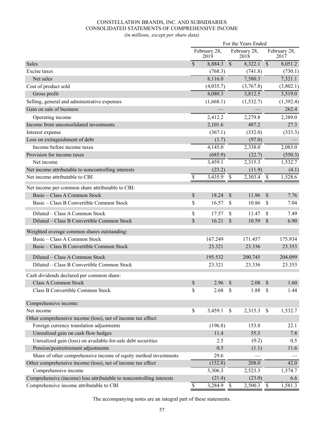#### CONSTELLATION BRANDS, INC. AND SUBSIDIARIES CONSOLIDATED STATEMENTS OF COMPREHENSIVE INCOME *(in millions, except per share data)*

| February 28,<br>February 28,<br>February 28,<br>2019<br>2018<br>2017<br>$\mathbb{S}$<br>$\overline{\mathcal{S}}$<br>8,322.1<br>$\sqrt{\ }$<br>8,884.3<br>Sales<br>Excise taxes<br>(768.3)<br>(741.8) | 8,051.2   |
|------------------------------------------------------------------------------------------------------------------------------------------------------------------------------------------------------|-----------|
|                                                                                                                                                                                                      | (730.1)   |
|                                                                                                                                                                                                      |           |
|                                                                                                                                                                                                      |           |
| 8,116.0<br>7,580.3<br>Net sales                                                                                                                                                                      | 7,321.1   |
| Cost of product sold<br>(4,035.7)<br>(3,767.8)                                                                                                                                                       | (3,802.1) |
| Gross profit<br>4,080.3<br>3,812.5                                                                                                                                                                   | 3,519.0   |
| Selling, general and administrative expenses<br>(1,668.1)<br>(1, 532.7)                                                                                                                              | (1,392.4) |
| Gain on sale of business                                                                                                                                                                             | 262.4     |
| Operating income<br>2,412.2<br>2,279.8                                                                                                                                                               | 2,389.0   |
| Income from unconsolidated investments<br>2,101.6<br>487.2                                                                                                                                           | 27.3      |
| (367.1)<br>Interest expense<br>(332.0)                                                                                                                                                               | (333.3)   |
| Loss on extinguishment of debt<br>(1.7)<br>(97.0)                                                                                                                                                    |           |
| Income before income taxes<br>4,145.0<br>2,338.0                                                                                                                                                     | 2,083.0   |
| Provision for income taxes<br>(685.9)<br>(22.7)                                                                                                                                                      | (550.3)   |
| 3,459.1<br>2,315.3<br>Net income                                                                                                                                                                     | 1,532.7   |
| Net income attributable to noncontrolling interests<br>(23.2)<br>(11.9)                                                                                                                              | (4.1)     |
| Net income attributable to CBI<br>3,435.9<br>$\mathbb{S}$<br>2,303.4<br>\$<br>$\mathbb{S}$                                                                                                           | 1,528.6   |
| Net income per common share attributable to CBI:                                                                                                                                                     |           |
| Basic - Class A Common Stock<br>\$<br>11.96<br>18.24<br>$\boldsymbol{\mathsf{S}}$<br>$\mathbb{S}$                                                                                                    | 7.76      |
| Basic - Class B Convertible Common Stock<br>10.86<br>\$<br>16.57<br>$\mathbb{S}$<br>-\$                                                                                                              | 7.04      |
|                                                                                                                                                                                                      |           |
| Diluted - Class A Common Stock<br>\$<br>\$<br>\$<br>17.57<br>11.47                                                                                                                                   | 7.49      |
| Diluted - Class B Convertible Common Stock<br>\$<br>16.21<br>10.59<br>\$<br>\$                                                                                                                       | 6.90      |
| Weighted average common shares outstanding:                                                                                                                                                          |           |
| Basic - Class A Common Stock<br>167.249<br>171.457                                                                                                                                                   | 175.934   |
| Basic - Class B Convertible Common Stock<br>23.321<br>23.336                                                                                                                                         | 23.353    |
| Diluted - Class A Common Stock<br>195.532<br>200.745                                                                                                                                                 | 204.099   |
| Diluted - Class B Convertible Common Stock<br>23.321<br>23.336                                                                                                                                       | 23.353    |
| Cash dividends declared per common share:                                                                                                                                                            |           |
| \$<br>Class A Common Stock<br>$2.96$ \$<br>2.08<br>\$                                                                                                                                                | 1.60      |
| Class B Convertible Common Stock<br>\$<br>2.68<br>\$<br>1.88<br>\$                                                                                                                                   | 1.44      |
| Comprehensive income:                                                                                                                                                                                |           |
| Net income<br>\$<br>3,459.1<br>\$<br>2,315.3<br>$\mathbb{S}$                                                                                                                                         | 1,532.7   |
| Other comprehensive income (loss), net of income tax effect:                                                                                                                                         |           |
| Foreign currency translation adjustments<br>(196.8)<br>153.8                                                                                                                                         | 22.1      |
| Unrealized gain on cash flow hedges<br>11.4<br>55.5                                                                                                                                                  | 7.8       |
| Unrealized gain (loss) on available-for-sale debt securities<br>2.5<br>(0.2)                                                                                                                         | 0.5       |
| Pension/postretirement adjustments<br>0.5<br>(1.1)                                                                                                                                                   | 11.6      |
| Share of other comprehensive income of equity method investments<br>29.6                                                                                                                             |           |
| Other comprehensive income (loss), net of income tax effect<br>(152.8)<br>208.0                                                                                                                      | 42.0      |
| Comprehensive income<br>3,306.3<br>2,523.3                                                                                                                                                           | 1,574.7   |
| Comprehensive (income) loss attributable to noncontrolling interests<br>(21.4)<br>(23.0)                                                                                                             | 6.6       |
| Comprehensive income attributable to CBI<br>$\mathbb{S}% _{n}^{X\rightarrow\mathbb{R}}$<br>3,284.9 \$<br>$2,500.3$ \$                                                                                | 1,581.3   |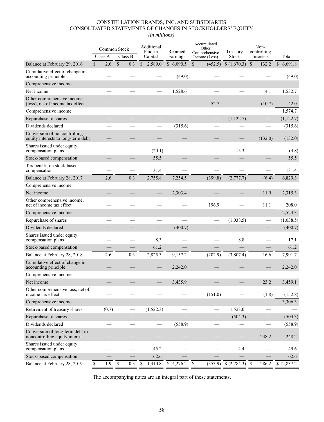#### CONSTELLATION BRANDS, INC. AND SUBSIDIARIES CONSOLIDATED STATEMENTS OF CHANGES IN STOCKHOLDERS' EQUITY *(in millions)*

|                                                                    |                    | Common Stock        | Additional             |                      | Accumulated<br>Other           |                   | Non-                     |                         |
|--------------------------------------------------------------------|--------------------|---------------------|------------------------|----------------------|--------------------------------|-------------------|--------------------------|-------------------------|
|                                                                    | Class A            | Class B             | Paid-in<br>Capital     | Retained<br>Earnings | Comprehensive<br>Income (Loss) | Treasury<br>Stock | controlling<br>Interests | Total                   |
| Balance at February 29, 2016                                       | \$<br>2.6          | $\mathbb{S}$<br>0.3 | $\mathbf S$<br>2,589.0 | \$6,090.5            | $\mathbf S$<br>(452.5)         | $(1,670.3)$ \$    | 132.2                    | $\mathbb{S}$<br>6,691.8 |
| Cumulative effect of change in<br>accounting principle             |                    |                     |                        | (49.0)               |                                |                   |                          | (49.0)                  |
| Comprehensive income:                                              |                    |                     |                        |                      |                                |                   |                          |                         |
| Net income                                                         |                    |                     |                        | 1,528.6              |                                |                   | 4.1                      | 1,532.7                 |
| Other comprehensive income<br>(loss), net of income tax effect     |                    |                     |                        |                      | 52.7                           |                   | (10.7)                   | 42.0                    |
| Comprehensive income                                               |                    |                     |                        |                      |                                |                   |                          | 1,574.7                 |
| Repurchase of shares                                               |                    |                     |                        |                      |                                | (1, 122.7)        |                          | (1, 122.7)              |
| Dividends declared                                                 |                    |                     |                        | (315.6)              |                                |                   |                          | (315.6)                 |
| Conversion of noncontrolling<br>equity interests to long-term debt |                    |                     |                        |                      |                                |                   | (132.0)                  | (132.0)                 |
| Shares issued under equity<br>compensation plans                   |                    |                     | (20.1)                 |                      |                                | 15.3              |                          | (4.8)                   |
| Stock-based compensation                                           |                    |                     | 55.5                   |                      |                                |                   |                          | 55.5                    |
| Tax benefit on stock-based<br>compensation                         |                    |                     | 131.4                  |                      |                                |                   |                          | 131.4                   |
| Balance at February 28, 2017                                       | 2.6                | 0.3                 | 2,755.8                | 7,254.5              | (399.8)                        | (2,777.7)         | (6.4)                    | 6,829.3                 |
| Comprehensive income:                                              |                    |                     |                        |                      |                                |                   |                          |                         |
| Net income                                                         |                    |                     |                        | 2,303.4              |                                |                   | 11.9                     | 2,315.3                 |
| Other comprehensive income,<br>net of income tax effect            |                    |                     |                        |                      | 196.9                          |                   | 11.1                     | 208.0                   |
| Comprehensive income                                               |                    |                     |                        |                      |                                |                   |                          | 2,523.3                 |
| Repurchase of shares                                               |                    |                     |                        |                      |                                | (1,038.5)         |                          | (1,038.5)               |
| Dividends declared                                                 |                    |                     |                        | (400.7)              |                                |                   |                          | (400.7)                 |
| Shares issued under equity<br>compensation plans                   |                    |                     | 8.3                    |                      |                                | 8.8               |                          | 17.1                    |
| Stock-based compensation                                           |                    |                     | 61.2                   |                      |                                |                   |                          | 61.2                    |
| Balance at February 28, 2018                                       | 2.6                | 0.3                 | 2,825.3                | 9,157.2              | (202.9)                        | (3,807.4)         | 16.6                     | 7,991.7                 |
| Cumulative effect of change in<br>accounting principle             |                    |                     |                        | 2,242.0              |                                |                   |                          | 2,242.0                 |
| Comprehensive income:                                              |                    |                     |                        |                      |                                |                   |                          |                         |
| Net income                                                         |                    |                     |                        | 3,435.9              |                                |                   | 23.2                     | 3,459.1                 |
| Other comprehensive loss, net of<br>income tax effect              |                    |                     |                        |                      | (151.0)                        |                   | (1.8)                    | (152.8)                 |
| Comprehensive income                                               |                    |                     |                        |                      |                                |                   |                          | 3,306.3                 |
| Retirement of treasury shares                                      | (0.7)              |                     | (1,522.3)              |                      |                                | 1,523.0           |                          |                         |
| Repurchase of shares                                               |                    |                     |                        |                      |                                | (504.3)           |                          | (504.3)                 |
| Dividends declared                                                 |                    |                     |                        | (558.9)              |                                |                   |                          | (558.9)                 |
| Conversion of long-term debt to<br>noncontrolling equity interest  |                    |                     |                        |                      |                                |                   | 248.2                    | 248.2                   |
| Shares issued under equity<br>compensation plans                   |                    |                     | 45.2                   |                      |                                | 4.4               |                          | 49.6                    |
| Stock-based compensation                                           |                    |                     | 62.6                   |                      |                                |                   |                          | 62.6                    |
| Balance at February 28, 2019                                       | $\mathbb S$<br>1.9 | $\mathbb S$<br>0.3  | $\mathbb S$<br>1,410.8 | \$14,276.2           | $\mathbb{S}$<br>(353.9)        | $(2,784.3)$ \, S  | 286.2                    | \$12,837.2              |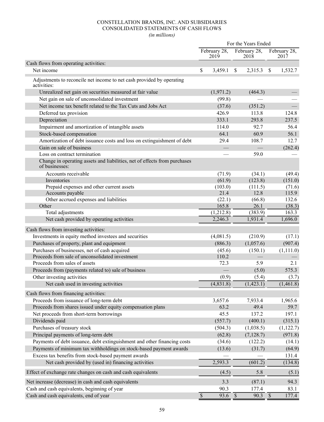#### CONSTELLATION BRANDS, INC. AND SUBSIDIARIES CONSOLIDATED STATEMENTS OF CASH FLOWS *(in millions)*

|                                                                                             | For the Years Ended |                      |              |                      |                      |            |
|---------------------------------------------------------------------------------------------|---------------------|----------------------|--------------|----------------------|----------------------|------------|
|                                                                                             |                     | February 28,<br>2019 |              | February 28,<br>2018 | February 28,<br>2017 |            |
| Cash flows from operating activities:                                                       |                     |                      |              |                      |                      |            |
| Net income                                                                                  | \$                  | 3,459.1              | \$           | $2,315.3$ \$         |                      | 1,532.7    |
| Adjustments to reconcile net income to net cash provided by operating<br>activities:        |                     |                      |              |                      |                      |            |
| Unrealized net gain on securities measured at fair value                                    |                     | (1,971.2)            |              | (464.3)              |                      |            |
| Net gain on sale of unconsolidated investment                                               |                     | (99.8)               |              |                      |                      |            |
| Net income tax benefit related to the Tax Cuts and Jobs Act                                 |                     | (37.6)               |              | (351.2)              |                      |            |
| Deferred tax provision                                                                      |                     | 426.9                |              | 113.8                |                      | 124.8      |
| Depreciation                                                                                |                     | 333.1                |              | 293.8                |                      | 237.5      |
| Impairment and amortization of intangible assets                                            |                     | 114.0                |              | 92.7                 |                      | 56.4       |
| Stock-based compensation                                                                    |                     | 64.1                 |              | 60.9                 |                      | 56.1       |
| Amortization of debt issuance costs and loss on extinguishment of debt                      |                     | 29.4                 |              | 108.7                |                      | 12.7       |
| Gain on sale of business                                                                    |                     |                      |              |                      |                      | (262.4)    |
| Loss on contract termination                                                                |                     |                      |              | 59.0                 |                      |            |
| Change in operating assets and liabilities, net of effects from purchases<br>of businesses: |                     |                      |              |                      |                      |            |
| Accounts receivable                                                                         |                     | (71.9)               |              | (34.1)               |                      | (49.4)     |
| Inventories                                                                                 |                     | (61.9)               |              | (123.8)              |                      | (151.0)    |
| Prepaid expenses and other current assets                                                   |                     | (103.0)              |              | (111.5)              |                      | (71.6)     |
| Accounts payable                                                                            |                     | 21.4                 |              | 12.8                 |                      | 115.9      |
| Other accrued expenses and liabilities                                                      |                     | (22.1)               |              | (66.8)               |                      | 132.6      |
| Other                                                                                       |                     | 165.8                |              | 26.1                 |                      | (38.3)     |
| Total adjustments                                                                           |                     | (1,212.8)            |              | (383.9)              |                      | 163.3      |
| Net cash provided by operating activities                                                   |                     | 2,246.3              |              | 1,931.4              |                      | 1,696.0    |
| Cash flows from investing activities:                                                       |                     |                      |              |                      |                      |            |
| Investments in equity method investees and securities                                       |                     | (4,081.5)            |              | (210.9)              |                      | (17.1)     |
| Purchases of property, plant and equipment                                                  |                     | (886.3)              |              | (1,057.6)            |                      | (907.4)    |
| Purchases of businesses, net of cash acquired                                               |                     | (45.6)               |              | (150.1)              |                      | (1,111.0)  |
| Proceeds from sale of unconsolidated investment                                             |                     | 110.2                |              |                      |                      |            |
| Proceeds from sales of assets                                                               |                     | 72.3                 |              | 5.9                  |                      | 2.1        |
| Proceeds from (payments related to) sale of business                                        |                     |                      |              | (5.0)                |                      | 575.3      |
| Other investing activities                                                                  |                     | (0.9)                |              | (5.4)                |                      | (3.7)      |
| Net cash used in investing activities                                                       |                     | (4,831.8)            |              | (1,423.1)            |                      | (1,461.8)  |
| Cash flows from financing activities:                                                       |                     |                      |              |                      |                      |            |
| Proceeds from issuance of long-term debt                                                    |                     | 3,657.6              |              | 7,933.4              |                      | 1,965.6    |
| Proceeds from shares issued under equity compensation plans                                 |                     | 63.2                 |              | 49.4                 |                      | 59.7       |
| Net proceeds from short-term borrowings                                                     |                     | 45.5                 |              | 137.2                |                      | 197.1      |
| Dividends paid                                                                              |                     | (557.7)              |              | (400.1)              |                      | (315.1)    |
| Purchases of treasury stock                                                                 |                     | (504.3)              |              | (1,038.5)            |                      | (1, 122.7) |
| Principal payments of long-term debt                                                        |                     | (62.8)               |              | (7, 128.7)           |                      | (971.8)    |
| Payments of debt issuance, debt extinguishment and other financing costs                    |                     | (34.6)               |              | (122.2)              |                      | (14.1)     |
| Payments of minimum tax withholdings on stock-based payment awards                          |                     | (13.6)               |              | (31.7)               |                      | (64.9)     |
| Excess tax benefits from stock-based payment awards                                         |                     |                      |              |                      |                      | 131.4      |
| Net cash provided by (used in) financing activities                                         |                     | 2,593.3              |              | (601.2)              |                      | (134.8)    |
| Effect of exchange rate changes on cash and cash equivalents                                |                     | (4.5)                |              | 5.8                  |                      | (5.1)      |
| Net increase (decrease) in cash and cash equivalents                                        |                     | 3.3                  |              | (87.1)               |                      | 94.3       |
| Cash and cash equivalents, beginning of year                                                |                     | 90.3                 |              | 177.4                |                      | 83.1       |
| Cash and cash equivalents, end of year                                                      | $\overline{\$}$     | 93.6                 | $\mathbb{S}$ | 90.3                 | $\mathcal{S}$        | 177.4      |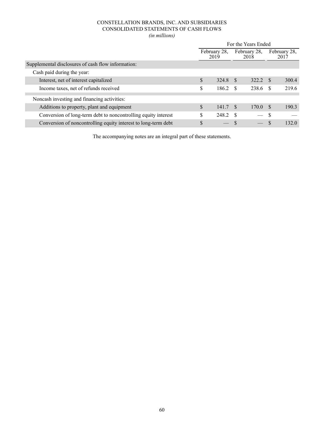## CONSTELLATION BRANDS, INC. AND SUBSIDIARIES CONSOLIDATED STATEMENTS OF CASH FLOWS *(in millions)*

|                                                                | For the Years Ended  |          |                      |       |                      |       |
|----------------------------------------------------------------|----------------------|----------|----------------------|-------|----------------------|-------|
|                                                                | February 28,<br>2019 |          | February 28,<br>2018 |       | February 28,<br>2017 |       |
| Supplemental disclosures of cash flow information:             |                      |          |                      |       |                      |       |
| Cash paid during the year:                                     |                      |          |                      |       |                      |       |
| Interest, net of interest capitalized                          | \$                   | 324.8    | - \$                 | 322.2 | - S                  | 300.4 |
| Income taxes, net of refunds received                          | \$                   | 186.2    | -S                   | 238.6 |                      | 219.6 |
| Noncash investing and financing activities:                    |                      |          |                      |       |                      |       |
| Additions to property, plant and equipment                     | \$                   | 141.7 \$ |                      | 170.0 | - S                  | 190.3 |
| Conversion of long-term debt to noncontrolling equity interest | \$                   | 248.2    | -S                   |       | <sup>S</sup>         |       |
| Conversion of noncontrolling equity interest to long-term debt | \$                   |          | -S                   |       |                      | 132.0 |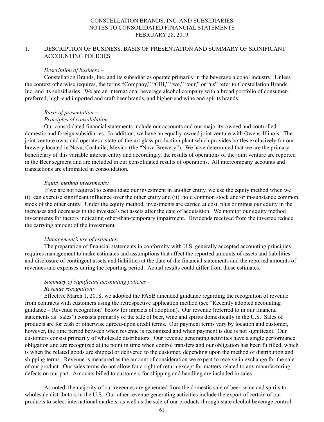### CONSTELLATION BRANDS, INC. AND SUBSIDIARIES NOTES TO CONSOLIDATED FINANCIAL STATEMENTS FEBRUARY 28, 2019

# 1. DESCRIPTION OF BUSINESS, BASIS OF PRESENTATION AND SUMMARY OF SIGNIFICANT ACCOUNTING POLICIES:

#### *Description of business –*

Constellation Brands, Inc. and its subsidiaries operate primarily in the beverage alcohol industry. Unless the context otherwise requires, the terms "Company," "CBI," "we," "our," or "us" refer to Constellation Brands, Inc. and its subsidiaries. We are an international beverage alcohol company with a broad portfolio of consumerpreferred, high-end imported and craft beer brands, and higher-end wine and spirits brands.

#### *Basis of presentation –*

#### *Principles of consolidation:*

Our consolidated financial statements include our accounts and our majority-owned and controlled domestic and foreign subsidiaries. In addition, we have an equally-owned joint venture with Owens-Illinois. The joint venture owns and operates a state-of-the-art glass production plant which provides bottles exclusively for our brewery located in Nava, Coahuila, Mexico (the "Nava Brewery"). We have determined that we are the primary beneficiary of this variable interest entity and accordingly, the results of operations of the joint venture are reported in the Beer segment and are included in our consolidated results of operations. All intercompany accounts and transactions are eliminated in consolidation.

#### *Equity method investments:*

If we are not required to consolidate our investment in another entity, we use the equity method when we (i) can exercise significant influence over the other entity and (ii) hold common stock and/or in-substance common stock of the other entity. Under the equity method, investments are carried at cost, plus or minus our equity in the increases and decreases in the investee's net assets after the date of acquisition. We monitor our equity method investments for factors indicating other-than-temporary impairment. Dividends received from the investee reduce the carrying amount of the investment.

#### *Management's use of estimates:*

The preparation of financial statements in conformity with U.S. generally accepted accounting principles requires management to make estimates and assumptions that affect the reported amounts of assets and liabilities and disclosure of contingent assets and liabilities at the date of the financial statements and the reported amounts of revenues and expenses during the reporting period. Actual results could differ from those estimates.

#### *Summary of significant accounting policies –*

#### *Revenue recognition:*

Effective March 1, 2018, we adopted the FASB amended guidance regarding the recognition of revenue from contracts with customers using the retrospective application method (see "Recently adopted accounting guidance *–* Revenue recognition" below for impacts of adoption). Our revenue (referred to in our financial statements as "sales") consists primarily of the sale of beer, wine and spirits domestically in the U.S. Sales of products are for cash or otherwise agreed-upon credit terms. Our payment terms vary by location and customer, however, the time period between when revenue is recognized and when payment is due is not significant. Our customers consist primarily of wholesale distributors. Our revenue generating activities have a single performance obligation and are recognized at the point in time when control transfers and our obligation has been fulfilled, which is when the related goods are shipped or delivered to the customer, depending upon the method of distribution and shipping terms. Revenue is measured as the amount of consideration we expect to receive in exchange for the sale of our product. Our sales terms do not allow for a right of return except for matters related to any manufacturing defects on our part. Amounts billed to customers for shipping and handling are included in sales.

As noted, the majority of our revenues are generated from the domestic sale of beer, wine and spirits to wholesale distributors in the U.S. Our other revenue generating activities include the export of certain of our products to select international markets, as well as the sale of our products through state alcohol beverage control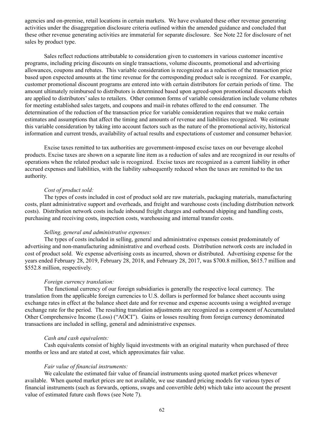agencies and on-premise, retail locations in certain markets. We have evaluated these other revenue generating activities under the disaggregation disclosure criteria outlined within the amended guidance and concluded that these other revenue generating activities are immaterial for separate disclosure. See Note 22 for disclosure of net sales by product type.

Sales reflect reductions attributable to consideration given to customers in various customer incentive programs, including pricing discounts on single transactions, volume discounts, promotional and advertising allowances, coupons and rebates. This variable consideration is recognized as a reduction of the transaction price based upon expected amounts at the time revenue for the corresponding product sale is recognized. For example, customer promotional discount programs are entered into with certain distributors for certain periods of time. The amount ultimately reimbursed to distributors is determined based upon agreed-upon promotional discounts which are applied to distributors' sales to retailers. Other common forms of variable consideration include volume rebates for meeting established sales targets, and coupons and mail-in rebates offered to the end consumer. The determination of the reduction of the transaction price for variable consideration requires that we make certain estimates and assumptions that affect the timing and amounts of revenue and liabilities recognized. We estimate this variable consideration by taking into account factors such as the nature of the promotional activity, historical information and current trends, availability of actual results and expectations of customer and consumer behavior.

Excise taxes remitted to tax authorities are government-imposed excise taxes on our beverage alcohol products. Excise taxes are shown on a separate line item as a reduction of sales and are recognized in our results of operations when the related product sale is recognized. Excise taxes are recognized as a current liability in other accrued expenses and liabilities, with the liability subsequently reduced when the taxes are remitted to the tax authority.

#### *Cost of product sold:*

The types of costs included in cost of product sold are raw materials, packaging materials, manufacturing costs, plant administrative support and overheads, and freight and warehouse costs (including distribution network costs). Distribution network costs include inbound freight charges and outbound shipping and handling costs, purchasing and receiving costs, inspection costs, warehousing and internal transfer costs.

#### *Selling, general and administrative expenses:*

The types of costs included in selling, general and administrative expenses consist predominately of advertising and non-manufacturing administrative and overhead costs. Distribution network costs are included in cost of product sold. We expense advertising costs as incurred, shown or distributed. Advertising expense for the years ended February 28, 2019, February 28, 2018, and February 28, 2017, was \$700.8 million, \$615.7 million and \$552.8 million, respectively.

### *Foreign currency translation:*

The functional currency of our foreign subsidiaries is generally the respective local currency. The translation from the applicable foreign currencies to U.S. dollars is performed for balance sheet accounts using exchange rates in effect at the balance sheet date and for revenue and expense accounts using a weighted average exchange rate for the period. The resulting translation adjustments are recognized as a component of Accumulated Other Comprehensive Income (Loss) ("AOCI"). Gains or losses resulting from foreign currency denominated transactions are included in selling, general and administrative expenses.

#### *Cash and cash equivalents:*

Cash equivalents consist of highly liquid investments with an original maturity when purchased of three months or less and are stated at cost, which approximates fair value.

## *Fair value of financial instruments:*

We calculate the estimated fair value of financial instruments using quoted market prices whenever available. When quoted market prices are not available, we use standard pricing models for various types of financial instruments (such as forwards, options, swaps and convertible debt) which take into account the present value of estimated future cash flows (see Note 7).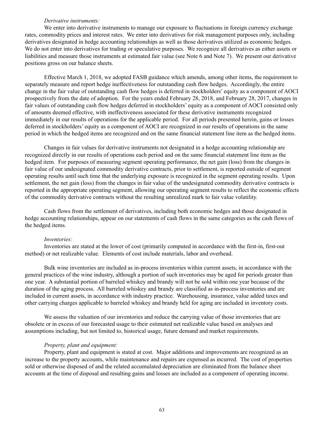### *Derivative instruments:*

We enter into derivative instruments to manage our exposure to fluctuations in foreign currency exchange rates, commodity prices and interest rates. We enter into derivatives for risk management purposes only, including derivatives designated in hedge accounting relationships as well as those derivatives utilized as economic hedges. We do not enter into derivatives for trading or speculative purposes. We recognize all derivatives as either assets or liabilities and measure those instruments at estimated fair value (see Note 6 and Note 7). We present our derivative positions gross on our balance sheets.

Effective March 1, 2018, we adopted FASB guidance which amends, among other items, the requirement to separately measure and report hedge ineffectiveness for outstanding cash flow hedges. Accordingly, the entire change in the fair value of outstanding cash flow hedges is deferred in stockholders' equity as a component of AOCI prospectively from the date of adoption. For the years ended February 28, 2018, and February 28, 2017, changes in fair values of outstanding cash flow hedges deferred in stockholders' equity as a component of AOCI consisted only of amounts deemed effective, with ineffectiveness associated for these derivative instruments recognized immediately in our results of operations for the applicable period. For all periods presented herein, gains or losses deferred in stockholders' equity as a component of AOCI are recognized in our results of operations in the same period in which the hedged items are recognized and on the same financial statement line item as the hedged items.

Changes in fair values for derivative instruments not designated in a hedge accounting relationship are recognized directly in our results of operations each period and on the same financial statement line item as the hedged item. For purposes of measuring segment operating performance, the net gain (loss) from the changes in fair value of our undesignated commodity derivative contracts, prior to settlement, is reported outside of segment operating results until such time that the underlying exposure is recognized in the segment operating results. Upon settlement, the net gain (loss) from the changes in fair value of the undesignated commodity derivative contracts is reported in the appropriate operating segment, allowing our operating segment results to reflect the economic effects of the commodity derivative contracts without the resulting unrealized mark to fair value volatility.

Cash flows from the settlement of derivatives, including both economic hedges and those designated in hedge accounting relationships, appear on our statements of cash flows in the same categories as the cash flows of the hedged items.

#### *Inventories:*

Inventories are stated at the lower of cost (primarily computed in accordance with the first-in, first-out method) or net realizable value. Elements of cost include materials, labor and overhead.

Bulk wine inventories are included as in-process inventories within current assets, in accordance with the general practices of the wine industry, although a portion of such inventories may be aged for periods greater than one year. A substantial portion of barreled whiskey and brandy will not be sold within one year because of the duration of the aging process. All barreled whiskey and brandy are classified as in-process inventories and are included in current assets, in accordance with industry practice. Warehousing, insurance, value added taxes and other carrying charges applicable to barreled whiskey and brandy held for aging are included in inventory costs.

We assess the valuation of our inventories and reduce the carrying value of those inventories that are obsolete or in excess of our forecasted usage to their estimated net realizable value based on analyses and assumptions including, but not limited to, historical usage, future demand and market requirements.

### *Property, plant and equipment:*

Property, plant and equipment is stated at cost. Major additions and improvements are recognized as an increase to the property accounts, while maintenance and repairs are expensed as incurred. The cost of properties sold or otherwise disposed of and the related accumulated depreciation are eliminated from the balance sheet accounts at the time of disposal and resulting gains and losses are included as a component of operating income.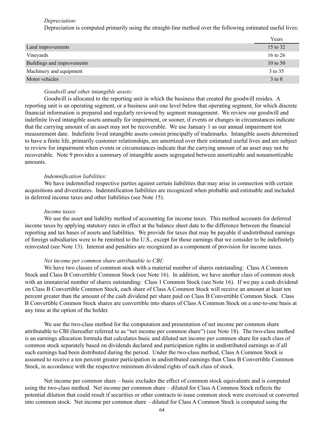*Depreciation:*

Depreciation is computed primarily using the straight-line method over the following estimated useful lives:

|                            | Years      |
|----------------------------|------------|
| Land improvements          | 15 to 32   |
| Vineyards                  | 16 to 26   |
| Buildings and improvements | 10 to 50   |
| Machinery and equipment    | 3 to 35    |
| Motor vehicles             | $3$ to $8$ |

### *Goodwill and other intangible assets:*

Goodwill is allocated to the reporting unit in which the business that created the goodwill resides. A reporting unit is an operating segment, or a business unit one level below that operating segment, for which discrete financial information is prepared and regularly reviewed by segment management. We review our goodwill and indefinite lived intangible assets annually for impairment, or sooner, if events or changes in circumstances indicate that the carrying amount of an asset may not be recoverable. We use January 1 as our annual impairment test measurement date. Indefinite lived intangible assets consist principally of trademarks. Intangible assets determined to have a finite life, primarily customer relationships, are amortized over their estimated useful lives and are subject to review for impairment when events or circumstances indicate that the carrying amount of an asset may not be recoverable. Note 9 provides a summary of intangible assets segregated between amortizable and nonamortizable amounts.

### *Indemnification liabilities:*

We have indemnified respective parties against certain liabilities that may arise in connection with certain acquisitions and divestitures. Indemnification liabilities are recognized when probable and estimable and included in deferred income taxes and other liabilities (see Note 15).

### *Income taxes:*

We use the asset and liability method of accounting for income taxes. This method accounts for deferred income taxes by applying statutory rates in effect at the balance sheet date to the difference between the financial reporting and tax bases of assets and liabilities. We provide for taxes that may be payable if undistributed earnings of foreign subsidiaries were to be remitted to the U.S., except for those earnings that we consider to be indefinitely reinvested (see Note 13). Interest and penalties are recognized as a component of provision for income taxes.

#### *Net income per common share attributable to CBI:*

We have two classes of common stock with a material number of shares outstanding: Class A Common Stock and Class B Convertible Common Stock (see Note 16). In addition, we have another class of common stock with an immaterial number of shares outstanding: Class 1 Common Stock (see Note 16). If we pay a cash dividend on Class B Convertible Common Stock, each share of Class A Common Stock will receive an amount at least ten percent greater than the amount of the cash dividend per share paid on Class B Convertible Common Stock. Class B Convertible Common Stock shares are convertible into shares of Class A Common Stock on a one-to-one basis at any time at the option of the holder.

We use the two-class method for the computation and presentation of net income per common share attributable to CBI (hereafter referred to as "net income per common share") (see Note 18). The two-class method is an earnings allocation formula that calculates basic and diluted net income per common share for each class of common stock separately based on dividends declared and participation rights in undistributed earnings as if all such earnings had been distributed during the period. Under the two-class method, Class A Common Stock is assumed to receive a ten percent greater participation in undistributed earnings than Class B Convertible Common Stock, in accordance with the respective minimum dividend rights of each class of stock.

Net income per common share – basic excludes the effect of common stock equivalents and is computed using the two-class method. Net income per common share – diluted for Class A Common Stock reflects the potential dilution that could result if securities or other contracts to issue common stock were exercised or converted into common stock. Net income per common share – diluted for Class A Common Stock is computed using the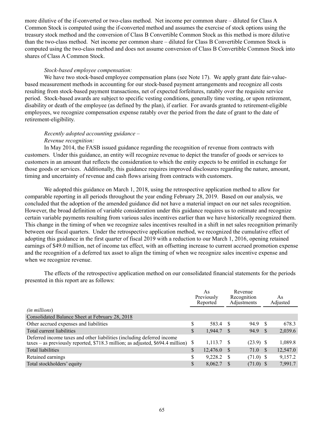more dilutive of the if-converted or two-class method. Net income per common share – diluted for Class A Common Stock is computed using the if-converted method and assumes the exercise of stock options using the treasury stock method and the conversion of Class B Convertible Common Stock as this method is more dilutive than the two-class method. Net income per common share – diluted for Class B Convertible Common Stock is computed using the two-class method and does not assume conversion of Class B Convertible Common Stock into shares of Class A Common Stock.

### *Stock-based employee compensation:*

We have two stock-based employee compensation plans (see Note 17). We apply grant date fair-valuebased measurement methods in accounting for our stock-based payment arrangements and recognize all costs resulting from stock-based payment transactions, net of expected forfeitures, ratably over the requisite service period. Stock-based awards are subject to specific vesting conditions, generally time vesting, or upon retirement, disability or death of the employee (as defined by the plan), if earlier. For awards granted to retirement-eligible employees, we recognize compensation expense ratably over the period from the date of grant to the date of retirement-eligibility.

# *Recently adopted accounting guidance –*

## *Revenue recognition:*

In May 2014, the FASB issued guidance regarding the recognition of revenue from contracts with customers. Under this guidance, an entity will recognize revenue to depict the transfer of goods or services to customers in an amount that reflects the consideration to which the entity expects to be entitled in exchange for those goods or services. Additionally, this guidance requires improved disclosures regarding the nature, amount, timing and uncertainty of revenue and cash flows arising from contracts with customers.

We adopted this guidance on March 1, 2018, using the retrospective application method to allow for comparable reporting in all periods throughout the year ending February 28, 2019. Based on our analysis, we concluded that the adoption of the amended guidance did not have a material impact on our net sales recognition. However, the broad definition of variable consideration under this guidance requires us to estimate and recognize certain variable payments resulting from various sales incentives earlier than we have historically recognized them. This change in the timing of when we recognize sales incentives resulted in a shift in net sales recognition primarily between our fiscal quarters. Under the retrospective application method, we recognized the cumulative effect of adopting this guidance in the first quarter of fiscal 2019 with a reduction to our March 1, 2016, opening retained earnings of \$49.0 million, net of income tax effect, with an offsetting increase to current accrued promotion expense and the recognition of a deferred tax asset to align the timing of when we recognize sales incentive expense and when we recognize revenue.

The effects of the retrospective application method on our consolidated financial statements for the periods presented in this report are as follows:

|                                                                                                                                                              | As<br>Previously<br>Reported |          |      | Revenue<br>Recognition<br>Adjustments |              | As<br>Adjusted |
|--------------------------------------------------------------------------------------------------------------------------------------------------------------|------------------------------|----------|------|---------------------------------------|--------------|----------------|
| ( <i>in millions</i> )                                                                                                                                       |                              |          |      |                                       |              |                |
| Consolidated Balance Sheet at February 28, 2018                                                                                                              |                              |          |      |                                       |              |                |
| Other accrued expenses and liabilities                                                                                                                       | \$.                          | 583.4    | - \$ | 94.9                                  | - \$         | 678.3          |
| Total current liabilities                                                                                                                                    | \$                           | 1,944.7  | - \$ | 94.9                                  | <sup>S</sup> | 2,039.6        |
| Deferred income taxes and other liabilities (including deferred income<br>taxes – as previously reported, \$718.3 million; as adjusted, $$694.4$ million) \$ |                              | 1,113.7  | - S  | $(23.9)$ \$                           |              | 1,089.8        |
| <b>Total liabilities</b>                                                                                                                                     | \$                           | 12,476.0 | - \$ | 71.0 \$                               |              | 12,547.0       |
| Retained earnings                                                                                                                                            | \$                           | 9,228.2  | - S  | $(71.0)$ \$                           |              | 9,157.2        |
| Total stockholders' equity                                                                                                                                   | $\mathbb{S}$                 | 8,062.7  |      | $(71.0)$ \$                           |              | 7,991.7        |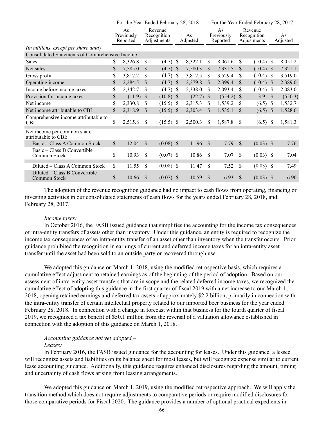|                                                        | For the Year Ended February 28, 2018                                  |               |             |                |         | For the Year Ended February 28, 2017 |              |                                       |             |               |                |
|--------------------------------------------------------|-----------------------------------------------------------------------|---------------|-------------|----------------|---------|--------------------------------------|--------------|---------------------------------------|-------------|---------------|----------------|
|                                                        | As<br>Revenue<br>Recognition<br>Previously<br>Reported<br>Adjustments |               |             | As<br>Adjusted |         | As<br>Previously<br>Reported         |              | Revenue<br>Recognition<br>Adjustments |             |               | As<br>Adjusted |
| (in millions, except per share data)                   |                                                                       |               |             |                |         |                                      |              |                                       |             |               |                |
| <b>Consolidated Statements of Comprehensive Income</b> |                                                                       |               |             |                |         |                                      |              |                                       |             |               |                |
| Sales                                                  | \$<br>8,326.8                                                         | S             | $(4.7)$ \$  |                | 8,322.1 | \$                                   | 8,061.6      | S                                     | $(10.4)$ \$ |               | 8,051.2        |
| Net sales                                              | \$<br>7,585.0                                                         | \$            | $(4.7)$ \$  |                | 7,580.3 | \$                                   | 7,331.5      | $\mathcal{S}$                         | (10.4)      | -S            | 7,321.1        |
| Gross profit                                           | \$<br>3,817.2                                                         | \$            | $(4.7)$ \$  |                | 3,812.5 | \$                                   | 3,529.4      | S                                     | $(10.4)$ \$ |               | 3,519.0        |
| Operating income                                       | \$<br>2,284.5                                                         | $\mathbb{S}$  | (4.7)       | - S            | 2,279.8 | \$                                   | 2,399.4      | $\mathcal{S}$                         | (10.4)      | -S            | 2,389.0        |
| Income before income taxes                             | \$<br>2,342.7                                                         | \$            | (4.7)       | -S             | 2,338.0 | \$                                   | 2,093.4      | \$.                                   | (10.4)      | S             | 2,083.0        |
| Provision for income taxes                             | \$<br>(11.9)                                                          | $\mathcal{S}$ | $(10.8)$ \$ |                | (22.7)  | <sup>\$</sup>                        | $(554.2)$ \$ |                                       | 3.9         | <sup>S</sup>  | (550.3)        |
| Net income                                             | \$<br>2,330.8                                                         | \$            | $(15.5)$ \$ |                | 2,315.3 | \$                                   | 1,539.2      | \$.                                   | (6.5)       | -S            | 1,532.7        |
| Net income attributable to CBI                         | \$<br>2,318.9                                                         | \$            | $(15.5)$ \$ |                | 2,303.4 | \$                                   | 1,535.1      | $\mathcal{S}$                         | (6.5)       | $\mathcal{S}$ | 1,528.6        |
| Comprehensive income attributable to<br><b>CBI</b>     | \$<br>2,515.8                                                         | \$            | $(15.5)$ \$ |                | 2,500.3 | <sup>\$</sup>                        | 1,587.8      | <sup>\$</sup>                         | $(6.5)$ \$  |               | 1,581.3        |
| Net income per common share<br>attributable to CBI:    |                                                                       |               |             |                |         |                                      |              |                                       |             |               |                |
| Basic – Class A Common Stock                           | \$<br>12.04                                                           | $\mathbb{S}$  | $(0.08)$ \$ |                | 11.96   | <sup>\$</sup>                        | 7.79         | <sup>\$</sup>                         | $(0.03)$ \$ |               | 7.76           |
| Basic – Class B Convertible<br>Common Stock            | \$<br>10.93                                                           | \$            | $(0.07)$ \$ |                | 10.86   | <sup>\$</sup>                        | 7.07         | \$.                                   | $(0.03)$ \$ |               | 7.04           |
| Diluted – Class A Common Stock                         | \$<br>11.55                                                           | S             | $(0.08)$ \$ |                | 11.47   | \$                                   | 7.52         | \$.                                   | $(0.03)$ \$ |               | 7.49           |
| Diluted – Class B Convertible<br>Common Stock          | \$<br>10.66                                                           | $\mathbb{S}$  | $(0.07)$ \$ |                | 10.59   | <sup>S</sup>                         | 6.93         | <sup>\$</sup>                         | $(0.03)$ \$ |               | 6.90           |

The adoption of the revenue recognition guidance had no impact to cash flows from operating, financing or investing activities in our consolidated statements of cash flows for the years ended February 28, 2018, and February 28, 2017.

## *Income taxes:*

In October 2016, the FASB issued guidance that simplifies the accounting for the income tax consequences of intra-entity transfers of assets other than inventory. Under this guidance, an entity is required to recognize the income tax consequences of an intra-entity transfer of an asset other than inventory when the transfer occurs. Prior guidance prohibited the recognition in earnings of current and deferred income taxes for an intra-entity asset transfer until the asset had been sold to an outside party or recovered through use.

We adopted this guidance on March 1, 2018, using the modified retrospective basis, which requires a cumulative effect adjustment to retained earnings as of the beginning of the period of adoption. Based on our assessment of intra-entity asset transfers that are in scope and the related deferred income taxes, we recognized the cumulative effect of adopting this guidance in the first quarter of fiscal 2019 with a net increase to our March 1, 2018, opening retained earnings and deferred tax assets of approximately \$2.2 billion, primarily in connection with the intra-entity transfer of certain intellectual property related to our imported beer business for the year ended February 28, 2018. In connection with a change in forecast within that business for the fourth quarter of fiscal 2019, we recognized a tax benefit of \$50.1 million from the reversal of a valuation allowance established in connection with the adoption of this guidance on March 1, 2018.

### *Accounting guidance not yet adopted – Leases:*

In February 2016, the FASB issued guidance for the accounting for leases. Under this guidance, a lessee will recognize assets and liabilities on its balance sheet for most leases, but will recognize expense similar to current lease accounting guidance. Additionally, this guidance requires enhanced disclosures regarding the amount, timing and uncertainty of cash flows arising from leasing arrangements.

We adopted this guidance on March 1, 2019, using the modified retrospective approach. We will apply the transition method which does not require adjustments to comparative periods or require modified disclosures for those comparative periods for Fiscal 2020. The guidance provides a number of optional practical expedients in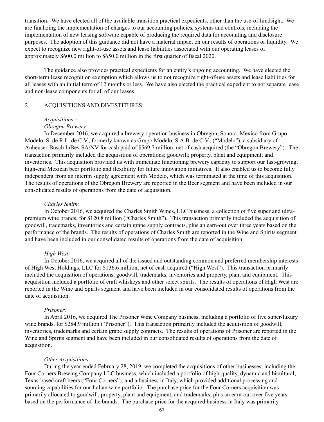transition. We have elected all of the available transition practical expedients, other than the use-of-hindsight. We are finalizing the implementation of changes to our accounting policies, systems and controls, including the implementation of new leasing software capable of producing the required data for accounting and disclosure purposes. The adoption of this guidance did not have a material impact on our results of operations or liquidity. We expect to recognize new right-of-use assets and lease liabilities associated with our operating leases of approximately \$600.0 million to \$650.0 million in the first quarter of fiscal 2020.

The guidance also provides practical expedients for an entity's ongoing accounting. We have elected the short-term lease recognition exemption which allows us to not recognize right-of-use assets and lease liabilities for all leases with an initial term of 12 months or less. We have also elected the practical expedient to not separate lease and non-lease components for all of our leases.

## 2. ACQUISITIONS AND DIVESTITURES:

### *Acquisitions –*

### *Obregon Brewery:*

In December 2016, we acquired a brewery operation business in Obregon, Sonora, Mexico from Grupo Modelo, S. de R.L. de C.V., formerly known as Grupo Modelo, S.A.B. de C.V., ("Modelo"), a subsidiary of Anheuser-Busch InBev SA/NV for cash paid of \$569.7 million, net of cash acquired (the "Obregon Brewery"). The transaction primarily included the acquisition of operations; goodwill; property, plant and equipment; and inventories. This acquisition provided us with immediate functioning brewery capacity to support our fast-growing, high-end Mexican beer portfolio and flexibility for future innovation initiatives. It also enabled us to become fully independent from an interim supply agreement with Modelo, which was terminated at the time of this acquisition. The results of operations of the Obregon Brewery are reported in the Beer segment and have been included in our consolidated results of operations from the date of acquisition.

### *Charles Smith:*

In October 2016, we acquired the Charles Smith Wines, LLC business, a collection of five super and ultrapremium wine brands, for \$120.8 million ("Charles Smith"). This transaction primarily included the acquisition of goodwill, trademarks, inventories and certain grape supply contracts, plus an earn-out over three years based on the performance of the brands. The results of operations of Charles Smith are reported in the Wine and Spirits segment and have been included in our consolidated results of operations from the date of acquisition.

## *High West:*

In October 2016, we acquired all of the issued and outstanding common and preferred membership interests of High West Holdings, LLC for \$136.6 million, net of cash acquired ("High West"). This transaction primarily included the acquisition of operations, goodwill, trademarks, inventories and property, plant and equipment. This acquisition included a portfolio of craft whiskeys and other select spirits. The results of operations of High West are reported in the Wine and Spirits segment and have been included in our consolidated results of operations from the date of acquisition.

### *Prisoner:*

In April 2016, we acquired The Prisoner Wine Company business, including a portfolio of five super-luxury wine brands, for \$284.9 million ("Prisoner"). This transaction primarily included the acquisition of goodwill, inventories, trademarks and certain grape supply contracts. The results of operations of Prisoner are reported in the Wine and Spirits segment and have been included in our consolidated results of operations from the date of acquisition.

## *Other Acquisitions:*

During the year ended February 28, 2019, we completed the acquisitions of other businesses, including the Four Corners Brewing Company LLC business, which included a portfolio of high-quality, dynamic and bicultural, Texas-based craft beers ("Four Corners"), and a business in Italy, which provided additional processing and sourcing capabilities for our Italian wine portfolio. The purchase price for the Four Corners acquisition was primarily allocated to goodwill, property, plant and equipment, and trademarks, plus an earn-out over five years based on the performance of the brands. The purchase price for the acquired business in Italy was primarily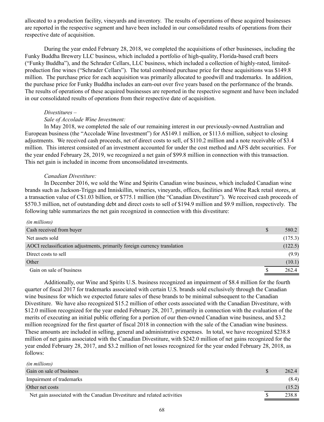allocated to a production facility, vineyards and inventory. The results of operations of these acquired businesses are reported in the respective segment and have been included in our consolidated results of operations from their respective date of acquisition.

During the year ended February 28, 2018, we completed the acquisitions of other businesses, including the Funky Buddha Brewery LLC business, which included a portfolio of high-quality, Florida-based craft beers ("Funky Buddha"), and the Schrader Cellars, LLC business, which included a collection of highly-rated, limitedproduction fine wines ("Schrader Cellars"). The total combined purchase price for these acquisitions was \$149.8 million. The purchase price for each acquisition was primarily allocated to goodwill and trademarks. In addition, the purchase price for Funky Buddha includes an earn-out over five years based on the performance of the brands. The results of operations of these acquired businesses are reported in the respective segment and have been included in our consolidated results of operations from their respective date of acquisition.

### *Divestitures –*

### *Sale of Accolade Wine Investment:*

In May 2018, we completed the sale of our remaining interest in our previously-owned Australian and European business (the "Accolade Wine Investment") for A\$149.1 million, or \$113.6 million, subject to closing adjustments. We received cash proceeds, net of direct costs to sell, of \$110.2 million and a note receivable of \$3.4 million. This interest consisted of an investment accounted for under the cost method and AFS debt securities. For the year ended February 28, 2019, we recognized a net gain of \$99.8 million in connection with this transaction. This net gain is included in income from unconsolidated investments.

#### *Canadian Divestiture:*

In December 2016, we sold the Wine and Spirits Canadian wine business, which included Canadian wine brands such as Jackson-Triggs and Inniskillin, wineries, vineyards, offices, facilities and Wine Rack retail stores, at a transaction value of C\$1.03 billion, or \$775.1 million (the "Canadian Divestiture"). We received cash proceeds of \$570.3 million, net of outstanding debt and direct costs to sell of \$194.9 million and \$9.9 million, respectively. The following table summarizes the net gain recognized in connection with this divestiture:

| <i>(in millions)</i>                                                      |   |         |
|---------------------------------------------------------------------------|---|---------|
| Cash received from buyer                                                  | S | 580.2   |
| Net assets sold                                                           |   | (175.3) |
| AOCI reclassification adjustments, primarily foreign currency translation |   | (122.5) |
| Direct costs to sell                                                      |   | (9.9)   |
| Other                                                                     |   | (10.1)  |
| Gain on sale of business                                                  |   | 262.4   |

Additionally, our Wine and Spirits U.S. business recognized an impairment of \$8.4 million for the fourth quarter of fiscal 2017 for trademarks associated with certain U.S. brands sold exclusively through the Canadian wine business for which we expected future sales of these brands to be minimal subsequent to the Canadian Divestiture. We have also recognized \$15.2 million of other costs associated with the Canadian Divestiture, with \$12.0 million recognized for the year ended February 28, 2017, primarily in connection with the evaluation of the merits of executing an initial public offering for a portion of our then-owned Canadian wine business, and \$3.2 million recognized for the first quarter of fiscal 2018 in connection with the sale of the Canadian wine business. These amounts are included in selling, general and administrative expenses. In total, we have recognized \$238.8 million of net gains associated with the Canadian Divestiture, with \$242.0 million of net gains recognized for the year ended February 28, 2017, and \$3.2 million of net losses recognized for the year ended February 28, 2018, as follows:

| (in millions)                                                            |        |
|--------------------------------------------------------------------------|--------|
| Gain on sale of business                                                 | 262.4  |
| Impairment of trademarks                                                 | (8.4)  |
| Other net costs                                                          | (15.2) |
| Net gain associated with the Canadian Divestiture and related activities | 238.8  |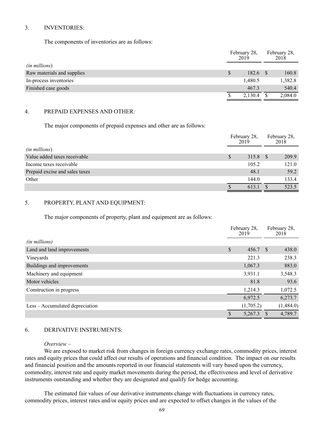## 3. INVENTORIES:

The components of inventories are as follows:

|                            | February 28,<br>2019 |            | February 28,<br>2018 |
|----------------------------|----------------------|------------|----------------------|
| <i>(in millions)</i>       |                      |            |                      |
| Raw materials and supplies |                      | $182.6$ \$ | 160.8                |
| In-process inventories     |                      | 1,480.5    | 1,382.8              |
| Finished case goods        |                      | 467.3      | 540.4                |
|                            |                      | 2.130.4    | 2,084.0              |

## 4. PREPAID EXPENSES AND OTHER:

The major components of prepaid expenses and other are as follows:

|                                | February 28,<br>2019 |          | February 28,<br>2018 |       |
|--------------------------------|----------------------|----------|----------------------|-------|
| ( <i>in millions</i> )         |                      |          |                      |       |
| Value added taxes receivable   | \$                   | 315.8 \$ |                      | 209.9 |
| Income taxes receivable        |                      | 105.2    |                      | 121.0 |
| Prepaid excise and sales taxes |                      | 48.1     |                      | 59.2  |
| Other                          |                      | 144.0    |                      | 133.4 |
|                                |                      | 613.1    |                      | 523.5 |

## 5. PROPERTY, PLANT AND EQUIPMENT:

The major components of property, plant and equipment are as follows:

|                                 |     | February 28,<br>2019 |     | February 28,<br>2018 |
|---------------------------------|-----|----------------------|-----|----------------------|
| (in millions)                   |     |                      |     |                      |
| Land and land improvements      | \$  | 456.7                | - S | 438.0                |
| Vineyards                       |     | 221.3                |     | 238.3                |
| Buildings and improvements      |     | 1,067.3              |     | 883.0                |
| Machinery and equipment         |     | 3,931.1              |     | 3,548.3              |
| Motor vehicles                  |     | 81.8                 |     | 93.6                 |
| Construction in progress        |     | 1,214.3              |     | 1,072.5              |
|                                 |     | 6,972.5              |     | 6,273.7              |
| Less - Accumulated depreciation |     | (1,705.2)            |     | (1,484.0)            |
|                                 | \$. | 5,267.3              |     | 4,789.7              |

## 6. DERIVATIVE INSTRUMENTS:

### *Overview –*

We are exposed to market risk from changes in foreign currency exchange rates, commodity prices, interest rates and equity prices that could affect our results of operations and financial condition. The impact on our results and financial position and the amounts reported in our financial statements will vary based upon the currency, commodity, interest rate and equity market movements during the period, the effectiveness and level of derivative instruments outstanding and whether they are designated and qualify for hedge accounting.

The estimated fair values of our derivative instruments change with fluctuations in currency rates, commodity prices, interest rates and/or equity prices and are expected to offset changes in the values of the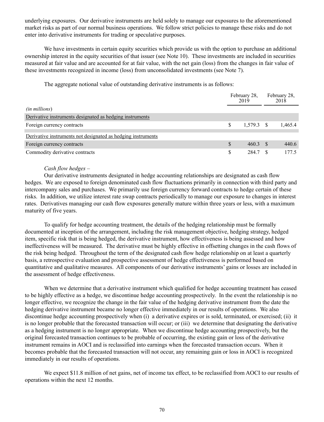underlying exposures. Our derivative instruments are held solely to manage our exposures to the aforementioned market risks as part of our normal business operations. We follow strict policies to manage these risks and do not enter into derivative instruments for trading or speculative purposes.

We have investments in certain equity securities which provide us with the option to purchase an additional ownership interest in the equity securities of that issuer (see Note 10). These investments are included in securities measured at fair value and are accounted for at fair value, with the net gain (loss) from the changes in fair value of these investments recognized in income (loss) from unconsolidated investments (see Note 7).

The aggregate notional value of outstanding derivative instruments is as follows:

|                                                              |    | February 28,<br>2019 |  | February 28,<br>2018 |
|--------------------------------------------------------------|----|----------------------|--|----------------------|
| ( <i>in millions</i> )                                       |    |                      |  |                      |
| Derivative instruments designated as hedging instruments     |    |                      |  |                      |
| Foreign currency contracts                                   | S. | $1,579.3$ \$         |  | 1,465.4              |
| Derivative instruments not designated as hedging instruments |    |                      |  |                      |
| Foreign currency contracts                                   | \$ | $460.3$ \$           |  | 440.6                |
| Commodity derivative contracts                               | \$ | 284.7 \$             |  | 177.5                |

## *Cash flow hedges –*

Our derivative instruments designated in hedge accounting relationships are designated as cash flow hedges. We are exposed to foreign denominated cash flow fluctuations primarily in connection with third party and intercompany sales and purchases. We primarily use foreign currency forward contracts to hedge certain of these risks. In addition, we utilize interest rate swap contracts periodically to manage our exposure to changes in interest rates. Derivatives managing our cash flow exposures generally mature within three years or less, with a maximum maturity of five years.

To qualify for hedge accounting treatment, the details of the hedging relationship must be formally documented at inception of the arrangement, including the risk management objective, hedging strategy, hedged item, specific risk that is being hedged, the derivative instrument, how effectiveness is being assessed and how ineffectiveness will be measured. The derivative must be highly effective in offsetting changes in the cash flows of the risk being hedged. Throughout the term of the designated cash flow hedge relationship on at least a quarterly basis, a retrospective evaluation and prospective assessment of hedge effectiveness is performed based on quantitative and qualitative measures. All components of our derivative instruments' gains or losses are included in the assessment of hedge effectiveness.

When we determine that a derivative instrument which qualified for hedge accounting treatment has ceased to be highly effective as a hedge, we discontinue hedge accounting prospectively. In the event the relationship is no longer effective, we recognize the change in the fair value of the hedging derivative instrument from the date the hedging derivative instrument became no longer effective immediately in our results of operations. We also discontinue hedge accounting prospectively when (i) a derivative expires or is sold, terminated, or exercised; (ii) it is no longer probable that the forecasted transaction will occur; or (iii) we determine that designating the derivative as a hedging instrument is no longer appropriate. When we discontinue hedge accounting prospectively, but the original forecasted transaction continues to be probable of occurring, the existing gain or loss of the derivative instrument remains in AOCI and is reclassified into earnings when the forecasted transaction occurs. When it becomes probable that the forecasted transaction will not occur, any remaining gain or loss in AOCI is recognized immediately in our results of operations.

We expect \$11.8 million of net gains, net of income tax effect, to be reclassified from AOCI to our results of operations within the next 12 months.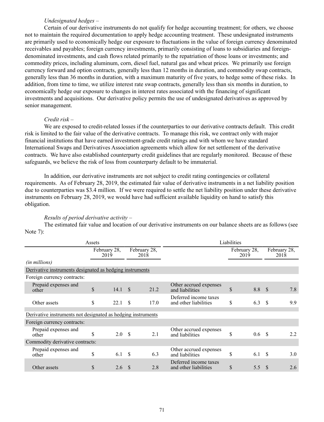### *Undesignated hedges –*

Certain of our derivative instruments do not qualify for hedge accounting treatment; for others, we choose not to maintain the required documentation to apply hedge accounting treatment. These undesignated instruments are primarily used to economically hedge our exposure to fluctuations in the value of foreign currency denominated receivables and payables; foreign currency investments, primarily consisting of loans to subsidiaries and foreigndenominated investments, and cash flows related primarily to the repatriation of those loans or investments; and commodity prices, including aluminum, corn, diesel fuel, natural gas and wheat prices. We primarily use foreign currency forward and option contracts, generally less than 12 months in duration, and commodity swap contracts, generally less than 36 months in duration, with a maximum maturity of five years, to hedge some of these risks. In addition, from time to time, we utilize interest rate swap contracts, generally less than six months in duration, to economically hedge our exposure to changes in interest rates associated with the financing of significant investments and acquisitions. Our derivative policy permits the use of undesignated derivatives as approved by senior management.

## *Credit risk –*

We are exposed to credit-related losses if the counterparties to our derivative contracts default. This credit risk is limited to the fair value of the derivative contracts. To manage this risk, we contract only with major financial institutions that have earned investment-grade credit ratings and with whom we have standard International Swaps and Derivatives Association agreements which allow for net settlement of the derivative contracts. We have also established counterparty credit guidelines that are regularly monitored. Because of these safeguards, we believe the risk of loss from counterparty default to be immaterial.

In addition, our derivative instruments are not subject to credit rating contingencies or collateral requirements. As of February 28, 2019, the estimated fair value of derivative instruments in a net liability position due to counterparties was \$3.4 million. If we were required to settle the net liability position under these derivative instruments on February 28, 2019, we would have had sufficient available liquidity on hand to satisfy this obligation.

## *Results of period derivative activity –*

The estimated fair value and location of our derivative instruments on our balance sheets are as follows (see Note 7):

|                                                              | Liabilities  |                      |          |                      |                                                |    |                      |               |                      |
|--------------------------------------------------------------|--------------|----------------------|----------|----------------------|------------------------------------------------|----|----------------------|---------------|----------------------|
|                                                              |              | February 28,<br>2019 |          | February 28,<br>2018 |                                                |    | February 28,<br>2019 |               | February 28,<br>2018 |
| (in millions)                                                |              |                      |          |                      |                                                |    |                      |               |                      |
| Derivative instruments designated as hedging instruments     |              |                      |          |                      |                                                |    |                      |               |                      |
| Foreign currency contracts:                                  |              |                      |          |                      |                                                |    |                      |               |                      |
| Prepaid expenses and<br>other                                | $\mathbb{S}$ | 14.1                 | - \$     | 21.2                 | Other accrued expenses<br>and liabilities      | \$ | 8.8 <sup>°</sup>     |               | 7.8                  |
| Other assets                                                 | \$           | 22.1                 | \$.      | 17.0                 | Deferred income taxes<br>and other liabilities | \$ | 6.3                  | - \$          | 9.9                  |
| Derivative instruments not designated as hedging instruments |              |                      |          |                      |                                                |    |                      |               |                      |
| Foreign currency contracts:                                  |              |                      |          |                      |                                                |    |                      |               |                      |
| Prepaid expenses and<br>other                                | \$           | 2.0                  | - \$     | 2.1                  | Other accrued expenses<br>and liabilities      | \$ | 0.6 <sup>°</sup>     |               | 2.2                  |
| Commodity derivative contracts:                              |              |                      |          |                      |                                                |    |                      |               |                      |
| Prepaid expenses and<br>other                                | \$           | 6.1 S                |          | 6.3                  | Other accrued expenses<br>and liabilities      | \$ | 6.1 $\sqrt$          |               | 3.0                  |
| Other assets                                                 | \$           | 2.6                  | <b>S</b> | 2.8                  | Deferred income taxes<br>and other liabilities | \$ | 5.5                  | <sup>\$</sup> | 2.6                  |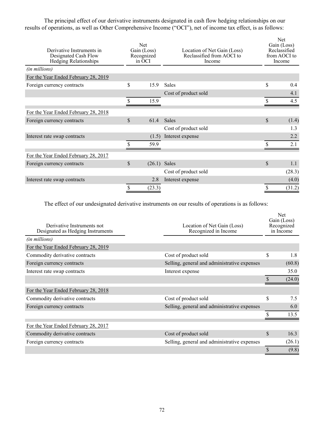The principal effect of our derivative instruments designated in cash flow hedging relationships on our results of operations, as well as Other Comprehensive Income ("OCI"), net of income tax effect, is as follows:

| Derivative Instruments in<br>Designated Cash Flow<br><b>Hedging Relationships</b> |               | <b>Net</b><br>Gain (Loss)<br>Recognized<br>in OCI | Location of Net Gain (Loss)<br>Reclassified from AOCI to<br>Income |               | <b>Net</b><br>Gain (Loss)<br>Reclassified<br>from AOCI to<br>Income |  |  |
|-----------------------------------------------------------------------------------|---------------|---------------------------------------------------|--------------------------------------------------------------------|---------------|---------------------------------------------------------------------|--|--|
| (in millions)                                                                     |               |                                                   |                                                                    |               |                                                                     |  |  |
| For the Year Ended February 28, 2019                                              |               |                                                   |                                                                    |               |                                                                     |  |  |
| Foreign currency contracts                                                        | \$            | 15.9                                              | <b>Sales</b>                                                       | \$            | 0.4                                                                 |  |  |
|                                                                                   |               |                                                   | Cost of product sold                                               |               | 4.1                                                                 |  |  |
|                                                                                   | \$            | 15.9                                              |                                                                    | $\mathcal{S}$ | 4.5                                                                 |  |  |
| For the Year Ended February 28, 2018                                              |               |                                                   |                                                                    |               |                                                                     |  |  |
| Foreign currency contracts                                                        | $\mathbb{S}$  | 61.4                                              | <b>Sales</b>                                                       | \$            | (1.4)                                                               |  |  |
|                                                                                   |               |                                                   | Cost of product sold                                               |               | 1.3                                                                 |  |  |
| Interest rate swap contracts                                                      |               | (1.5)                                             | Interest expense                                                   |               | 2.2                                                                 |  |  |
|                                                                                   |               | 59.9                                              |                                                                    |               | 2.1                                                                 |  |  |
| For the Year Ended February 28, 2017                                              |               |                                                   |                                                                    |               |                                                                     |  |  |
| Foreign currency contracts                                                        | $\mathcal{S}$ | (26.1)                                            | Sales                                                              | $\mathbb{S}$  | 1.1                                                                 |  |  |
|                                                                                   |               |                                                   | Cost of product sold                                               |               | (28.3)                                                              |  |  |
| Interest rate swap contracts                                                      |               | 2.8                                               | Interest expense                                                   |               | (4.0)                                                               |  |  |
|                                                                                   | \$            | (23.3)                                            |                                                                    | \$            | (31.2)                                                              |  |  |

The effect of our undesignated derivative instruments on our results of operations is as follows:

| Derivative Instruments not<br>Designated as Hedging Instruments | Location of Net Gain (Loss)<br>Recognized in Income |    | <b>Net</b><br>Gain (Loss)<br>Recognized<br>in Income |
|-----------------------------------------------------------------|-----------------------------------------------------|----|------------------------------------------------------|
| (in millions)                                                   |                                                     |    |                                                      |
| For the Year Ended February 28, 2019                            |                                                     |    |                                                      |
| Commodity derivative contracts                                  | Cost of product sold                                | \$ | 1.8                                                  |
| Foreign currency contracts                                      | Selling, general and administrative expenses        |    | (60.8)                                               |
| Interest rate swap contracts                                    | Interest expense                                    |    | 35.0                                                 |
|                                                                 |                                                     |    | (24.0)                                               |
| For the Year Ended February 28, 2018                            |                                                     |    |                                                      |
| Commodity derivative contracts                                  | Cost of product sold                                | \$ | 7.5                                                  |
| Foreign currency contracts                                      | Selling, general and administrative expenses        |    | 6.0                                                  |
|                                                                 |                                                     | S  | 13.5                                                 |
| For the Year Ended February 28, 2017                            |                                                     |    |                                                      |
| Commodity derivative contracts                                  | Cost of product sold                                | \$ | 16.3                                                 |
| Foreign currency contracts                                      | Selling, general and administrative expenses        |    | (26.1)                                               |
|                                                                 |                                                     | \$ | (9.8)                                                |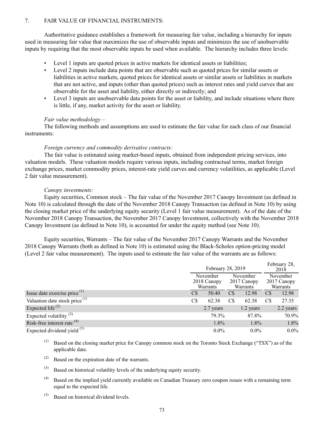## 7. FAIR VALUE OF FINANCIAL INSTRUMENTS:

Authoritative guidance establishes a framework for measuring fair value, including a hierarchy for inputs used in measuring fair value that maximizes the use of observable inputs and minimizes the use of unobservable inputs by requiring that the most observable inputs be used when available. The hierarchy includes three levels:

- Level 1 inputs are quoted prices in active markets for identical assets or liabilities;
- Level 2 inputs include data points that are observable such as quoted prices for similar assets or liabilities in active markets, quoted prices for identical assets or similar assets or liabilities in markets that are not active, and inputs (other than quoted prices) such as interest rates and yield curves that are observable for the asset and liability, either directly or indirectly; and
- Level 3 inputs are unobservable data points for the asset or liability, and include situations where there is little, if any, market activity for the asset or liability.

## *Fair value methodology –*

The following methods and assumptions are used to estimate the fair value for each class of our financial instruments:

## *Foreign currency and commodity derivative contracts:*

The fair value is estimated using market-based inputs, obtained from independent pricing services, into valuation models. These valuation models require various inputs, including contractual terms, market foreign exchange prices, market commodity prices, interest-rate yield curves and currency volatilities, as applicable (Level 2 fair value measurement).

## *Canopy investments:*

Equity securities, Common stock *–* The fair value of the November 2017 Canopy Investment (as defined in Note 10) is calculated through the date of the November 2018 Canopy Transaction (as defined in Note 10) by using the closing market price of the underlying equity security (Level 1 fair value measurement). As of the date of the November 2018 Canopy Transaction, the November 2017 Canopy Investment, collectively with the November 2018 Canopy Investment (as defined in Note 10), is accounted for under the equity method (see Note 10).

Equity securities, Warrants *–* The fair value of the November 2017 Canopy Warrants and the November 2018 Canopy Warrants (both as defined in Note 10) is estimated using the Black-Scholes option-pricing model (Level 2 fair value measurement). The inputs used to estimate the fair value of the warrants are as follows:

|                                           |  |                        | February 28, 2019                   |                         |                                     |                         | February 28.<br>2018                |  |
|-------------------------------------------|--|------------------------|-------------------------------------|-------------------------|-------------------------------------|-------------------------|-------------------------------------|--|
|                                           |  |                        | November<br>2018 Canopy<br>Warrants |                         | November<br>2017 Canopy<br>Warrants |                         | November<br>2017 Canopy<br>Warrants |  |
| Issue date exercise price <sup>(1)</sup>  |  | $\mathbb{C}\mathbb{S}$ | 50.40                               | $\mathbb{C} \mathbb{S}$ | 12.98                               | $\mathbb{C} \mathbb{S}$ | 12.98                               |  |
| Valuation date stock price <sup>(1)</sup> |  | $C\$                   | 62.38                               | $\mathbb{C} \mathbb{S}$ | 62.38                               | $\mathbb{C} \mathbb{S}$ | 27.35                               |  |
| Expected life $^{(2)}$                    |  |                        | 2.7 years                           |                         | 1.2 years                           |                         | 2.2 years                           |  |
| Expected volatility $(3)$                 |  |                        | 79.3%                               |                         | 87.8%                               |                         | 70.9%                               |  |
| Risk-free interest rate $(4)$             |  |                        | 1.8%                                |                         | 1.8%                                |                         | 1.8%                                |  |
| Expected dividend yield <sup>(5)</sup>    |  |                        | $0.0\%$                             |                         | $0.0\%$                             |                         | $0.0\%$                             |  |

(1) Based on the closing market price for Canopy common stock on the Toronto Stock Exchange ("TSX") as of the applicable date.

- (2) Based on the expiration date of the warrants.
- $(3)$  Based on historical volatility levels of the underlying equity security.
- $(4)$  Based on the implied yield currently available on Canadian Treasury zero coupon issues with a remaining term equal to the expected life.
- $(5)$  Based on historical dividend levels.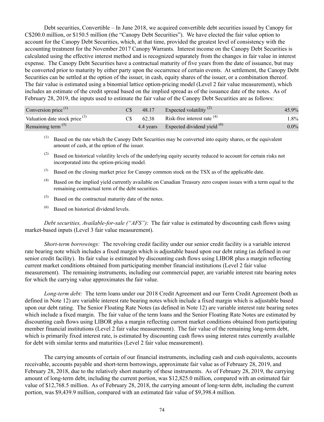Debt securities, Convertible *–* In June 2018, we acquired convertible debt securities issued by Canopy for C\$200.0 million, or \$150.5 million (the "Canopy Debt Securities"). We have elected the fair value option to account for the Canopy Debt Securities, which, at that time, provided the greatest level of consistency with the accounting treatment for the November 2017 Canopy Warrants. Interest income on the Canopy Debt Securities is calculated using the effective interest method and is recognized separately from the changes in fair value in interest expense. The Canopy Debt Securities have a contractual maturity of five years from the date of issuance, but may be converted prior to maturity by either party upon the occurrence of certain events. At settlement, the Canopy Debt Securities can be settled at the option of the issuer, in cash, equity shares of the issuer, or a combination thereof. The fair value is estimated using a binomial lattice option-pricing model (Level 2 fair value measurement), which includes an estimate of the credit spread based on the implied spread as of the issuance date of the notes. As of February 28, 2019, the inputs used to estimate the fair value of the Canopy Debt Securities are as follows:

| Conversion price $(1)$           |  | 48.17 Expected volatility $^{(2)}$               | 45.9%   |
|----------------------------------|--|--------------------------------------------------|---------|
| Valuation date stock price $(3)$ |  | 62.38 Risk-free interest rate $(4)$              | 1.8%    |
| Remaining term <sup>(5)</sup>    |  | 4.4 years Expected dividend yield <sup>(6)</sup> | $0.0\%$ |

- (1) Based on the rate which the Canopy Debt Securities may be converted into equity shares, or the equivalent amount of cash, at the option of the issuer.
- $(2)$  Based on historical volatility levels of the underlying equity security reduced to account for certain risks not incorporated into the option-pricing model.
- (3) Based on the closing market price for Canopy common stock on the TSX as of the applicable date.
- (4) Based on the implied yield currently available on Canadian Treasury zero coupon issues with a term equal to the remaining contractual term of the debt securities.
- (5) Based on the contractual maturity date of the notes.
- (6) Based on historical dividend levels.

*Debt securities, Available-for-sale ("AFS")*: The fair value is estimated by discounting cash flows using market-based inputs (Level 3 fair value measurement).

*Short-term borrowings:* The revolving credit facility under our senior credit facility is a variable interest rate bearing note which includes a fixed margin which is adjustable based upon our debt rating (as defined in our senior credit facility). Its fair value is estimated by discounting cash flows using LIBOR plus a margin reflecting current market conditions obtained from participating member financial institutions (Level 2 fair value measurement). The remaining instruments, including our commercial paper, are variable interest rate bearing notes for which the carrying value approximates the fair value.

*Long-term debt:* The term loans under our 2018 Credit Agreement and our Term Credit Agreement (both as defined in Note 12) are variable interest rate bearing notes which include a fixed margin which is adjustable based upon our debt rating. The Senior Floating Rate Notes (as defined in Note 12) are variable interest rate bearing notes which include a fixed margin. The fair value of the term loans and the Senior Floating Rate Notes are estimated by discounting cash flows using LIBOR plus a margin reflecting current market conditions obtained from participating member financial institutions (Level 2 fair value measurement). The fair value of the remaining long-term debt, which is primarily fixed interest rate, is estimated by discounting cash flows using interest rates currently available for debt with similar terms and maturities (Level 2 fair value measurement).

The carrying amounts of certain of our financial instruments, including cash and cash equivalents, accounts receivable, accounts payable and short-term borrowings, approximate fair value as of February 28, 2019, and February 28, 2018, due to the relatively short maturity of these instruments. As of February 28, 2019, the carrying amount of long-term debt, including the current portion, was \$12,825.0 million, compared with an estimated fair value of \$12,768.5 million. As of February 28, 2018, the carrying amount of long-term debt, including the current portion, was \$9,439.9 million, compared with an estimated fair value of \$9,398.4 million.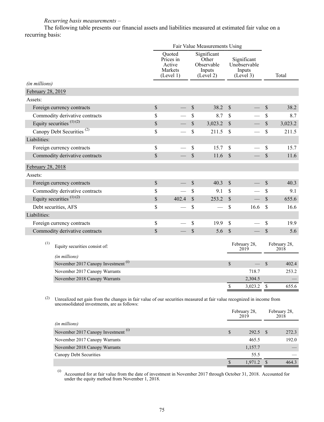### *Recurring basis measurements –*

The following table presents our financial assets and liabilities measured at estimated fair value on a recurring basis:

|                   |                                                | Fair Value Measurements Using                         |              |                                                           |               |                                                    |               |                      |
|-------------------|------------------------------------------------|-------------------------------------------------------|--------------|-----------------------------------------------------------|---------------|----------------------------------------------------|---------------|----------------------|
|                   |                                                | Quoted<br>Prices in<br>Active<br>Markets<br>(Level 1) |              | Significant<br>Other<br>Observable<br>Inputs<br>(Level 2) |               | Significant<br>Unobservable<br>Inputs<br>(Level 3) |               | Total                |
| (in millions)     |                                                |                                                       |              |                                                           |               |                                                    |               |                      |
| February 28, 2019 |                                                |                                                       |              |                                                           |               |                                                    |               |                      |
| Assets:           |                                                |                                                       |              |                                                           |               |                                                    |               |                      |
|                   | Foreign currency contracts                     | \$                                                    | $\mathbb{S}$ | 38.2                                                      | $\mathcal{S}$ |                                                    | \$            | 38.2                 |
|                   | Commodity derivative contracts                 | \$                                                    | $\mathbb S$  | 8.7                                                       | \$            |                                                    | \$            | 8.7                  |
|                   | Equity securities $(1)(2)$                     | \$                                                    | $\mathbb{S}$ | 3,023.2                                                   | $\mathcal{S}$ |                                                    | $\mathbb S$   | 3,023.2              |
|                   | Canopy Debt Securities <sup>(2)</sup>          | \$                                                    | \$           | 211.5                                                     | \$            |                                                    | \$            | 211.5                |
| Liabilities:      |                                                |                                                       |              |                                                           |               |                                                    |               |                      |
|                   | Foreign currency contracts                     | \$                                                    | $\mathbb S$  | 15.7                                                      | \$            |                                                    | \$            | 15.7                 |
|                   | Commodity derivative contracts                 | \$                                                    | $\mathbb{S}$ | 11.6                                                      | $\mathcal{S}$ |                                                    | $\mathbb S$   | 11.6                 |
| February 28, 2018 |                                                |                                                       |              |                                                           |               |                                                    |               |                      |
| Assets:           |                                                |                                                       |              |                                                           |               |                                                    |               |                      |
|                   | Foreign currency contracts                     | \$                                                    | $\mathbb{S}$ | 40.3                                                      | $\mathbb{S}$  |                                                    | $\mathbb S$   | 40.3                 |
|                   | Commodity derivative contracts                 | \$                                                    | S            | 9.1                                                       | S             |                                                    | \$            | 9.1                  |
|                   | Equity securities $(1)(2)$                     | \$<br>402.4                                           | $\mathbb{S}$ | 253.2                                                     | \$            |                                                    | $\mathbb{S}$  | 655.6                |
|                   | Debt securities, AFS                           | \$                                                    | \$           |                                                           | \$            | 16.6                                               | \$            | 16.6                 |
| Liabilities:      |                                                |                                                       |              |                                                           |               |                                                    |               |                      |
|                   | Foreign currency contracts                     | \$                                                    | $\mathbb{S}$ | 19.9                                                      | $\mathsf{\$}$ |                                                    | \$            | 19.9                 |
|                   | Commodity derivative contracts                 | \$                                                    | $\mathbb{S}$ | 5.6                                                       | $\mathcal{S}$ |                                                    | $\mathbb S$   | 5.6                  |
| (1)               | Equity securities consist of:                  |                                                       |              |                                                           |               | February 28,<br>2019                               |               | February 28,<br>2018 |
|                   | (in millions)                                  |                                                       |              |                                                           |               |                                                    |               |                      |
|                   | November 2017 Canopy Investment <sup>(i)</sup> |                                                       |              |                                                           | $\mathbb{S}$  |                                                    | $\mathcal{S}$ | 402.4                |
|                   | November 2017 Canopy Warrants                  |                                                       |              |                                                           |               | 718.7                                              |               | 253.2                |
|                   | November 2018 Canopy Warrants                  |                                                       |              |                                                           |               | 2,304.5                                            |               |                      |
|                   |                                                |                                                       |              |                                                           | \$            | 3,023.2                                            | $\mathcal{S}$ | 655.6                |

(2) Unrealized net gain from the changes in fair value of our securities measured at fair value recognized in income from unconsolidated investments, are as follows:

|                                                | February 28,<br>2019 | February 28,<br>2018 |
|------------------------------------------------|----------------------|----------------------|
| (in millions)                                  |                      |                      |
| November 2017 Canopy Investment <sup>(1)</sup> | \$<br>292.5 \$       | 272.3                |
| November 2017 Canopy Warrants                  | 465.5                | 192.0                |
| November 2018 Canopy Warrants                  | 1,157.7              |                      |
| Canopy Debt Securities                         | 55.5                 |                      |
|                                                | 1.971.2              | 464.3                |

(i) Accounted for at fair value from the date of investment in November 2017 through October 31, 2018. Accounted for under the equity method from November 1, 2018.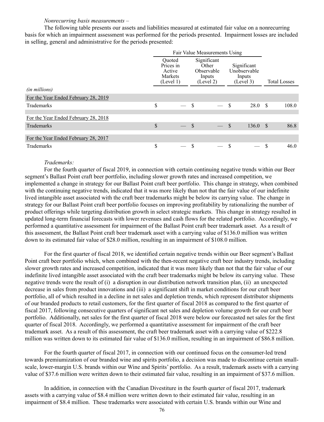### *Nonrecurring basis measurements –*

The following table presents our assets and liabilities measured at estimated fair value on a nonrecurring basis for which an impairment assessment was performed for the periods presented. Impairment losses are included in selling, general and administrative for the periods presented:

|                                      |                                                       | Fair Value Measurements Using |                                                           |        |               |                                                    |     |                     |
|--------------------------------------|-------------------------------------------------------|-------------------------------|-----------------------------------------------------------|--------|---------------|----------------------------------------------------|-----|---------------------|
|                                      | Ouoted<br>Prices in<br>Active<br>Markets<br>(Level 1) |                               | Significant<br>Other<br>Observable<br>Inputs<br>(Level 2) |        |               | Significant<br>Unobservable<br>Inputs<br>(Level 3) |     | <b>Total Losses</b> |
| (in millions)                        |                                                       |                               |                                                           |        |               |                                                    |     |                     |
| For the Year Ended February 28, 2019 |                                                       |                               |                                                           |        |               |                                                    |     |                     |
| <b>Trademarks</b>                    | <sup>\$</sup>                                         | $\overline{\phantom{a}}$      | <b>S</b>                                                  | $-$ \$ |               | 28.0                                               | - S | 108.0               |
| For the Year Ended February 28, 2018 |                                                       |                               |                                                           |        |               |                                                    |     |                     |
| Trademarks                           | $\mathbb{S}$                                          |                               | <sup>S</sup>                                              |        | <sup>\$</sup> | 136.0                                              | - S | 86.8                |
|                                      |                                                       |                               |                                                           |        |               |                                                    |     |                     |
| For the Year Ended February 28, 2017 |                                                       |                               |                                                           |        |               |                                                    |     |                     |
| Trademarks                           | S                                                     |                               | S                                                         |        | S             |                                                    | S   | 46.0                |

### *Trademarks:*

For the fourth quarter of fiscal 2019, in connection with certain continuing negative trends within our Beer segment's Ballast Point craft beer portfolio, including slower growth rates and increased competition, we implemented a change in strategy for our Ballast Point craft beer portfolio. This change in strategy, when combined with the continuing negative trends, indicated that it was more likely than not that the fair value of our indefinite lived intangible asset associated with the craft beer trademarks might be below its carrying value. The change in strategy for our Ballast Point craft beer portfolio focuses on improving profitability by rationalizing the number of product offerings while targeting distribution growth in select strategic markets. This change in strategy resulted in updated long-term financial forecasts with lower revenues and cash flows for the related portfolio. Accordingly, we performed a quantitative assessment for impairment of the Ballast Point craft beer trademark asset. As a result of this assessment, the Ballast Point craft beer trademark asset with a carrying value of \$136.0 million was written down to its estimated fair value of \$28.0 million, resulting in an impairment of \$108.0 million.

For the first quarter of fiscal 2018, we identified certain negative trends within our Beer segment's Ballast Point craft beer portfolio which, when combined with the then-recent negative craft beer industry trends, including slower growth rates and increased competition, indicated that it was more likely than not that the fair value of our indefinite lived intangible asset associated with the craft beer trademarks might be below its carrying value. These negative trends were the result of (i) a disruption in our distribution network transition plan, (ii) an unexpected decrease in sales from product innovations and (iii) a significant shift in market conditions for our craft beer portfolio, all of which resulted in a decline in net sales and depletion trends, which represent distributor shipments of our branded products to retail customers, for the first quarter of fiscal 2018 as compared to the first quarter of fiscal 2017, following consecutive quarters of significant net sales and depletion volume growth for our craft beer portfolio. Additionally, net sales for the first quarter of fiscal 2018 were below our forecasted net sales for the first quarter of fiscal 2018. Accordingly, we performed a quantitative assessment for impairment of the craft beer trademark asset. As a result of this assessment, the craft beer trademark asset with a carrying value of \$222.8 million was written down to its estimated fair value of \$136.0 million, resulting in an impairment of \$86.8 million.

For the fourth quarter of fiscal 2017, in connection with our continued focus on the consumer-led trend towards premiumization of our branded wine and spirits portfolio, a decision was made to discontinue certain smallscale, lower-margin U.S. brands within our Wine and Spirits' portfolio. As a result, trademark assets with a carrying value of \$37.6 million were written down to their estimated fair value, resulting in an impairment of \$37.6 million.

In addition, in connection with the Canadian Divestiture in the fourth quarter of fiscal 2017, trademark assets with a carrying value of \$8.4 million were written down to their estimated fair value, resulting in an impairment of \$8.4 million. These trademarks were associated with certain U.S. brands within our Wine and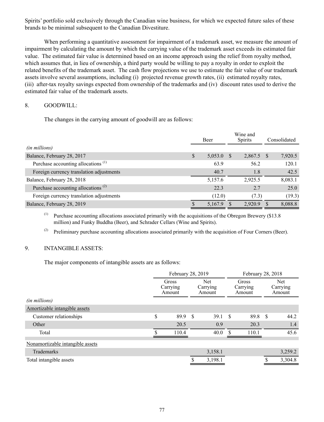Spirits' portfolio sold exclusively through the Canadian wine business, for which we expected future sales of these brands to be minimal subsequent to the Canadian Divestiture.

When performing a quantitative assessment for impairment of a trademark asset, we measure the amount of impairment by calculating the amount by which the carrying value of the trademark asset exceeds its estimated fair value. The estimated fair value is determined based on an income approach using the relief from royalty method, which assumes that, in lieu of ownership, a third party would be willing to pay a royalty in order to exploit the related benefits of the trademark asset. The cash flow projections we use to estimate the fair value of our trademark assets involve several assumptions, including (i) projected revenue growth rates, (ii) estimated royalty rates, (iii) after-tax royalty savings expected from ownership of the trademarks and (iv) discount rates used to derive the estimated fair value of the trademark assets.

## 8. GOODWILL:

The changes in the carrying amount of goodwill are as follows:

|                                                | Beer          |     | Wine and<br><b>Spirits</b> | Consolidated |
|------------------------------------------------|---------------|-----|----------------------------|--------------|
| <i>(in millions)</i>                           |               |     |                            |              |
| Balance, February 28, 2017                     | \$<br>5,053.0 | - S | $2,867.5$ \$               | 7,920.5      |
| Purchase accounting allocations <sup>(1)</sup> | 63.9          |     | 56.2                       | 120.1        |
| Foreign currency translation adjustments       | 40.7          |     | 1.8                        | 42.5         |
| Balance, February 28, 2018                     | 5,157.6       |     | 2,925.5                    | 8,083.1      |
| Purchase accounting allocations <sup>(2)</sup> | 22.3          |     | 2.7                        | 25.0         |
| Foreign currency translation adjustments       | (12.0)        |     | (7.3)                      | (19.3)       |
| Balance, February 28, 2019                     | 5,167.9       |     | 2.920.9                    | 8,088.8      |

(1) Purchase accounting allocations associated primarily with the acquisitions of the Obregon Brewery (\$13.8 million) and Funky Buddha (Beer), and Schrader Cellars (Wine and Spirits).

(2) Preliminary purchase accounting allocations associated primarily with the acquisition of Four Corners (Beer).

## 9. INTANGIBLE ASSETS:

The major components of intangible assets are as follows:

|                                  | February 28, 2019           |      |                           | February 28, 2018 |                             |     |                           |
|----------------------------------|-----------------------------|------|---------------------------|-------------------|-----------------------------|-----|---------------------------|
|                                  | Gross<br>Carrying<br>Amount |      | Net<br>Carrying<br>Amount |                   | Gross<br>Carrying<br>Amount |     | Net<br>Carrying<br>Amount |
| (in millions)                    |                             |      |                           |                   |                             |     |                           |
| Amortizable intangible assets    |                             |      |                           |                   |                             |     |                           |
| Customer relationships           | \$<br>89.9                  | - \$ | 39.1                      | - S               | 89.8                        | - S | 44.2                      |
| Other                            | 20.5                        |      | 0.9                       |                   | 20.3                        |     | 1.4                       |
| Total                            | 110.4                       |      | 40.0                      | $\mathcal{S}$     | 110.1                       |     | 45.6                      |
| Nonamortizable intangible assets |                             |      |                           |                   |                             |     |                           |
| Trademarks                       |                             |      | 3,158.1                   |                   |                             |     | 3,259.2                   |
| Total intangible assets          |                             |      | 3,198.1                   |                   |                             | \$  | 3,304.8                   |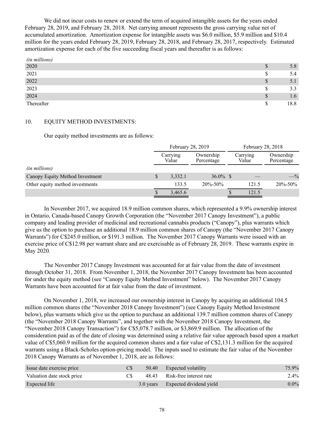We did not incur costs to renew or extend the term of acquired intangible assets for the years ended February 28, 2019, and February 28, 2018. Net carrying amount represents the gross carrying value net of accumulated amortization. Amortization expense for intangible assets was \$6.0 million, \$5.9 million and \$10.4 million for the years ended February 28, 2019, February 28, 2018, and February 28, 2017, respectively. Estimated amortization expense for each of the five succeeding fiscal years and thereafter is as follows:

| (in millions)                               |    |      |
|---------------------------------------------|----|------|
| $2020\,$                                    | D  | 5.8  |
| 2021                                        | \$ | 5.4  |
| $\begin{array}{c} 2022 \\ 2023 \end{array}$ | \$ | 5.1  |
|                                             | S  | 3.3  |
| 2024                                        | S  | 1.6  |
| Thereafter                                  |    | 18.8 |

## 10. EQUITY METHOD INVESTMENTS:

Our equity method investments are as follows:

|                                 | February 28, 2019 |                         |                   | February 28, 2018       |  |
|---------------------------------|-------------------|-------------------------|-------------------|-------------------------|--|
|                                 | Carrying<br>Value | Ownership<br>Percentage | Carrying<br>Value | Ownership<br>Percentage |  |
| (in millions)                   |                   |                         |                   |                         |  |
| Canopy Equity Method Investment | 3,332.1           | $36.0\%$ \$             |                   | $- \frac{9}{6}$         |  |
| Other equity method investments | 133.5             | $20\% - 50\%$           | 121.5             | $20\% - 50\%$           |  |
|                                 | 3,465.6           |                         | 121.5             |                         |  |

In November 2017, we acquired 18.9 million common shares, which represented a 9.9% ownership interest in Ontario, Canada-based Canopy Growth Corporation (the "November 2017 Canopy Investment"), a public company and leading provider of medicinal and recreational cannabis products ("Canopy"), plus warrants which give us the option to purchase an additional 18.9 million common shares of Canopy (the "November 2017 Canopy Warrants") for C\$245.0 million, or \$191.3 million. The November 2017 Canopy Warrants were issued with an exercise price of C\$12.98 per warrant share and are exercisable as of February 28, 2019. These warrants expire in May 2020*.*

The November 2017 Canopy Investment was accounted for at fair value from the date of investment through October 31, 2018. From November 1, 2018, the November 2017 Canopy Investment has been accounted for under the equity method (see "Canopy Equity Method Investment" below). The November 2017 Canopy Warrants have been accounted for at fair value from the date of investment.

On November 1, 2018, we increased our ownership interest in Canopy by acquiring an additional 104.5 million common shares (the "November 2018 Canopy Investment") (see Canopy Equity Method Investment below), plus warrants which give us the option to purchase an additional 139.7 million common shares of Canopy (the "November 2018 Canopy Warrants", and together with the November 2018 Canopy Investment, the "November 2018 Canopy Transaction") for C\$5,078.7 million, or \$3,869.9 million. The allocation of the consideration paid as of the date of closing was determined using a relative fair value approach based upon a market value of C\$5,060.9 million for the acquired common shares and a fair value of C\$2,131.3 million for the acquired warrants using a Black-Scholes option-pricing model. The inputs used to estimate the fair value of the November 2018 Canopy Warrants as of November 1, 2018, are as follows:

| Issue date exercise price  |  | 50.40 Expected volatility         | 75.9%   |
|----------------------------|--|-----------------------------------|---------|
| Valuation date stock price |  | 48.43 Risk-free interest rate     | $2.4\%$ |
| Expected life              |  | 3.0 years Expected dividend yield | $0.0\%$ |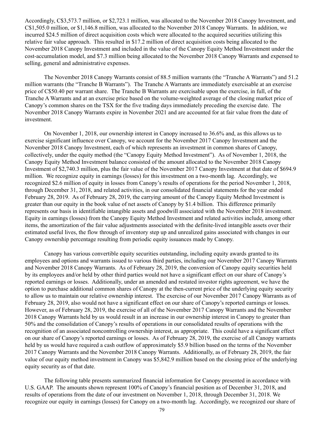Accordingly, C\$3,573.7 million, or \$2,723.1 million, was allocated to the November 2018 Canopy Investment, and C\$1,505.0 million, or \$1,146.8 million, was allocated to the November 2018 Canopy Warrants. In addition, we incurred \$24.5 million of direct acquisition costs which were allocated to the acquired securities utilizing this relative fair value approach. This resulted in \$17.2 million of direct acquisition costs being allocated to the November 2018 Canopy Investment and included in the value of the Canopy Equity Method Investment under the cost-accumulation model, and \$7.3 million being allocated to the November 2018 Canopy Warrants and expensed to selling, general and administrative expenses.

The November 2018 Canopy Warrants consist of 88.5 million warrants (the "Tranche A Warrants") and 51.2 million warrants (the "Tranche B Warrants"). The Tranche A Warrants are immediately exercisable at an exercise price of C\$50.40 per warrant share. The Tranche B Warrants are exercisable upon the exercise, in full, of the Tranche A Warrants and at an exercise price based on the volume-weighted average of the closing market price of Canopy's common shares on the TSX for the five trading days immediately preceding the exercise date. The November 2018 Canopy Warrants expire in November 2021 and are accounted for at fair value from the date of investment.

On November 1, 2018, our ownership interest in Canopy increased to 36.6% and, as this allows us to exercise significant influence over Canopy, we account for the November 2017 Canopy Investment and the November 2018 Canopy Investment, each of which represents an investment in common shares of Canopy, collectively, under the equity method (the "Canopy Equity Method Investment"). As of November 1, 2018, the Canopy Equity Method Investment balance consisted of the amount allocated to the November 2018 Canopy Investment of \$2,740.3 million, plus the fair value of the November 2017 Canopy Investment at that date of \$694.9 million. We recognize equity in earnings (losses) for this investment on a two-month lag. Accordingly, we recognized \$2.6 million of equity in losses from Canopy's results of operations for the period November 1, 2018, through December 31, 2018, and related activities, in our consolidated financial statements for the year ended February 28, 2019. As of February 28, 2019, the carrying amount of the Canopy Equity Method Investment is greater than our equity in the book value of net assets of Canopy by \$1.4 billion. This difference primarily represents our basis in identifiable intangible assets and goodwill associated with the November 2018 investment. Equity in earnings (losses) from the Canopy Equity Method Investment and related activities include, among other items, the amortization of the fair value adjustments associated with the definite-lived intangible assets over their estimated useful lives, the flow through of inventory step up and unrealized gains associated with changes in our Canopy ownership percentage resulting from periodic equity issuances made by Canopy.

Canopy has various convertible equity securities outstanding, including equity awards granted to its employees and options and warrants issued to various third parties, including our November 2017 Canopy Warrants and November 2018 Canopy Warrants. As of February 28, 2019, the conversion of Canopy equity securities held by its employees and/or held by other third parties would not have a significant effect on our share of Canopy's reported earnings or losses. Additionally, under an amended and restated investor rights agreement, we have the option to purchase additional common shares of Canopy at the then-current price of the underlying equity security to allow us to maintain our relative ownership interest. The exercise of our November 2017 Canopy Warrants as of February 28, 2019, also would not have a significant effect on our share of Canopy's reported earnings or losses. However, as of February 28, 2019, the exercise of all of the November 2017 Canopy Warrants and the November 2018 Canopy Warrants held by us would result in an increase in our ownership interest in Canopy to greater than 50% and the consolidation of Canopy's results of operations in our consolidated results of operations with the recognition of an associated noncontrolling ownership interest, as appropriate. This could have a significant effect on our share of Canopy's reported earnings or losses. As of February 28, 2019, the exercise of all Canopy warrants held by us would have required a cash outflow of approximately \$5.9 billion based on the terms of the November 2017 Canopy Warrants and the November 2018 Canopy Warrants. Additionally, as of February 28, 2019, the fair value of our equity method investment in Canopy was \$5,842.9 million based on the closing price of the underlying equity security as of that date.

The following table presents summarized financial information for Canopy presented in accordance with U.S. GAAP. The amounts shown represent 100% of Canopy's financial position as of December 31, 2018, and results of operations from the date of our investment on November 1, 2018, through December 31, 2018. We recognize our equity in earnings (losses) for Canopy on a two-month lag. Accordingly, we recognized our share of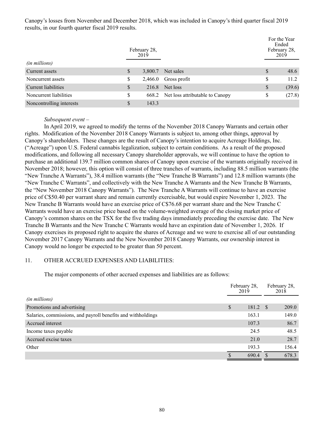Canopy's losses from November and December 2018, which was included in Canopy's third quarter fiscal 2019 results, in our fourth quarter fiscal 2019 results.

|                          | February 28,<br>2019 |                                       |               | For the Year<br>Ended<br>February 28,<br>2019 |
|--------------------------|----------------------|---------------------------------------|---------------|-----------------------------------------------|
| (in millions)            |                      |                                       |               |                                               |
| Current assets           | \$<br>3,800.7        | Net sales                             | S             | 48.6                                          |
| Noncurrent assets        | \$<br>2,466.0        | Gross profit                          | <sup>\$</sup> | 11.2                                          |
| Current liabilities      | \$<br>216.8          | Net loss                              | $\mathbb{S}$  | (39.6)                                        |
| Noncurrent liabilities   | \$                   | 668.2 Net loss attributable to Canopy | \$            | (27.8)                                        |
| Noncontrolling interests | \$<br>143.3          |                                       |               |                                               |

## *Subsequent event –*

In April 2019, we agreed to modify the terms of the November 2018 Canopy Warrants and certain other rights. Modification of the November 2018 Canopy Warrants is subject to, among other things, approval by Canopy's shareholders. These changes are the result of Canopy's intention to acquire Acreage Holdings, Inc. ("Acreage") upon U.S. Federal cannabis legalization, subject to certain conditions. As a result of the proposed modifications, and following all necessary Canopy shareholder approvals, we will continue to have the option to purchase an additional 139.7 million common shares of Canopy upon exercise of the warrants originally received in November 2018; however, this option will consist of three tranches of warrants, including 88.5 million warrants (the "New Tranche A Warrants"), 38.4 million warrants (the "New Tranche B Warrants") and 12.8 million warrants (the "New Tranche C Warrants", and collectively with the New Tranche A Warrants and the New Tranche B Warrants, the "New November 2018 Canopy Warrants"). The New Tranche A Warrants will continue to have an exercise price of C\$50.40 per warrant share and remain currently exercisable, but would expire November 1, 2023. The New Tranche B Warrants would have an exercise price of C\$76.68 per warrant share and the New Tranche C Warrants would have an exercise price based on the volume-weighted average of the closing market price of Canopy's common shares on the TSX for the five trading days immediately preceding the exercise date. The New Tranche B Warrants and the New Tranche C Warrants would have an expiration date of November 1, 2026. If Canopy exercises its proposed right to acquire the shares of Acreage and we were to exercise all of our outstanding November 2017 Canopy Warrants and the New November 2018 Canopy Warrants, our ownership interest in Canopy would no longer be expected to be greater than 50 percent.

## 11. OTHER ACCRUED EXPENSES AND LIABILITIES:

The major components of other accrued expenses and liabilities are as follows:

|                                                              |   | February 28,<br>2019 |   | February 28,<br>2018 |
|--------------------------------------------------------------|---|----------------------|---|----------------------|
| (in millions)                                                |   |                      |   |                      |
| Promotions and advertising                                   | S | 181.2 \$             |   | 209.0                |
| Salaries, commissions, and payroll benefits and withholdings |   | 163.1                |   | 149.0                |
| Accrued interest                                             |   | 107.3                |   | 86.7                 |
| Income taxes payable                                         |   | 24.5                 |   | 48.5                 |
| Accrued excise taxes                                         |   | 21.0                 |   | 28.7                 |
| Other                                                        |   | 193.3                |   | 156.4                |
|                                                              |   | 690.4                | S | 678.3                |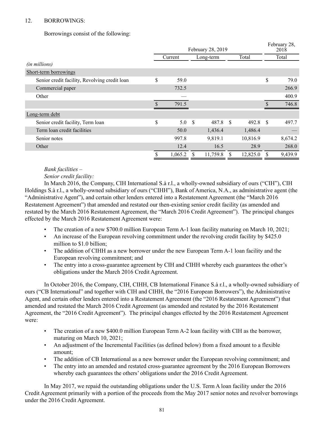## 12. BORROWINGS:

Borrowings consist of the following:

|                                               | February 28, 2019    |         |             |          |      |            | February 28,<br>2018 |
|-----------------------------------------------|----------------------|---------|-------------|----------|------|------------|----------------------|
|                                               | Current<br>Long-term |         | Total       | Total    |      |            |                      |
| (in millions)                                 |                      |         |             |          |      |            |                      |
| Short-term borrowings                         |                      |         |             |          |      |            |                      |
| Senior credit facility, Revolving credit loan | \$                   | 59.0    |             |          |      |            | \$<br>79.0           |
| Commercial paper                              |                      | 732.5   |             |          |      |            | 266.9                |
| Other                                         |                      |         |             |          |      |            | 400.9                |
|                                               |                      | 791.5   |             |          |      |            | 746.8                |
| Long-term debt                                |                      |         |             |          |      |            |                      |
| Senior credit facility, Term loan             | \$                   | 5.0     | $\mathbf S$ | 487.8    | - \$ | $492.8$ \$ | 497.7                |
| Term loan credit facilities                   |                      | 50.0    |             | 1,436.4  |      | 1,486.4    |                      |
| Senior notes                                  |                      | 997.8   |             | 9,819.1  |      | 10,816.9   | 8,674.2              |
| Other                                         |                      | 12.4    |             | 16.5     |      | 28.9       | 268.0                |
|                                               | \$                   | 1,065.2 |             | 11,759.8 | \$   | 12,825.0   | \$<br>9,439.9        |

*Bank facilities –*

*Senior credit facility:*

In March 2016, the Company, CIH International S.à r.l., a wholly-owned subsidiary of ours ("CIH"), CIH Holdings S.à r.l., a wholly-owned subsidiary of ours ("CIHH"), Bank of America, N.A., as administrative agent (the "Administrative Agent"), and certain other lenders entered into a Restatement Agreement (the "March 2016 Restatement Agreement") that amended and restated our then-existing senior credit facility (as amended and restated by the March 2016 Restatement Agreement, the "March 2016 Credit Agreement"). The principal changes effected by the March 2016 Restatement Agreement were:

- The creation of a new \$700.0 million European Term A-1 loan facility maturing on March 10, 2021;
- An increase of the European revolving commitment under the revolving credit facility by \$425.0 million to \$1.0 billion;
- The addition of CIHH as a new borrower under the new European Term A-1 loan facility and the European revolving commitment; and
- The entry into a cross-guarantee agreement by CIH and CIHH whereby each guarantees the other's obligations under the March 2016 Credit Agreement.

In October 2016, the Company, CIH, CIHH, CB International Finance S.à r.l., a wholly-owned subsidiary of ours ("CB International" and together with CIH and CIHH, the "2016 European Borrowers"), the Administrative Agent, and certain other lenders entered into a Restatement Agreement (the "2016 Restatement Agreement") that amended and restated the March 2016 Credit Agreement (as amended and restated by the 2016 Restatement Agreement, the "2016 Credit Agreement"). The principal changes effected by the 2016 Restatement Agreement were:

- The creation of a new \$400.0 million European Term A-2 loan facility with CIH as the borrower, maturing on March 10, 2021;
- An adjustment of the Incremental Facilities (as defined below) from a fixed amount to a flexible amount;
- The addition of CB International as a new borrower under the European revolving commitment; and
- The entry into an amended and restated cross-guarantee agreement by the 2016 European Borrowers whereby each guarantees the others' obligations under the 2016 Credit Agreement.

In May 2017, we repaid the outstanding obligations under the U.S. Term A loan facility under the 2016 Credit Agreement primarily with a portion of the proceeds from the May 2017 senior notes and revolver borrowings under the 2016 Credit Agreement.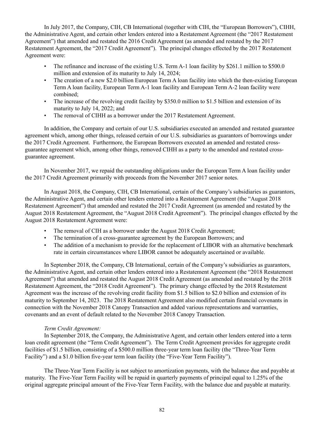In July 2017, the Company, CIH, CB International (together with CIH, the "European Borrowers"), CIHH, the Administrative Agent, and certain other lenders entered into a Restatement Agreement (the "2017 Restatement Agreement") that amended and restated the 2016 Credit Agreement (as amended and restated by the 2017 Restatement Agreement, the "2017 Credit Agreement"). The principal changes effected by the 2017 Restatement Agreement were:

- The refinance and increase of the existing U.S. Term A-1 loan facility by \$261.1 million to \$500.0 million and extension of its maturity to July 14, 2024;
- The creation of a new \$2.0 billion European Term A loan facility into which the then-existing European Term A loan facility, European Term A-1 loan facility and European Term A-2 loan facility were combined;
- The increase of the revolving credit facility by \$350.0 million to \$1.5 billion and extension of its maturity to July 14, 2022; and
- The removal of CIHH as a borrower under the 2017 Restatement Agreement.

In addition, the Company and certain of our U.S. subsidiaries executed an amended and restated guarantee agreement which, among other things, released certain of our U.S. subsidiaries as guarantors of borrowings under the 2017 Credit Agreement. Furthermore, the European Borrowers executed an amended and restated crossguarantee agreement which, among other things, removed CIHH as a party to the amended and restated crossguarantee agreement.

In November 2017, we repaid the outstanding obligations under the European Term A loan facility under the 2017 Credit Agreement primarily with proceeds from the November 2017 senior notes.

In August 2018, the Company, CIH, CB International, certain of the Company's subsidiaries as guarantors, the Administrative Agent, and certain other lenders entered into a Restatement Agreement (the "August 2018 Restatement Agreement") that amended and restated the 2017 Credit Agreement (as amended and restated by the August 2018 Restatement Agreement, the "August 2018 Credit Agreement"). The principal changes effected by the August 2018 Restatement Agreement were:

- The removal of CIH as a borrower under the August 2018 Credit Agreement;
- The termination of a cross-guarantee agreement by the European Borrowers; and
- The addition of a mechanism to provide for the replacement of LIBOR with an alternative benchmark rate in certain circumstances where LIBOR cannot be adequately ascertained or available.

In September 2018, the Company, CB International, certain of the Company's subsidiaries as guarantors, the Administrative Agent, and certain other lenders entered into a Restatement Agreement (the "2018 Restatement Agreement") that amended and restated the August 2018 Credit Agreement (as amended and restated by the 2018 Restatement Agreement, the "2018 Credit Agreement"). The primary change effected by the 2018 Restatement Agreement was the increase of the revolving credit facility from \$1.5 billion to \$2.0 billion and extension of its maturity to September 14, 2023. The 2018 Restatement Agreement also modified certain financial covenants in connection with the November 2018 Canopy Transaction and added various representations and warranties, covenants and an event of default related to the November 2018 Canopy Transaction.

## *Term Credit Agreement:*

In September 2018, the Company, the Administrative Agent, and certain other lenders entered into a term loan credit agreement (the "Term Credit Agreement"). The Term Credit Agreement provides for aggregate credit facilities of \$1.5 billion, consisting of a \$500.0 million three-year term loan facility (the "Three-Year Term Facility") and a \$1.0 billion five-year term loan facility (the "Five-Year Term Facility").

The Three-Year Term Facility is not subject to amortization payments, with the balance due and payable at maturity. The Five-Year Term Facility will be repaid in quarterly payments of principal equal to 1.25% of the original aggregate principal amount of the Five-Year Term Facility, with the balance due and payable at maturity.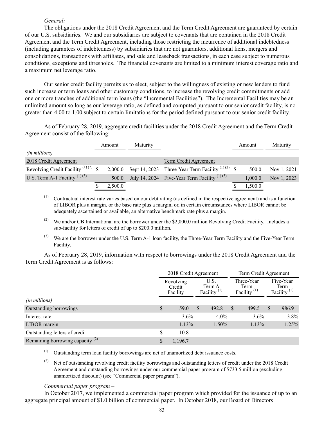## *General:*

The obligations under the 2018 Credit Agreement and the Term Credit Agreement are guaranteed by certain of our U.S. subsidiaries. We and our subsidiaries are subject to covenants that are contained in the 2018 Credit Agreement and the Term Credit Agreement, including those restricting the incurrence of additional indebtedness (including guarantees of indebtedness) by subsidiaries that are not guarantors, additional liens, mergers and consolidations, transactions with affiliates, and sale and leaseback transactions, in each case subject to numerous conditions, exceptions and thresholds. The financial covenants are limited to a minimum interest coverage ratio and a maximum net leverage ratio.

Our senior credit facility permits us to elect, subject to the willingness of existing or new lenders to fund such increase or term loans and other customary conditions, to increase the revolving credit commitments or add one or more tranches of additional term loans (the "Incremental Facilities"). The Incremental Facilities may be an unlimited amount so long as our leverage ratio, as defined and computed pursuant to our senior credit facility, is no greater than 4.00 to 1.00 subject to certain limitations for the period defined pursuant to our senior credit facility.

As of February 28, 2019, aggregate credit facilities under the 2018 Credit Agreement and the Term Credit Agreement consist of the following:

|                                                | Amount  | Maturity |                                                             | Amount  | Maturity    |
|------------------------------------------------|---------|----------|-------------------------------------------------------------|---------|-------------|
| <i>(in millions)</i>                           |         |          |                                                             |         |             |
| 2018 Credit Agreement                          |         |          | <b>Term Credit Agreement</b>                                |         |             |
| Revolving Credit Facility <sup>(1)(2)</sup> \$ | 2.000.0 |          | Sept 14, 2023 Three-Year Term Facility <sup>(1)(3)</sup> \$ | 500.0   | Nov 1, 2021 |
| U.S. Term A-1 Facility $^{(1)(3)}$             | 500.0   |          | July 14, 2024 Five-Year Term Facility <sup>(1)(3)</sup>     | 1.000.0 | Nov 1, 2023 |
|                                                | 2,500.0 |          |                                                             | 1,500.0 |             |

(1) Contractual interest rate varies based on our debt rating (as defined in the respective agreement) and is a function of LIBOR plus a margin, or the base rate plus a margin, or, in certain circumstances where LIBOR cannot be adequately ascertained or available, an alternative benchmark rate plus a margin.

- (2) We and/or CB International are the borrower under the  $$2,000.0$  million Revolving Credit Facility. Includes a sub-facility for letters of credit of up to \$200.0 million.
- <sup>(3)</sup> We are the borrower under the U.S. Term A-1 loan facility, the Three-Year Term Facility and the Five-Year Term Facility.

As of February 28, 2019, information with respect to borrowings under the 2018 Credit Agreement and the Term Credit Agreement is as follows:

|                                             | 2018 Credit Agreement |                                                                              |    |         | Term Credit Agreement                         |                                                           |   |       |
|---------------------------------------------|-----------------------|------------------------------------------------------------------------------|----|---------|-----------------------------------------------|-----------------------------------------------------------|---|-------|
|                                             |                       | U.S.<br>Revolving<br>Term A<br>Credit<br>Facility <sup>(1)</sup><br>Facility |    |         | Three-Year<br>Term<br>Facility <sup>(1)</sup> | Five-Year<br>Term<br>Facility <sup><math>(1)</math></sup> |   |       |
| (in millions)                               |                       |                                                                              |    |         |                                               |                                                           |   |       |
| Outstanding borrowings                      | \$                    | 59.0                                                                         | \$ | 492.8   | S                                             | 499.5                                                     | S | 986.9 |
| Interest rate                               |                       | 3.6%                                                                         |    | $4.0\%$ |                                               | $3.6\%$                                                   |   | 3.8%  |
| LIBOR margin                                |                       | 1.13%                                                                        |    | 1.50%   |                                               | 1.13%                                                     |   | 1.25% |
| Outstanding letters of credit               | \$                    | 10.8                                                                         |    |         |                                               |                                                           |   |       |
| Remaining borrowing capacity <sup>(2)</sup> |                       | 1,196.7                                                                      |    |         |                                               |                                                           |   |       |

(1) Outstanding term loan facility borrowings are net of unamortized debt issuance costs.

(2) Net of outstanding revolving credit facility borrowings and outstanding letters of credit under the 2018 Credit Agreement and outstanding borrowings under our commercial paper program of \$733.5 million (excluding unamortized discount) (see "Commercial paper program").

## *Commercial paper program* –

In October 2017, we implemented a commercial paper program which provided for the issuance of up to an aggregate principal amount of \$1.0 billion of commercial paper. In October 2018, our Board of Directors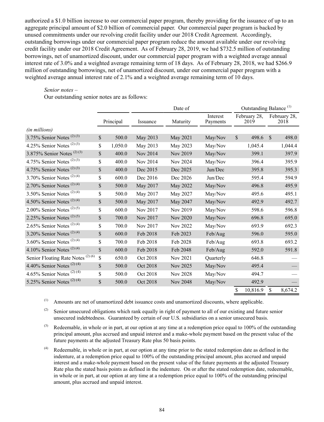authorized a \$1.0 billion increase to our commercial paper program, thereby providing for the issuance of up to an aggregate principal amount of \$2.0 billion of commercial paper. Our commercial paper program is backed by unused commitments under our revolving credit facility under our 2018 Credit Agreement. Accordingly, outstanding borrowings under our commercial paper program reduce the amount available under our revolving credit facility under our 2018 Credit Agreement. As of February 28, 2019, we had \$732.5 million of outstanding borrowings, net of unamortized discount, under our commercial paper program with a weighted average annual interest rate of 3.0% and a weighted average remaining term of 18 days. As of February 28, 2018, we had \$266.9 million of outstanding borrowings, net of unamortized discount, under our commercial paper program with a weighted average annual interest rate of 2.1% and a weighted average remaining term of 10 days.

#### *Senior notes –*

Our outstanding senior notes are as follows:

|                                              |               |          |                 | Outstanding Balance <sup>(1)</sup> |              |                      |             |                      |
|----------------------------------------------|---------------|----------|-----------------|------------------------------------|--------------|----------------------|-------------|----------------------|
|                                              | Principal     | Issuance | Maturity        | Interest<br>Payments               |              | February 28,<br>2019 |             | February 28,<br>2018 |
| (in millions)                                |               |          |                 |                                    |              |                      |             |                      |
| 3.75% Senior Notes $^{(2)(3)}$               | \$<br>500.0   | May 2013 | May 2021        | May/Nov                            | $\mathbb{S}$ | 498.6                | $\mathbf S$ | 498.0                |
| 4.25% Senior Notes $^{(2)(3)}$               | \$<br>1,050.0 | May 2013 | May 2023        | May/Nov                            |              | 1,045.4              |             | 1,044.4              |
| 3.875% Senior Notes <sup>(2)(3)</sup>        | \$<br>400.0   | Nov 2014 | Nov 2019        | May/Nov                            |              | 399.1                |             | 397.9                |
| 4.75% Senior Notes $^{(2)(3)}$               | \$<br>400.0   | Nov 2014 | Nov 2024        | May/Nov                            |              | 396.4                |             | 395.9                |
| 4.75% Senior Notes $^{(2)(3)}$               | \$<br>400.0   | Dec 2015 | Dec 2025        | Jun/Dec                            |              | 395.8                |             | 395.3                |
| 3.70% Senior Notes <sup>(2)(4)</sup>         | \$<br>600.0   | Dec 2016 | Dec 2026        | Jun/Dec                            |              | 595.4                |             | 594.9                |
| 2.70% Senior Notes <sup>(2)(4)</sup>         | \$<br>500.0   | May 2017 | May 2022        | May/Nov                            |              | 496.8                |             | 495.9                |
| 3.50% Senior Notes $(2)$ (4)                 | \$<br>500.0   | May 2017 | May 2027        | May/Nov                            |              | 495.6                |             | 495.1                |
| 4.50% Senior Notes $^{(2) (4)}$              | \$<br>500.0   | May 2017 | May 2047        | May/Nov                            |              | 492.9                |             | 492.7                |
| 2.00% Senior Notes $(2)(5)$                  | \$<br>600.0   | Nov 2017 | Nov 2019        | May/Nov                            |              | 598.6                |             | 596.8                |
| 2.25% Senior Notes $^{(2)(5)}$               | \$<br>700.0   | Nov 2017 | <b>Nov 2020</b> | May/Nov                            |              | 696.8                |             | 695.0                |
| 2.65% Senior Notes $(2)$ (4)                 | \$<br>700.0   | Nov 2017 | Nov 2022        | May/Nov                            |              | 693.9                |             | 692.3                |
| 3.20% Senior Notes <sup>(2)(4)</sup>         | \$<br>600.0   | Feb 2018 | Feb 2023        | Feb/Aug                            |              | 596.0                |             | 595.0                |
| 3.60% Senior Notes $^{(2) (4)}$              | \$<br>700.0   | Feb 2018 | Feb 2028        | Feb/Aug                            |              | 693.8                |             | 693.2                |
| 4.10% Senior Notes $^{(2) (4)}$              | \$<br>600.0   | Feb 2018 | Feb 2048        | Feb/Aug                            |              | 592.0                |             | 591.8                |
| Senior Floating Rate Notes <sup>(2)(6)</sup> | \$<br>650.0   | Oct 2018 | Nov 2021        | Quarterly                          |              | 646.8                |             |                      |
| 4.40% Senior Notes <sup>(2)(4)</sup>         | \$<br>500.0   | Oct 2018 | Nov 2025        | May/Nov                            |              | 495.4                |             |                      |
| 4.65% Senior Notes $^{(2) (4)}$              | \$<br>500.0   | Oct 2018 | Nov 2028        | May/Nov                            |              | 494.7                |             |                      |
| 5.25% Senior Notes $^{(2) (4)}$              | \$<br>500.0   | Oct 2018 | <b>Nov 2048</b> | May/Nov                            |              | 492.9                |             |                      |
|                                              |               |          |                 |                                    | \$           | 10,816.9             | \$          | 8,674.2              |

(1) Amounts are net of unamortized debt issuance costs and unamortized discounts, where applicable.

(2) Senior unsecured obligations which rank equally in right of payment to all of our existing and future senior unsecured indebtedness. Guaranteed by certain of our U.S. subsidiaries on a senior unsecured basis.

 $(3)$  Redeemable, in whole or in part, at our option at any time at a redemption price equal to 100% of the outstanding principal amount, plus accrued and unpaid interest and a make-whole payment based on the present value of the future payments at the adjusted Treasury Rate plus 50 basis points.

 $(4)$  Redeemable, in whole or in part, at our option at any time prior to the stated redemption date as defined in the indenture, at a redemption price equal to 100% of the outstanding principal amount, plus accrued and unpaid interest and a make-whole payment based on the present value of the future payments at the adjusted Treasury Rate plus the stated basis points as defined in the indenture. On or after the stated redemption date, redeemable, in whole or in part, at our option at any time at a redemption price equal to 100% of the outstanding principal amount, plus accrued and unpaid interest.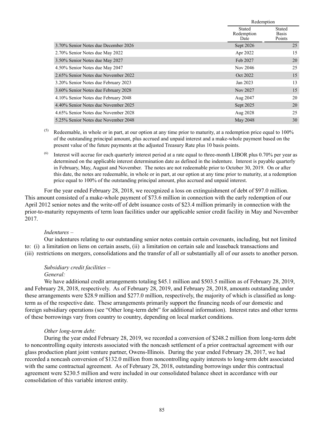|                                      | Redemption                          |                                  |
|--------------------------------------|-------------------------------------|----------------------------------|
|                                      | <b>Stated</b><br>Redemption<br>Date | Stated<br><b>Basis</b><br>Points |
| 3.70% Senior Notes due December 2026 | Sept 2026                           | 25                               |
| 2.70% Senior Notes due May 2022      | Apr 2022                            | 15                               |
| 3.50% Senior Notes due May 2027      | Feb 2027                            | 20                               |
| 4.50% Senior Notes due May 2047      | Nov 2046                            | 25                               |
| 2.65% Senior Notes due November 2022 | Oct 2022                            | 15                               |
| 3.20% Senior Notes due February 2023 | Jan 2023                            | 13                               |
| 3.60% Senior Notes due February 2028 | Nov 2027                            | 15                               |
| 4.10% Senior Notes due February 2048 | Aug 2047                            | 20                               |
| 4.40% Senior Notes due November 2025 | Sept 2025                           | 20                               |
| 4.65% Senior Notes due November 2028 | Aug 2028                            | 25                               |
| 5.25% Senior Notes due November 2048 | May 2048                            | 30                               |

 $(5)$  Redeemable, in whole or in part, at our option at any time prior to maturity, at a redemption price equal to 100% of the outstanding principal amount, plus accrued and unpaid interest and a make-whole payment based on the present value of the future payments at the adjusted Treasury Rate plus 10 basis points.

 $^{(6)}$  Interest will accrue for each quarterly interest period at a rate equal to three-month LIBOR plus 0.70% per year as determined on the applicable interest determination date as defined in the indenture. Interest is payable quarterly in February, May, August and November. The notes are not redeemable prior to October 30, 2019. On or after this date, the notes are redeemable, in whole or in part, at our option at any time prior to maturity, at a redemption price equal to 100% of the outstanding principal amount, plus accrued and unpaid interest.

For the year ended February 28, 2018, we recognized a loss on extinguishment of debt of \$97.0 million. This amount consisted of a make-whole payment of \$73.6 million in connection with the early redemption of our April 2012 senior notes and the write-off of debt issuance costs of \$23.4 million primarily in connection with the prior-to-maturity repayments of term loan facilities under our applicable senior credit facility in May and November 2017.

### *Indentures* –

Our indentures relating to our outstanding senior notes contain certain covenants, including, but not limited to: (i) a limitation on liens on certain assets, (ii) a limitation on certain sale and leaseback transactions and (iii) restrictions on mergers, consolidations and the transfer of all or substantially all of our assets to another person.

## *Subsidiary credit facilities –*

*General:*

We have additional credit arrangements totaling \$45.1 million and \$503.5 million as of February 28, 2019, and February 28, 2018, respectively. As of February 28, 2019, and February 28, 2018, amounts outstanding under these arrangements were \$28.9 million and \$277.0 million, respectively, the majority of which is classified as longterm as of the respective date. These arrangements primarily support the financing needs of our domestic and foreign subsidiary operations (see "Other long-term debt" for additional information). Interest rates and other terms of these borrowings vary from country to country, depending on local market conditions.

## *Other long-term debt:*

During the year ended February 28, 2019, we recorded a conversion of \$248.2 million from long-term debt to noncontrolling equity interests associated with the noncash settlement of a prior contractual agreement with our glass production plant joint venture partner, Owens-Illinois. During the year ended February 28, 2017, we had recorded a noncash conversion of \$132.0 million from noncontrolling equity interests to long-term debt associated with the same contractual agreement. As of February 28, 2018, outstanding borrowings under this contractual agreement were \$230.5 million and were included in our consolidated balance sheet in accordance with our consolidation of this variable interest entity.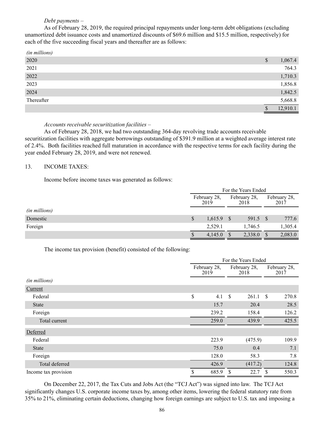## *Debt payments* –

As of February 28, 2019, the required principal repayments under long-term debt obligations (excluding unamortized debt issuance costs and unamortized discounts of \$69.6 million and \$15.5 million, respectively) for each of the five succeeding fiscal years and thereafter are as follows:

| (in millions) |                        |
|---------------|------------------------|
| $2020\,$      | \$<br>1,067.4          |
| 2021          | 764.3                  |
| 2022          | 1,710.3                |
| 2023          | $1,856.8$<br>$1,842.5$ |
| 2024          |                        |
| Thereafter    | 5,668.8                |
|               | 12,910.1               |

## *Accounts receivable securitization facilities* –

As of February 28, 2018, we had two outstanding 364-day revolving trade accounts receivable

securitization facilities with aggregate borrowings outstanding of \$391.9 million at a weighted average interest rate of 2.4%. Both facilities reached full maturation in accordance with the respective terms for each facility during the year ended February 28, 2019, and were not renewed.

## 13. INCOME TAXES:

Income before income taxes was generated as follows:

|               | For the Years Ended |                      |                      |          |                      |         |  |  |  |
|---------------|---------------------|----------------------|----------------------|----------|----------------------|---------|--|--|--|
|               |                     | February 28,<br>2019 | February 28,<br>2018 |          | February 28,<br>2017 |         |  |  |  |
| (in millions) |                     |                      |                      |          |                      |         |  |  |  |
| Domestic      | S.                  | $1,615.9$ \$         |                      | 591.5 \$ |                      | 777.6   |  |  |  |
| Foreign       |                     | 2,529.1              |                      | 1,746.5  |                      | 1,305.4 |  |  |  |
|               |                     | 4,145.0              | - S                  | 2,338.0  | $\mathbb{S}$         | 2,083.0 |  |  |  |

The income tax provision (benefit) consisted of the following:

|                      |                     | For the Years Ended          |         |              |                      |  |  |  |  |  |
|----------------------|---------------------|------------------------------|---------|--------------|----------------------|--|--|--|--|--|
|                      | 2019                | February 28,<br>February 28, |         |              | February 28,<br>2017 |  |  |  |  |  |
| (in millions)        |                     |                              |         |              |                      |  |  |  |  |  |
| Current              |                     |                              |         |              |                      |  |  |  |  |  |
| Federal              | $\mathbb{S}$<br>4.1 | <sup>\$</sup>                | 261.1   | <sup>S</sup> | 270.8                |  |  |  |  |  |
| <b>State</b>         | 15.7                |                              | 20.4    |              | 28.5                 |  |  |  |  |  |
| Foreign              | 239.2               |                              | 158.4   |              | 126.2                |  |  |  |  |  |
| Total current        | 259.0               |                              | 439.9   |              | 425.5                |  |  |  |  |  |
| Deferred             |                     |                              |         |              |                      |  |  |  |  |  |
| Federal              | 223.9               |                              | (475.9) |              | 109.9                |  |  |  |  |  |
| <b>State</b>         | 75.0                |                              | 0.4     |              | 7.1                  |  |  |  |  |  |
| Foreign              | 128.0               |                              | 58.3    |              | 7.8                  |  |  |  |  |  |
| Total deferred       | 426.9               |                              | (417.2) |              | 124.8                |  |  |  |  |  |
| Income tax provision | \$<br>685.9         | \$                           | 22.7    | S            | 550.3                |  |  |  |  |  |

On December 22, 2017, the Tax Cuts and Jobs Act (the "TCJ Act") was signed into law. The TCJ Act significantly changes U.S. corporate income taxes by, among other items, lowering the federal statutory rate from 35% to 21%, eliminating certain deductions, changing how foreign earnings are subject to U.S. tax and imposing a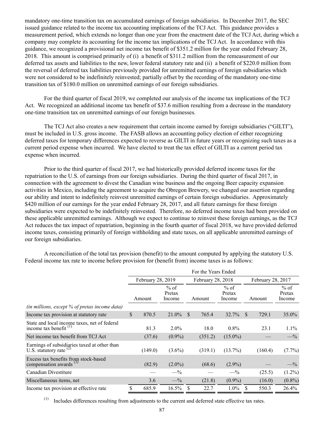mandatory one-time transition tax on accumulated earnings of foreign subsidiaries. In December 2017, the SEC issued guidance related to the income tax accounting implications of the TCJ Act. This guidance provides a measurement period, which extends no longer than one year from the enactment date of the TCJ Act, during which a company may complete its accounting for the income tax implications of the TCJ Act. In accordance with this guidance, we recognized a provisional net income tax benefit of \$351.2 million for the year ended February 28, 2018. This amount is comprised primarily of (i) a benefit of \$311.2 million from the remeasurement of our deferred tax assets and liabilities to the new, lower federal statutory rate and (ii) a benefit of \$220.0 million from the reversal of deferred tax liabilities previously provided for unremitted earnings of foreign subsidiaries which were not considered to be indefinitely reinvested; partially offset by the recording of the mandatory one-time transition tax of \$180.0 million on unremitted earnings of our foreign subsidiaries.

For the third quarter of fiscal 2019, we completed our analysis of the income tax implications of the TCJ Act. We recognized an additional income tax benefit of \$37.6 million resulting from a decrease in the mandatory one-time transition tax on unremitted earnings of our foreign businesses.

The TCJ Act also creates a new requirement that certain income earned by foreign subsidiaries ("GILTI"), must be included in U.S. gross income. The FASB allows an accounting policy election of either recognizing deferred taxes for temporary differences expected to reverse as GILTI in future years or recognizing such taxes as a current period expense when incurred. We have elected to treat the tax effect of GILTI as a current period tax expense when incurred.

Prior to the third quarter of fiscal 2017, we had historically provided deferred income taxes for the repatriation to the U.S. of earnings from our foreign subsidiaries. During the third quarter of fiscal 2017, in connection with the agreement to divest the Canadian wine business and the ongoing Beer capacity expansion activities in Mexico, including the agreement to acquire the Obregon Brewery, we changed our assertion regarding our ability and intent to indefinitely reinvest unremitted earnings of certain foreign subsidiaries. Approximately \$420 million of our earnings for the year ended February 28, 2017, and all future earnings for these foreign subsidiaries were expected to be indefinitely reinvested. Therefore, no deferred income taxes had been provided on these applicable unremitted earnings. Although we expect to continue to reinvest these foreign earnings, as the TCJ Act reduces the tax impact of repatriation, beginning in the fourth quarter of fiscal 2018, we have provided deferred income taxes, consisting primarily of foreign withholding and state taxes, on all applicable unremitted earnings of our foreign subsidiaries.

A reconciliation of the total tax provision (benefit) to the amount computed by applying the statutory U.S. Federal income tax rate to income before provision for (benefit from) income taxes is as follows:

|                                                                           |    |                   |                          |              | For the Years Ended |                            |                   |         |                            |
|---------------------------------------------------------------------------|----|-------------------|--------------------------|--------------|---------------------|----------------------------|-------------------|---------|----------------------------|
|                                                                           |    | February 28, 2019 |                          |              | February 28, 2018   |                            | February 28, 2017 |         |                            |
|                                                                           |    | Amount            | % of<br>Pretax<br>Income |              | Amount              | $%$ of<br>Pretax<br>Income |                   | Amount  | $%$ of<br>Pretax<br>Income |
| (in millions, except % of pretax income data)                             |    |                   |                          |              |                     |                            |                   |         |                            |
| Income tax provision at statutory rate                                    | \$ | 870.5             | 21.0%                    | <sup>S</sup> | 765.4               | 32.7%                      | <sup>S</sup>      | 729.1   | 35.0%                      |
| State and local income taxes, net of federal income tax benefit $(1)$     |    | 81.3              | $2.0\%$                  |              | 18.0                | $0.8\%$                    |                   | 23.1    | $1.1\%$                    |
| Net income tax benefit from TCJ Act                                       |    | (37.6)            | $(0.9\%)$                |              | (351.2)             | $(15.0\%)$                 |                   |         | $- \frac{9}{6}$            |
| Earnings of subsidigries taxed at other than<br>U.S. statutory rate $(2)$ |    | (149.0)           | $(3.6\%)$                |              | (319.1)             | $(13.7\%)$                 |                   | (160.4) | $(7.7\%)$                  |
| Excess tax benefits from stock-based<br>compensation awards $(3)$         |    | (82.9)            | $(2.0\%)$                |              | (68.6)              | $(2.9\%)$                  |                   |         | $- \frac{9}{6}$            |
| Canadian Divestiture                                                      |    |                   | $-$ %                    |              |                     | $-$ %                      |                   | (25.5)  | $(1.2\%)$                  |
| Miscellaneous items, net                                                  |    | 3.6               | $- \frac{9}{6}$          |              | (21.8)              | $(0.9\%)$                  |                   | (16.0)  | $(0.8\%)$                  |
| Income tax provision at effective rate                                    | S  | 685.9             | 16.5%                    | \$.          | 22.7                | $1.0\%$                    | S                 | 550.3   | 26.4%                      |

(1) Includes differences resulting from adjustments to the current and deferred state effective tax rates.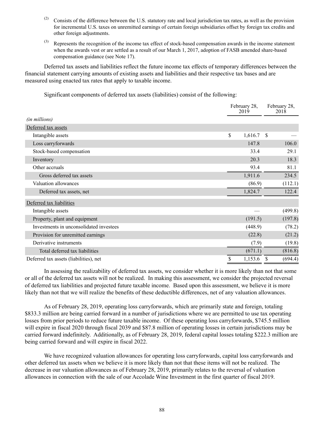- $(2)$  Consists of the difference between the U.S. statutory rate and local jurisdiction tax rates, as well as the provision for incremental U.S. taxes on unremitted earnings of certain foreign subsidiaries offset by foreign tax credits and other foreign adjustments.
- $(3)$  Represents the recognition of the income tax effect of stock-based compensation awards in the income statement when the awards vest or are settled as a result of our March 1, 2017, adoption of FASB amended share-based compensation guidance (see Note 17).

Deferred tax assets and liabilities reflect the future income tax effects of temporary differences between the financial statement carrying amounts of existing assets and liabilities and their respective tax bases and are measured using enacted tax rates that apply to taxable income.

Significant components of deferred tax assets (liabilities) consist of the following:

|                                         | February 28,<br>2019 |               | February 28,<br>2018 |
|-----------------------------------------|----------------------|---------------|----------------------|
| (in millions)                           |                      |               |                      |
| Deferred tax assets                     |                      |               |                      |
| Intangible assets                       | \$<br>1,616.7        | S             |                      |
| Loss carryforwards                      | 147.8                |               | 106.0                |
| Stock-based compensation                | 33.4                 |               | 29.1                 |
| Inventory                               | 20.3                 |               | 18.3                 |
| Other accruals                          | 93.4                 |               | 81.1                 |
| Gross deferred tax assets               | 1,911.6              |               | 234.5                |
| Valuation allowances                    | (86.9)               |               | (112.1)              |
| Deferred tax assets, net                | 1,824.7              |               | 122.4                |
| Deferred tax liabilities                |                      |               |                      |
| Intangible assets                       |                      |               | (499.8)              |
| Property, plant and equipment           | (191.5)              |               | (197.8)              |
| Investments in unconsolidated investees | (448.9)              |               | (78.2)               |
| Provision for unremitted earnings       | (22.8)               |               | (21.2)               |
| Derivative instruments                  | (7.9)                |               | (19.8)               |
| Total deferred tax liabilities          | (671.1)              |               | (816.8)              |
| Deferred tax assets (liabilities), net  | \$<br>1,153.6        | $\mathcal{S}$ | (694.4)              |

In assessing the realizability of deferred tax assets, we consider whether it is more likely than not that some or all of the deferred tax assets will not be realized. In making this assessment, we consider the projected reversal of deferred tax liabilities and projected future taxable income. Based upon this assessment, we believe it is more likely than not that we will realize the benefits of these deductible differences, net of any valuation allowances.

As of February 28, 2019, operating loss carryforwards, which are primarily state and foreign, totaling \$833.3 million are being carried forward in a number of jurisdictions where we are permitted to use tax operating losses from prior periods to reduce future taxable income. Of these operating loss carryforwards, \$745.5 million will expire in fiscal 2020 through fiscal 2039 and \$87.8 million of operating losses in certain jurisdictions may be carried forward indefinitely. Additionally, as of February 28, 2019, federal capital losses totaling \$222.3 million are being carried forward and will expire in fiscal 2022.

We have recognized valuation allowances for operating loss carryforwards, capital loss carryforwards and other deferred tax assets when we believe it is more likely than not that these items will not be realized. The decrease in our valuation allowances as of February 28, 2019, primarily relates to the reversal of valuation allowances in connection with the sale of our Accolade Wine Investment in the first quarter of fiscal 2019.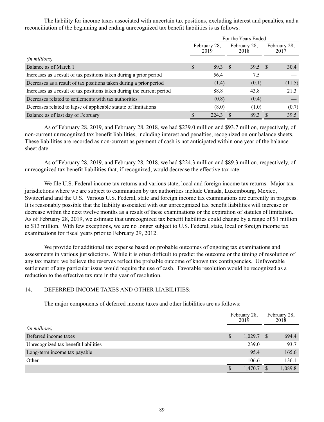The liability for income taxes associated with uncertain tax positions, excluding interest and penalties, and a reconciliation of the beginning and ending unrecognized tax benefit liabilities is as follows:

|                                                                        | For the Years Ended |                      |  |                      |                      |        |  |  |
|------------------------------------------------------------------------|---------------------|----------------------|--|----------------------|----------------------|--------|--|--|
|                                                                        |                     | February 28,<br>2019 |  | February 28,<br>2018 | February 28,<br>2017 |        |  |  |
| <i>(in millions)</i>                                                   |                     |                      |  |                      |                      |        |  |  |
| Balance as of March 1                                                  | \$                  | 89.3 S               |  | $39.5$ \$            |                      | 30.4   |  |  |
| Increases as a result of tax positions taken during a prior period     |                     | 56.4                 |  | 7.5                  |                      |        |  |  |
| Decreases as a result of tax positions taken during a prior period     |                     | (1.4)                |  | (0.1)                |                      | (11.5) |  |  |
| Increases as a result of tax positions taken during the current period |                     | 88.8                 |  | 43.8                 |                      | 21.3   |  |  |
| Decreases related to settlements with tax authorities                  |                     | (0.8)                |  | (0.4)                |                      |        |  |  |
| Decreases related to lapse of applicable statute of limitations        |                     | (8.0)                |  | (1.0)                |                      | (0.7)  |  |  |
| Balance as of last day of February                                     |                     | 224.3                |  | 89.3                 |                      | 39.5   |  |  |

As of February 28, 2019, and February 28, 2018, we had \$239.0 million and \$93.7 million, respectively, of non-current unrecognized tax benefit liabilities, including interest and penalties, recognized on our balance sheets. These liabilities are recorded as non-current as payment of cash is not anticipated within one year of the balance sheet date.

As of February 28, 2019, and February 28, 2018, we had \$224.3 million and \$89.3 million, respectively, of unrecognized tax benefit liabilities that, if recognized, would decrease the effective tax rate.

We file U.S. Federal income tax returns and various state, local and foreign income tax returns. Major tax jurisdictions where we are subject to examination by tax authorities include Canada, Luxembourg, Mexico, Switzerland and the U.S. Various U.S. Federal, state and foreign income tax examinations are currently in progress. It is reasonably possible that the liability associated with our unrecognized tax benefit liabilities will increase or decrease within the next twelve months as a result of these examinations or the expiration of statutes of limitation. As of February 28, 2019, we estimate that unrecognized tax benefit liabilities could change by a range of \$1 million to \$13 million. With few exceptions, we are no longer subject to U.S. Federal, state, local or foreign income tax examinations for fiscal years prior to February 29, 2012.

We provide for additional tax expense based on probable outcomes of ongoing tax examinations and assessments in various jurisdictions. While it is often difficult to predict the outcome or the timing of resolution of any tax matter, we believe the reserves reflect the probable outcome of known tax contingencies. Unfavorable settlement of any particular issue would require the use of cash. Favorable resolution would be recognized as a reduction to the effective tax rate in the year of resolution.

## 14. DEFERRED INCOME TAXES AND OTHER LIABILITIES:

The major components of deferred income taxes and other liabilities are as follows:

|                                      |              | February 28,<br>2019 | February 28.<br>2018 |         |  |
|--------------------------------------|--------------|----------------------|----------------------|---------|--|
| (in millions)                        |              |                      |                      |         |  |
| Deferred income taxes                | $\mathbb{S}$ | $1,029.7$ \$         |                      | 694.4   |  |
| Unrecognized tax benefit liabilities |              | 239.0                |                      | 93.7    |  |
| Long-term income tax payable         |              | 95.4                 |                      | 165.6   |  |
| Other                                |              | 106.6                |                      | 136.1   |  |
|                                      |              | 1.470.7              |                      | 1,089.8 |  |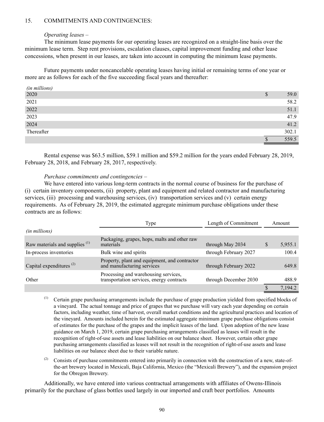## 15. COMMITMENTS AND CONTINGENCIES:

### *Operating leases –*

The minimum lease payments for our operating leases are recognized on a straight-line basis over the minimum lease term. Step rent provisions, escalation clauses, capital improvement funding and other lease concessions, when present in our leases, are taken into account in computing the minimum lease payments.

Future payments under noncancelable operating leases having initial or remaining terms of one year or more are as follows for each of the five succeeding fiscal years and thereafter:

| (in millions)                               |            |
|---------------------------------------------|------------|
| $2020\,$                                    | \$<br>59.0 |
| 2021                                        | 58.2       |
| $\begin{array}{c} 2022 \\ 2023 \end{array}$ | 51.1       |
|                                             | 47.9       |
| 2024                                        | 41.2       |
| Thereafter                                  | 302.1      |
|                                             | 559.5      |

Rental expense was \$63.5 million, \$59.1 million and \$59.2 million for the years ended February 28, 2019, February 28, 2018, and February 28, 2017, respectively.

## *Purchase commitments and contingencies –*

We have entered into various long-term contracts in the normal course of business for the purchase of (i) certain inventory components, (ii) property, plant and equipment and related contractor and manufacturing services, (iii) processing and warehousing services, (iv) transportation services and (v) certain energy requirements. As of February 28, 2019, the estimated aggregate minimum purchase obligations under these contracts are as follows:

|                                           | Type                                                                              | Length of Commitment  | Amount        |  |
|-------------------------------------------|-----------------------------------------------------------------------------------|-----------------------|---------------|--|
| (in millions)                             |                                                                                   |                       |               |  |
| Raw materials and supplies <sup>(1)</sup> | Packaging, grapes, hops, malts and other raw<br>materials                         | through May 2034      | \$<br>5,955.1 |  |
| In-process inventories                    | Bulk wine and spirits                                                             | through February 2027 | 100.4         |  |
| Capital expenditures $(2)$                | Property, plant and equipment, and contractor<br>and manufacturing services       | through February 2022 | 649.8         |  |
| Other                                     | Processing and warehousing services,<br>transportation services, energy contracts | through December 2030 | 488.9         |  |
|                                           |                                                                                   |                       | 7,194.2       |  |

(1) Certain grape purchasing arrangements include the purchase of grape production yielded from specified blocks of a vineyard. The actual tonnage and price of grapes that we purchase will vary each year depending on certain factors, including weather, time of harvest, overall market conditions and the agricultural practices and location of the vineyard. Amounts included herein for the estimated aggregate minimum grape purchase obligations consist of estimates for the purchase of the grapes and the implicit leases of the land. Upon adoption of the new lease guidance on March 1, 2019, certain grape purchasing arrangements classified as leases will result in the recognition of right-of-use assets and lease liabilities on our balance sheet. However, certain other grape purchasing arrangements classified as leases will not result in the recognition of right-of-use assets and lease liabilities on our balance sheet due to their variable nature.

(2) Consists of purchase commitments entered into primarily in connection with the construction of a new, state-ofthe-art brewery located in Mexicali, Baja California, Mexico (the "Mexicali Brewery"), and the expansion project for the Obregon Brewery.

Additionally, we have entered into various contractual arrangements with affiliates of Owens-Illinois primarily for the purchase of glass bottles used largely in our imported and craft beer portfolios. Amounts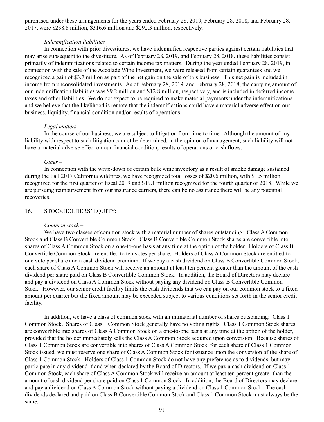purchased under these arrangements for the years ended February 28, 2019, February 28, 2018, and February 28, 2017, were \$238.8 million, \$316.6 million and \$292.3 million, respectively.

#### *Indemnification liabilities –*

In connection with prior divestitures, we have indemnified respective parties against certain liabilities that may arise subsequent to the divestiture. As of February 28, 2019, and February 28, 2018, these liabilities consist primarily of indemnifications related to certain income tax matters. During the year ended February 28, 2019, in connection with the sale of the Accolade Wine Investment, we were released from certain guarantees and we recognized a gain of \$3.7 million as part of the net gain on the sale of this business. This net gain is included in income from unconsolidated investments. As of February 28, 2019, and February 28, 2018, the carrying amount of our indemnification liabilities was \$9.2 million and \$12.8 million, respectively, and is included in deferred income taxes and other liabilities. We do not expect to be required to make material payments under the indemnifications and we believe that the likelihood is remote that the indemnifications could have a material adverse effect on our business, liquidity, financial condition and/or results of operations.

#### *Legal matters –*

In the course of our business, we are subject to litigation from time to time. Although the amount of any liability with respect to such litigation cannot be determined, in the opinion of management, such liability will not have a material adverse effect on our financial condition, results of operations or cash flows.

### *Other –*

In connection with the write-down of certain bulk wine inventory as a result of smoke damage sustained during the Fall 2017 California wildfires, we have recognized total losses of \$20.6 million, with \$1.5 million recognized for the first quarter of fiscal 2019 and \$19.1 million recognized for the fourth quarter of 2018. While we are pursuing reimbursement from our insurance carriers, there can be no assurance there will be any potential recoveries.

### 16. STOCKHOLDERS' EQUITY:

### *Common stock –*

We have two classes of common stock with a material number of shares outstanding: Class A Common Stock and Class B Convertible Common Stock. Class B Convertible Common Stock shares are convertible into shares of Class A Common Stock on a one-to-one basis at any time at the option of the holder. Holders of Class B Convertible Common Stock are entitled to ten votes per share. Holders of Class A Common Stock are entitled to one vote per share and a cash dividend premium. If we pay a cash dividend on Class B Convertible Common Stock, each share of Class A Common Stock will receive an amount at least ten percent greater than the amount of the cash dividend per share paid on Class B Convertible Common Stock. In addition, the Board of Directors may declare and pay a dividend on Class A Common Stock without paying any dividend on Class B Convertible Common Stock. However, our senior credit facility limits the cash dividends that we can pay on our common stock to a fixed amount per quarter but the fixed amount may be exceeded subject to various conditions set forth in the senior credit facility.

In addition, we have a class of common stock with an immaterial number of shares outstanding: Class 1 Common Stock. Shares of Class 1 Common Stock generally have no voting rights. Class 1 Common Stock shares are convertible into shares of Class A Common Stock on a one-to-one basis at any time at the option of the holder, provided that the holder immediately sells the Class A Common Stock acquired upon conversion. Because shares of Class 1 Common Stock are convertible into shares of Class A Common Stock, for each share of Class 1 Common Stock issued, we must reserve one share of Class A Common Stock for issuance upon the conversion of the share of Class 1 Common Stock. Holders of Class 1 Common Stock do not have any preference as to dividends, but may participate in any dividend if and when declared by the Board of Directors. If we pay a cash dividend on Class 1 Common Stock, each share of Class A Common Stock will receive an amount at least ten percent greater than the amount of cash dividend per share paid on Class 1 Common Stock. In addition, the Board of Directors may declare and pay a dividend on Class A Common Stock without paying a dividend on Class 1 Common Stock. The cash dividends declared and paid on Class B Convertible Common Stock and Class 1 Common Stock must always be the same.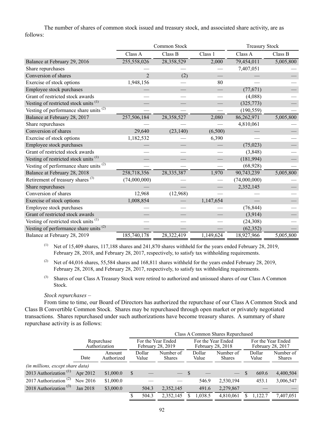The number of shares of common stock issued and treasury stock, and associated share activity, are as follows:

|                                                  |                | Common Stock |           | <b>Treasury Stock</b> |           |  |  |
|--------------------------------------------------|----------------|--------------|-----------|-----------------------|-----------|--|--|
|                                                  | Class A        | Class B      | Class 1   | Class A               | Class B   |  |  |
| Balance at February 29, 2016                     | 255,558,026    | 28,358,529   | 2,000     | 79,454,011            | 5,005,800 |  |  |
| Share repurchases                                |                |              |           | 7,407,051             |           |  |  |
| Conversion of shares                             | $\overline{2}$ | (2)          |           |                       |           |  |  |
| Exercise of stock options                        | 1,948,156      |              | 80        |                       |           |  |  |
| Employee stock purchases                         |                |              |           | (77, 671)             |           |  |  |
| Grant of restricted stock awards                 |                |              |           | (4,088)               |           |  |  |
| Vesting of restricted stock units $(1)$          |                |              |           | (325,773)             |           |  |  |
| Vesting of performance share units $(2)$         |                |              |           | (190, 559)            |           |  |  |
| Balance at February 28, 2017                     | 257,506,184    | 28,358,527   | 2,080     | 86,262,971            | 5,005,800 |  |  |
| Share repurchases                                |                |              |           | 4,810,061             |           |  |  |
| Conversion of shares                             | 29,640         | (23, 140)    | (6,500)   |                       |           |  |  |
| Exercise of stock options                        | 1,182,532      |              | 6,390     |                       |           |  |  |
| Employee stock purchases                         |                |              |           | (75, 023)             |           |  |  |
| Grant of restricted stock awards                 |                |              |           | (3,848)               |           |  |  |
| Vesting of restricted stock units <sup>(1)</sup> |                |              |           | (181,994)             |           |  |  |
| Vesting of performance share units $^{(2)}$      |                |              |           | (68, 928)             |           |  |  |
| Balance at February 28, 2018                     | 258,718,356    | 28,335,387   | 1,970     | 90,743,239            | 5,005,800 |  |  |
| Retirement of treasury shares <sup>(3)</sup>     | (74,000,000)   |              |           | (74,000,000)          |           |  |  |
| Share repurchases                                |                |              |           | 2,352,145             |           |  |  |
| Conversion of shares                             | 12,968         | (12,968)     |           |                       |           |  |  |
| Exercise of stock options                        | 1,008,854      |              | 1,147,654 |                       |           |  |  |
| Employee stock purchases                         |                |              |           | (76, 844)             |           |  |  |
| Grant of restricted stock awards                 |                |              |           | (3,914)               |           |  |  |
| Vesting of restricted stock units <sup>(1)</sup> |                |              |           | (24, 308)             |           |  |  |
| Vesting of performance share units $(2)$         |                |              |           | (62, 352)             |           |  |  |
| Balance at February 28, 2019                     | 185,740,178    | 28,322,419   | 1,149,624 | 18,927,966            | 5,005,800 |  |  |

<sup>(1)</sup> Net of 15,409 shares, 117,188 shares and 241,870 shares withheld for the years ended February 28, 2019, February 28, 2018, and February 28, 2017, respectively, to satisfy tax withholding requirements.

- <sup>(2)</sup> Net of 44,016 shares, 55,584 shares and 168,811 shares withheld for the years ended February 28, 2019, February 28, 2018, and February 28, 2017, respectively, to satisfy tax withholding requirements.
- (3) Shares of our Class A Treasury Stock were retired to authorized and unissued shares of our Class A Common Stock.

## *Stock repurchases –*

From time to time, our Board of Directors has authorized the repurchase of our Class A Common Stock and Class B Convertible Common Stock. Shares may be repurchased through open market or privately negotiated transactions. Shares repurchased under such authorizations have become treasury shares. A summary of share repurchase activity is as follows:

|                                   |                                                                               |           | Class A Common Shares Repurchased |                                               |           |    |                 |                                         |    |                                         |           |  |  |  |
|-----------------------------------|-------------------------------------------------------------------------------|-----------|-----------------------------------|-----------------------------------------------|-----------|----|-----------------|-----------------------------------------|----|-----------------------------------------|-----------|--|--|--|
|                                   | Repurchase<br>Authorization                                                   |           |                                   | For the Year Ended<br>February 28, 2019       |           |    |                 | For the Year Ended<br>February 28, 2018 |    | For the Year Ended<br>February 28, 2017 |           |  |  |  |
|                                   | Dollar<br>Number of<br>Amount<br>Date<br>Authorized<br>Value<br><b>Shares</b> |           |                                   | Number of<br>Dollar<br>Value<br><b>Shares</b> |           |    | Dollar<br>Value | Number of<br><b>Shares</b>              |    |                                         |           |  |  |  |
| (in millions, except share data)  |                                                                               |           |                                   |                                               |           |    |                 |                                         |    |                                         |           |  |  |  |
| 2013 Authorization <sup>(1)</sup> | Apr 2012                                                                      | \$1,000.0 |                                   |                                               | $-$ \$    |    |                 |                                         | -S | 669.6                                   | 4,400,504 |  |  |  |
| 2017 Authorization <sup>(2)</sup> | Nov 2016                                                                      | \$1,000.0 |                                   |                                               |           |    | 546.9           | 2,530,194                               |    | 453.1                                   | 3,006,547 |  |  |  |
| 2018 Authorization <sup>(3)</sup> | Jan 2018                                                                      | \$3,000.0 |                                   | 504.3                                         | 2,352,145 |    | 491.6           | 2,279,867                               |    |                                         |           |  |  |  |
|                                   |                                                                               |           |                                   | 504.3                                         | 2,352,145 | S. | 1,038.5         | 4.810.061                               | S  | 1.122.7                                 | 7,407,051 |  |  |  |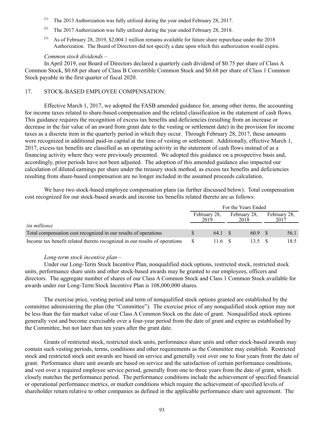- (1) The 2013 Authorization was fully utilized during the year ended February 28, 2017.
- (2) The 2017 Authorization was fully utilized during the year ended February 28, 2018.
- (3) As of February 28, 2019, \$2,004.1 million remains available for future share repurchase under the 2018 Authorization. The Board of Directors did not specify a date upon which this authorization would expire.

### *Common stock dividends –*

In April 2019, our Board of Directors declared a quarterly cash dividend of \$0.75 per share of Class A Common Stock, \$0.68 per share of Class B Convertible Common Stock and \$0.68 per share of Class 1 Common Stock payable in the first quarter of fiscal 2020.

## 17. STOCK-BASED EMPLOYEE COMPENSATION:

Effective March 1, 2017, we adopted the FASB amended guidance for, among other items, the accounting for income taxes related to share-based compensation and the related classification in the statement of cash flows. This guidance requires the recognition of excess tax benefits and deficiencies (resulting from an increase or decrease in the fair value of an award from grant date to the vesting or settlement date) in the provision for income taxes as a discrete item in the quarterly period in which they occur. Through February 28, 2017, these amounts were recognized in additional paid-in capital at the time of vesting or settlement. Additionally, effective March 1, 2017, excess tax benefits are classified as an operating activity in the statement of cash flows instead of as a financing activity where they were previously presented. We adopted this guidance on a prospective basis and, accordingly, prior periods have not been adjusted. The adoption of this amended guidance also impacted our calculation of diluted earnings per share under the treasury stock method, as excess tax benefits and deficiencies resulting from share-based compensation are no longer included in the assumed proceeds calculation.

We have two stock-based employee compensation plans (as further discussed below). Total compensation cost recognized for our stock-based awards and income tax benefits related thereto are as follows:

|                                                                            | For the Years Ended |                      |  |                      |  |                      |  |  |  |
|----------------------------------------------------------------------------|---------------------|----------------------|--|----------------------|--|----------------------|--|--|--|
|                                                                            |                     | February 28.<br>2019 |  | February 28.<br>2018 |  | February 28.<br>2017 |  |  |  |
| <i>(in millions)</i>                                                       |                     |                      |  |                      |  |                      |  |  |  |
| Total compensation cost recognized in our results of operations            |                     | 64.1 \$              |  | 60.9                 |  | 56.1                 |  |  |  |
| Income tax benefit related thereto recognized in our results of operations |                     | 116                  |  | 13.5                 |  | 18.5                 |  |  |  |

### *Long-term stock incentive plan –*

Under our Long-Term Stock Incentive Plan, nonqualified stock options, restricted stock, restricted stock units, performance share units and other stock-based awards may be granted to our employees, officers and directors. The aggregate number of shares of our Class A Common Stock and Class 1 Common Stock available for awards under our Long-Term Stock Incentive Plan is 108,000,000 shares.

The exercise price, vesting period and term of nonqualified stock options granted are established by the committee administering the plan (the "Committee"). The exercise price of any nonqualified stock option may not be less than the fair market value of our Class A Common Stock on the date of grant. Nonqualified stock options generally vest and become exercisable over a four-year period from the date of grant and expire as established by the Committee, but not later than ten years after the grant date.

Grants of restricted stock, restricted stock units, performance share units and other stock-based awards may contain such vesting periods, terms, conditions and other requirements as the Committee may establish. Restricted stock and restricted stock unit awards are based on service and generally vest over one to four years from the date of grant. Performance share unit awards are based on service and the satisfaction of certain performance conditions, and vest over a required employee service period, generally from one to three years from the date of grant, which closely matches the performance period. The performance conditions include the achievement of specified financial or operational performance metrics, or market conditions which require the achievement of specified levels of shareholder return relative to other companies as defined in the applicable performance share unit agreement. The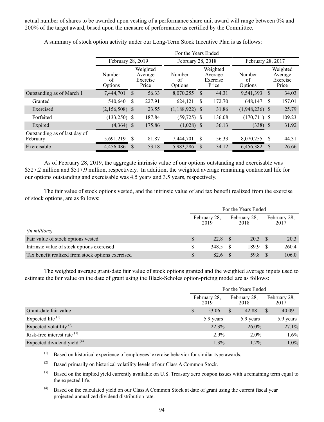actual number of shares to be awarded upon vesting of a performance share unit award will range between 0% and 200% of the target award, based upon the measure of performance as certified by the Committee.

|                                           | For the Years Ended     |                                          |        |                         |                                          |        |                         |    |                                          |  |  |  |  |
|-------------------------------------------|-------------------------|------------------------------------------|--------|-------------------------|------------------------------------------|--------|-------------------------|----|------------------------------------------|--|--|--|--|
|                                           | February 28, 2019       |                                          |        | February 28, 2018       |                                          |        | February 28, 2017       |    |                                          |  |  |  |  |
|                                           | Number<br>of<br>Options | Weighted<br>Average<br>Exercise<br>Price |        | Number<br>of<br>Options | Weighted<br>Average<br>Exercise<br>Price |        | Number<br>of<br>Options |    | Weighted<br>Average<br>Exercise<br>Price |  |  |  |  |
| Outstanding as of March 1                 | 7,444,701               | S                                        | 56.33  | 8,070,255 \$            |                                          | 44.31  | 9,541,393               | -S | 34.03                                    |  |  |  |  |
| Granted                                   | 540,640                 | \$                                       | 227.91 | 624,121                 | \$                                       | 172.70 | 648,147                 | -S | 157.01                                   |  |  |  |  |
| Exercised                                 | $(2,156,508)$ \$        |                                          | 23.55  | $(1,188,922)$ \$        |                                          | 31.86  | $(1,948,236)$ \$        |    | 25.79                                    |  |  |  |  |
| Forfeited                                 | $(133,250)$ \$          |                                          | 187.84 | $(59, 725)$ \$          |                                          | 136.08 | $(170, 711)$ \$         |    | 109.23                                   |  |  |  |  |
| Expired                                   | $(4,364)$ \$            |                                          | 175.86 | $(1,028)$ \$            |                                          | 36.13  | $(338)$ \$              |    | 31.92                                    |  |  |  |  |
| Outstanding as of last day of<br>February | 5,691,219               | S                                        | 81.87  | 7,444,701               | S                                        | 56.33  | 8,070,255               | -S | 44.31                                    |  |  |  |  |
| Exercisable                               | 4,456,486               | S                                        | 53.18  | 5,983,286               | S                                        | 34.12  | 6,456,382               | -8 | 26.66                                    |  |  |  |  |

A summary of stock option activity under our Long-Term Stock Incentive Plan is as follows:

As of February 28, 2019, the aggregate intrinsic value of our options outstanding and exercisable was \$527.2 million and \$517.9 million, respectively. In addition, the weighted average remaining contractual life for our options outstanding and exercisable was 4.5 years and 3.5 years, respectively.

The fair value of stock options vested, and the intrinsic value of and tax benefit realized from the exercise of stock options, are as follows:

|                                                   | For the Years Ended |                      |  |                      |     |                      |  |  |  |  |  |  |
|---------------------------------------------------|---------------------|----------------------|--|----------------------|-----|----------------------|--|--|--|--|--|--|
|                                                   |                     | February 28,<br>2019 |  | February 28,<br>2018 |     | February 28,<br>2017 |  |  |  |  |  |  |
| (in millions)                                     |                     |                      |  |                      |     |                      |  |  |  |  |  |  |
| Fair value of stock options vested                |                     | 22.8 \$              |  | 20.3 \$              |     | 20.3                 |  |  |  |  |  |  |
| Intrinsic value of stock options exercised        | S.                  | 348.5 \$             |  | 189.9                | - S | 260.4                |  |  |  |  |  |  |
| Tax benefit realized from stock options exercised |                     | 82.6 S               |  | 59.8 \$              |     | 106.0                |  |  |  |  |  |  |

The weighted average grant-date fair value of stock options granted and the weighted average inputs used to estimate the fair value on the date of grant using the Black-Scholes option-pricing model are as follows:

|                                        | For the Years Ended |                      |                      |           |               |                      |  |  |  |  |  |
|----------------------------------------|---------------------|----------------------|----------------------|-----------|---------------|----------------------|--|--|--|--|--|
|                                        |                     | February 28,<br>2019 | February 28,<br>2018 |           |               | February 28,<br>2017 |  |  |  |  |  |
| Grant-date fair value                  | S                   | 53.06                | <sup>S</sup>         | 42.88     | <sup>\$</sup> | 40.09                |  |  |  |  |  |
| Expected life $(1)$                    |                     | 5.9 years            |                      | 5.9 years |               | 5.9 years            |  |  |  |  |  |
| Expected volatility <sup>(2)</sup>     |                     | 22.3%                |                      | $26.0\%$  |               | 27.1%                |  |  |  |  |  |
| Risk-free interest rate $(3)$          |                     | 2.9%                 |                      | $2.0\%$   |               | 1.6%                 |  |  |  |  |  |
| Expected dividend yield <sup>(4)</sup> |                     | $1.3\%$              |                      | 1.2%      |               | 1.0%                 |  |  |  |  |  |

(1) Based on historical experience of employees' exercise behavior for similar type awards.

(2) Based primarily on historical volatility levels of our Class A Common Stock.

- <sup>(3)</sup> Based on the implied yield currently available on U.S. Treasury zero coupon issues with a remaining term equal to the expected life.
- (4) Based on the calculated yield on our Class A Common Stock at date of grant using the current fiscal year projected annualized dividend distribution rate.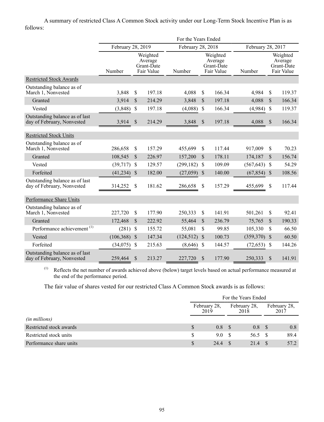A summary of restricted Class A Common Stock activity under our Long-Term Stock Incentive Plan is as follows:

|                                                              | For the Years Ended |                           |                                                 |                   |                           |                                                 |                   |               |                                                 |  |  |  |
|--------------------------------------------------------------|---------------------|---------------------------|-------------------------------------------------|-------------------|---------------------------|-------------------------------------------------|-------------------|---------------|-------------------------------------------------|--|--|--|
|                                                              | February 28, 2019   |                           |                                                 | February 28, 2018 |                           |                                                 | February 28, 2017 |               |                                                 |  |  |  |
|                                                              | Number              |                           | Weighted<br>Average<br>Grant-Date<br>Fair Value | Number            |                           | Weighted<br>Average<br>Grant-Date<br>Fair Value | Number            |               | Weighted<br>Average<br>Grant-Date<br>Fair Value |  |  |  |
| <b>Restricted Stock Awards</b>                               |                     |                           |                                                 |                   |                           |                                                 |                   |               |                                                 |  |  |  |
| Outstanding balance as of<br>March 1, Nonvested              | 3,848               | S                         | 197.18                                          | 4,088             | $\mathbb{S}$              | 166.34                                          | 4,984             | \$            | 119.37                                          |  |  |  |
| Granted                                                      | 3,914               | \$                        | 214.29                                          | 3,848             | <sup>\$</sup>             | 197.18                                          | 4,088             | \$            | 166.34                                          |  |  |  |
| Vested                                                       | (3, 848)            | \$                        | 197.18                                          | (4,088)           | $\mathbb{S}$              | 166.34                                          | (4,984)           | \$            | 119.37                                          |  |  |  |
| Outstanding balance as of last<br>day of February, Nonvested | 3,914               | $\boldsymbol{\mathsf{S}}$ | 214.29                                          | 3,848             | $\boldsymbol{\mathsf{S}}$ | 197.18                                          | 4,088             | S             | 166.34                                          |  |  |  |
| <b>Restricted Stock Units</b>                                |                     |                           |                                                 |                   |                           |                                                 |                   |               |                                                 |  |  |  |
| Outstanding balance as of<br>March 1, Nonvested              | 286,658             | \$                        | 157.29                                          | 455,699           | \$                        | 117.44                                          | 917,009           | \$            | 70.23                                           |  |  |  |
| Granted                                                      | 108,545             | $\mathbb{S}$              | 226.97                                          | 157,200           | $\boldsymbol{\mathsf{S}}$ | 178.11                                          | 174,187           | \$            | 156.74                                          |  |  |  |
| Vested                                                       | (39,717)            | $\mathsf{\$}$             | 129.57                                          | (299, 182)        | <sup>\$</sup>             | 109.09                                          | $(567, 643)$ \$   |               | 54.29                                           |  |  |  |
| Forfeited                                                    | (41, 234)           | $\mathcal{S}$             | 182.00                                          | $(27,059)$ \$     |                           | 140.00                                          | (67, 854)         | $\mathcal{S}$ | 108.56                                          |  |  |  |
| Outstanding balance as of last<br>day of February, Nonvested | 314,252             | \$                        | 181.62                                          | 286,658           | S                         | 157.29                                          | 455,699           | \$            | 117.44                                          |  |  |  |
| Performance Share Units                                      |                     |                           |                                                 |                   |                           |                                                 |                   |               |                                                 |  |  |  |
| Outstanding balance as of<br>March 1, Nonvested              | 227,720             | $\mathbf S$               | 177.90                                          | 250,333           | $\mathbb{S}$              | 141.91                                          | 501,261           | \$            | 92.41                                           |  |  |  |
| Granted                                                      | 172,468             | \$                        | 222.92                                          | 55,464            | $\mathbb{S}$              | 236.79                                          | 75,765            | \$            | 190.33                                          |  |  |  |
| Performance achievement <sup>(1)</sup>                       | (281)               | \$                        | 155.72                                          | 55,081            | S                         | 99.85                                           | 105,330           | S             | 66.50                                           |  |  |  |
| Vested                                                       | (106, 368)          | $\mathcal{S}$             | 147.34                                          | $(124, 512)$ \$   |                           | 100.73                                          | (359,370)         | \$            | 60.50                                           |  |  |  |
| Forfeited                                                    | (34,075)            | \$                        | 215.63                                          | (8,646)           | $\mathbb{S}$              | 144.57                                          | (72, 653)         | $\mathcal{S}$ | 144.26                                          |  |  |  |
| Outstanding balance as of last<br>day of February, Nonvested | 259,464             | \$                        | 213.27                                          | 227,720           | \$                        | 177.90                                          | 250,333           | \$            | 141.91                                          |  |  |  |

(1) Reflects the net number of awards achieved above (below) target levels based on actual performance measured at the end of the performance period.

The fair value of shares vested for our restricted Class A Common Stock awards is as follows:

|                         | For the Years Ended |                      |                      |                  |  |                      |  |  |  |  |  |
|-------------------------|---------------------|----------------------|----------------------|------------------|--|----------------------|--|--|--|--|--|
|                         |                     | February 28,<br>2019 | February 28,<br>2018 |                  |  | February 28,<br>2017 |  |  |  |  |  |
| (in millions)           |                     |                      |                      |                  |  |                      |  |  |  |  |  |
| Restricted stock awards |                     | 0.8 <sup>°</sup>     |                      | 0.8 <sup>°</sup> |  | 0.8                  |  |  |  |  |  |
| Restricted stock units  | S.                  | 9.0 S                |                      | 56.5 \$          |  | 89.4                 |  |  |  |  |  |
| Performance share units |                     | 24.4 \$              |                      | 21.4             |  | 57.2                 |  |  |  |  |  |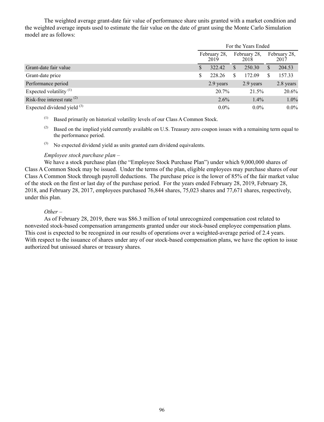The weighted average grant-date fair value of performance share units granted with a market condition and the weighted average inputs used to estimate the fair value on the date of grant using the Monte Carlo Simulation model are as follows:

|                                  | For the Years Ended  |           |  |           |   |                      |  |  |  |  |  |  |
|----------------------------------|----------------------|-----------|--|-----------|---|----------------------|--|--|--|--|--|--|
|                                  | February 28,<br>2019 |           |  |           |   | February 28,<br>2017 |  |  |  |  |  |  |
| Grant-date fair value            | S.                   | 322.42    |  | 250.30    | S | 204.53               |  |  |  |  |  |  |
| Grant-date price                 | S                    | 228.26    |  | 172.09    | S | 157.33               |  |  |  |  |  |  |
| Performance period               |                      | 2.9 years |  | 2.9 years |   | 2.8 years            |  |  |  |  |  |  |
| Expected volatility $(1)$        |                      | 20.7%     |  | 21.5%     |   | 20.6%                |  |  |  |  |  |  |
| Risk-free interest rate $^{(2)}$ |                      | 2.6%      |  | 1.4%      |   | 1.0%                 |  |  |  |  |  |  |
| Expected dividend yield $(3)$    |                      | $0.0\%$   |  | $0.0\%$   |   | $0.0\%$              |  |  |  |  |  |  |

- $(1)$  Based primarily on historical volatility levels of our Class A Common Stock.
- $(2)$  Based on the implied yield currently available on U.S. Treasury zero coupon issues with a remaining term equal to the performance period.
- (3) No expected dividend yield as units granted earn dividend equivalents.

## *Employee stock purchase plan –*

We have a stock purchase plan (the "Employee Stock Purchase Plan") under which 9,000,000 shares of Class A Common Stock may be issued. Under the terms of the plan, eligible employees may purchase shares of our Class A Common Stock through payroll deductions. The purchase price is the lower of 85% of the fair market value of the stock on the first or last day of the purchase period. For the years ended February 28, 2019, February 28, 2018, and February 28, 2017, employees purchased 76,844 shares, 75,023 shares and 77,671 shares, respectively, under this plan.

## *Other –*

As of February 28, 2019, there was \$86.3 million of total unrecognized compensation cost related to nonvested stock-based compensation arrangements granted under our stock-based employee compensation plans. This cost is expected to be recognized in our results of operations over a weighted-average period of 2.4 years. With respect to the issuance of shares under any of our stock-based compensation plans, we have the option to issue authorized but unissued shares or treasury shares.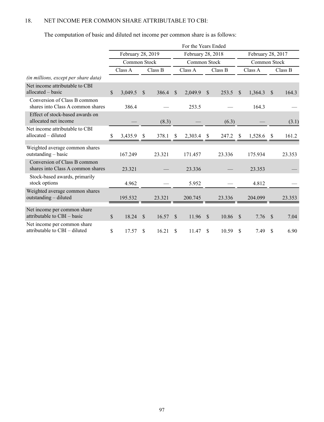# 18. NET INCOME PER COMMON SHARE ATTRIBUTABLE TO CBI:

The computation of basic and diluted net income per common share is as follows:

|                                                                   | For the Years Ended |                   |               |         |               |                   |              |         |               |                   |               |         |
|-------------------------------------------------------------------|---------------------|-------------------|---------------|---------|---------------|-------------------|--------------|---------|---------------|-------------------|---------------|---------|
|                                                                   |                     | February 28, 2019 |               |         |               | February 28, 2018 |              |         |               | February 28, 2017 |               |         |
|                                                                   |                     | Common Stock      |               |         |               | Common Stock      |              |         |               | Common Stock      |               |         |
|                                                                   |                     | Class A           |               | Class B |               | Class A           |              | Class B |               | Class A           |               | Class B |
| (in millions, except per share data)                              |                     |                   |               |         |               |                   |              |         |               |                   |               |         |
| Net income attributable to CBI<br>allocated - basic               | $\mathbb{S}$        | 3,049.5           | <sup>\$</sup> | 386.4   | $\mathcal{S}$ | 2,049.9           | $\mathbb{S}$ | 253.5   | <sup>\$</sup> | 1,364.3           | $\mathcal{S}$ | 164.3   |
| Conversion of Class B common<br>shares into Class A common shares |                     | 386.4             |               |         |               | 253.5             |              |         |               | 164.3             |               |         |
| Effect of stock-based awards on<br>allocated net income           |                     |                   |               | (8.3)   |               |                   |              | (6.3)   |               |                   |               | (3.1)   |
| Net income attributable to CBI<br>allocated - diluted             | У                   | 3,435.9           | <sup>S</sup>  | 378.1   | S.            | 2,303.4           | <sup>S</sup> | 247.2   | -S            | 1,528.6           | <sup>\$</sup> | 161.2   |
| Weighted average common shares<br>outstanding - basic             |                     | 167.249           |               | 23.321  |               | 171.457           |              | 23.336  |               | 175.934           |               | 23.353  |
| Conversion of Class B common<br>shares into Class A common shares |                     | 23.321            |               |         |               | 23.336            |              |         |               | 23.353            |               |         |
| Stock-based awards, primarily<br>stock options                    |                     | 4.962             |               |         |               | 5.952             |              |         |               | 4.812             |               |         |
| Weighted average common shares<br>outstanding - diluted           |                     | 195.532           |               | 23.321  |               | 200.745           |              | 23.336  |               | 204.099           |               | 23.353  |
| Net income per common share<br>attributable to CBI - basic        | $\mathbb{S}$        | $18.24$ \$        |               | 16.57   | <sup>\$</sup> | 11.96             | - \$         | 10.86   | <sup>\$</sup> | $7.76$ \$         |               | 7.04    |
| Net income per common share<br>attributable to CBI – diluted      | \$                  | 17.57             | S             | 16.21   | \$            | 11.47             | \$           | 10.59   | \$            | 7.49              | S             | 6.90    |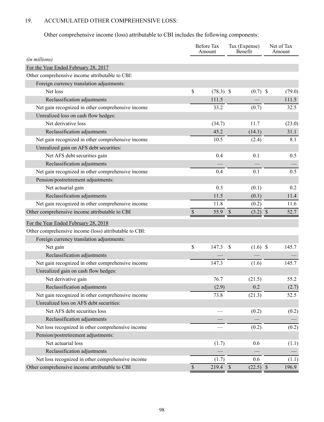# 19. ACCUMULATED OTHER COMPREHENSIVE LOSS:

Other comprehensive income (loss) attributable to CBI includes the following components:

|                                                        |              | Before Tax<br>Amount | Tax (Expense)<br>Benefit    | Net of Tax<br>Amount |
|--------------------------------------------------------|--------------|----------------------|-----------------------------|----------------------|
| (in millions)                                          |              |                      |                             |                      |
| For the Year Ended February 28, 2017                   |              |                      |                             |                      |
| Other comprehensive income attributable to CBI:        |              |                      |                             |                      |
| Foreign currency translation adjustments:              |              |                      |                             |                      |
| Net loss                                               | \$           | $(78.3)$ \$          | $(0.7)$ \$                  | (79.0)               |
| Reclassification adjustments                           |              | 111.5                |                             | 111.5                |
| Net gain recognized in other comprehensive income      |              | 33.2                 | (0.7)                       | 32.5                 |
| Unrealized loss on cash flow hedges:                   |              |                      |                             |                      |
| Net derivative loss                                    |              | (34.7)               | 11.7                        | (23.0)               |
| Reclassification adjustments                           |              | 45.2                 | (14.1)                      | 31.1                 |
| Net gain recognized in other comprehensive income      |              | 10.5                 | (2.4)                       | 8.1                  |
| Unrealized gain on AFS debt securities:                |              |                      |                             |                      |
| Net AFS debt securities gain                           |              | 0.4                  | 0.1                         | 0.5                  |
| Reclassification adjustments                           |              |                      |                             |                      |
| Net gain recognized in other comprehensive income      |              | 0.4                  | 0.1                         | 0.5                  |
| Pension/postretirement adjustments:                    |              |                      |                             |                      |
| Net actuarial gain                                     |              | 0.3                  | (0.1)                       | 0.2                  |
| Reclassification adjustments                           |              | 11.5                 | (0.1)                       | 11.4                 |
| Net gain recognized in other comprehensive income      |              | 11.8                 | (0.2)                       | 11.6                 |
| Other comprehensive income attributable to CBI         | $\mathbb{S}$ | 55.9                 | $\mathcal{S}$<br>$(3.2)$ \$ | 52.7                 |
| For the Year Ended February 28, 2018                   |              |                      |                             |                      |
| Other comprehensive income (loss) attributable to CBI: |              |                      |                             |                      |
| Foreign currency translation adjustments:              |              |                      |                             |                      |
| Net gain                                               | \$           | 147.3                | S<br>$(1.6)$ \$             | 145.7                |
| Reclassification adjustments                           |              |                      |                             |                      |
| Net gain recognized in other comprehensive income      |              | 147.3                | (1.6)                       | 145.7                |
| Unrealized gain on cash flow hedges:                   |              |                      |                             |                      |
| Net derivative gain                                    |              | 76.7                 | (21.5)                      | 55.2                 |
| Reclassification adjustments                           |              | (2.9)                | 0.2                         | (2.7)                |
| Net gain recognized in other comprehensive income      |              | 73.8                 | (21.3)                      | 52.5                 |
| Unrealized loss on AFS debt securities:                |              |                      |                             |                      |
| Net AFS debt securities loss                           |              |                      | (0.2)                       | (0.2)                |
| Reclassification adjustments                           |              |                      |                             |                      |
| Net loss recognized in other comprehensive income      |              |                      | (0.2)                       | (0.2)                |
| Pension/postretirement adjustments:                    |              |                      |                             |                      |
| Net actuarial loss                                     |              | (1.7)                | 0.6                         | (1.1)                |
| Reclassification adjustments                           |              |                      |                             |                      |
| Net loss recognized in other comprehensive income      |              | (1.7)                | 0.6                         | (1.1)                |
| Other comprehensive income attributable to CBI         | $\mathbb{S}$ | 219.4 \$             | $(22.5)$ \$                 | 196.9                |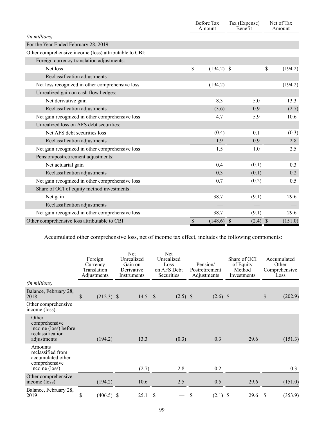|                                                        |      | <b>Before Tax</b><br>Amount | Tax (Expense)<br>Benefit           |                           | Net of Tax<br>Amount |
|--------------------------------------------------------|------|-----------------------------|------------------------------------|---------------------------|----------------------|
| (in millions)                                          |      |                             |                                    |                           |                      |
| For the Year Ended February 28, 2019                   |      |                             |                                    |                           |                      |
| Other comprehensive income (loss) attributable to CBI: |      |                             |                                    |                           |                      |
| Foreign currency translation adjustments:              |      |                             |                                    |                           |                      |
| Net loss                                               | \$   | $(194.2)$ \$                |                                    | \$                        | (194.2)              |
| Reclassification adjustments                           |      |                             |                                    |                           |                      |
| Net loss recognized in other comprehensive loss        |      | (194.2)                     |                                    |                           | (194.2)              |
| Unrealized gain on cash flow hedges:                   |      |                             |                                    |                           |                      |
| Net derivative gain                                    |      | 8.3                         | 5.0                                |                           | 13.3                 |
| Reclassification adjustments                           |      | (3.6)                       | 0.9                                |                           | (2.7)                |
| Net gain recognized in other comprehensive loss        |      | 4.7                         | 5.9                                |                           | 10.6                 |
| Unrealized loss on AFS debt securities:                |      |                             |                                    |                           |                      |
| Net AFS debt securities loss                           |      | (0.4)                       | 0.1                                |                           | (0.3)                |
| Reclassification adjustments                           |      | 1.9                         | 0.9                                |                           | 2.8                  |
| Net gain recognized in other comprehensive loss        |      | 1.5                         | 1.0                                |                           | 2.5                  |
| Pension/postretirement adjustments:                    |      |                             |                                    |                           |                      |
| Net actuarial gain                                     |      | 0.4                         | (0.1)                              |                           | 0.3                  |
| Reclassification adjustments                           |      | 0.3                         | (0.1)                              |                           | 0.2                  |
| Net gain recognized in other comprehensive loss        |      | 0.7                         | (0.2)                              |                           | 0.5                  |
| Share of OCI of equity method investments:             |      |                             |                                    |                           |                      |
| Net gain                                               |      | 38.7                        | (9.1)                              |                           | 29.6                 |
| Reclassification adjustments                           |      |                             |                                    |                           |                      |
| Net gain recognized in other comprehensive loss        |      | 38.7                        | (9.1)                              |                           | 29.6                 |
| Other comprehensive loss attributable to CBI           | $\$$ | (148.6)                     | $\boldsymbol{\mathsf{S}}$<br>(2.4) | $\boldsymbol{\mathsf{S}}$ | (151.0)              |

Accumulated other comprehensive loss, net of income tax effect, includes the following components:

|                                                                                     | Foreign<br>Currency<br>Translation<br>Adjustments |              | Net<br>Unrealized<br>Gain on<br>Derivative<br>Instruments |           | <b>Net</b><br>Unrealized<br>Loss<br>on AFS Debt<br>Securities |            | Pension/<br>Postretirement<br>Adjustments |            | Share of OCI<br>of Equity<br>Method<br>Investments |      |    | Accumulated<br>Other<br>Comprehensive<br>Loss |
|-------------------------------------------------------------------------------------|---------------------------------------------------|--------------|-----------------------------------------------------------|-----------|---------------------------------------------------------------|------------|-------------------------------------------|------------|----------------------------------------------------|------|----|-----------------------------------------------|
| (in millions)                                                                       |                                                   |              |                                                           |           |                                                               |            |                                           |            |                                                    |      |    |                                               |
| Balance, February 28,<br>2018                                                       | \$                                                | $(212.3)$ \$ |                                                           | $14.5$ \$ |                                                               | $(2.5)$ \$ |                                           | $(2.6)$ \$ |                                                    |      | \$ | (202.9)                                       |
| Other comprehensive<br>income (loss):                                               |                                                   |              |                                                           |           |                                                               |            |                                           |            |                                                    |      |    |                                               |
| Other<br>comprehensive<br>income (loss) before<br>reclassification<br>adjustments   |                                                   | (194.2)      |                                                           | 13.3      |                                                               | (0.3)      |                                           | 0.3        |                                                    | 29.6 |    | (151.3)                                       |
| Amounts<br>reclassified from<br>accumulated other<br>comprehensive<br>income (loss) |                                                   |              |                                                           | (2.7)     |                                                               | 2.8        |                                           | 0.2        |                                                    |      |    | 0.3                                           |
| Other comprehensive<br>income (loss)                                                |                                                   | (194.2)      |                                                           | 10.6      |                                                               | 2.5        |                                           | 0.5        |                                                    | 29.6 |    | (151.0)                                       |
| Balance, February 28,<br>2019                                                       | \$                                                | (406.5)      | \$                                                        | 25.1      | \$                                                            |            | \$                                        | (2.1)      | \$                                                 | 29.6 | S  | (353.9)                                       |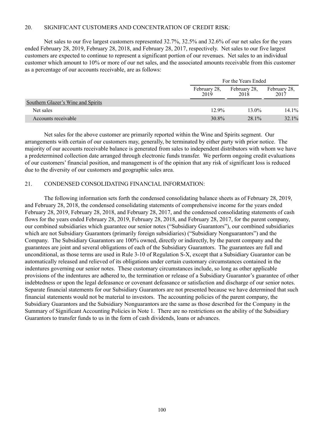## 20. SIGNIFICANT CUSTOMERS AND CONCENTRATION OF CREDIT RISK:

Net sales to our five largest customers represented 32.7%, 32.5% and 32.6% of our net sales for the years ended February 28, 2019, February 28, 2018, and February 28, 2017, respectively. Net sales to our five largest customers are expected to continue to represent a significant portion of our revenues. Net sales to an individual customer which amount to 10% or more of our net sales, and the associated amounts receivable from this customer as a percentage of our accounts receivable, are as follows:

|                                    |                      | For the Years Ended  |                      |
|------------------------------------|----------------------|----------------------|----------------------|
|                                    | February 28,<br>2019 | February 28,<br>2018 | February 28,<br>2017 |
| Southern Glazer's Wine and Spirits |                      |                      |                      |
| Net sales                          | 12.9%                | $13.0\%$             | 14.1%                |
| Accounts receivable                | 30.8%                | $28.1\%$             | 32.1%                |

Net sales for the above customer are primarily reported within the Wine and Spirits segment. Our arrangements with certain of our customers may, generally, be terminated by either party with prior notice. The majority of our accounts receivable balance is generated from sales to independent distributors with whom we have a predetermined collection date arranged through electronic funds transfer. We perform ongoing credit evaluations of our customers' financial position, and management is of the opinion that any risk of significant loss is reduced due to the diversity of our customers and geographic sales area.

# 21. CONDENSED CONSOLIDATING FINANCIAL INFORMATION:

The following information sets forth the condensed consolidating balance sheets as of February 28, 2019, and February 28, 2018, the condensed consolidating statements of comprehensive income for the years ended February 28, 2019, February 28, 2018, and February 28, 2017, and the condensed consolidating statements of cash flows for the years ended February 28, 2019, February 28, 2018, and February 28, 2017, for the parent company, our combined subsidiaries which guarantee our senior notes ("Subsidiary Guarantors"), our combined subsidiaries which are not Subsidiary Guarantors (primarily foreign subsidiaries) ("Subsidiary Nonguarantors") and the Company. The Subsidiary Guarantors are 100% owned, directly or indirectly, by the parent company and the guarantees are joint and several obligations of each of the Subsidiary Guarantors. The guarantees are full and unconditional, as those terms are used in Rule 3-10 of Regulation S-X, except that a Subsidiary Guarantor can be automatically released and relieved of its obligations under certain customary circumstances contained in the indentures governing our senior notes. These customary circumstances include, so long as other applicable provisions of the indentures are adhered to, the termination or release of a Subsidiary Guarantor's guarantee of other indebtedness or upon the legal defeasance or covenant defeasance or satisfaction and discharge of our senior notes. Separate financial statements for our Subsidiary Guarantors are not presented because we have determined that such financial statements would not be material to investors. The accounting policies of the parent company, the Subsidiary Guarantors and the Subsidiary Nonguarantors are the same as those described for the Company in the Summary of Significant Accounting Policies in Note 1. There are no restrictions on the ability of the Subsidiary Guarantors to transfer funds to us in the form of cash dividends, loans or advances.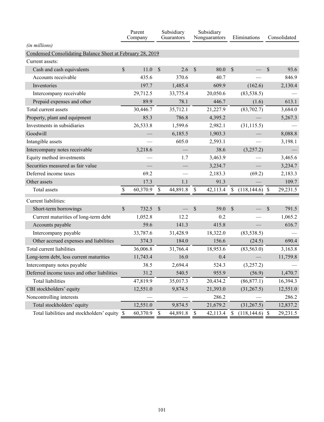|                                                            |               | Parent<br>Company |               | Subsidiary<br>Guarantors |               | Subsidiary<br>Nonguarantors |                           | Eliminations |                           | Consolidated |
|------------------------------------------------------------|---------------|-------------------|---------------|--------------------------|---------------|-----------------------------|---------------------------|--------------|---------------------------|--------------|
| (in millions)                                              |               |                   |               |                          |               |                             |                           |              |                           |              |
| Condensed Consolidating Balance Sheet at February 28, 2019 |               |                   |               |                          |               |                             |                           |              |                           |              |
| Current assets:                                            |               |                   |               |                          |               |                             |                           |              |                           |              |
| Cash and cash equivalents                                  | $\mathcal{S}$ | 11.0              | $\mathcal{S}$ | 2.6                      | $\mathcal{S}$ | 80.0                        | $\mathcal{S}$             |              | \$                        | 93.6         |
| Accounts receivable                                        |               | 435.6             |               | 370.6                    |               | 40.7                        |                           |              |                           | 846.9        |
| Inventories                                                |               | 197.7             |               | 1,485.4                  |               | 609.9                       |                           | (162.6)      |                           | 2,130.4      |
| Intercompany receivable                                    |               | 29,712.5          |               | 33,775.4                 |               | 20,050.6                    |                           | (83, 538.5)  |                           |              |
| Prepaid expenses and other                                 |               | 89.9              |               | 78.1                     |               | 446.7                       |                           | (1.6)        |                           | 613.1        |
| Total current assets                                       |               | 30,446.7          |               | 35,712.1                 |               | 21,227.9                    |                           | (83,702.7)   |                           | 3,684.0      |
| Property, plant and equipment                              |               | 85.3              |               | 786.8                    |               | 4,395.2                     |                           |              |                           | 5,267.3      |
| Investments in subsidiaries                                |               | 26,533.8          |               | 1,599.6                  |               | 2,982.1                     |                           | (31, 115.5)  |                           |              |
| Goodwill                                                   |               |                   |               | 6,185.5                  |               | 1,903.3                     |                           |              |                           | 8,088.8      |
| Intangible assets                                          |               |                   |               | 605.0                    |               | 2,593.1                     |                           |              |                           | 3,198.1      |
| Intercompany notes receivable                              |               | 3,218.6           |               |                          |               | 38.6                        |                           | (3,257.2)    |                           |              |
| Equity method investments                                  |               |                   |               | 1.7                      |               | 3,463.9                     |                           |              |                           | 3,465.6      |
| Securities measured as fair value                          |               |                   |               |                          |               | 3,234.7                     |                           |              |                           | 3,234.7      |
| Deferred income taxes                                      |               | 69.2              |               |                          |               | 2,183.3                     |                           | (69.2)       |                           | 2,183.3      |
| Other assets                                               |               | 17.3              |               | 1.1                      |               | 91.3                        |                           |              |                           | 109.7        |
| Total assets                                               | \$            | 60,370.9          | $\mathbb S$   | 44,891.8                 | $\mathbb{S}$  | 42,113.4                    |                           |              |                           | 29,231.5     |
| Current liabilities:                                       |               |                   |               |                          |               |                             |                           |              |                           |              |
| Short-term borrowings                                      | $\mathcal{S}$ | 732.5             | $\mathcal{S}$ |                          | $\mathcal{S}$ | 59.0                        | $\boldsymbol{\mathsf{S}}$ |              | \$                        | 791.5        |
| Current maturities of long-term debt                       |               | 1,052.8           |               | 12.2                     |               | 0.2                         |                           |              |                           | 1,065.2      |
| Accounts payable                                           |               | 59.6              |               | 141.3                    |               | 415.8                       |                           |              |                           | 616.7        |
| Intercompany payable                                       |               | 33,787.6          |               | 31,428.9                 |               | 18,322.0                    |                           | (83, 538.5)  |                           |              |
| Other accrued expenses and liabilities                     |               | 374.3             |               | 184.0                    |               | 156.6                       |                           | (24.5)       |                           | 690.4        |
| Total current liabilities                                  |               | 36,006.8          |               | 31,766.4                 |               | 18,953.6                    |                           | (83, 563.0)  |                           | 3,163.8      |
| Long-term debt, less current maturities                    |               | 11,743.4          |               | 16.0                     |               | 0.4                         |                           |              |                           | 11,759.8     |
| Intercompany notes payable                                 |               | 38.5              |               | 2,694.4                  |               | 524.3                       |                           | (3,257.2)    |                           |              |
| Deferred income taxes and other liabilities                |               | 31.2              |               | 540.5                    |               | 955.9                       |                           | (56.9)       |                           | 1,470.7      |
| Total liabilities                                          |               | 47,819.9          |               | 35,017.3                 |               | 20,434.2                    |                           | (86, 877.1)  |                           | 16,394.3     |
| CBI stockholders' equity                                   |               | 12,551.0          |               | 9,874.5                  |               | 21,393.0                    |                           | (31,267.5)   |                           | 12,551.0     |
| Noncontrolling interests                                   |               |                   |               |                          |               | 286.2                       |                           |              |                           | 286.2        |
| Total stockholders' equity                                 |               | 12,551.0          |               | 9,874.5                  |               | 21,679.2                    |                           | (31, 267.5)  |                           | 12,837.2     |
| Total liabilities and stockholders' equity \$              |               | 60,370.9          | \$            | 44,891.8                 | \$            | 42,113.4                    | \$                        | (118, 144.6) | $\boldsymbol{\mathsf{S}}$ | 29,231.5     |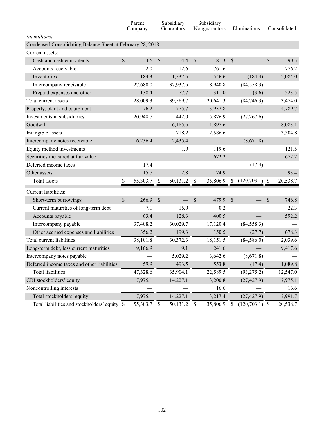|                                                            |              | Parent<br>Company |                           | Subsidiary<br>Guarantors |               | Subsidiary<br>Nonguarantors |               | Eliminations      |    | Consolidated |
|------------------------------------------------------------|--------------|-------------------|---------------------------|--------------------------|---------------|-----------------------------|---------------|-------------------|----|--------------|
| (in millions)                                              |              |                   |                           |                          |               |                             |               |                   |    |              |
| Condensed Consolidating Balance Sheet at February 28, 2018 |              |                   |                           |                          |               |                             |               |                   |    |              |
| Current assets:                                            |              |                   |                           |                          |               |                             |               |                   |    |              |
| Cash and cash equivalents                                  | $\mathbb{S}$ | 4.6               | $\mathcal{S}$             | 4.4                      | $\mathcal{S}$ | 81.3                        | <sup>\$</sup> |                   | \$ | 90.3         |
| Accounts receivable                                        |              | 2.0               |                           | 12.6                     |               | 761.6                       |               |                   |    | 776.2        |
| Inventories                                                |              | 184.3             |                           | 1,537.5                  |               | 546.6                       |               | (184.4)           |    | 2,084.0      |
| Intercompany receivable                                    |              | 27,680.0          |                           | 37,937.5                 |               | 18,940.8                    |               | (84, 558.3)       |    |              |
| Prepaid expenses and other                                 |              | 138.4             |                           | 77.7                     |               | 311.0                       |               | (3.6)             |    | 523.5        |
| Total current assets                                       |              | 28,009.3          |                           | 39,569.7                 |               | 20,641.3                    |               | (84,746.3)        |    | 3,474.0      |
| Property, plant and equipment                              |              | 76.2              |                           | 775.7                    |               | 3,937.8                     |               |                   |    | 4,789.7      |
| Investments in subsidiaries                                |              | 20,948.7          |                           | 442.0                    |               | 5,876.9                     |               | (27, 267.6)       |    |              |
| Goodwill                                                   |              |                   |                           | 6,185.5                  |               | 1,897.6                     |               |                   |    | 8,083.1      |
| Intangible assets                                          |              |                   |                           | 718.2                    |               | 2,586.6                     |               |                   |    | 3,304.8      |
| Intercompany notes receivable                              |              | 6,236.4           |                           | 2,435.4                  |               |                             |               | (8,671.8)         |    |              |
| Equity method investments                                  |              |                   |                           | 1.9                      |               | 119.6                       |               |                   |    | 121.5        |
| Securities measured at fair value                          |              |                   |                           |                          |               | 672.2                       |               |                   |    | 672.2        |
| Deferred income taxes                                      |              | 17.4              |                           |                          |               |                             |               | (17.4)            |    |              |
| Other assets                                               |              | 15.7              |                           | 2.8                      |               | 74.9                        |               |                   |    | 93.4         |
| Total assets                                               | \$           | 55,303.7          | $\mathbb S$               | 50,131.2                 | \$            | 35,806.9                    | \$            | $(120, 703.1)$ \$ |    | 20,538.7     |
| Current liabilities:                                       |              |                   |                           |                          |               |                             |               |                   |    |              |
| Short-term borrowings                                      | $\mathbb{S}$ | 266.9             | $\mathcal{S}$             |                          | $\mathcal{S}$ | 479.9                       | $\mathcal{S}$ |                   | \$ | 746.8        |
| Current maturities of long-term debt                       |              | 7.1               |                           | 15.0                     |               | 0.2                         |               |                   |    | 22.3         |
| Accounts payable                                           |              | 63.4              |                           | 128.3                    |               | 400.5                       |               |                   |    | 592.2        |
| Intercompany payable                                       |              | 37,408.2          |                           | 30,029.7                 |               | 17,120.4                    |               | (84, 558.3)       |    |              |
| Other accrued expenses and liabilities                     |              | 356.2             |                           | 199.3                    |               | 150.5                       |               | (27.7)            |    | 678.3        |
| Total current liabilities                                  |              | 38,101.8          |                           | 30,372.3                 |               | 18,151.5                    |               | (84, 586.0)       |    | 2,039.6      |
| Long-term debt, less current maturities                    |              | 9,166.9           |                           | 9.1                      |               | 241.6                       |               |                   |    | 9,417.6      |
| Intercompany notes payable                                 |              |                   |                           | 5,029.2                  |               | 3,642.6                     |               | (8,671.8)         |    |              |
| Deferred income taxes and other liabilities                |              | 59.9              |                           | 493.5                    |               | 553.8                       |               | (17.4)            |    | 1,089.8      |
| <b>Total liabilities</b>                                   |              | 47,328.6          |                           | 35,904.1                 |               | 22,589.5                    |               | (93, 275.2)       |    | 12,547.0     |
| CBI stockholders' equity                                   |              | 7,975.1           |                           | 14,227.1                 |               | 13,200.8                    |               | (27, 427.9)       |    | 7,975.1      |
| Noncontrolling interests                                   |              |                   |                           |                          |               | 16.6                        |               |                   |    | 16.6         |
| Total stockholders' equity                                 |              | 7,975.1           |                           | 14,227.1                 |               | 13,217.4                    |               | (27, 427.9)       |    | 7,991.7      |
| Total liabilities and stockholders' equity \$              |              | 55,303.7          | $\boldsymbol{\mathsf{S}}$ | 50,131.2                 | \$            | 35,806.9                    | \$            | $(120, 703.1)$ \$ |    | 20,538.7     |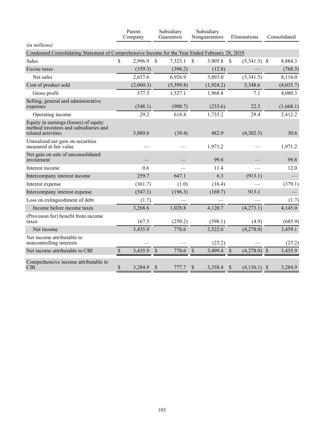|                                                                                                      |              | Parent<br>Company |               | Subsidiary<br>Guarantors |               | Subsidiary<br>Nonguarantors |              | Eliminations   |  | Consolidated |
|------------------------------------------------------------------------------------------------------|--------------|-------------------|---------------|--------------------------|---------------|-----------------------------|--------------|----------------|--|--------------|
| (in millions)                                                                                        |              |                   |               |                          |               |                             |              |                |  |              |
| Condensed Consolidating Statement of Comprehensive Income for the Year Ended February 28, 2019       |              |                   |               |                          |               |                             |              |                |  |              |
| <b>Sales</b>                                                                                         | \$           | 2,996.9           | S             | 7,323.1                  | $\mathbb{S}$  | 3,905.8                     | S            | $(5,341.5)$ \$ |  | 8,884.3      |
| Excise taxes                                                                                         |              | (359.3)           |               | (396.2)                  |               | (12.8)                      |              |                |  | (768.3)      |
| Net sales                                                                                            |              | 2,637.6           |               | 6,926.9                  |               | 3,893.0                     |              | (5,341.5)      |  | 8,116.0      |
| Cost of product sold                                                                                 |              | (2,060.3)         |               | (5,399.8)                |               | (1,924.2)                   |              | 5,348.6        |  | (4,035.7)    |
| Gross profit                                                                                         |              | 577.3             |               | 1,527.1                  |               | 1,968.8                     |              | 7.1            |  | 4,080.3      |
| Selling, general and administrative<br>expenses                                                      |              | (548.1)           |               | (908.7)                  |               | (233.6)                     |              | 22.3           |  | (1,668.1)    |
| Operating income                                                                                     |              | 29.2              |               | 618.4                    |               | 1,735.2                     |              | 29.4           |  | 2,412.2      |
| Equity in earnings (losses) of equity<br>method investees and subsidiaries and<br>related activities |              | 3,889.6           |               | (39.4)                   |               | 482.9                       |              | (4,302.5)      |  | 30.6         |
| Unrealized net gain on securities<br>measured at fair value                                          |              |                   |               |                          |               | 1,971.2                     |              |                |  | 1,971.2      |
| Net gain on sale of unconsolidated<br>investment                                                     |              |                   |               |                          |               | 99.8                        |              |                |  | 99.8         |
| Interest income                                                                                      |              | 0.6               |               |                          |               | 11.4                        |              |                |  | 12.0         |
| Intercompany interest income                                                                         |              | 259.7             |               | 647.1                    |               | 6.3                         |              | (913.1)        |  |              |
| Interest expense                                                                                     |              | (361.7)           |               | (1.0)                    |               | (16.4)                      |              |                |  | (379.1)      |
| Intercompany interest expense                                                                        |              | (547.1)           |               | (196.3)                  |               | (169.7)                     |              | 913.1          |  |              |
| Loss on extinguishment of debt                                                                       |              | (1.7)             |               |                          |               |                             |              |                |  | (1.7)        |
| Income before income taxes                                                                           |              | 3,268.6           |               | 1,028.8                  |               | 4,120.7                     |              | (4,273.1)      |  | 4,145.0      |
| (Provision for) benefit from income<br>taxes                                                         |              | 167.3             |               | (250.2)                  |               | (598.1)                     |              | (4.9)          |  | (685.9)      |
| Net income                                                                                           |              | 3,435.9           |               | 778.6                    |               | 3,522.6                     |              | (4,278.0)      |  | 3,459.1      |
| Net income attributable to<br>noncontrolling interests                                               |              |                   |               |                          |               | (23.2)                      |              |                |  | (23.2)       |
| Net income attributable to CBI                                                                       | $\mathbb{S}$ | 3,435.9           | $\mathcal{S}$ | 778.6                    | $\mathcal{S}$ | 3,499.4                     | $\mathbb{S}$ | $(4,278.0)$ \$ |  | 3,435.9      |
| Comprehensive income attributable to<br><b>CBI</b>                                                   | \$           | 3,284.9           | S             | 777.7                    | \$            | 3,358.4                     | $\sqrt{\ }$  | $(4,136.1)$ \$ |  | 3,284.9      |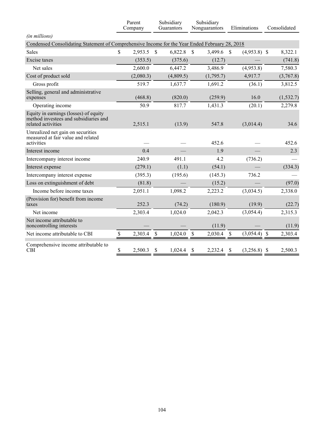|                                                                                                      |               | Parent<br>Company |               | Subsidiary<br>Guarantors |               | Subsidiary<br>Nonguarantors | Eliminations  |                | Consolidated |            |
|------------------------------------------------------------------------------------------------------|---------------|-------------------|---------------|--------------------------|---------------|-----------------------------|---------------|----------------|--------------|------------|
| (in millions)                                                                                        |               |                   |               |                          |               |                             |               |                |              |            |
| Condensed Consolidating Statement of Comprehensive Income for the Year Ended February 28, 2018       |               |                   |               |                          |               |                             |               |                |              |            |
| <b>Sales</b>                                                                                         | S             | 2,953.5           | $\mathcal{S}$ | 6,822.8                  | \$            | 3,499.6                     | <sup>\$</sup> | $(4,953.8)$ \$ |              | 8,322.1    |
| Excise taxes                                                                                         |               | (353.5)           |               | (375.6)                  |               | (12.7)                      |               |                |              | (741.8)    |
| Net sales                                                                                            |               | 2,600.0           |               | 6,447.2                  |               | 3,486.9                     |               | (4,953.8)      |              | 7,580.3    |
| Cost of product sold                                                                                 |               | (2,080.3)         |               | (4,809.5)                |               | (1,795.7)                   |               | 4,917.7        |              | (3,767.8)  |
| Gross profit                                                                                         |               | 519.7             |               | 1,637.7                  |               | 1,691.2                     |               | (36.1)         |              | 3,812.5    |
| Selling, general and administrative<br>expenses                                                      |               | (468.8)           |               | (820.0)                  |               | (259.9)                     |               | 16.0           |              | (1, 532.7) |
| Operating income                                                                                     |               | 50.9              |               | 817.7                    |               | 1,431.3                     |               | (20.1)         |              | 2,279.8    |
| Equity in earnings (losses) of equity<br>method investees and subsidiaries and<br>related activities |               | 2,515.1           |               | (13.9)                   |               | 547.8                       |               | (3,014.4)      |              | 34.6       |
| Unrealized net gain on securities<br>measured at fair value and related<br>activities                |               |                   |               |                          |               | 452.6                       |               |                |              | 452.6      |
| Interest income                                                                                      |               | 0.4               |               |                          |               | 1.9                         |               |                |              | 2.3        |
| Intercompany interest income                                                                         |               | 240.9             |               | 491.1                    |               | 4.2                         |               | (736.2)        |              |            |
| Interest expense                                                                                     |               | (279.1)           |               | (1.1)                    |               | (54.1)                      |               |                |              | (334.3)    |
| Intercompany interest expense                                                                        |               | (395.3)           |               | (195.6)                  |               | (145.3)                     |               | 736.2          |              |            |
| Loss on extinguishment of debt                                                                       |               | (81.8)            |               |                          |               | (15.2)                      |               |                |              | (97.0)     |
| Income before income taxes                                                                           |               | 2,051.1           |               | 1,098.2                  |               | 2,223.2                     |               | (3,034.5)      |              | 2,338.0    |
| (Provision for) benefit from income<br>taxes                                                         |               | 252.3             |               | (74.2)                   |               | (180.9)                     |               | (19.9)         |              | (22.7)     |
| Net income                                                                                           |               | 2,303.4           |               | 1,024.0                  |               | 2,042.3                     |               | (3,054.4)      |              | 2,315.3    |
| Net income attributable to<br>noncontrolling interests                                               |               |                   |               |                          |               | (11.9)                      |               |                |              | (11.9)     |
| Net income attributable to CBI                                                                       | $\mathsf{\$}$ | 2,303.4           | $\mathcal{S}$ | 1,024.0                  | $\mathcal{S}$ | 2,030.4                     | $\mathcal{S}$ | $(3,054.4)$ \$ |              | 2,303.4    |
| Comprehensive income attributable to<br><b>CBI</b>                                                   | \$            | 2,500.3           | \$            | 1,024.4                  | $\mathcal{S}$ | $2,232.4$ \$                |               | $(3,256.8)$ \$ |              | 2,500.3    |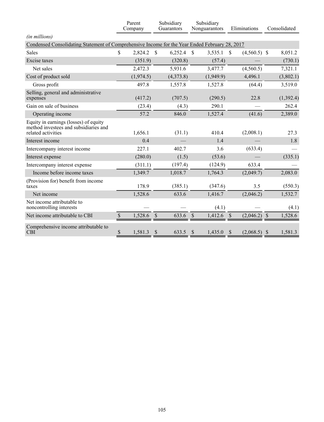|                                                                                                      |               | Parent<br>Company | Subsidiary<br>Subsidiary<br>Nonguarantors<br>Guarantors |                          | Eliminations                    | Consolidated |
|------------------------------------------------------------------------------------------------------|---------------|-------------------|---------------------------------------------------------|--------------------------|---------------------------------|--------------|
| <i>(in millions)</i>                                                                                 |               |                   |                                                         |                          |                                 |              |
| Condensed Consolidating Statement of Comprehensive Income for the Year Ended February 28, 2017       |               |                   |                                                         |                          |                                 |              |
| <b>Sales</b>                                                                                         | S             | 2,824.2           | $\mathbb{S}$<br>6,252.4                                 | <sup>\$</sup><br>3,535.1 | <sup>\$</sup><br>$(4,560.5)$ \$ | 8,051.2      |
| Excise taxes                                                                                         |               | (351.9)           | (320.8)                                                 | (57.4)                   |                                 | (730.1)      |
| Net sales                                                                                            |               | 2,472.3           | 5,931.6                                                 | 3,477.7                  | (4,560.5)                       | 7,321.1      |
| Cost of product sold                                                                                 |               | (1,974.5)         | (4,373.8)                                               | (1,949.9)                | 4,496.1                         | (3,802.1)    |
| Gross profit                                                                                         |               | 497.8             | 1,557.8                                                 | 1,527.8                  | (64.4)                          | 3,519.0      |
| Selling, general and administrative<br>expenses                                                      |               | (417.2)           | (707.5)                                                 | (290.5)                  | 22.8                            | (1, 392.4)   |
| Gain on sale of business                                                                             |               | (23.4)            | (4.3)                                                   | 290.1                    |                                 | 262.4        |
| Operating income                                                                                     |               | 57.2              | 846.0                                                   | 1,527.4                  | (41.6)                          | 2,389.0      |
| Equity in earnings (losses) of equity<br>method investees and subsidiaries and<br>related activities |               | 1,656.1           | (31.1)                                                  | 410.4                    | (2,008.1)                       | 27.3         |
| Interest income                                                                                      |               | 0.4               |                                                         | 1.4                      |                                 | 1.8          |
| Intercompany interest income                                                                         |               | 227.1             | 402.7                                                   | 3.6                      | (633.4)                         |              |
| Interest expense                                                                                     |               | (280.0)           | (1.5)                                                   | (53.6)                   |                                 | (335.1)      |
| Intercompany interest expense                                                                        |               | (311.1)           | (197.4)                                                 | (124.9)                  | 633.4                           |              |
| Income before income taxes                                                                           |               | 1,349.7           | 1,018.7                                                 | 1,764.3                  | (2,049.7)                       | 2,083.0      |
| (Provision for) benefit from income<br>taxes                                                         |               | 178.9             | (385.1)                                                 | (347.6)                  | 3.5                             | (550.3)      |
| Net income                                                                                           |               | 1,528.6           | 633.6                                                   | 1,416.7                  | (2,046.2)                       | 1,532.7      |
| Net income attributable to<br>noncontrolling interests                                               |               |                   |                                                         | (4.1)                    |                                 | (4.1)        |
| Net income attributable to CBI                                                                       | <sup>\$</sup> | 1,528.6           | $\mathbb{S}$<br>633.6                                   | $\mathcal{S}$<br>1,412.6 | $\sqrt{\ }$<br>$(2,046.2)$ \$   | 1,528.6      |
| Comprehensive income attributable to<br><b>CBI</b>                                                   | $\mathbb{S}$  | 1,581.3           | 633.5 \$<br>$\mathcal{S}$                               | 1,435.0                  | $\mathcal{S}$<br>$(2,068.5)$ \$ | 1,581.3      |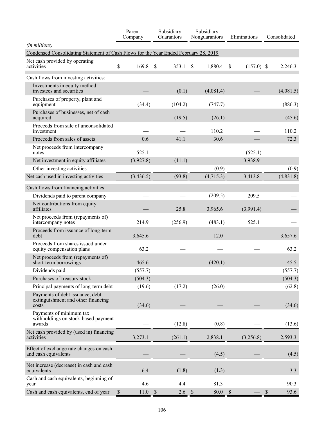|                                                                                      | Parent<br>Company    | Subsidiary<br>Guarantors | Subsidiary<br>Nonguarantors | Eliminations                 | Consolidated         |
|--------------------------------------------------------------------------------------|----------------------|--------------------------|-----------------------------|------------------------------|----------------------|
| (in millions)                                                                        |                      |                          |                             |                              |                      |
| Condensed Consolidating Statement of Cash Flows for the Year Ended February 28, 2019 |                      |                          |                             |                              |                      |
| Net cash provided by operating<br>activities                                         | 169.8<br>\$          | \$<br>353.1              | 1,880.4<br>\$               | $(157.0)$ \$<br>$\mathbb{S}$ | 2,246.3              |
| Cash flows from investing activities:                                                |                      |                          |                             |                              |                      |
| Investments in equity method<br>investees and securities                             |                      | (0.1)                    | (4,081.4)                   |                              | (4,081.5)            |
| Purchases of property, plant and<br>equipment                                        | (34.4)               | (104.2)                  | (747.7)                     |                              | (886.3)              |
| Purchases of businesses, net of cash<br>acquired                                     |                      | (19.5)                   | (26.1)                      |                              | (45.6)               |
| Proceeds from sale of unconsolidated<br>investment                                   |                      |                          | 110.2                       |                              | 110.2                |
| Proceeds from sales of assets                                                        | 0.6                  | 41.1                     | 30.6                        |                              | 72.3                 |
| Net proceeds from intercompany<br>notes                                              | 525.1                |                          |                             | (525.1)                      |                      |
| Net investment in equity affiliates                                                  | (3,927.8)            | (11.1)                   |                             | 3,938.9                      |                      |
| Other investing activities                                                           |                      |                          | (0.9)                       |                              | (0.9)                |
| Net cash used in investing activities                                                | (3,436.5)            | (93.8)                   | (4,715.3)                   | 3,413.8                      | (4, 831.8)           |
| Cash flows from financing activities:                                                |                      |                          |                             |                              |                      |
| Dividends paid to parent company                                                     |                      |                          | (209.5)                     | 209.5                        |                      |
| Net contributions from equity<br>affiliates                                          |                      | 25.8                     | 3,965.6                     | (3,991.4)                    |                      |
| Net proceeds from (repayments of)<br>intercompany notes                              | 214.9                | (256.9)                  | (483.1)                     | 525.1                        |                      |
| Proceeds from issuance of long-term<br>debt                                          | 3,645.6              |                          | 12.0                        |                              | 3,657.6              |
| Proceeds from shares issued under<br>equity compensation plans                       | 63.2                 |                          |                             |                              | 63.2                 |
| Net proceeds from (repayments of)<br>short-term borrowings                           | 465.6                |                          | (420.1)                     |                              | 45.5                 |
| Dividends paid                                                                       | (557.7)              |                          |                             |                              | (557.7)              |
| Purchases of treasury stock                                                          | (504.3)              |                          |                             |                              | (504.3)              |
| Principal payments of long-term debt                                                 | (19.6)               | (17.2)                   | (26.0)                      |                              | (62.8)               |
| Payments of debt issuance, debt<br>extinguishment and other financing<br>costs       | (34.6)               |                          |                             |                              | (34.6)               |
| Payments of minimum tax<br>withholdings on stock-based payment<br>awards             |                      | (12.8)                   | (0.8)                       |                              | (13.6)               |
| Net cash provided by (used in) financing<br>activities                               | 3,273.1              | (261.1)                  | 2,838.1                     | (3,256.8)                    | 2,593.3              |
| Effect of exchange rate changes on cash<br>and cash equivalents                      |                      |                          | (4.5)                       |                              | (4.5)                |
| Net increase (decrease) in cash and cash<br>equivalents                              | 6.4                  | (1.8)                    | (1.3)                       |                              | 3.3                  |
| Cash and cash equivalents, beginning of<br>year                                      | 4.6                  | 4.4                      | 81.3                        |                              | 90.3                 |
| Cash and cash equivalents, end of year                                               | 11.0<br>$\mathbb{S}$ | $\mathbb{S}$<br>2.6      | $\mathbb{S}$<br>80.0        | $\mathcal{S}$                | $\mathbb{S}$<br>93.6 |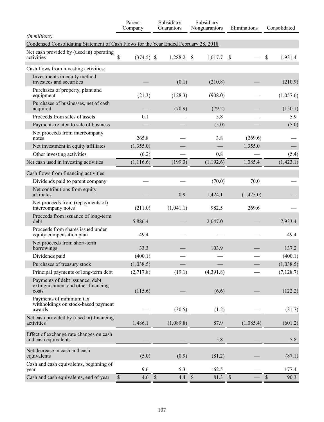|                                                                                      | Parent<br>Company                | Subsidiary<br>Subsidiary<br>Eliminations<br>Guarantors<br>Nonguarantors |                          | Consolidated  |                     |
|--------------------------------------------------------------------------------------|----------------------------------|-------------------------------------------------------------------------|--------------------------|---------------|---------------------|
| (in millions)                                                                        |                                  |                                                                         |                          |               |                     |
| Condensed Consolidating Statement of Cash Flows for the Year Ended February 28, 2018 |                                  |                                                                         |                          |               |                     |
| Net cash provided by (used in) operating<br>activities                               | $(374.5)$ \$<br>\$               | 1,288.2                                                                 | $\mathsf{\$}$<br>1,017.7 | -S            | \$<br>1,931.4       |
| Cash flows from investing activities:                                                |                                  |                                                                         |                          |               |                     |
| Investments in equity method<br>investees and securities                             |                                  | (0.1)                                                                   | (210.8)                  |               | (210.9)             |
| Purchases of property, plant and<br>equipment                                        | (21.3)                           | (128.3)                                                                 | (908.0)                  |               | (1,057.6)           |
| Purchases of businesses, net of cash<br>acquired                                     |                                  | (70.9)                                                                  | (79.2)                   |               | (150.1)             |
| Proceeds from sales of assets                                                        | 0.1                              |                                                                         | 5.8                      |               | 5.9                 |
| Payments related to sale of business                                                 |                                  |                                                                         | (5.0)                    |               | (5.0)               |
| Net proceeds from intercompany<br>notes                                              | 265.8                            |                                                                         | 3.8                      | (269.6)       |                     |
| Net investment in equity affiliates                                                  | (1,355.0)                        |                                                                         |                          | 1,355.0       |                     |
| Other investing activities                                                           | (6.2)                            |                                                                         | 0.8                      |               | (5.4)               |
| Net cash used in investing activities                                                | (1,116.6)                        | (199.3)                                                                 | (1,192.6)                | 1,085.4       | (1, 423.1)          |
| Cash flows from financing activities:                                                |                                  |                                                                         |                          |               |                     |
| Dividends paid to parent company                                                     |                                  |                                                                         | (70.0)                   | 70.0          |                     |
| Net contributions from equity<br>affiliates                                          |                                  | 0.9                                                                     | 1,424.1                  | (1,425.0)     |                     |
| Net proceeds from (repayments of)<br>intercompany notes                              | (211.0)                          | (1,041.1)                                                               | 982.5                    | 269.6         |                     |
| Proceeds from issuance of long-term<br>debt                                          | 5,886.4                          |                                                                         | 2,047.0                  |               | 7,933.4             |
| Proceeds from shares issued under<br>equity compensation plan                        | 49.4                             |                                                                         |                          |               | 49.4                |
| Net proceeds from short-term<br>borrowings                                           | 33.3                             |                                                                         | 103.9                    |               | 137.2               |
| Dividends paid                                                                       | (400.1)                          |                                                                         |                          |               | (400.1)             |
| Purchases of treasury stock                                                          | (1,038.5)                        |                                                                         |                          |               | (1,038.5)           |
| Principal payments of long-term debt                                                 | (2,717.8)                        | (19.1)                                                                  | (4,391.8)                |               | (7, 128.7)          |
| Payments of debt issuance, debt<br>extinguishment and other financing<br>costs       | (115.6)                          |                                                                         | (6.6)                    |               | (122.2)             |
| Payments of minimum tax<br>withholdings on stock-based payment<br>awards             |                                  | (30.5)                                                                  | (1.2)                    |               | (31.7)              |
| Net cash provided by (used in) financing<br>activities                               | 1,486.1                          | (1,089.8)                                                               | 87.9                     | (1,085.4)     | (601.2)             |
| Effect of exchange rate changes on cash<br>and cash equivalents                      |                                  |                                                                         | 5.8                      |               | 5.8                 |
| Net decrease in cash and cash<br>equivalents                                         | (5.0)                            | (0.9)                                                                   | (81.2)                   |               | (87.1)              |
| Cash and cash equivalents, beginning of<br>year                                      | 9.6                              | 5.3                                                                     | 162.5                    |               | 177.4               |
| Cash and cash equivalents, end of year                                               | $\boldsymbol{\mathsf{S}}$<br>4.6 | $\mathbb{S}$<br>4.4                                                     | $\mathbb S$<br>81.3      | $\mathcal{S}$ | $\mathbb S$<br>90.3 |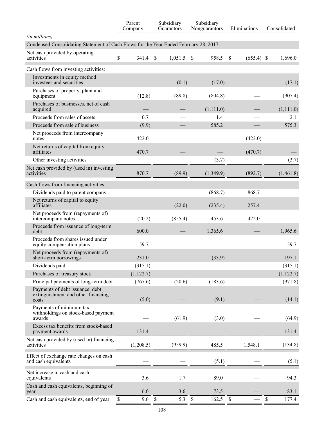|                                                                                      | Parent<br>Subsidiary<br>Subsidiary<br>Eliminations<br>Guarantors<br>Nonguarantors<br>Company |                         | Consolidated           |                              |                       |
|--------------------------------------------------------------------------------------|----------------------------------------------------------------------------------------------|-------------------------|------------------------|------------------------------|-----------------------|
| (in millions)                                                                        |                                                                                              |                         |                        |                              |                       |
| Condensed Consolidating Statement of Cash Flows for the Year Ended February 28, 2017 |                                                                                              |                         |                        |                              |                       |
| Net cash provided by operating<br>activities                                         | \$<br>341.4                                                                                  | $\mathbb{S}$<br>1,051.5 | $\mathsf{\$}$<br>958.5 | $\mathbb{S}$<br>$(655.4)$ \$ | 1,696.0               |
| Cash flows from investing activities:                                                |                                                                                              |                         |                        |                              |                       |
| Investments in equity method<br>investees and securities                             |                                                                                              | (0.1)                   | (17.0)                 |                              | (17.1)                |
| Purchases of property, plant and<br>equipment                                        | (12.8)                                                                                       | (89.8)                  | (804.8)                |                              | (907.4)               |
| Purchases of businesses, net of cash<br>acquired                                     |                                                                                              |                         | (1,111.0)              |                              | (1,111.0)             |
| Proceeds from sales of assets                                                        | 0.7                                                                                          |                         | 1.4                    |                              | 2.1                   |
| Proceeds from sale of business                                                       | (9.9)                                                                                        |                         | 585.2                  |                              | 575.3                 |
| Net proceeds from intercompany<br>notes                                              | 422.0                                                                                        |                         |                        | (422.0)                      |                       |
| Net returns of capital from equity<br>affiliates                                     | 470.7                                                                                        |                         |                        | (470.7)                      |                       |
| Other investing activities                                                           |                                                                                              |                         | (3.7)                  |                              | (3.7)                 |
| Net cash provided by (used in) investing<br>activities                               | 870.7                                                                                        | (89.9)                  | (1,349.9)              | (892.7)                      | (1,461.8)             |
| Cash flows from financing activities:                                                |                                                                                              |                         |                        |                              |                       |
| Dividends paid to parent company                                                     |                                                                                              |                         | (868.7)                | 868.7                        |                       |
| Net returns of capital to equity<br>affiliates                                       |                                                                                              | (22.0)                  | (235.4)                | 257.4                        |                       |
| Net proceeds from (repayments of)<br>intercompany notes                              | (20.2)                                                                                       | (855.4)                 | 453.6                  | 422.0                        |                       |
| Proceeds from issuance of long-term<br>debt                                          | 600.0                                                                                        |                         | 1,365.6                |                              | 1,965.6               |
| Proceeds from shares issued under<br>equity compensation plans                       | 59.7                                                                                         |                         |                        |                              | 59.7                  |
| Net proceeds from (repayments of)<br>short-term borrowings                           | 231.0                                                                                        |                         | (33.9)                 |                              | 197.1                 |
| Dividends paid                                                                       | (315.1)                                                                                      |                         |                        |                              | (315.1)               |
| Purchases of treasury stock                                                          | (1, 122.7)                                                                                   |                         |                        |                              | (1, 122.7)            |
| Principal payments of long-term debt                                                 | (767.6)                                                                                      | (20.6)                  | (183.6)                |                              | (971.8)               |
| Payments of debt issuance, debt<br>extinguishment and other financing<br>costs       | (5.0)                                                                                        |                         | (9.1)                  |                              | (14.1)                |
| Payments of minimum tax<br>withholdings on stock-based payment<br>awards             |                                                                                              | (61.9)                  | (3.0)                  |                              | (64.9)                |
| Excess tax benefits from stock-based<br>payment awards                               | 131.4                                                                                        |                         |                        |                              | 131.4                 |
| Net cash provided by (used in) financing<br>activities                               | (1,208.5)                                                                                    | (959.9)                 | 485.5                  | 1,548.1                      | (134.8)               |
| Effect of exchange rate changes on cash<br>and cash equivalents                      |                                                                                              |                         | (5.1)                  |                              | (5.1)                 |
| Net increase in cash and cash<br>equivalents                                         | 3.6                                                                                          | 1.7                     | 89.0                   |                              | 94.3                  |
| Cash and cash equivalents, beginning of<br>year                                      | 6.0                                                                                          | 3.6                     | 73.5                   |                              | 83.1                  |
| Cash and cash equivalents, end of year                                               | $\mathbb{S}$<br>9.6                                                                          | $\mathbb S$<br>5.3      | $\mathbb S$<br>162.5   | $\mathcal{S}$                | $\mathbb{S}$<br>177.4 |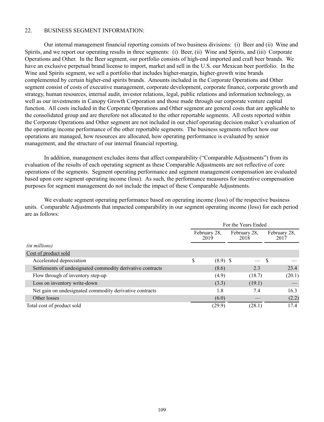# 22. BUSINESS SEGMENT INFORMATION:

Our internal management financial reporting consists of two business divisions: (i) Beer and (ii) Wine and Spirits, and we report our operating results in three segments: (i)Beer, (ii)Wine and Spirits, and (iii)Corporate Operations and Other. In the Beer segment, our portfolio consists of high-end imported and craft beer brands. We have an exclusive perpetual brand license to import, market and sell in the U.S. our Mexican beer portfolio. In the Wine and Spirits segment, we sell a portfolio that includes higher-margin, higher-growth wine brands complemented by certain higher-end spirits brands. Amounts included in the Corporate Operations and Other segment consist of costs of executive management, corporate development, corporate finance, corporate growth and strategy, human resources, internal audit, investor relations, legal, public relations and information technology, as well as our investments in Canopy Growth Corporation and those made through our corporate venture capital function. All costs included in the Corporate Operations and Other segment are general costs that are applicable to the consolidated group and are therefore not allocated to the other reportable segments. All costs reported within the Corporate Operations and Other segment are not included in our chief operating decision maker's evaluation of the operating income performance of the other reportable segments. The business segments reflect how our operations are managed, how resources are allocated, how operating performance is evaluated by senior management, and the structure of our internal financial reporting.

In addition, management excludes items that affect comparability ("Comparable Adjustments") from its evaluation of the results of each operating segment as these Comparable Adjustments are not reflective of core operations of the segments. Segment operating performance and segment management compensation are evaluated based upon core segment operating income (loss). As such, the performance measures for incentive compensation purposes for segment management do not include the impact of these Comparable Adjustments.

We evaluate segment operating performance based on operating income (loss) of the respective business units. Comparable Adjustments that impacted comparability in our segment operating income (loss) for each period are as follows:

|                                                            | For the Years Ended  |                      |  |        |                      |        |  |  |  |
|------------------------------------------------------------|----------------------|----------------------|--|--------|----------------------|--------|--|--|--|
|                                                            | February 28,<br>2019 | February 28,<br>2018 |  |        | February 28,<br>2017 |        |  |  |  |
| <i>(in millions)</i>                                       |                      |                      |  |        |                      |        |  |  |  |
| Cost of product sold                                       |                      |                      |  |        |                      |        |  |  |  |
| Accelerated depreciation                                   | \$                   | $(8.9)$ \$           |  |        | <sup>\$</sup>        |        |  |  |  |
| Settlements of undesignated commodity derivative contracts |                      | (8.6)                |  | 2.3    |                      | 23.4   |  |  |  |
| Flow through of inventory step-up                          |                      | (4.9)                |  | (18.7) |                      | (20.1) |  |  |  |
| Loss on inventory write-down                               |                      | (3.3)                |  | (19.1) |                      |        |  |  |  |
| Net gain on undesignated commodity derivative contracts    |                      | 1.8                  |  | 7.4    |                      | 16.3   |  |  |  |
| Other losses                                               |                      | (6.0)                |  |        |                      | (2.2)  |  |  |  |
| Total cost of product sold                                 |                      | (29.9)               |  | (28.1) |                      | 17.4   |  |  |  |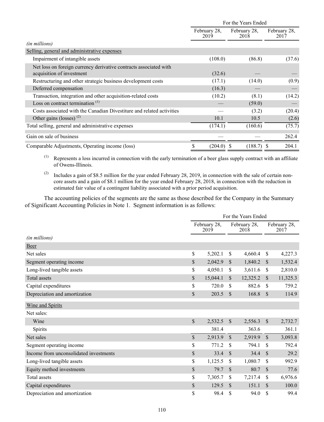|                                                                                                | For the Years Ended  |                      |                      |  |  |  |  |
|------------------------------------------------------------------------------------------------|----------------------|----------------------|----------------------|--|--|--|--|
|                                                                                                | February 28,<br>2019 | February 28,<br>2018 | February 28,<br>2017 |  |  |  |  |
| (in millions)                                                                                  |                      |                      |                      |  |  |  |  |
| Selling, general and administrative expenses                                                   |                      |                      |                      |  |  |  |  |
| Impairment of intangible assets                                                                | (108.0)              | (86.8)               | (37.6)               |  |  |  |  |
| Net loss on foreign currency derivative contracts associated with<br>acquisition of investment | (32.6)               |                      |                      |  |  |  |  |
| Restructuring and other strategic business development costs                                   | (17.1)               | (14.0)               | (0.9)                |  |  |  |  |
| Deferred compensation                                                                          | (16.3)               |                      |                      |  |  |  |  |
| Transaction, integration and other acquisition-related costs                                   | (10.2)               | (8.1)                | (14.2)               |  |  |  |  |
| Loss on contract termination $(1)$                                                             |                      | (59.0)               |                      |  |  |  |  |
| Costs associated with the Canadian Divestiture and related activities                          |                      | (3.2)                | (20.4)               |  |  |  |  |
| Other gains (losses) $^{(2)}$                                                                  | 10.1                 | 10.5                 | (2.6)                |  |  |  |  |
| Total selling, general and administrative expenses                                             | (174.1)              | (160.6)              | (75.7)               |  |  |  |  |
| Gain on sale of business                                                                       |                      |                      | 262.4                |  |  |  |  |
| Comparable Adjustments, Operating income (loss)                                                | \$<br>$(204.0)$ \$   | $(188.7)$ \$         | 204.1                |  |  |  |  |

 $(1)$  Represents a loss incurred in connection with the early termination of a beer glass supply contract with an affiliate of Owens-Illinois.

(2) Includes a gain of \$8.5 million for the year ended February 28, 2019, in connection with the sale of certain noncore assets and a gain of \$8.1 million for the year ended February 28, 2018, in connection with the reduction in estimated fair value of a contingent liability associated with a prior period acquisition.

The accounting policies of the segments are the same as those described for the Company in the Summary of Significant Accounting Policies in Note 1. Segment information is as follows:

|                                        | For the Years Ended |                      |                      |          |               |                      |  |
|----------------------------------------|---------------------|----------------------|----------------------|----------|---------------|----------------------|--|
|                                        |                     | February 28,<br>2019 | February 28,<br>2018 |          |               | February 28,<br>2017 |  |
| <i>(in millions)</i>                   |                     |                      |                      |          |               |                      |  |
| Beer                                   |                     |                      |                      |          |               |                      |  |
| Net sales                              | \$                  | 5,202.1              | \$                   | 4,660.4  | \$            | 4,227.3              |  |
| Segment operating income               | \$                  | 2,042.9              | \$                   | 1,840.2  | $\mathcal{S}$ | 1,532.4              |  |
| Long-lived tangible assets             | \$                  | 4,050.1              | \$                   | 3,611.6  | <sup>\$</sup> | 2,810.0              |  |
| Total assets                           | \$                  | 15,044.1             | \$                   | 12,325.2 | <sup>S</sup>  | 11,325.3             |  |
| Capital expenditures                   | \$                  | 720.0                | \$                   | 882.6    | \$            | 759.2                |  |
| Depreciation and amortization          | \$                  | 203.5                | $\mathbb{S}$         | 168.8    | <sup>\$</sup> | 114.9                |  |
| Wine and Spirits                       |                     |                      |                      |          |               |                      |  |
| Net sales:                             |                     |                      |                      |          |               |                      |  |
| Wine                                   | \$                  | 2,532.5              | $\mathbb{S}$         | 2,556.3  | $\mathbb{S}$  | 2,732.7              |  |
| Spirits                                |                     | 381.4                |                      | 363.6    |               | 361.1                |  |
| Net sales                              | \$                  | 2,913.9              | $\mathbb{S}$         | 2,919.9  | $\mathbb{S}$  | 3,093.8              |  |
| Segment operating income               | \$                  | 771.2                | S                    | 794.1    | \$            | 792.4                |  |
| Income from unconsolidated investments | \$                  | 33.4                 | $\mathbb{S}$         | 34.4     | $\mathcal{S}$ | 29.2                 |  |
| Long-lived tangible assets             | \$                  | 1,125.5              | \$                   | 1,080.7  | \$            | 992.9                |  |
| Equity method investments              | \$                  | 79.7                 | $\mathbb{S}$         | 80.7     | \$            | 77.6                 |  |
| <b>Total</b> assets                    | \$                  | 7,305.7              | \$                   | 7,217.4  | \$            | 6,976.6              |  |
| Capital expenditures                   | \$                  | 129.5                | \$                   | 151.1    | \$            | 100.0                |  |
| Depreciation and amortization          | \$                  | 98.4                 | \$                   | 94.0     | \$            | 99.4                 |  |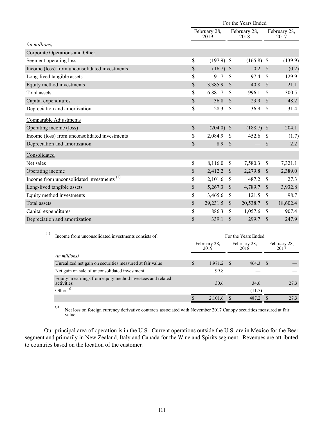|                                                       | For the Years Ended  |              |               |                      |               |                      |  |  |
|-------------------------------------------------------|----------------------|--------------|---------------|----------------------|---------------|----------------------|--|--|
|                                                       | February 28,<br>2019 |              |               | February 28,<br>2018 |               | February 28,<br>2017 |  |  |
| (in millions)                                         |                      |              |               |                      |               |                      |  |  |
| Corporate Operations and Other                        |                      |              |               |                      |               |                      |  |  |
| Segment operating loss                                | \$                   | $(197.9)$ \$ |               | $(165.8)$ \$         |               | (139.9)              |  |  |
| Income (loss) from unconsolidated investments         | \$                   | $(16.7)$ \$  |               | 0.2                  | $\mathcal{S}$ | (0.2)                |  |  |
| Long-lived tangible assets                            | \$                   | 91.7         | \$            | 97.4                 | \$            | 129.9                |  |  |
| Equity method investments                             | \$                   | 3,385.9      | $\mathcal{S}$ | 40.8                 | $\mathbb{S}$  | 21.1                 |  |  |
| Total assets                                          | \$                   | 6,881.7      | \$            | 996.1                | \$            | 300.5                |  |  |
| Capital expenditures                                  | \$                   | 36.8         | $\mathcal{S}$ | 23.9                 | \$            | 48.2                 |  |  |
| Depreciation and amortization                         | \$                   | 28.3         | \$            | 36.9                 | \$            | 31.4                 |  |  |
| Comparable Adjustments                                |                      |              |               |                      |               |                      |  |  |
| Operating income (loss)                               | $\mathbb{S}$         | $(204.0)$ \$ |               | $(188.7)$ \$         |               | 204.1                |  |  |
| Income (loss) from unconsolidated investments         | \$                   | 2,084.9      | \$            | 452.6                | \$            | (1.7)                |  |  |
| Depreciation and amortization                         | $\mathbb{S}$         | 8.9          | $\mathcal{S}$ |                      | \$            | 2.2                  |  |  |
| Consolidated                                          |                      |              |               |                      |               |                      |  |  |
| Net sales                                             | \$                   | 8,116.0      | \$            | 7,580.3              | \$            | 7,321.1              |  |  |
| Operating income                                      | $\mathbb{S}$         | 2,412.2      | <sup>\$</sup> | 2,279.8              | <sup>S</sup>  | 2,389.0              |  |  |
| Income from unconsolidated investments <sup>(1)</sup> | \$                   | 2,101.6      | \$            | 487.2                | \$            | 27.3                 |  |  |
| Long-lived tangible assets                            | \$                   | 5,267.3      | $\mathcal{S}$ | 4,789.7              | \$            | 3,932.8              |  |  |
| Equity method investments                             | \$                   | 3,465.6      | \$            | 121.5                | \$            | 98.7                 |  |  |
| Total assets                                          | \$                   | 29,231.5     | $\mathbb{S}$  | 20,538.7             | \$            | 18,602.4             |  |  |
| Capital expenditures                                  | \$                   | 886.3        | \$            | 1,057.6              | \$            | 907.4                |  |  |
| Depreciation and amortization                         | $\mathbb{S}$         | 339.1        | $\mathcal{S}$ | 299.7                | \$            | 247.9                |  |  |

| (1) | Income from unconsolidated investments consists of:                       |   |                      | For the Years Ended  |     |                      |
|-----|---------------------------------------------------------------------------|---|----------------------|----------------------|-----|----------------------|
|     |                                                                           |   | February 28,<br>2019 | February 28,<br>2018 |     | February 28,<br>2017 |
|     | (in millions)                                                             |   |                      |                      |     |                      |
|     | Unrealized net gain on securities measured at fair value                  | S | $1,971.2$ \$         | 464.3                | - S |                      |
|     | Net gain on sale of unconsolidated investment                             |   | 99.8                 |                      |     |                      |
|     | Equity in earnings from equity method investees and related<br>activities |   | 30.6                 | 34.6                 |     | 27.3                 |
|     | Other $^{(1)}$                                                            |   |                      | (11.7)               |     |                      |
|     |                                                                           |   | 2.101.6              | 487.2                |     | 273                  |

(i) Net loss on foreign currency derivative contracts associated with November 2017 Canopy securities measured at fair value

Our principal area of operation is in the U.S. Current operations outside the U.S. are in Mexico for the Beer segment and primarily in New Zealand, Italy and Canada for the Wine and Spirits segment. Revenues are attributed to countries based on the location of the customer.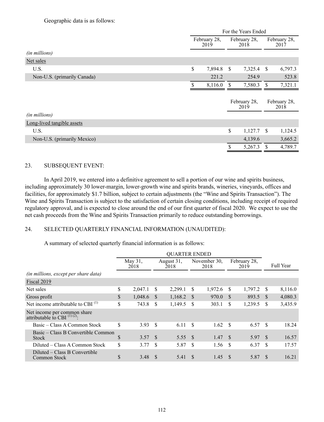Geographic data is as follows:

|                             |     | For the Years Ended  |      |                      |               |                      |  |  |  |
|-----------------------------|-----|----------------------|------|----------------------|---------------|----------------------|--|--|--|
|                             |     | February 28,<br>2019 |      | February 28,<br>2018 |               | February 28,<br>2017 |  |  |  |
| (in millions)               |     |                      |      |                      |               |                      |  |  |  |
| Net sales                   |     |                      |      |                      |               |                      |  |  |  |
| U.S.                        | \$  | 7,894.8              | - S  | 7,325.4              | - S           | 6,797.3              |  |  |  |
| Non-U.S. (primarily Canada) |     | 221.2                |      | 254.9                |               | 523.8                |  |  |  |
|                             | \$. | 8,116.0              | - \$ | 7,580.3              | <sup>\$</sup> | 7,321.1              |  |  |  |
|                             |     |                      |      | February 28,<br>2019 |               | February 28,<br>2018 |  |  |  |
| (in millions)               |     |                      |      |                      |               |                      |  |  |  |
| Long-lived tangible assets  |     |                      |      |                      |               |                      |  |  |  |
| U.S.                        |     |                      | \$   | 1,127.7              | <sup>\$</sup> | 1,124.5              |  |  |  |
| Non-U.S. (primarily Mexico) |     |                      |      | 4,139.6              |               | 3,665.2              |  |  |  |
|                             |     |                      | \$   | 5,267.3              | $\mathcal{S}$ | 4,789.7              |  |  |  |

## 23. SUBSEQUENT EVENT:

In April 2019, we entered into a definitive agreement to sell a portion of our wine and spirits business, including approximately 30 lower-margin, lower-growth wine and spirits brands, wineries, vineyards, offices and facilities, for approximately \$1.7 billion, subject to certain adjustments (the "Wine and Spirits Transaction"). The Wine and Spirits Transaction is subject to the satisfaction of certain closing conditions, including receipt of required regulatory approval, and is expected to close around the end of our first quarter of fiscal 2020. We expect to use the net cash proceeds from the Wine and Spirits Transaction primarily to reduce outstanding borrowings.

# 24. SELECTED QUARTERLY FINANCIAL INFORMATION (UNAUDITED):

A summary of selected quarterly financial information is as follows:

|                                                                  | <b>QUARTER ENDED</b> |                 |               |                    |                      |         |                      |         |          |                  |
|------------------------------------------------------------------|----------------------|-----------------|---------------|--------------------|----------------------|---------|----------------------|---------|----------|------------------|
|                                                                  |                      | May 31,<br>2018 |               | August 31,<br>2018 | November 30,<br>2018 |         | February 28,<br>2019 |         |          | <b>Full Year</b> |
| <i>(in millions, except per share data)</i>                      |                      |                 |               |                    |                      |         |                      |         |          |                  |
| Fiscal 2019                                                      |                      |                 |               |                    |                      |         |                      |         |          |                  |
| Net sales                                                        | \$                   | 2,047.1         | S             | 2,299.1            | S                    | 1,972.6 | -S                   | 1,797.2 | S        | 8,116.0          |
| Gross profit                                                     | $\mathbb{S}$         | 1,048.6         | S             | 1,168.2            | <sup>\$</sup>        | 970.0   | \$.                  | 893.5   | \$.      | 4,080.3          |
| Net income attributable to CBI $(1)$                             | \$                   | 743.8           | S             | 1,149.5            | \$                   | 303.1   | \$.                  | 1,239.5 | \$       | 3,435.9          |
| Net income per common share<br>attributable to CBI $^{(1)(2)}$ : |                      |                 |               |                    |                      |         |                      |         |          |                  |
| Basic – Class A Common Stock                                     | S                    | 3.93            | <sup>\$</sup> | 6.11               | <b>S</b>             | 1.62    | -S                   | 6.57    | \$.      | 18.24            |
| Basic – Class B Convertible Common<br><b>Stock</b>               | \$                   | 3.57            | - \$          | 5.55               | - \$                 | 1.47    | - \$                 | 5.97    | - \$     | 16.57            |
| Diluted – Class A Common Stock                                   | \$                   | 3.77            | -S            | 5.87               | -S                   | 1.56    | - \$                 | 6.37    | \$.      | 17.57            |
| Diluted – Class B Convertible<br>Common Stock                    | \$                   | 3.48            | -S            | 5.41               | <sup>\$</sup>        | 1.45    | -S                   | 5.87    | <b>S</b> | 16.21            |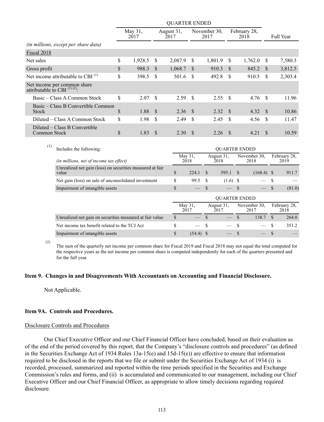|                                                                  |              | May 31,<br>2017 |               | August 31,<br>2017 |               | November 30,<br>2017 |               | February 28,<br>2018 |               | <b>Full Year</b> |
|------------------------------------------------------------------|--------------|-----------------|---------------|--------------------|---------------|----------------------|---------------|----------------------|---------------|------------------|
| <i>(in millions, except per share data)</i>                      |              |                 |               |                    |               |                      |               |                      |               |                  |
| Fiscal 2018                                                      |              |                 |               |                    |               |                      |               |                      |               |                  |
| Net sales                                                        | \$           | 1,928.5         | S             | 2,087.9            | S             | 1,801.9              | \$            | 1,762.0              | \$            | 7,580.3          |
| Gross profit                                                     | $\mathbb{S}$ | 988.3           | <sup>\$</sup> | 1,068.7            | <sup>\$</sup> | 910.3                | S             | 845.2                | <sup>\$</sup> | 3,812.5          |
| Net income attributable to CBI $(1)$                             | \$.          | 398.5           | \$.           | 501.6              | -S            | 492.8                | \$            | 910.5                | \$.           | 2,303.4          |
| Net income per common share<br>attributable to CBI $^{(1)(2)}$ : |              |                 |               |                    |               |                      |               |                      |               |                  |
| Basic – Class A Common Stock                                     | \$.          | 2.07            | S             | 2.59               | -S            | 2.55                 | -\$           | 4.76                 | <sup>\$</sup> | 11.96            |
| Basic – Class B Convertible Common<br><b>Stock</b>               | \$           | 1.88            | - \$          | 2.36               | - \$          | 2.32                 | - \$          | 4.32                 | - S           | 10.86            |
| Diluted – Class A Common Stock                                   | \$           | 1.98            | <sup>\$</sup> | 2.49               | -S            | 2.45                 | -\$           | 4.56                 | - \$          | 11.47            |
| Diluted – Class B Convertible<br>Common Stock                    | \$           | 1.83            | <sup>\$</sup> | 2.30               | \$.           | 2.26                 | <sup>\$</sup> | 4.21                 | \$            | 10.59            |

| $^{(1)}$ | Includes the following:                                            |               |                 |    | <b>OUARTER ENDED</b> |     |                      |              |                      |
|----------|--------------------------------------------------------------------|---------------|-----------------|----|----------------------|-----|----------------------|--------------|----------------------|
|          | <i>(in millions, net of income tax effect)</i>                     |               | May 31.<br>2018 |    | August 31,<br>2018   |     | November 30.<br>2018 |              | February 28,<br>2019 |
|          | Unrealized net gain (loss) on securities measured at fair<br>value | \$            | 224.1 \$        |    | 595.1                | - S | $(168.4)$ \$         |              | 911.7                |
|          | Net gain (loss) on sale of unconsolidated investment               | \$            | 99.5            | -S | $(1.6)$ \$           |     |                      | -S           |                      |
|          | Impairment of intangible assets                                    | \$            |                 |    |                      |     |                      | <sup>S</sup> | (81.0)               |
|          |                                                                    |               |                 |    | <b>OUARTER ENDED</b> |     |                      |              |                      |
|          |                                                                    |               | May 31.<br>2017 |    | August 31,<br>2017   |     | November 30.<br>2017 |              | February 28.<br>2018 |
|          | Unrealized net gain on securities measured at fair value           | $\mathcal{S}$ |                 |    |                      |     | 138.7                | -\$          | 264.0                |
|          | Net income tax benefit related to the TCJ Act                      | \$            |                 | S  |                      | \$  |                      | \$.          | 351.2                |
|          | Impairment of intangible assets                                    | \$            | (54.4)          |    |                      |     |                      |              |                      |
|          |                                                                    |               |                 |    |                      |     |                      |              |                      |

(2)

The sum of the quarterly net income per common share for Fiscal 2019 and Fiscal 2018 may not equal the total computed for the respective years as the net income per common share is computed independently for each of the quarters presented and for the full year.

#### **Item 9. Changes in and Disagreements With Accountants on Accounting and Financial Disclosure.**

Not Applicable.

## **Item 9A. Controls and Procedures.**

## Disclosure Controls and Procedures

Our Chief Executive Officer and our Chief Financial Officer have concluded, based on their evaluation as of the end of the period covered by this report, that the Company's "disclosure controls and procedures" (as defined in the Securities Exchange Act of 1934 Rules 13a-15(e) and 15d-15(e)) are effective to ensure that information required to be disclosed in the reports that we file or submit under the Securities Exchange Act of 1934 (i) is recorded, processed, summarized and reported within the time periods specified in the Securities and Exchange Commission's rules and forms, and (ii) is accumulated and communicated to our management, including our Chief Executive Officer and our Chief Financial Officer, as appropriate to allow timely decisions regarding required disclosure.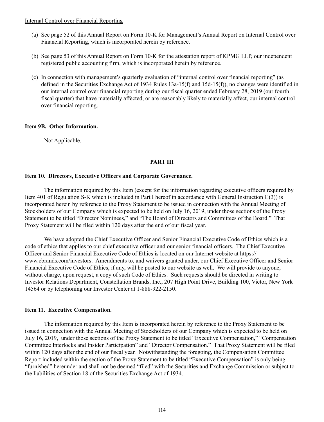## Internal Control over Financial Reporting

- (a) See page 52 of this Annual Report on Form 10-K for Management's Annual Report on Internal Control over Financial Reporting, which is incorporated herein by reference.
- (b) See page 53 of this Annual Report on Form 10-K for the attestation report of KPMG LLP, our independent registered public accounting firm, which is incorporated herein by reference.
- (c) In connection with management's quarterly evaluation of "internal control over financial reporting" (as defined in the Securities Exchange Act of 1934 Rules 13a-15(f) and 15d-15(f)), no changes were identified in our internal control over financial reporting during our fiscal quarter ended February 28, 2019 (our fourth fiscal quarter) that have materially affected, or are reasonably likely to materially affect, our internal control over financial reporting.

# **Item 9B. Other Information.**

Not Applicable.

# **PART III**

## **Item 10. Directors, Executive Officers and Corporate Governance.**

The information required by this Item (except for the information regarding executive officers required by Item 401 of Regulation S-K which is included in Part I hereof in accordance with General Instruction G(3)) is incorporated herein by reference to the Proxy Statement to be issued in connection with the Annual Meeting of Stockholders of our Company which is expected to be held on July 16, 2019, under those sections of the Proxy Statement to be titled "Director Nominees," and "The Board of Directors and Committees of the Board." That Proxy Statement will be filed within 120 days after the end of our fiscal year.

We have adopted the Chief Executive Officer and Senior Financial Executive Code of Ethics which is a code of ethics that applies to our chief executive officer and our senior financial officers. The Chief Executive Officer and Senior Financial Executive Code of Ethics is located on our Internet website at https:// www.cbrands.com/investors. Amendments to, and waivers granted under, our Chief Executive Officer and Senior Financial Executive Code of Ethics, if any, will be posted to our website as well. We will provide to anyone, without charge, upon request, a copy of such Code of Ethics. Such requests should be directed in writing to Investor Relations Department, Constellation Brands, Inc., 207 High Point Drive, Building 100, Victor, New York 14564 or by telephoning our Investor Center at 1-888-922-2150.

## **Item 11. Executive Compensation.**

The information required by this Item is incorporated herein by reference to the Proxy Statement to be issued in connection with the Annual Meeting of Stockholders of our Company which is expected to be held on July 16, 2019, under those sections of the Proxy Statement to be titled "Executive Compensation," "Compensation Committee Interlocks and Insider Participation" and "Director Compensation." That Proxy Statement will be filed within 120 days after the end of our fiscal year. Notwithstanding the foregoing, the Compensation Committee Report included within the section of the Proxy Statement to be titled "Executive Compensation" is only being "furnished" hereunder and shall not be deemed "filed" with the Securities and Exchange Commission or subject to the liabilities of Section 18 of the Securities Exchange Act of 1934.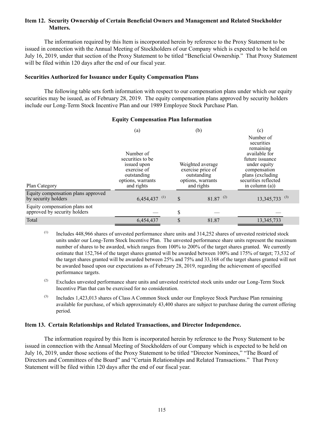# **Item 12. Security Ownership of Certain Beneficial Owners and Management and Related Stockholder Matters.**

The information required by this Item is incorporated herein by reference to the Proxy Statement to be issued in connection with the Annual Meeting of Stockholders of our Company which is expected to be held on July 16, 2019, under that section of the Proxy Statement to be titled "Beneficial Ownership." That Proxy Statement will be filed within 120 days after the end of our fiscal year.

## **Securities Authorized for Issuance under Equity Compensation Plans**

The following table sets forth information with respect to our compensation plans under which our equity securities may be issued, as of February 28, 2019. The equity compensation plans approved by security holders include our Long-Term Stock Incentive Plan and our 1989 Employee Stock Purchase Plan.

# **Equity Compensation Plan Information**

|                                                               | (a)                                                                                                           | (b)                                                                                     |                        | (c)                                                                                                                                                                       |     |
|---------------------------------------------------------------|---------------------------------------------------------------------------------------------------------------|-----------------------------------------------------------------------------------------|------------------------|---------------------------------------------------------------------------------------------------------------------------------------------------------------------------|-----|
| Plan Category                                                 | Number of<br>securities to be<br>issued upon<br>exercise of<br>outstanding<br>options, warrants<br>and rights | Weighted average<br>exercise price of<br>outstanding<br>options, warrants<br>and rights |                        | Number of<br>securities<br>remaining<br>available for<br>future issuance<br>under equity<br>compensation<br>plans (excluding<br>securities reflected<br>in column $(a)$ ) |     |
| Equity compensation plans approved<br>by security holders     | $6,454,437$ <sup>(1)</sup>                                                                                    | \$                                                                                      | $81.87$ <sup>(2)</sup> | 13,345,733                                                                                                                                                                | (3) |
| Equity compensation plans not<br>approved by security holders |                                                                                                               | \$                                                                                      |                        |                                                                                                                                                                           |     |
| Total                                                         | 6,454,437                                                                                                     | \$                                                                                      | 81.87                  | 13,345,733                                                                                                                                                                |     |

(1) Includes 448,966 shares of unvested performance share units and 314,252 shares of unvested restricted stock units under our Long-Term Stock Incentive Plan. The unvested performance share units represent the maximum number of shares to be awarded, which ranges from 100% to 200% of the target shares granted. We currently estimate that 152,764 of the target shares granted will be awarded between 100% and 175% of target; 73,532 of the target shares granted will be awarded between 25% and 75% and 33,168 of the target shares granted will not be awarded based upon our expectations as of February 28, 2019, regarding the achievement of specified performance targets.

- (2) Excludes unvested performance share units and unvested restricted stock units under our Long-Term Stock Incentive Plan that can be exercised for no consideration.
- (3) Includes 1,423,013 shares of Class A Common Stock under our Employee Stock Purchase Plan remaining available for purchase, of which approximately 43,400 shares are subject to purchase during the current offering period.

## **Item 13. Certain Relationships and Related Transactions, and Director Independence.**

The information required by this Item is incorporated herein by reference to the Proxy Statement to be issued in connection with the Annual Meeting of Stockholders of our Company which is expected to be held on July 16, 2019, under those sections of the Proxy Statement to be titled "Director Nominees," "The Board of Directors and Committees of the Board" and "Certain Relationships and Related Transactions." That Proxy Statement will be filed within 120 days after the end of our fiscal year.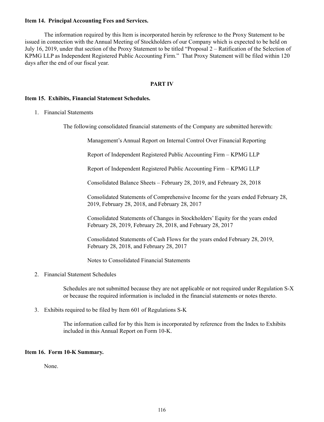## **Item 14. Principal Accounting Fees and Services.**

The information required by this Item is incorporated herein by reference to the Proxy Statement to be issued in connection with the Annual Meeting of Stockholders of our Company which is expected to be held on July 16, 2019, under that section of the Proxy Statement to be titled "Proposal 2 – Ratification of the Selection of KPMG LLP as Independent Registered Public Accounting Firm." That Proxy Statement will be filed within 120 days after the end of our fiscal year.

#### **PART IV**

#### **Item 15. Exhibits, Financial Statement Schedules.**

1. Financial Statements

The following consolidated financial statements of the Company are submitted herewith:

Management's Annual Report on Internal Control Over Financial Reporting

Report of Independent Registered Public Accounting Firm – KPMG LLP

Report of Independent Registered Public Accounting Firm – KPMG LLP

Consolidated Balance Sheets – February 28, 2019, and February 28, 2018

Consolidated Statements of Comprehensive Income for the years ended February 28, 2019, February 28, 2018, and February 28, 2017

Consolidated Statements of Changes in Stockholders' Equity for the years ended February 28, 2019, February 28, 2018, and February 28, 2017

Consolidated Statements of Cash Flows for the years ended February 28, 2019, February 28, 2018, and February 28, 2017

Notes to Consolidated Financial Statements

# 2. Financial Statement Schedules

Schedules are not submitted because they are not applicable or not required under Regulation S-X or because the required information is included in the financial statements or notes thereto.

3. Exhibits required to be filed by Item 601 of Regulations S-K

The information called for by this Item is incorporated by reference from the Index to Exhibits included in this Annual Report on Form 10-K.

## **Item 16. Form 10-K Summary.**

None.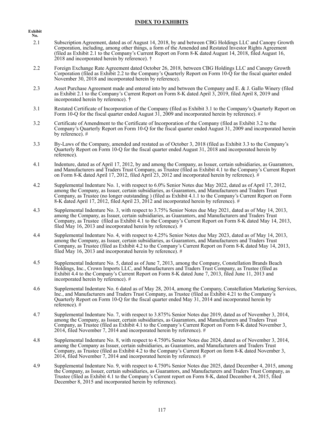#### **INDEX TO EXHIBITS**

#### **Exhibit**

- **No.**
- 2.1 Subscription Agreement, dated as of August 14, 2018, by and between CBG Holdings LLC and Canopy Growth Corporation, including, among other things, a form of the Amended and Restated Investor Rights Agreement (filed as Exhibit 2.1 to the Company's Current Report on Form 8-K dated August 14, 2018, filed August 16, 2018 and incorporated herein by reference). †
- 2.2 Foreign Exchange Rate Agreement dated October 26, 2018, between CBG Holdings LLC and Canopy Growth Corporation (filed as Exhibit 2.2 to the Company's Quarterly Report on Form 10-Q for the fiscal quarter ended November 30, 2018 and incorporated herein by reference).
- 2.3 Asset Purchase Agreement made and entered into by and between the Company and E. & J. Gallo Winery (filed as Exhibit 2.1 to the Company's Current Report on Form 8-K dated April 3, 2019, filed April 8, 2019 and incorporated herein by reference). †
- 3.1 Restated Certificate of Incorporation of the Company (filed as Exhibit 3.1 to the Company's Quarterly Report on Form 10-O for the fiscal quarter ended August  $3\hat{1}$ , 2009 and incorporated herein by reference). #
- 3.2 Certificate of Amendment to the Certificate of Incorporation of the Company (filed as Exhibit 3.2 to the Company's Quarterly Report on Form 10-Q for the fiscal quarter ended August 31, 2009 and incorporated herein by reference). #
- 3.3 By-Laws of the Company, amended and restated as of October 3, 2018 (filed as Exhibit 3.3 to the Company's Quarterly Report on Form 10-Q for the fiscal quarter ended August 31, 2018 and incorporated herein by reference).
- 4.1 Indenture, dated as of April 17, 2012, by and among the Company, as Issuer, certain subsidiaries, as Guarantors, and Manufacturers and Traders Trust Company, as Trustee (filed as Exhibit 4.1 to the Company's Current Report on Form 8-K dated April 17, 2012, filed April 23, 2012 and incorporated herein by reference). #
- 4.2 Supplemental Indenture No. 1, with respect to 6.0% Senior Notes due May 2022, dated as of April 17, 2012, among the Company, as Issuer, certain subsidiaries, as Guarantors, and Manufacturers and Traders Trust Company, as Trustee (no longer outstanding ) (filed as Exhibit 4.1.1 to the Company's Current Report on Form 8-K dated April 17, 2012, filed April 23, 2012 and incorporated herein by reference). #
- 4.3 Supplemental Indenture No. 3, with respect to 3.75% Senior Notes due May 2021, dated as of May 14, 2013, among the Company, as Issuer, certain subsidiaries, as Guarantors, and Manufacturers and Traders Trust Company, as Trustee (filed as Exhibit 4.1 to the Company's Current Report on Form 8-K dated May 14, 2013, filed May 16, 2013 and incorporated herein by reference). #
- 4.4 Supplemental Indenture No. 4, with respect to 4.25% Senior Notes due May 2023, dated as of May 14, 2013, among the Company, as Issuer, certain subsidiaries, as Guarantors, and Manufacturers and Traders Trust Company, as Trustee (filed as Exhibit 4.2 to the Company's Current Report on Form 8-K dated May 14, 2013, filed May 16, 2013 and incorporated herein by reference). #
- 4.5 Supplemental Indenture No. 5, dated as of June 7, 2013, among the Company, Constellation Brands Beach Holdings, Inc., Crown Imports LLC, and Manufacturers and Traders Trust Company, as Trustee (filed as Exhibit 4.4 to the Company's Current Report on Form 8-K dated June 7, 2013, filed June 11, 2013 and incorporated herein by reference). #
- 4.6 Supplemental Indenture No. 6 dated as of May 28, 2014, among the Company, Constellation Marketing Services, Inc., and Manufacturers and Traders Trust Company, as Trustee (filed as Exhibit 4.21 to the Company's Quarterly Report on Form 10-Q for the fiscal quarter ended May 31, 2014 and incorporated herein by reference). #
- 4.7 Supplemental Indenture No. 7, with respect to 3.875% Senior Notes due 2019, dated as of November 3, 2014, among the Company, as Issuer, certain subsidiaries, as Guarantors, and Manufacturers and Traders Trust Company, as Trustee (filed as Exhibit 4.1 to the Company's Current Report on Form 8-K dated November 3, 2014, filed November 7, 2014 and incorporated herein by reference). #
- 4.8 Supplemental Indenture No. 8, with respect to 4.750% Senior Notes due 2024, dated as of November 3, 2014, among the Company as Issuer, certain subsidiaries, as Guarantors, and Manufacturers and Traders Trust Company, as Trustee (filed as Exhibit 4.2 to the Company's Current Report on form 8-K dated November 3, 2014, filed November 7, 2014 and incorporated herein by reference). #
- 4.9 Supplemental Indenture No. 9, with respect to 4.750% Senior Notes due 2025, dated December 4, 2015, among the Company, as Issuer, certain subsidiaries, as Guarantors, and Manufacturers and Traders Trust Company, as Trustee (filed as Exhibit 4.1 to the Company's Current report on Form 8-K, dated December 4, 2015, filed December 8, 2015 and incorporated herein by reference).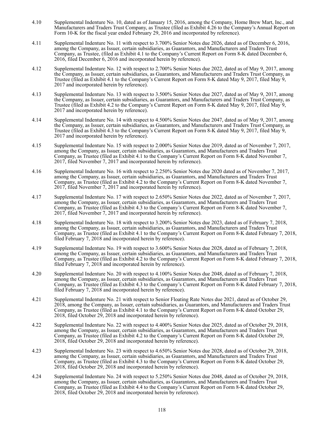- 4.10 Supplemental Indenture No. 10, dated as of January 15, 2016, among the Company, Home Brew Mart, Inc., and Manufacturers and Traders Trust Company, as Trustee (filed as Exhibit 4.26 to the Company's Annual Report on Form 10-K for the fiscal year ended February 29, 2016 and incorporated by reference).
- 4.11 Supplemental Indenture No. 11 with respect to 3.700% Senior Notes due 2026, dated as of December 6, 2016, among the Company, as Issuer, certain subsidiaries, as Guarantors, and Manufacturers and Traders Trust Company, as Trustee, (filed as Exhibit 4.1 to the Company's Current Report on Form 8-K dated December 6, 2016, filed December 6, 2016 and incorporated herein by reference).
- 4.12 Supplemental Indenture No. 12 with respect to 2.700% Senior Notes due 2022, dated as of May 9, 2017, among the Company, as Issuer, certain subsidiaries, as Guarantors, and Manufacturers and Traders Trust Company, as Trustee (filed as Exhibit 4.1 to the Company's Current Report on Form 8-K dated May 9, 2017, filed May 9, 2017 and incorporated herein by reference).
- 4.13 Supplemental Indenture No. 13 with respect to 3.500% Senior Notes due 2027, dated as of May 9, 2017, among the Company, as Issuer, certain subsidiaries, as Guarantors, and Manufacturers and Traders Trust Company, as Trustee (filed as Exhibit 4.2 to the Company's Current Report on Form 8-K dated May 9, 2017, filed May 9, 2017 and incorporated herein by reference).
- 4.14 Supplemental Indenture No. 14 with respect to 4.500% Senior Notes due 2047, dated as of May 9, 2017, among the Company, as Issuer, certain subsidiaries, as Guarantors, and Manufacturers and Traders Trust Company, as Trustee (filed as Exhibit 4.3 to the Company's Current Report on Form 8-K dated May 9, 2017, filed May 9, 2017 and incorporated herein by reference).
- 4.15 Supplemental Indenture No. 15 with respect to 2.000% Senior Notes due 2019, dated as of November 7, 2017, among the Company, as Issuer, certain subsidiaries, as Guarantors, and Manufacturers and Traders Trust Company, as Trustee (filed as Exhibit 4.1 to the Company's Current Report on Form 8-K dated November 7, 2017, filed November 7, 2017 and incorporated herein by reference).
- 4.16 Supplemental Indenture No. 16 with respect to 2.250% Senior Notes due 2020 dated as of November 7, 2017, among the Company, as Issuer, certain subsidiaries, as Guarantors, and Manufacturers and Traders Trust Company, as Trustee (filed as Exhibit 4.2 to the Company's Current Report on Form 8-K dated November 7, 2017, filed November 7, 2017 and incorporated herein by reference).
- 4.17 Supplemental Indenture No. 17 with respect to 2.650% Senior Notes due 2022, dated as of November 7, 2017, among the Company, as Issuer, certain subsidiaries, as Guarantors, and Manufacturers and Traders Trust Company, as Trustee (filed as Exhibit 4.3 to the Company's Current Report on Form 8-K dated November 7, 2017, filed November 7, 2017 and incorporated herein by reference).
- 4.18 Supplemental Indenture No. 18 with respect to 3.200% Senior Notes due 2023, dated as of February 7, 2018, among the Company, as Issuer, certain subsidiaries, as Guarantors, and Manufacturers and Traders Trust Company, as Trustee (filed as Exhibit 4.1 to the Company's Current Report on Form 8-K dated February 7, 2018, filed February 7, 2018 and incorporated herein by reference).
- 4.19 Supplemental Indenture No. 19 with respect to 3.600% Senior Notes due 2028, dated as of February 7, 2018, among the Company, as Issuer, certain subsidiaries, as Guarantors, and Manufacturers and Traders Trust Company, as Trustee (filed as Exhibit 4.2 to the Company's Current Report on Form 8-K dated February 7, 2018, filed February 7, 2018 and incorporated herein by reference).
- 4.20 Supplemental Indenture No. 20 with respect to 4.100% Senior Notes due 2048, dated as of February 7, 2018, among the Company, as Issuer, certain subsidiaries, as Guarantors, and Manufacturers and Traders Trust Company, as Trustee (filed as Exhibit 4.3 to the Company's Current Report on Form 8-K dated February 7, 2018, filed February 7, 2018 and incorporated herein by reference).
- 4.21 Supplemental Indenture No. 21 with respect to Senior Floating Rate Notes due 2021, dated as of October 29, 2018, among the Company, as Issuer, certain subsidiaries, as Guarantors, and Manufacturers and Traders Trust Company, as Trustee (filed as Exhibit 4.1 to the Company's Current Report on Form 8-K dated October 29, 2018, filed October 29, 2018 and incorporated herein by reference).
- 4.22 Supplemental Indenture No. 22 with respect to 4.400% Senior Notes due 2025, dated as of October 29, 2018, among the Company, as Issuer, certain subsidiaries, as Guarantors, and Manufacturers and Traders Trust Company, as Trustee (filed as Exhibit 4.2 to the Company's Current Report on Form 8-K dated October 29, 2018, filed October 29, 2018 and incorporated herein by reference).
- 4.23 Supplemental Indenture No. 23 with respect to 4.650% Senior Notes due 2028, dated as of October 29, 2018, among the Company, as Issuer, certain subsidiaries, as Guarantors, and Manufacturers and Traders Trust Company, as Trustee (filed as Exhibit 4.3 to the Company's Current Report on Form 8-K dated October 29, 2018, filed October 29, 2018 and incorporated herein by reference).
- 4.24 Supplemental Indenture No. 24 with respect to 5.250% Senior Notes due 2048, dated as of October 29, 2018, among the Company, as Issuer, certain subsidiaries, as Guarantors, and Manufacturers and Traders Trust Company, as Trustee (filed as Exhibit 4.4 to the Company's Current Report on Form 8-K dated October 29, 2018, filed October 29, 2018 and incorporated herein by reference).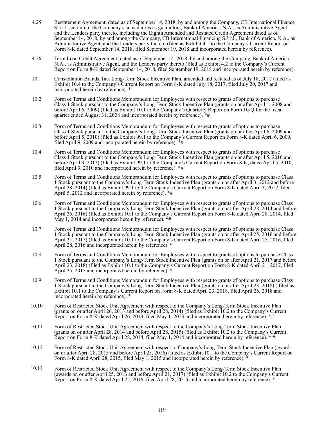- 4.25 Restatement Agreement, dated as of September 14, 2018, by and among the Company, CB International Finance S.à r.l., certain of the Company's subsidiaries as guarantors, Bank of America, N.A., as Administrative Agent, and the Lenders party thereto, including the Eighth Amended and Restated Credit Agreement dated as of September 14, 2018, by and among the Company, CB International Financing S.à r.l., Bank of America, N.A., as Administrative Agent, and the Lenders party thereto (filed as Exhibit 4.1 to the Company's Current Report on Form 8-K dated September 14, 2018, filed September 19, 2018 and incorporated herein by reference).
- 4.26 Term Loan Credit Agreement, dated as of September 14, 2018, by and among the Company, Bank of America, N.A., as Administrative Agent, and the Lenders party thereto (filed as Exhibit 4.2 to the Company's Current Report on Form 8-K dated September 14, 2018, filed September 19, 2018 and incorporated herein by reference).
- 10.1 Constellation Brands, Inc. Long-Term Stock Incentive Plan, amended and restated as of July 18, 2017 (filed as Exhibit 10.4 to the Company's Current Report on Form 8-K dated July 18, 2017, filed July 20, 2017 and incorporated herein by reference). \*
- 10.2 Form of Terms and Conditions Memorandum for Employees with respect to grants of options to purchase Class 1 Stock pursuant to the Company's Long-Term Stock Incentive Plan (grants on or after April 1, 2008 and before April 6, 2009) (filed as Exhibit 10.1 to the Company's Quarterly Report on Form 10-Q for the fiscal quarter ended August 31, 2008 and incorporated herein by reference). \*#
- 10.3 Form of Terms and Conditions Memorandum for Employees with respect to grants of options to purchase Class 1 Stock pursuant to the Company's Long-Term Stock Incentive Plan (grants on or after April 6, 2009 and before April 5, 2010) (filed as Exhibit 99.1 to the Company's Current Report on Form 8-K dated April 6, 2009, filed April 9, 2009 and incorporated herein by reference). \*#
- 10.4 Form of Terms and Conditions Memorandum for Employees with respect to grants of options to purchase Class 1 Stock pursuant to the Company's Long-Term Stock Incentive Plan (grants on or after April 5, 2010 and before April 3, 2012) (filed as Exhibit 99.1 to the Company's Current Report on Form 8-K, dated April 5, 2010, filed April 9, 2010 and incorporated herein by reference). \*#
- 10.5 Form of Terms and Conditions Memorandum for Employees with respect to grants of options to purchase Class 1 Stock pursuant to the Company's Long-Term Stock Incentive Plan (grants on or after April 3, 2012 and before April 28, 2014) (filed as Exhibit 99.1 to the Company's Current Report on Form 8-K dated April 3, 2012, filed April 5, 2012 and incorporated herein by reference). \*#
- 10.6 Form of Terms and Conditions Memorandum for Employees with respect to grants of options to purchase Class 1 Stock pursuant to the Company's Long-Term Stock Incentive Plan (grants on or after April 28, 2014 and before April 25, 2016) (filed as Exhibit 10.1 to the Company's Current Report on Form 8-K dated April 28, 2014, filed May 1, 2014 and incorporated herein by reference).  $*$ #
- 10.7 Form of Terms and Conditions Memorandum for Employees with respect to grants of options to purchase Class 1 Stock pursuant to the Company's Long-Term Stock Incentive Plan (grants on or after April 25, 2016 and before April 21, 2017) (filed as Exhibit 10.1 to the Company's Current Report on Form 8-K dated April 25, 2016, filed April 28, 2016 and incorporated herein by reference). \*
- 10.8 Form of Terms and Conditions Memorandum for Employees with respect to grants of options to purchase Class 1 Stock pursuant to the Company's Long-Term Stock Incentive Plan (grants on or after April 21, 2017 and before April 23, 2018) (filed as Exhibit 10.1 to the Company's Current Report on Form 8-K dated April 21, 2017, filed April 25, 2017 and incorporated herein by reference). \*
- 10.9 Form of Terms and Conditions Memorandum for Employees with respect to grants of options to purchase Class 1 Stock pursuant to the Company's Long-Term Stock Incentive Plan (grants on or after April 23, 2018) ( filed as Exhibit 10.1 to the Company's Current Report on Form 8-K dated April 23, 2018, filed April 26, 2018 and incorporated herein by reference). \*
- 10.10 Form of Restricted Stock Unit Agreement with respect to the Company's Long-Term Stock Incentive Plan (grants on or after April 26, 2013 and before April 28, 2014) (filed as Exhibit 10.2 to the Company's Current Report on Form 8-K dated April 26, 2013, filed May 1, 2013 and incorporated herein by reference).  $*$ #
- 10.11 Form of Restricted Stock Unit Agreement with respect to the Company's Long-Term Stock Incentive Plan (grants on or after April 28, 2014 and before April 28, 2015) (filed as Exhibit 10.2 to the Company's Current Report on Form 8-K dated April 28, 2014, filed May 1, 2014 and incorporated herein by reference).  $*$  #
- 10.12 Form of Restricted Stock Unit Agreement with respect to Company's Long-Term Stock Incentive Plan (awards on or after April 28, 2015 and before April 25, 2016) (filed as Exhibit 10.1 to the Company's Current Report on Form 8-K dated April 28, 2015, filed May 1, 2015 and incorporated herein by reference).
- 10.13 Form of Restricted Stock Unit Agreement with respect to the Company's Long-Term Stock Incentive Plan (awards on or after April 25, 2016 and before April 21, 2017) (filed as Exhibit 10.2 to the Company's Current Report on Form 8-K dated April 25, 2016, filed April 28, 2016 and incorporated herein by reference). \*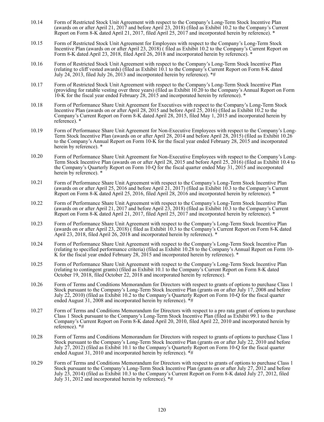- 10.14 Form of Restricted Stock Unit Agreement with respect to the Company's Long-Term Stock Incentive Plan (awards on or after April 21, 2017 and before April 23, 2018) (filed as Exhibit 10.2 to the Company's Current Report on Form 8-K dated April 21, 2017, filed April 25, 2017 and incorporated herein by reference). \*
- 10.15 Form of Restricted Stock Unit Agreement for Employees with respect to the Company's Long-Term Stock Incentive Plan (awards on or after April 23, 2018) ( filed as Exhibit 10.2 to the Company's Current Report on Form 8-K dated April 23, 2018, filed April 26, 2018 and incorporated herein by reference). \*
- 10.16 Form of Restricted Stock Unit Agreement with respect to the Company's Long-Term Stock Incentive Plan (relating to cliff vested awards) (filed as Exhibit 10.1 to the Company's Current Report on Form 8-K dated July 24, 2013, filed July 26, 2013 and incorporated herein by reference). \*#
- 10.17 Form of Restricted Stock Unit Agreement with respect to the Company's Long-Term Stock Incentive Plan (providing for ratable vesting over three years) (filed as Exhibit 10.20 to the Company's Annual Report on Form 10-K for the fiscal year ended February 28, 2015 and incorporated herein by reference).  $*$
- 10.18 Form of Performance Share Unit Agreement for Executives with respect to the Company's Long-Term Stock Incentive Plan (awards on or after April 28, 2015 and before April 25, 2016) (filed as Exhibit 10.2 to the Company's Current Report on Form 8-K dated April 28, 2015, filed May 1, 2015 and incorporated herein by reference). \*
- 10.19 Form of Performance Share Unit Agreement for Non-Executive Employees with respect to the Company's Long-Term Stock Incentive Plan (awards on or after April 28, 2014 and before April 28, 2015) (filed as Exhibit 10.26 to the Company's Annual Report on Form 10-K for the fiscal year ended February 28, 2015 and incorporated herein by reference). \*
- 10.20 Form of Performance Share Unit Agreement for Non-Executive Employees with respect to the Company's Long-Term Stock Incentive Plan (awards on or after April 28, 2015 and before April 25, 2016) (filed as Exhibit 10.4 to the Company's Quarterly Report on Form 10-Q for the fiscal quarter ended May 31, 2015 and incorporated herein by reference).  $*$
- 10.21 Form of Performance Share Unit Agreement with respect to the Company's Long-Term Stock Incentive Plan (awards on or after April 25, 2016 and before April 21, 2017) (filed as Exhibit 10.3 to the Company's Current Report on Form 8-K dated April 25, 2016, filed April 28, 2016 and incorporated herein by reference). \*
- 10.22 Form of Performance Share Unit Agreement with respect to the Company's Long-Term Stock Incentive Plan (awards on or after April 21, 2017 and before April 23, 2018) (filed as Exhibit 10.3 to the Company's Current Report on Form 8-K dated April 21, 2017, filed April 25, 2017 and incorporated herein by reference). \*
- 10.23 Form of Performance Share Unit Agreement with respect to the Company's Long-Term Stock Incentive Plan (awards on or after April 23, 2018) ( filed as Exhibit 10.3 to the Company's Current Report on Form 8-K dated April 23, 2018, filed April 26, 2018 and incorporated herein by reference). \*
- 10.24 Form of Performance Share Unit Agreement with respect to the Company's Long-Term Stock Incentive Plan (relating to specified performance criteria) (filed as Exhibit 10.28 to the Company's Annual Report on Form 10- K for the fiscal year ended February 28, 2015 and incorporated herein by reference). \*
- 10.25 Form of Performance Share Unit Agreement with respect to the Company's Long-Term Stock Incentive Plan (relating to contingent grants) (filed as Exhibit 10.1 to the Company's Current Report on Form 8-K dated October 19, 2018, filed October 22, 2018 and incorporated herein by reference).
- 10.26 Form of Terms and Conditions Memorandum for Directors with respect to grants of options to purchase Class 1 Stock pursuant to the Company's Long-Term Stock Incentive Plan (grants on or after July 17, 2008 and before July 22, 2010) (filed as Exhibit 10.2 to the Company's Quarterly Report on Form 10-Q for the fiscal quarter ended August 31, 2008 and incorporated herein by reference). \*#
- 10.27 Form of Terms and Conditions Memorandum for Directors with respect to a pro rata grant of options to purchase Class 1 Stock pursuant to the Company's Long-Term Stock Incentive Plan (filed as Exhibit 99.1 to the Company's Current Report on Form 8-K dated April 20, 2010, filed April 22, 2010 and incorporated herein by reference).  $*$ #
- 10.28 Form of Terms and Conditions Memorandum for Directors with respect to grants of options to purchase Class 1 Stock pursuant to the Company's Long-Term Stock Incentive Plan (grants on or after July 22, 2010 and before July 27, 2012) (filed as Exhibit 10.1 to the Company's Quarterly Report on Form 10-Q for the fiscal quarter ended August 31, 2010 and incorporated herein by reference).  $*$ #
- 10.29 Form of Terms and Conditions Memorandum for Directors with respect to grants of options to purchase Class 1 Stock pursuant to the Company's Long-Term Stock Incentive Plan (grants on or after July 27, 2012 and before July 23, 2014) (filed as Exhibit 10.3 to the Company's Current Report on Form 8-K dated July 27, 2012, filed July 31, 2012 and incorporated herein by reference). \*#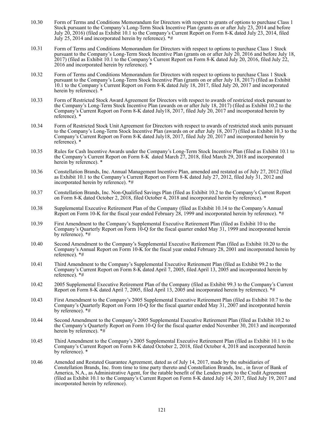- 10.30 Form of Terms and Conditions Memorandum for Directors with respect to grants of options to purchase Class 1 Stock pursuant to the Company's Long-Term Stock Incentive Plan (grants on or after July 23, 2014 and before July 20, 2016) (filed as Exhibit 10.1 to the Company's Current Report on Form 8-K dated July 23, 2014, filed July 25, 2014 and incorporated herein by reference). \*#
- 10.31 Form of Terms and Conditions Memorandum for Directors with respect to options to purchase Class 1 Stock pursuant to the Company's Long-Term Stock Incentive Plan (grants on or after July 20, 2016 and before July 18, 2017) (filed as Exhibit 10.1 to the Company's Current Report on Form 8-K dated July 20, 2016, filed July 22, 2016 and incorporated herein by reference). \*
- 10.32 Form of Terms and Conditions Memorandum for Directors with respect to options to purchase Class 1 Stock pursuant to the Company's Long-Term Stock Incentive Plan (grants on or after July 18, 2017) (filed as Exhibit 10.1 to the Company's Current Report on Form 8-K dated July 18, 2017, filed July 20, 2017 and incorporated herein by reference).  $*$
- 10.33 Form of Restricted Stock Award Agreement for Directors with respect to awards of restricted stock pursuant to the Company's Long-Term Stock Incentive Plan (awards on or after July 18, 2017) (filed as Exhibit 10.2 to the Company's Current Report on Form 8-K dated July18, 2017, filed July 20, 2017 and incorporated herein by reference). \*
- 10.34 Form of Restricted Stock Unit Agreement for Directors with respect to awards of restricted stock units pursuant to the Company's Long-Term Stock Incentive Plan (awards on or after July 18, 2017) (filed as Exhibit 10.3 to the Company's Current Report on Form 8-K dated July18, 2017, filed July 20, 2017 and incorporated herein by reference). \*
- 10.35 Rules for Cash Incentive Awards under the Company's Long-Term Stock Incentive Plan (filed as Exhibit 10.1 to the Company's Current Report on Form 8-K dated March 27, 2018, filed March 29, 2018 and incorporated herein by reference).  $*$
- 10.36 Constellation Brands, Inc. Annual Management Incentive Plan, amended and restated as of July 27, 2012 (filed as Exhibit 10.1 to the Company's Current Report on Form 8-K dated July 27, 2012, filed July 31, 2012 and incorporated herein by reference). \*#
- 10.37 Constellation Brands, Inc. Non-Qualified Savings Plan (filed as Exhibit 10.2 to the Company's Current Report on Form 8-K dated October 2, 2018, filed October 4, 2018 and incorporated herein by reference). \*
- 10.38 Supplemental Executive Retirement Plan of the Company (filed as Exhibit 10.14 to the Company's Annual Report on Form 10-K for the fiscal year ended February 28, 1999 and incorporated herein by reference).  $*$ #
- 10.39 First Amendment to the Company's Supplemental Executive Retirement Plan (filed as Exhibit 10 to the Company's Quarterly Report on Form 10-Q for the fiscal quarter ended May 31, 1999 and incorporated herein by reference). \*#
- 10.40 Second Amendment to the Company's Supplemental Executive Retirement Plan (filed as Exhibit 10.20 to the Company's Annual Report on Form 10-K for the fiscal year ended February 28, 2001 and incorporated herein by reference). \*#
- 10.41 Third Amendment to the Company's Supplemental Executive Retirement Plan (filed as Exhibit 99.2 to the Company's Current Report on Form 8-K dated April 7, 2005, filed April 13, 2005 and incorporated herein by reference). \*#
- 10.42 2005 Supplemental Executive Retirement Plan of the Company (filed as Exhibit 99.3 to the Company's Current Report on Form 8-K dated April 7, 2005, filed April 13, 2005 and incorporated herein by reference).  $*$ #
- 10.43 First Amendment to the Company's 2005 Supplemental Executive Retirement Plan (filed as Exhibit 10.7 to the Company's Quarterly Report on Form 10-Q for the fiscal quarter ended May 31, 2007 and incorporated herein by reference). \*#
- 10.44 Second Amendment to the Company's 2005 Supplemental Executive Retirement Plan (filed as Exhibit 10.2 to the Company's Quarterly Report on Form 10-Q for the fiscal quarter ended November 30, 2013 and incorporated herein by reference).  $*$ #
- 10.45 Third Amendment to the Company's 2005 Supplemental Executive Retirement Plan (filed as Exhibit 10.1 to the Company's Current Report on Form 8-K dated October 2, 2018, filed October 4, 2018 and incorporated herein by reference). \*
- 10.46 Amended and Restated Guarantee Agreement, dated as of July 14, 2017, made by the subsidiaries of Constellation Brands, Inc. from time to time party thereto and Constellation Brands, Inc., in favor of Bank of America, N.A., as Administrative Agent, for the ratable benefit of the Lenders party to the Credit Agreement (filed as Exhibit 10.1 to the Company's Current Report on Form 8-K dated July 14, 2017, filed July 19, 2017 and incorporated herein by reference).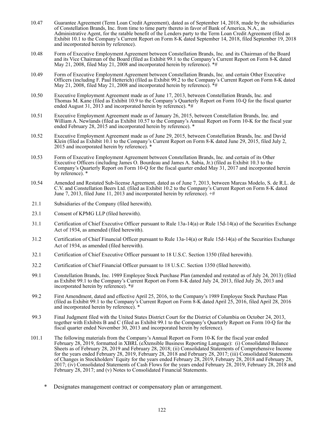- 10.47 Guarantee Agreement (Term Loan Credit Agreement), dated as of September 14, 2018, made by the subsidiaries of Constellation Brands, Inc. from time to time party thereto in favor of Bank of America, N.A., as Administrative Agent, for the ratable benefit of the Lenders party to the Term Loan Credit Agreement (filed as Exhibit 10.1 to the Company's Current Report on Form 8-K dated September 14, 2018, filed September 19, 2018 and incorporated herein by reference).
- 10.48 Form of Executive Employment Agreement between Constellation Brands, Inc. and its Chairman of the Board and its Vice Chairman of the Board (filed as Exhibit 99.1 to the Company's Current Report on Form 8-K dated May 21, 2008, filed May 21, 2008 and incorporated herein by reference).  $*$ #
- 10.49 Form of Executive Employment Agreement between Constellation Brands, Inc. and certain Other Executive Officers (including F. Paul Hetterich) (filed as Exhibit 99.2 to the Company's Current Report on Form 8-K dated May 21, 2008, filed May 21, 2008 and incorporated herein by reference).  $*$ #
- 10.50 Executive Employment Agreement made as of June 17, 2013, between Constellation Brands, Inc. and Thomas M. Kane (filed as Exhibit 10.9 to the Company's Quarterly Report on Form 10-Q for the fiscal quarter ended August 31, 2013 and incorporated herein by reference).  $*$ #
- 10.51 Executive Employment Agreement made as of January 26, 2015, between Constellation Brands, Inc. and William A. Newlands (filed as Exhibit 10.57 to the Company's Annual Report on Form 10-K for the fiscal year ended February 28, 2015 and incorporated herein by reference). \*
- 10.52 Executive Employment Agreement made as of June 29, 2015, between Constellation Brands, Inc. and David Klein (filed as Exhibit 10.1 to the Company's Current Report on Form 8-K dated June 29, 2015, filed July 2, 2015 and incorporated herein by reference). \*
- 10.53 Form of Executive Employment Agreement between Constellation Brands, Inc. and certain of its Other Executive Officers (including James O. Bourdeau and James A. Sabia, Jr.) (filed as Exhibit 10.3 to the Company's Quarterly Report on Form 10-Q for the fiscal quarter ended May 31, 2017 and incorporated herein by reference). \*
- 10.54 Amended and Restated Sub-license Agreement, dated as of June 7, 2013, between Marcas Modelo, S. de R.L. de C.V. and Constellation Beers Ltd. (filed as Exhibit 10.2 to the Company's Current Report on Form 8-K dated June 7, 2013, filed June 11, 2013 and incorporated herein by reference). +#
- 21.1 Subsidiaries of the Company (filed herewith).
- 23.1 Consent of KPMG LLP (filed herewith).
- 31.1 Certification of Chief Executive Officer pursuant to Rule 13a-14(a) or Rule 15d-14(a) of the Securities Exchange Act of 1934, as amended (filed herewith).
- 31.2 Certification of Chief Financial Officer pursuant to Rule 13a-14(a) or Rule 15d-14(a) of the Securities Exchange Act of 1934, as amended (filed herewith).
- 32.1 Certification of Chief Executive Officer pursuant to 18 U.S.C. Section 1350 (filed herewith).
- 32.2 Certification of Chief Financial Officer pursuant to 18 U.S.C. Section 1350 (filed herewith).
- 99.1 Constellation Brands, Inc. 1989 Employee Stock Purchase Plan (amended and restated as of July 24, 2013) (filed as Exhibit 99.1 to the Company's Current Report on Form 8-K dated July 24, 2013, filed July 26, 2013 and incorporated herein by reference). \*#
- 99.2 First Amendment, dated and effective April 25, 2016, to the Company's 1989 Employee Stock Purchase Plan (filed as Exhibit 99.1 to the Company's Current Report on Form 8-K dated April 25, 2016, filed April 28, 2016 and incorporated herein by reference). \*
- 99.3 Final Judgment filed with the United States District Court for the District of Columbia on October 24, 2013, together with Exhibits B and C (filed as Exhibit 99.1 to the Company's Quarterly Report on Form 10-Q for the fiscal quarter ended November 30, 2013 and incorporated herein by reference).
- 101.1 The following materials from the Company's Annual Report on Form 10-K for the fiscal year ended February 28, 2019, formatted in XBRL (eXtensible Business Reporting Language): (i) Consolidated Balance Sheets as of February 28, 2019 and February 28, 2018; (ii) Consolidated Statements of Comprehensive Income for the years ended February 28, 2019, February 28, 2018 and February 28, 2017; (iii) Consolidated Statements of Changes in Stockholders' Equity for the years ended February 28, 2019, February 28, 2018 and February 28, 2017; (iv) Consolidated Statements of Cash Flows for the years ended February 28, 2019, February 28, 2018 and February 28, 2017; and (v) Notes to Consolidated Financial Statements.
	- \* Designates management contract or compensatory plan or arrangement.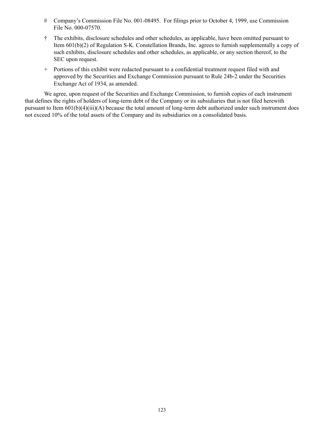- # Company's Commission File No. 001-08495. For filings prior to October 4, 1999, use Commission File No. 000-07570.
- † The exhibits, disclosure schedules and other schedules, as applicable, have been omitted pursuant to Item 601(b)(2) of Regulation S-K. Constellation Brands, Inc. agrees to furnish supplementally a copy of such exhibits, disclosure schedules and other schedules, as applicable, or any section thereof, to the SEC upon request.
- + Portions of this exhibit were redacted pursuant to a confidential treatment request filed with and approved by the Securities and Exchange Commission pursuant to Rule 24b-2 under the Securities Exchange Act of 1934, as amended.

We agree, upon request of the Securities and Exchange Commission, to furnish copies of each instrument that defines the rights of holders of long-term debt of the Company or its subsidiaries that is not filed herewith pursuant to Item 601(b)(4)(iii)(A) because the total amount of long-term debt authorized under such instrument does not exceed 10% of the total assets of the Company and its subsidiaries on a consolidated basis.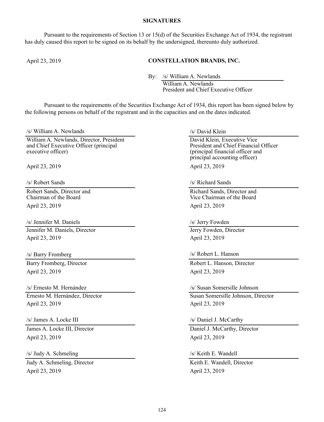## **SIGNATURES**

Pursuant to the requirements of Section 13 or 15(d) of the Securities Exchange Act of 1934, the registrant has duly caused this report to be signed on its behalf by the undersigned, thereunto duly authorized.

## April 23, 2019 **CONSTELLATION BRANDS, INC.**

By: /s/ William A. Newlands

William A. Newlands President and Chief Executive Officer

Pursuant to the requirements of the Securities Exchange Act of 1934, this report has been signed below by the following persons on behalf of the registrant and in the capacities and on the dates indicated.

/s/ William A. Newlands /s/ David Klein

William A. Newlands, Director, President and Chief Executive Officer (principal executive officer)

April 23, 2019 April 23, 2019

/s/ Robert Sands /s/ Richard Sands

Robert Sands, Director and Chairman of the Board April 23, 2019 April 23, 2019

/s/ Jennifer M. Daniels /s/ Jerry Fowden Jennifer M. Daniels, Director Jerry Fowden, Director April 23, 2019 April 23, 2019

/s/ Barry Fromberg /s/ Robert L. Hanson April 23, 2019 April 23, 2019

/s/ Ernesto M. Hernández /s/ Susan Somersille Johnson April 23, 2019 April 23, 2019

/s/ James A. Locke III /s/ Daniel J. McCarthy

April 23, 2019 April 23, 2019

/s/ Judy A. Schmeling /s/ Keith E. Wandell

April 23, 2019 April 23, 2019

David Klein, Executive Vice President and Chief Financial Officer (principal financial officer and principal accounting officer)

Richard Sands, Director and Vice Chairman of the Board

Barry Fromberg, Director **Robert L. Hanson, Director** Robert L. Hanson, Director

Ernesto M. Hernández, Director Susan Somersille Johnson, Director

James A. Locke III, Director Daniel J. McCarthy, Director Daniel J. McCarthy, Director

Judy A. Schmeling, Director Keith E. Wandell, Director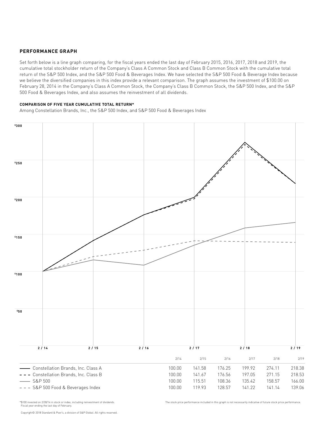#### **PERFORMANCE GRAPH**

Set forth below is a line graph comparing, for the fiscal years ended the last day of February 2015, 2016, 2017, 2018 and 2019, the cumulative total stockholder return of the Company's Class A Common Stock and Class B Common Stock with the cumulative total return of the S&P 500 Index, and the S&P 500 Food & Beverages Index. We have selected the S&P 500 Food & Beverage Index because we believe the diversified companies in this index provide a relevant comparison. The graph assumes the investment of \$100.00 on February 28, 2014 in the Company's Class A Common Stock, the Company's Class B Common Stock, the S&P 500 Index, and the S&P 500 Food & Beverages Index, and also assumes the reinvestment of all dividends.

#### **COMPARISON OF FIVE YEAR CUMULATIVE TOTAL RETURN\***

Among Constellation Brands, Inc., the S&P 500 Index, and S&P 500 Food & Beverages Index



\*\$100 invested on 2/28/14 in stock or index, including reinvestment of dividends. Fiscal year ending the last day of February.

The stock price performance included in this graph is not necessarily indicative of future stock price performance.

Copyright© 2018 Standard & Poor's, a division of S&P Global. All rights reserved.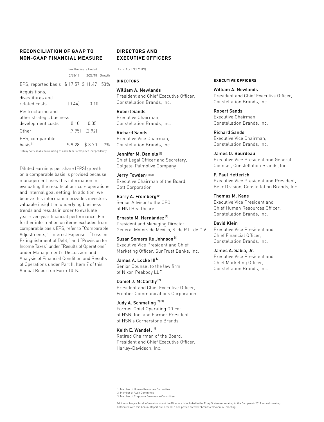#### **RECONCILIATION OF GAAP TO NON-GAAP FINANCIAL MEASURE**

|                                                                        | For the Years Ended |                        |    |  |  |  |  |  |
|------------------------------------------------------------------------|---------------------|------------------------|----|--|--|--|--|--|
|                                                                        |                     | 2/28/19 2/28/18 Growth |    |  |  |  |  |  |
| EPS, reported basis \$17.57 \$11.47 53%                                |                     |                        |    |  |  |  |  |  |
| Acquisitions,<br>divestitures and<br>related costs                     | [0.44]              | 0.10                   |    |  |  |  |  |  |
| Restructuring and<br>other strategic business                          |                     |                        |    |  |  |  |  |  |
| development costs                                                      | 0.10                | 0.05                   |    |  |  |  |  |  |
| Other                                                                  |                     | $(7.95)$ $(2.92)$      |    |  |  |  |  |  |
| EPS, comparable<br>$basis^{(1)}$                                       | $$9.28$ \$8.70      |                        | 7% |  |  |  |  |  |
| (1) May not sum due to rounding as each item is computed independently |                     |                        |    |  |  |  |  |  |

Diluted earnings per share (EPS) growth on a comparable basis is provided because management uses this information in evaluating the results of our core operations and internal goal setting. In addition, we believe this information provides investors valuable insight on underlying business trends and results in order to evaluate year-over-year financial performance. For further information on items excluded from comparable basis EPS, refer to "Comparable Adjustments," "Interest Expense," "Loss on Extinguishment of Debt," and "Provision for Income Taxes" under "Results of Operations" under Management's Discussion and Analysis of Financial Condition and Results of Operations under Part II, Item 7 of this Annual Report on Form 10-K.

#### **DIRECTORS AND EXECUTIVE OFFICERS**

(As of April 30, 2019)

#### **DIRECTORS**

William A. Newlands President and Chief Executive Officer, Constellation Brands, Inc.

Robert Sands Executive Chairman, Constellation Brands, Inc.

Richard Sands Executive Vice Chairman, Constellation Brands, Inc.

Jennifer M. Daniels<sup>(2)</sup> Chief Legal Officer and Secretary, Colgate-Palmolive Company

Jerry Fowden (1) (3) Executive Chairman of the Board, Cott Corporation

Barry A. Fromberg (2) Senior Advisor to the CEO of HNI Healthcare

Ernesto M. Hernández<sup>(1)</sup> President and Managing Director, General Motors de Mexico, S. de R.L. de C.V.

Susan Somersille Johnson (1) Executive Vice President and Chief Marketing Officer, SunTrust Banks, Inc.

James A. Locke III<sup>(3)</sup> Senior Counsel to the law firm of Nixon Peabody LLP

Daniel J. McCarthy<sup>(2)</sup> President and Chief Executive Officer, Frontier Communications Corporation

## Judy A. Schmeling<sup>(2)(3)</sup>

Former Chief Operating Officer of HSN, Inc. and Former President of HSN's Cornerstone Brands

#### Keith F. Wandell<sup>(1)</sup>

Retired Chairman of the Board, President and Chief Executive Officer, Harley-Davidson, Inc.

#### **EXECUTIVE OFFICERS**

William A. Newlands President and Chief Executive Officer, Constellation Brands, Inc.

Robert Sands Executive Chairman, Constellation Brands, Inc.

Richard Sands Executive Vice Chairman, Constellation Brands, Inc.

James O. Bourdeau Executive Vice President and General Counsel, Constellation Brands, Inc.

F. Paul Hetterich Executive Vice President and President, Beer Division, Constellation Brands, Inc.

Thomas M. Kane Executive Vice President and Chief Human Resources Officer, Constellation Brands, Inc.

David Klein Executive Vice President and Chief Financial Officer, Constellation Brands, Inc.

James A. Sabia, Jr. Executive Vice President and Chief Marketing Officer, Constellation Brands, Inc.

(1) Member of Human Resources Committee (2) Member of Audit Committee (3) Member of Corporate Governance Committee

Additional biographical information about the Directors is included in the Proxy Statement relating to the Company's 2019 annual meeting distributed with this Annual Report on Form 10-K and posted on www.cbrands.com/annual-meeting.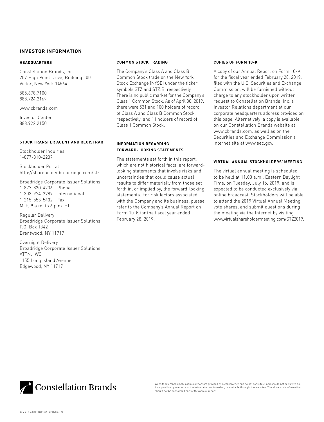#### **INVESTOR INFORMATION**

#### **HEADQUARTERS**

Constellation Brands, Inc. 207 High Point Drive, Building 100 Victor, New York 14564

585.678.7100 888.724.2169

www.cbrands.com

Investor Center 888.922.2150

#### **STOCK TRANSFER AGENT AND REGISTRAR**

Stockholder Inquiries 1-877-810-2237

Stockholder Portal http://shareholder.broadridge.com/stz

Broadridge Corporate Issuer Solutions 1-877-830-4936 - Phone 1-303-974-3789 - International 1-215-553-5402 - Fax M-F, 9 a.m. to 6 p.m. ET

Regular Delivery Broadridge Corporate Issuer Solutions P.O. Box 1342 Brentwood, NY 11717

Overnight Delivery Broadridge Corporate Issuer Solutions ATTN: IWS 1155 Long Island Avenue Edgewood, NY 11717

#### **COMMON STOCK TRADING**

The Company's Class A and Class B Common Stock trade on the New York Stock Exchange (NYSE) under the ticker symbols STZ and STZ.B, respectively. There is no public market for the Company's Class 1 Common Stock. As of April 30, 2019, there were 531 and 100 holders of record of Class A and Class B Common Stock, respectively, and 11 holders of record of Class 1 Common Stock.

#### **INFORMATION REGARDING FORWARD-LOOKING STATEMENTS**

The statements set forth in this report, which are not historical facts, are forwardlooking statements that involve risks and uncertainties that could cause actual results to differ materially from those set forth in, or implied by, the forward-looking statements. For risk factors associated with the Company and its business, please refer to the Company's Annual Report on Form 10-K for the fiscal year ended February 28, 2019.

#### **COPIES OF FORM 10-K**

A copy of our Annual Report on Form 10-K for the fiscal year ended February 28, 2019, filed with the U.S. Securities and Exchange Commission, will be furnished without charge to any stockholder upon written request to Constellation Brands, Inc.'s Investor Relations department at our corporate headquarters address provided on this page. Alternatively, a copy is available on our Constellation Brands website at www.cbrands.com, as well as on the Securities and Exchange Commission's internet site at www.sec.gov.

#### **VIRTUAL ANNUAL STOCKHOLDERS' MEETING**

The virtual annual meeting is scheduled to be held at 11:00 a.m., Eastern Daylight Time, on Tuesday, July 16, 2019, and is expected to be conducted exclusively via online broadcast. Stockholders will be able to attend the 2019 Virtual Annual Meeting, vote shares, and submit questions during the meeting via the Internet by visiting www.virtualshareholdermeeting.com/STZ2019.

Constellation Brands

Website references in this annual report are provided as a convenience and do not constitute, and should not be viewed as, incorporation by reference of the information contained on, or available through, the websites. Therefore, such information should not be considered part of this annual report.